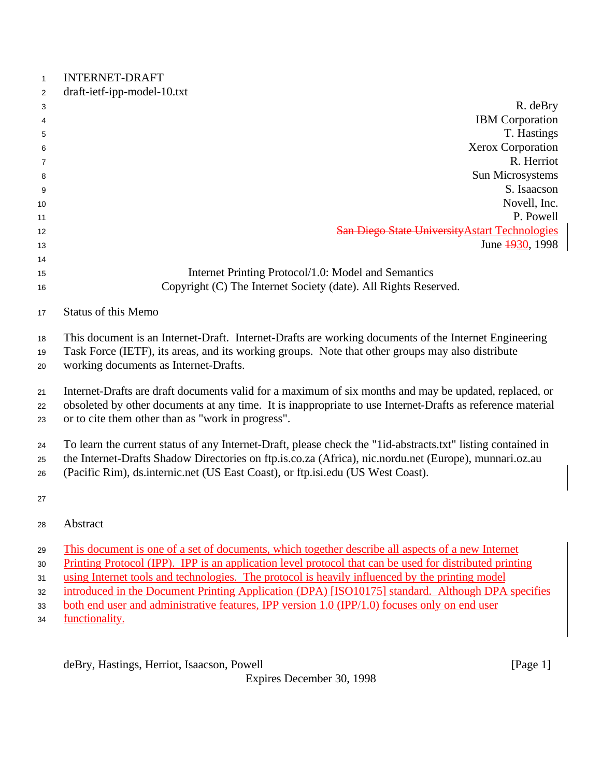|               | <b>INTERNET-DRAFT</b>       |                          |
|---------------|-----------------------------|--------------------------|
| $\mathcal{P}$ | draft-ietf-ipp-model-10.txt |                          |
|               |                             | R. deBry                 |
|               |                             | <b>IBM</b> Corporation   |
| 5             |                             | T. Hastings              |
| 6             |                             | <b>Xerox Corporation</b> |
|               |                             |                          |

| 6  | Xerox Corporation                                   |
|----|-----------------------------------------------------|
|    | R. Herriot                                          |
| 8  | Sun Microsystems                                    |
| 9  | S. Isaacson                                         |
| 10 | Novell, Inc.                                        |
| 11 | P. Powell                                           |
| 12 | San Diego State University Astart Technologies      |
| 13 | June 1930, 1998                                     |
| 14 |                                                     |
| 15 | Internet Printing Protocol/1.0: Model and Semantics |

# Copyright (C) The Internet Society (date). All Rights Reserved.

| 17 |  |  | <b>Status of this Memo</b> |
|----|--|--|----------------------------|
|----|--|--|----------------------------|

This document is an Internet-Draft. Internet-Drafts are working documents of the Internet Engineering

Task Force (IETF), its areas, and its working groups. Note that other groups may also distribute

working documents as Internet-Drafts.

Internet-Drafts are draft documents valid for a maximum of six months and may be updated, replaced, or

obsoleted by other documents at any time. It is inappropriate to use Internet-Drafts as reference material

or to cite them other than as "work in progress".

To learn the current status of any Internet-Draft, please check the "1id-abstracts.txt" listing contained in

the Internet-Drafts Shadow Directories on ftp.is.co.za (Africa), nic.nordu.net (Europe), munnari.oz.au

(Pacific Rim), ds.internic.net (US East Coast), or ftp.isi.edu (US West Coast).

Abstract

Printing Protocol (IPP). IPP is an application level protocol that can be used for distributed printing

- using Internet tools and technologies. The protocol is heavily influenced by the printing model
- introduced in the Document Printing Application (DPA) [ISO10175] standard. Although DPA specifies
- both end user and administrative features, IPP version 1.0 (IPP/1.0) focuses only on end user

functionality.

deBry, Hastings, Herriot, Isaacson, Powell **compared and Containers** and Containers and Containers and Container

Expires December 30, 1998

This document is one of a set of documents, which together describe all aspects of a new Internet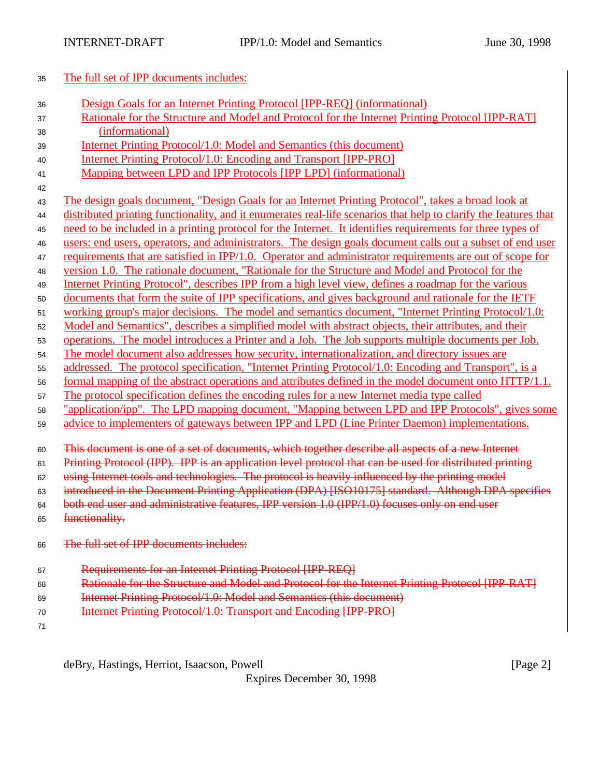The full set of IPP documents includes:

| 36 |  |  |  | Design Goals for an Internet Printing Protocol [IPP-REO] (informational) |
|----|--|--|--|--------------------------------------------------------------------------|
|    |  |  |  |                                                                          |

- Rationale for the Structure and Model and Protocol for the Internet Printing Protocol [IPP-RAT] (informational)
- Internet Printing Protocol/1.0: Model and Semantics (this document)
- Internet Printing Protocol/1.0: Encoding and Transport [IPP-PRO]
- Mapping between LPD and IPP Protocols [IPP LPD] (informational)
- 
- The design goals document, "Design Goals for an Internet Printing Protocol", takes a broad look at
- distributed printing functionality, and it enumerates real-life scenarios that help to clarify the features that
- need to be included in a printing protocol for the Internet. It identifies requirements for three types of
- users: end users, operators, and administrators. The design goals document calls out a subset of end user
- 47 requirements that are satisfied in IPP/1.0. Operator and administrator requirements are out of scope for
- version 1.0. The rationale document, "Rationale for the Structure and Model and Protocol for the
- Internet Printing Protocol", describes IPP from a high level view, defines a roadmap for the various
- documents that form the suite of IPP specifications, and gives background and rationale for the IETF
- working group's major decisions. The model and semantics document, "Internet Printing Protocol/1.0:
- Model and Semantics", describes a simplified model with abstract objects, their attributes, and their
- operations. The model introduces a Printer and a Job. The Job supports multiple documents per Job.
- The model document also addresses how security, internationalization, and directory issues are
- addressed. The protocol specification, "Internet Printing Protocol/1.0: Encoding and Transport", is a
- formal mapping of the abstract operations and attributes defined in the model document onto HTTP/1.1.
- The protocol specification defines the encoding rules for a new Internet media type called
- 58 "application/ipp". The LPD mapping document, "Mapping between LPD and IPP Protocols", gives some
- advice to implementers of gateways between IPP and LPD (Line Printer Daemon) implementations.
- This document is one of a set of documents, which together describe all aspects of a new Internet
- Printing Protocol (IPP). IPP is an application level protocol that can be used for distributed printing
- 62 using Internet tools and technologies. The protocol is heavily influenced by the printing model
- 63 introduced in the Document Printing Application (DPA) [ISO10175] standard. Although DPA specifies
- both end user and administrative features, IPP version 1.0 (IPP/1.0) focuses only on end user
- 65 functionality.
- The full set of IPP documents includes:
- Requirements for an Internet Printing Protocol [IPP-REQ]
- 68 Rationale for the Structure and Model and Protocol for the Internet Printing Protocol [IPP-RAT]
- Internet Printing Protocol/1.0: Model and Semantics (this document)
- Internet Printing Protocol/1.0: Transport and Encoding [IPP-PRO]
- 

deBry, Hastings, Herriot, Isaacson, Powell **compared and Containers** and Containers and Containers and Container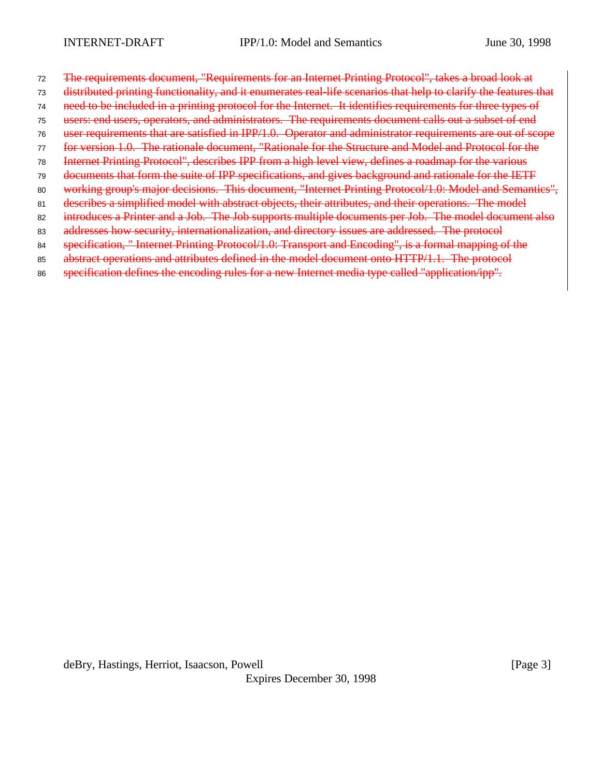- The requirements document, "Requirements for an Internet Printing Protocol", takes a broad look at
- distributed printing functionality, and it enumerates real-life scenarios that help to clarify the features that
- need to be included in a printing protocol for the Internet. It identifies requirements for three types of
- users: end users, operators, and administrators. The requirements document calls out a subset of end
- user requirements that are satisfied in IPP/1.0. Operator and administrator requirements are out of scope
- for version 1.0. The rationale document, "Rationale for the Structure and Model and Protocol for the
- Internet Printing Protocol", describes IPP from a high level view, defines a roadmap for the various
- documents that form the suite of IPP specifications, and gives background and rationale for the IETF
- 80 working group's major decisions. This document, "Internet Printing Protocol/1.0: Model and Semantics",
- 81 describes a simplified model with abstract objects, their attributes, and their operations. The model
- 82 introduces a Printer and a Job. The Job supports multiple documents per Job. The model document also
- addresses how security, internationalization, and directory issues are addressed. The protocol
- specification, " Internet Printing Protocol/1.0: Transport and Encoding", is a formal mapping of the
- abstract operations and attributes defined in the model document onto HTTP/1.1. The protocol
- 86 specification defines the encoding rules for a new Internet media type called "application/ipp".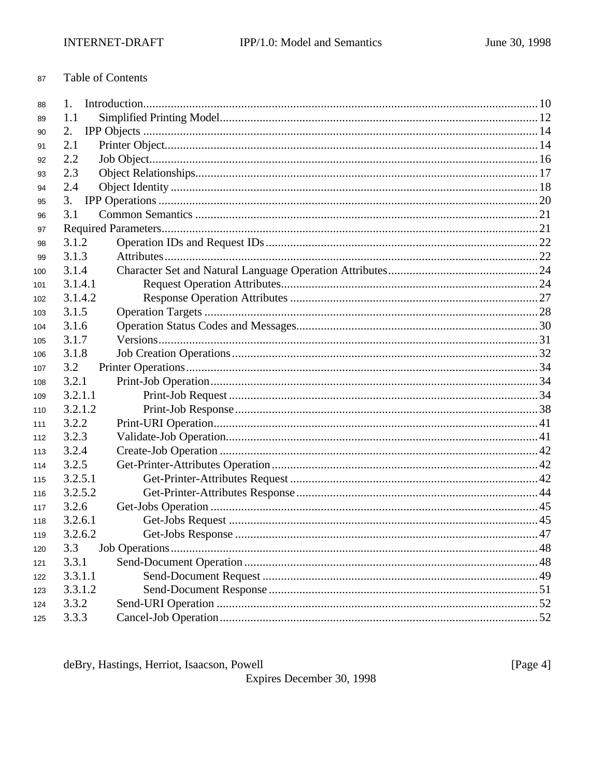#### Table of Contents 87

| 88  | 1.      |  |
|-----|---------|--|
| 89  | 1.1     |  |
| 90  | 2.      |  |
| 91  | 2.1     |  |
| 92  | 2.2     |  |
| 93  | 2.3     |  |
| 94  | 2.4     |  |
| 95  | 3.      |  |
| 96  | 3.1     |  |
| 97  |         |  |
| 98  | 3.1.2   |  |
| 99  | 3.1.3   |  |
| 100 | 3.1.4   |  |
| 101 | 3.1.4.1 |  |
| 102 | 3.1.4.2 |  |
| 103 | 3.1.5   |  |
| 104 | 3.1.6   |  |
| 105 | 3.1.7   |  |
| 106 | 3.1.8   |  |
| 107 | 3.2     |  |
| 108 | 3.2.1   |  |
| 109 | 3.2.1.1 |  |
| 110 | 3.2.1.2 |  |
| 111 | 3.2.2   |  |
| 112 | 3.2.3   |  |
| 113 | 3.2.4   |  |
| 114 | 3.2.5   |  |
| 115 | 3.2.5.1 |  |
| 116 | 3.2.5.2 |  |
| 117 | 3.2.6   |  |
| 118 | 3.2.6.1 |  |
| 119 | 3.2.6.2 |  |
| 120 | 3.3     |  |
| 121 | 3.3.1   |  |
| 122 | 3.3.1.1 |  |
| 123 | 3.3.1.2 |  |
| 124 | 3.3.2   |  |
| 125 | 3.3.3   |  |

deBry, Hastings, Herriot, Isaacson, Powell

Expires December 30, 1998

[Page 4]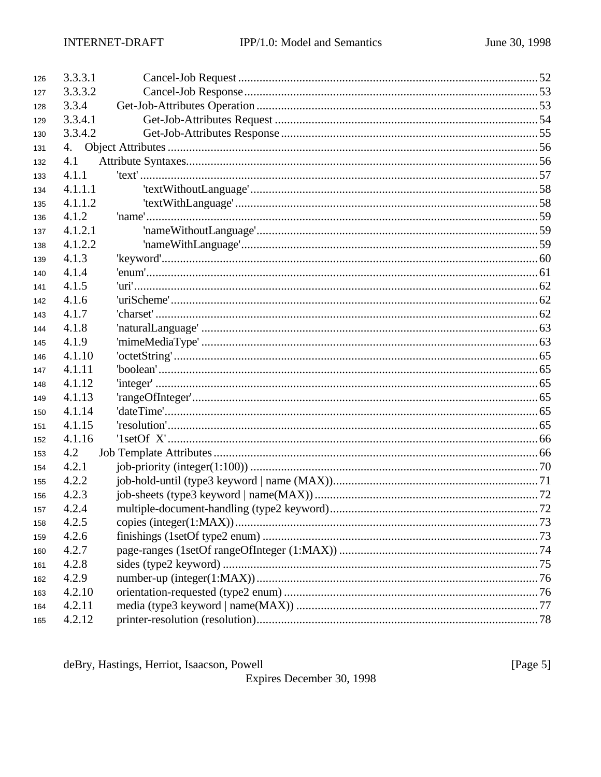| 126 | 3.3.3.1 |  |
|-----|---------|--|
| 127 | 3.3.3.2 |  |
| 128 | 3.3.4   |  |
| 129 | 3.3.4.1 |  |
| 130 | 3.3.4.2 |  |
| 131 |         |  |
| 132 | 4.1     |  |
| 133 | 4.1.1   |  |
| 134 | 4.1.1.1 |  |
| 135 | 4.1.1.2 |  |
| 136 | 4.1.2   |  |
| 137 | 4.1.2.1 |  |
| 138 | 4.1.2.2 |  |
| 139 | 4.1.3   |  |
| 140 | 4.1.4   |  |
| 141 | 4.1.5   |  |
| 142 | 4.1.6   |  |
| 143 | 4.1.7   |  |
| 144 | 4.1.8   |  |
| 145 | 4.1.9   |  |
| 146 | 4.1.10  |  |
| 147 | 4.1.11  |  |
| 148 | 4.1.12  |  |
| 149 | 4.1.13  |  |
| 150 | 4.1.14  |  |
| 151 | 4.1.15  |  |
| 152 | 4.1.16  |  |
| 153 | 4.2     |  |
| 154 | 4.2.1   |  |
| 155 | 4.2.2   |  |
| 156 | 4.2.3   |  |
| 157 | 4.2.4   |  |
| 158 | 4.2.5   |  |
| 159 | 4.2.6   |  |
| 160 | 4.2.7   |  |
| 161 | 4.2.8   |  |
| 162 | 4.2.9   |  |
| 163 | 4.2.10  |  |
| 164 | 4.2.11  |  |
| 165 | 4.2.12  |  |

deBry, Hastings, Herriot, Isaacson, Powell

Expires December 30, 1998

[Page  $5$ ]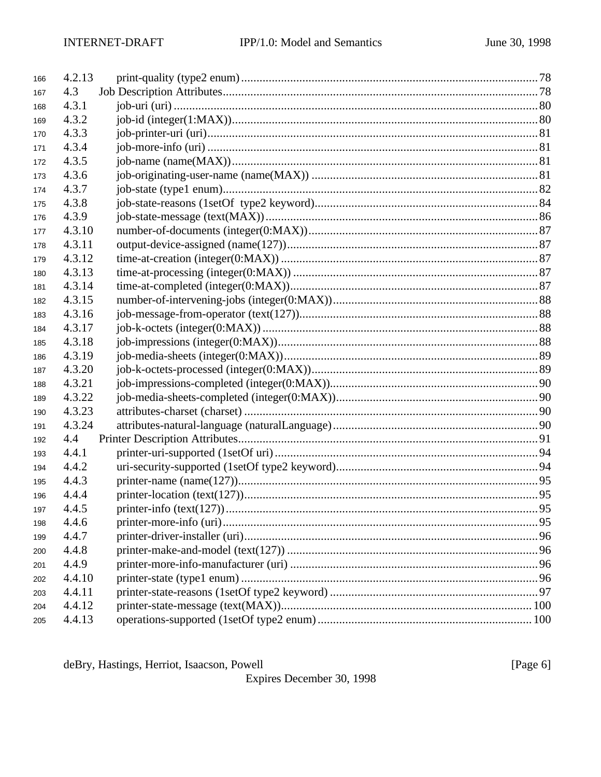| 166 | 4.2.13 |  |
|-----|--------|--|
| 167 | 4.3    |  |
| 168 | 4.3.1  |  |
| 169 | 4.3.2  |  |
| 170 | 4.3.3  |  |
| 171 | 4.3.4  |  |
| 172 | 4.3.5  |  |
| 173 | 4.3.6  |  |
| 174 | 4.3.7  |  |
| 175 | 4.3.8  |  |
| 176 | 4.3.9  |  |
| 177 | 4.3.10 |  |
| 178 | 4.3.11 |  |
| 179 | 4.3.12 |  |
| 180 | 4.3.13 |  |
| 181 | 4.3.14 |  |
| 182 | 4.3.15 |  |
| 183 | 4.3.16 |  |
| 184 | 4.3.17 |  |
| 185 | 4.3.18 |  |
| 186 | 4.3.19 |  |
| 187 | 4.3.20 |  |
| 188 | 4.3.21 |  |
| 189 | 4.3.22 |  |
| 190 | 4.3.23 |  |
| 191 | 4.3.24 |  |
| 192 | 4.4    |  |
| 193 | 4.4.1  |  |
| 194 | 4.4.2  |  |
| 195 | 4.4.3  |  |
| 196 | 4.4.4  |  |
| 197 | 4.4.5  |  |
| 198 | 4.4.6  |  |
| 199 | 4.4.7  |  |
| 200 | 4.4.8  |  |
| 201 | 4.4.9  |  |
| 202 | 4.4.10 |  |
| 203 | 4.4.11 |  |
| 204 | 4.4.12 |  |
| 205 | 4.4.13 |  |

deBry, Hastings, Herriot, Isaacson, Powell

Expires December 30, 1998

[Page 6]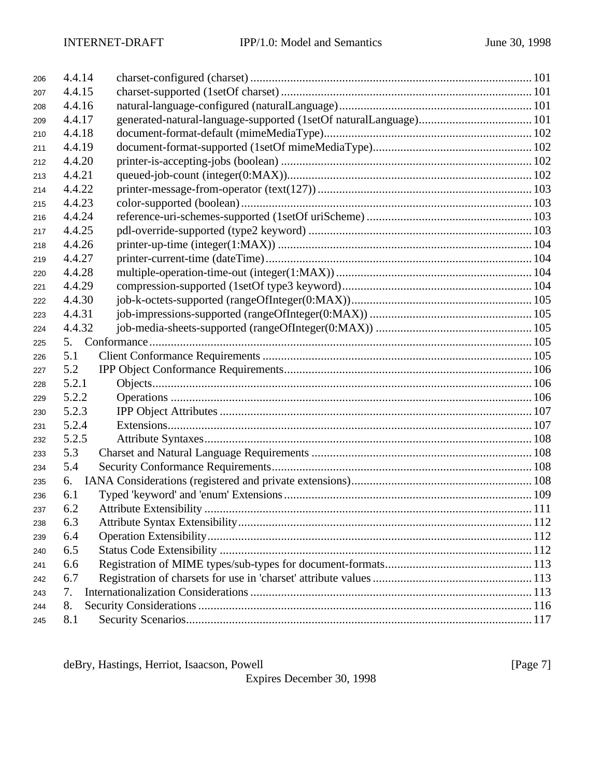| 206 | 4.4.14 |  |
|-----|--------|--|
| 207 | 4.4.15 |  |
| 208 | 4.4.16 |  |
| 209 | 4.4.17 |  |
| 210 | 4.4.18 |  |
| 211 | 4.4.19 |  |
| 212 | 4.4.20 |  |
| 213 | 4.4.21 |  |
| 214 | 4.4.22 |  |
| 215 | 4.4.23 |  |
| 216 | 4.4.24 |  |
| 217 | 4.4.25 |  |
| 218 | 4.4.26 |  |
| 219 | 4.4.27 |  |
| 220 | 4.4.28 |  |
| 221 | 4.4.29 |  |
| 222 | 4.4.30 |  |
| 223 | 4.4.31 |  |
| 224 | 4.4.32 |  |
| 225 |        |  |
| 226 | 5.1    |  |
| 227 | 5.2    |  |
| 228 | 5.2.1  |  |
| 229 | 5.2.2  |  |
| 230 | 5.2.3  |  |
| 231 | 5.2.4  |  |
| 232 | 5.2.5  |  |
| 233 | 5.3    |  |
| 234 | 5.4    |  |
| 235 | 6.     |  |
| 236 | 6.1    |  |
| 237 | 6.2    |  |
| 238 | 6.3    |  |
| 239 | 6.4    |  |
| 240 | 6.5    |  |
| 241 | 6.6    |  |
| 242 | 6.7    |  |
| 243 | 7.     |  |
| 244 | 8.     |  |
| 245 | 8.1    |  |

deBry, Hastings, Herriot, Isaacson, Powell [Page 7]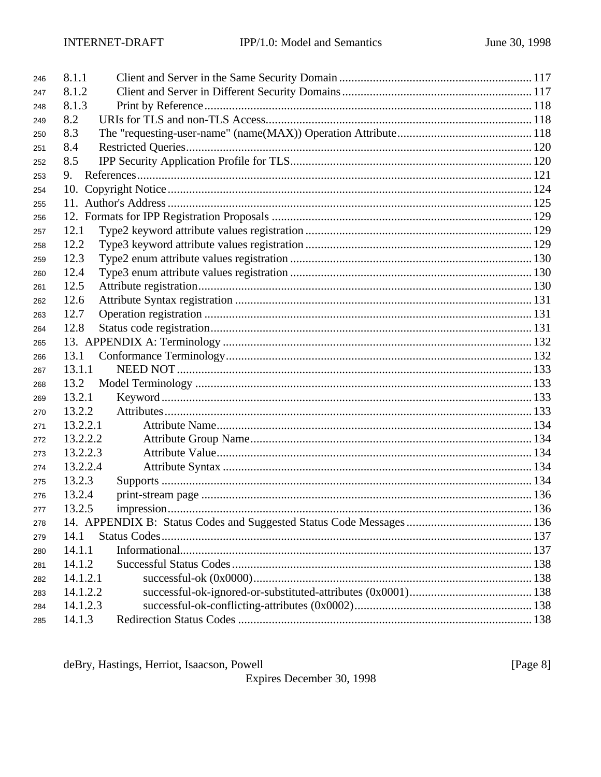| 246 | 8.1.1    |       |
|-----|----------|-------|
| 247 | 8.1.2    |       |
| 248 | 8.1.3    |       |
| 249 | 8.2      |       |
| 250 | 8.3      |       |
| 251 | 8.4      |       |
| 252 | 8.5      |       |
| 253 | 9.       |       |
| 254 | 10.      |       |
| 255 |          |       |
| 256 |          |       |
| 257 | 12.1     |       |
| 258 | 12.2     |       |
| 259 | 12.3     |       |
| 260 | 12.4     |       |
| 261 | 12.5     |       |
| 262 | 12.6     |       |
| 263 | 12.7     |       |
| 264 | 12.8     |       |
| 265 |          |       |
| 266 | 13.1     |       |
| 267 | 13.1.1   |       |
| 268 | 13.2     |       |
| 269 | 13.2.1   |       |
| 270 | 13.2.2   |       |
| 271 | 13.2.2.1 |       |
| 272 | 13.2.2.2 |       |
| 273 | 13.2.2.3 |       |
| 274 | 13.2.2.4 |       |
| 275 | 13.2.3   |       |
| 276 | 13.2.4   |       |
| 277 | 13.2.5   | . 136 |
| 278 |          |       |
| 279 | 14.1     |       |
| 280 | 14.1.1   |       |
| 281 | 14.1.2   |       |
| 282 | 14.1.2.1 |       |
| 283 | 14.1.2.2 |       |
| 284 | 14.1.2.3 |       |
| 285 | 14.1.3   |       |

deBry, Hastings, Herriot, Isaacson, Powell

Expires December 30, 1998

[Page 8]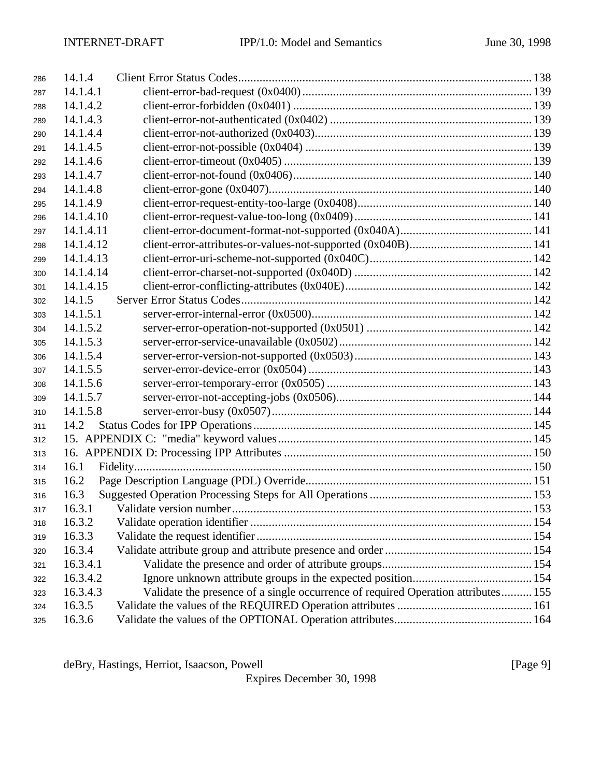| 286 | 14.1.4    |                                                                                   |  |
|-----|-----------|-----------------------------------------------------------------------------------|--|
| 287 | 14.1.4.1  |                                                                                   |  |
| 288 | 14.1.4.2  |                                                                                   |  |
| 289 | 14.1.4.3  |                                                                                   |  |
| 290 | 14.1.4.4  |                                                                                   |  |
| 291 | 14.1.4.5  |                                                                                   |  |
| 292 | 14.1.4.6  |                                                                                   |  |
| 293 | 14.1.4.7  |                                                                                   |  |
| 294 | 14.1.4.8  |                                                                                   |  |
| 295 | 14.1.4.9  |                                                                                   |  |
| 296 | 14.1.4.10 |                                                                                   |  |
| 297 | 14.1.4.11 |                                                                                   |  |
| 298 | 14.1.4.12 |                                                                                   |  |
| 299 | 14.1.4.13 |                                                                                   |  |
| 300 | 14.1.4.14 |                                                                                   |  |
| 301 | 14.1.4.15 |                                                                                   |  |
| 302 | 14.1.5    |                                                                                   |  |
| 303 | 14.1.5.1  |                                                                                   |  |
| 304 | 14.1.5.2  |                                                                                   |  |
| 305 | 14.1.5.3  |                                                                                   |  |
| 306 | 14.1.5.4  |                                                                                   |  |
| 307 | 14.1.5.5  |                                                                                   |  |
| 308 | 14.1.5.6  |                                                                                   |  |
| 309 | 14.1.5.7  |                                                                                   |  |
| 310 | 14.1.5.8  |                                                                                   |  |
| 311 | 14.2      |                                                                                   |  |
| 312 |           |                                                                                   |  |
| 313 |           |                                                                                   |  |
| 314 | 16.1      |                                                                                   |  |
| 315 | 16.2      |                                                                                   |  |
| 316 | 16.3      |                                                                                   |  |
| 317 |           | 16.3.1 Validate version number                                                    |  |
| 318 | 16.3.2    |                                                                                   |  |
| 319 | 16.3.3    |                                                                                   |  |
| 320 | 16.3.4    |                                                                                   |  |
| 321 | 16.3.4.1  |                                                                                   |  |
| 322 | 16.3.4.2  |                                                                                   |  |
| 323 | 16.3.4.3  | Validate the presence of a single occurrence of required Operation attributes 155 |  |
| 324 | 16.3.5    |                                                                                   |  |
| 325 | 16.3.6    |                                                                                   |  |

deBry, Hastings, Herriot, Isaacson, Powell [Page 9]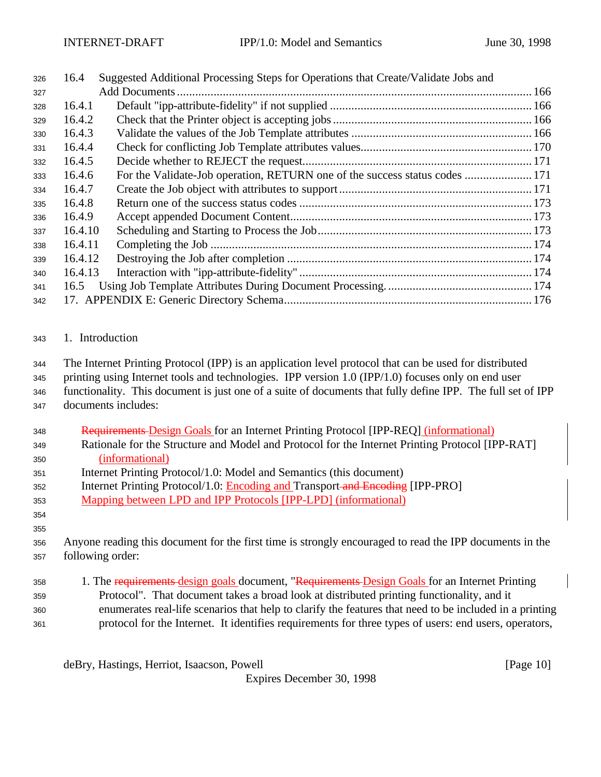| 326 | 16.4    | Suggested Additional Processing Steps for Operations that Create/Validate Jobs and |  |
|-----|---------|------------------------------------------------------------------------------------|--|
| 327 |         |                                                                                    |  |
| 328 | 16.4.1  |                                                                                    |  |
| 329 | 16.4.2  |                                                                                    |  |
| 330 | 16.4.3  |                                                                                    |  |
| 331 | 16.4.4  |                                                                                    |  |
| 332 | 16.4.5  |                                                                                    |  |
| 333 | 16.4.6  | For the Validate-Job operation, RETURN one of the success status codes  171        |  |
| 334 | 16.4.7  |                                                                                    |  |
| 335 | 16.4.8  |                                                                                    |  |
| 336 | 16.4.9  |                                                                                    |  |
| 337 | 16.4.10 |                                                                                    |  |
| 338 | 16.4.11 |                                                                                    |  |
| 339 | 16.4.12 |                                                                                    |  |
| 340 | 16.4.13 |                                                                                    |  |
| 341 | 16.5    |                                                                                    |  |
| 342 |         |                                                                                    |  |

#### 1. Introduction

The Internet Printing Protocol (IPP) is an application level protocol that can be used for distributed

 printing using Internet tools and technologies. IPP version 1.0 (IPP/1.0) focuses only on end user functionality. This document is just one of a suite of documents that fully define IPP. The full set of IPP

- documents includes:
- Requirements Design Goals for an Internet Printing Protocol [IPP-REQ] (informational)
- Rationale for the Structure and Model and Protocol for the Internet Printing Protocol [IPP-RAT] (informational)
- Internet Printing Protocol/1.0: Model and Semantics (this document)
- 352 Internet Printing Protocol/1.0: Encoding and Transport and Encoding [IPP-PRO]
- Mapping between LPD and IPP Protocols [IPP-LPD] (informational)
- 
- Anyone reading this document for the first time is strongly encouraged to read the IPP documents in the following order:
- 358 1. The requirements design goals document, "Requirements Design Goals for an Internet Printing Protocol". That document takes a broad look at distributed printing functionality, and it enumerates real-life scenarios that help to clarify the features that need to be included in a printing protocol for the Internet. It identifies requirements for three types of users: end users, operators,

deBry, Hastings, Herriot, Isaacson, Powell [Page 10]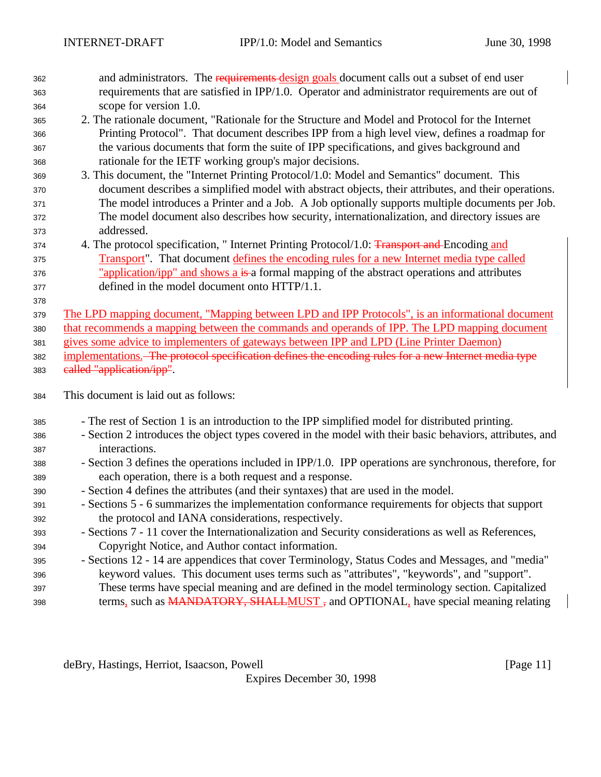362 and administrators. The requirements design goals document calls out a subset of end user requirements that are satisfied in IPP/1.0. Operator and administrator requirements are out of

| 364        | scope for version 1.0.                                                                                                                                                                      |
|------------|---------------------------------------------------------------------------------------------------------------------------------------------------------------------------------------------|
| 365        | 2. The rationale document, "Rationale for the Structure and Model and Protocol for the Internet                                                                                             |
| 366        | Printing Protocol". That document describes IPP from a high level view, defines a roadmap for                                                                                               |
| 367        | the various documents that form the suite of IPP specifications, and gives background and                                                                                                   |
| 368        | rationale for the IETF working group's major decisions.                                                                                                                                     |
| 369        | 3. This document, the "Internet Printing Protocol/1.0: Model and Semantics" document. This                                                                                                  |
| 370        | document describes a simplified model with abstract objects, their attributes, and their operations.                                                                                        |
| 371        | The model introduces a Printer and a Job. A Job optionally supports multiple documents per Job.                                                                                             |
| 372        | The model document also describes how security, internationalization, and directory issues are                                                                                              |
| 373        | addressed.                                                                                                                                                                                  |
| 374        | 4. The protocol specification, "Internet Printing Protocol/1.0: Transport and Encoding and                                                                                                  |
| 375        | Transport". That document defines the encoding rules for a new Internet media type called                                                                                                   |
| 376        | "application/ipp" and shows a is a formal mapping of the abstract operations and attributes                                                                                                 |
| 377        | defined in the model document onto HTTP/1.1.                                                                                                                                                |
| 378        |                                                                                                                                                                                             |
| 379        | The LPD mapping document, "Mapping between LPD and IPP Protocols", is an informational document                                                                                             |
| 380        | that recommends a mapping between the commands and operands of IPP. The LPD mapping document<br>gives some advice to implementers of gateways between IPP and LPD (Line Printer Daemon)     |
| 381        | implementations. The protocol specification defines the encoding rules for a new Internet media type                                                                                        |
| 382<br>383 | ealled "application/ipp".                                                                                                                                                                   |
|            |                                                                                                                                                                                             |
| 384        | This document is laid out as follows:                                                                                                                                                       |
| 385        | - The rest of Section 1 is an introduction to the IPP simplified model for distributed printing.                                                                                            |
| 386        | - Section 2 introduces the object types covered in the model with their basic behaviors, attributes, and                                                                                    |
| 387        | interactions.                                                                                                                                                                               |
| 388        | - Section 3 defines the operations included in IPP/1.0. IPP operations are synchronous, therefore, for                                                                                      |
| 389        | each operation, there is a both request and a response.                                                                                                                                     |
| 390        | - Section 4 defines the attributes (and their syntaxes) that are used in the model.                                                                                                         |
| 391        | - Sections 5 - 6 summarizes the implementation conformance requirements for objects that support                                                                                            |
| 392        | the protocol and IANA considerations, respectively.                                                                                                                                         |
| 393        | - Sections 7 - 11 cover the Internationalization and Security considerations as well as References,                                                                                         |
| 394        | Copyright Notice, and Author contact information.                                                                                                                                           |
| 395        | - Sections 12 - 14 are appendices that cover Terminology, Status Codes and Messages, and "media"                                                                                            |
| 396        | keyword values. This document uses terms such as "attributes", "keywords", and "support".<br>These terms have special meaning and are defined in the model terminology section. Capitalized |
| 397<br>398 | terms, such as $MANDATORY$ , $SHALLMUST$ , and $OPTIONAL$ , have special meaning relating                                                                                                   |
|            |                                                                                                                                                                                             |
|            |                                                                                                                                                                                             |
|            |                                                                                                                                                                                             |
|            |                                                                                                                                                                                             |

deBry, Hastings, Herriot, Isaacson, Powell [Page 11]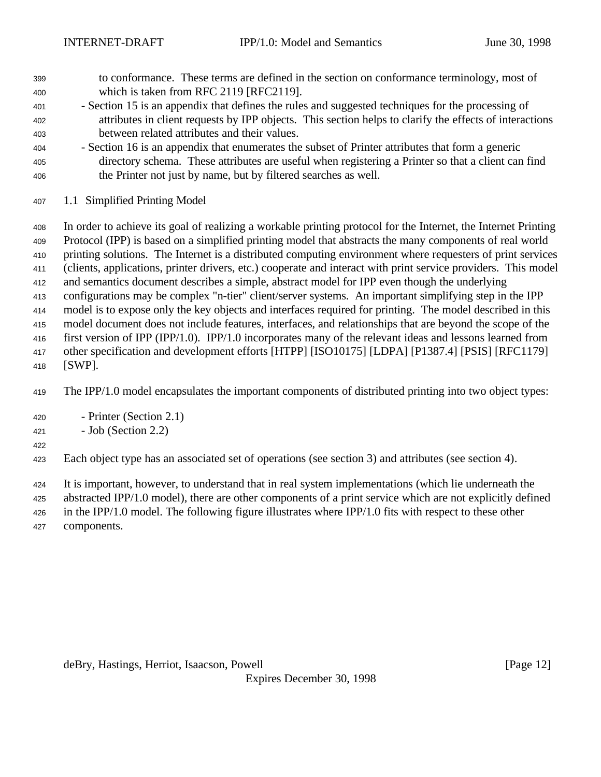- to conformance. These terms are defined in the section on conformance terminology, most of which is taken from RFC 2119 [RFC2119].
- Section 15 is an appendix that defines the rules and suggested techniques for the processing of attributes in client requests by IPP objects. This section helps to clarify the effects of interactions between related attributes and their values.
- Section 16 is an appendix that enumerates the subset of Printer attributes that form a generic directory schema. These attributes are useful when registering a Printer so that a client can find the Printer not just by name, but by filtered searches as well.
- 1.1 Simplified Printing Model

 In order to achieve its goal of realizing a workable printing protocol for the Internet, the Internet Printing Protocol (IPP) is based on a simplified printing model that abstracts the many components of real world printing solutions. The Internet is a distributed computing environment where requesters of print services (clients, applications, printer drivers, etc.) cooperate and interact with print service providers. This model and semantics document describes a simple, abstract model for IPP even though the underlying configurations may be complex "n-tier" client/server systems. An important simplifying step in the IPP model is to expose only the key objects and interfaces required for printing. The model described in this model document does not include features, interfaces, and relationships that are beyond the scope of the first version of IPP (IPP/1.0). IPP/1.0 incorporates many of the relevant ideas and lessons learned from other specification and development efforts [HTPP] [ISO10175] [LDPA] [P1387.4] [PSIS] [RFC1179]

[SWP].

The IPP/1.0 model encapsulates the important components of distributed printing into two object types:

- Printer (Section 2.1)
- Job (Section 2.2)
- 

Each object type has an associated set of operations (see section 3) and attributes (see section 4).

It is important, however, to understand that in real system implementations (which lie underneath the

abstracted IPP/1.0 model), there are other components of a print service which are not explicitly defined

in the IPP/1.0 model. The following figure illustrates where IPP/1.0 fits with respect to these other

components.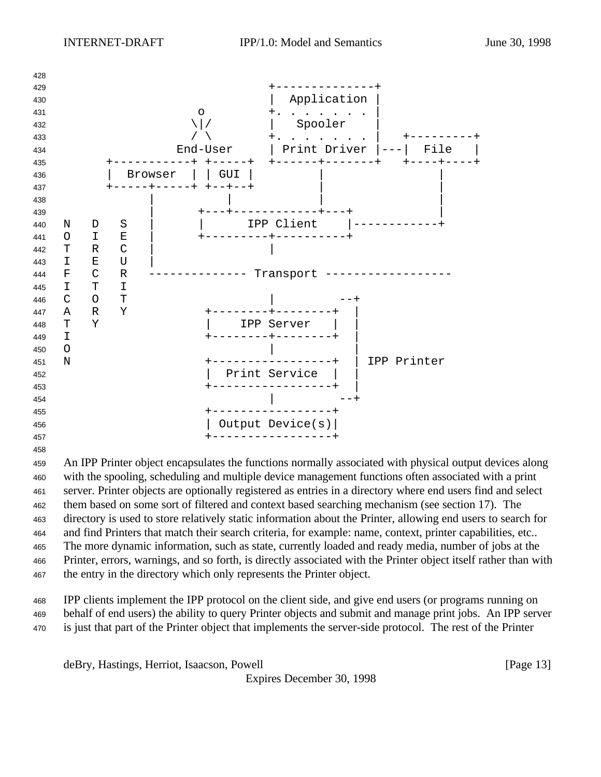

 An IPP Printer object encapsulates the functions normally associated with physical output devices along with the spooling, scheduling and multiple device management functions often associated with a print server. Printer objects are optionally registered as entries in a directory where end users find and select them based on some sort of filtered and context based searching mechanism (see section 17). The directory is used to store relatively static information about the Printer, allowing end users to search for and find Printers that match their search criteria, for example: name, context, printer capabilities, etc.. The more dynamic information, such as state, currently loaded and ready media, number of jobs at the Printer, errors, warnings, and so forth, is directly associated with the Printer object itself rather than with the entry in the directory which only represents the Printer object.

 IPP clients implement the IPP protocol on the client side, and give end users (or programs running on behalf of end users) the ability to query Printer objects and submit and manage print jobs. An IPP server is just that part of the Printer object that implements the server-side protocol. The rest of the Printer

deBry, Hastings, Herriot, Isaacson, Powell **Example 20** (Page 13)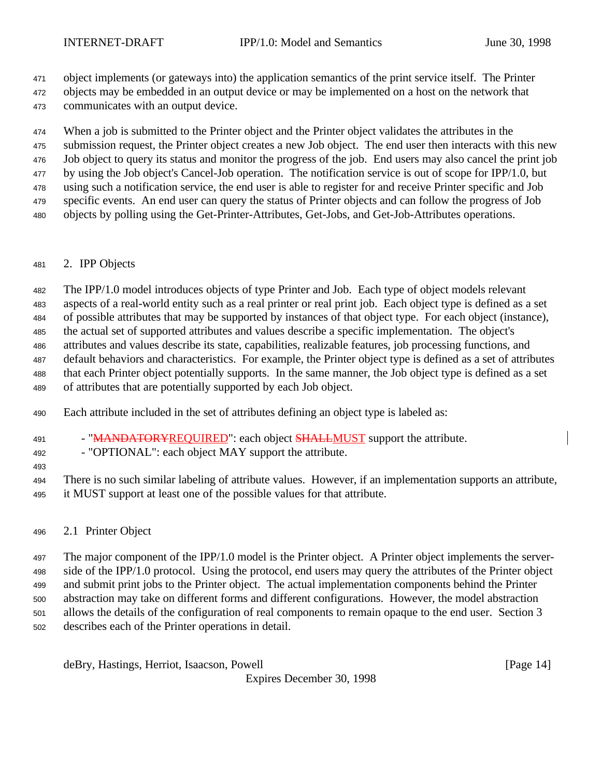object implements (or gateways into) the application semantics of the print service itself. The Printer

 objects may be embedded in an output device or may be implemented on a host on the network that communicates with an output device.

 When a job is submitted to the Printer object and the Printer object validates the attributes in the submission request, the Printer object creates a new Job object. The end user then interacts with this new Job object to query its status and monitor the progress of the job. End users may also cancel the print job by using the Job object's Cancel-Job operation. The notification service is out of scope for IPP/1.0, but using such a notification service, the end user is able to register for and receive Printer specific and Job specific events. An end user can query the status of Printer objects and can follow the progress of Job objects by polling using the Get-Printer-Attributes, Get-Jobs, and Get-Job-Attributes operations.

#### 2. IPP Objects

The IPP/1.0 model introduces objects of type Printer and Job. Each type of object models relevant

483 aspects of a real-world entity such as a real printer or real print job. Each object type is defined as a set

of possible attributes that may be supported by instances of that object type. For each object (instance),

the actual set of supported attributes and values describe a specific implementation. The object's

 attributes and values describe its state, capabilities, realizable features, job processing functions, and default behaviors and characteristics. For example, the Printer object type is defined as a set of attributes

 that each Printer object potentially supports. In the same manner, the Job object type is defined as a set of attributes that are potentially supported by each Job object.

- Each attribute included in the set of attributes defining an object type is labeled as:
- 491 "MANDATORYREQUIRED": each object SHALLMUST support the attribute.
- "OPTIONAL": each object MAY support the attribute.
- There is no such similar labeling of attribute values. However, if an implementation supports an attribute, it MUST support at least one of the possible values for that attribute.
- 2.1 Printer Object

 The major component of the IPP/1.0 model is the Printer object. A Printer object implements the server- side of the IPP/1.0 protocol. Using the protocol, end users may query the attributes of the Printer object and submit print jobs to the Printer object. The actual implementation components behind the Printer abstraction may take on different forms and different configurations. However, the model abstraction allows the details of the configuration of real components to remain opaque to the end user. Section 3 describes each of the Printer operations in detail.

deBry, Hastings, Herriot, Isaacson, Powell [Page 14]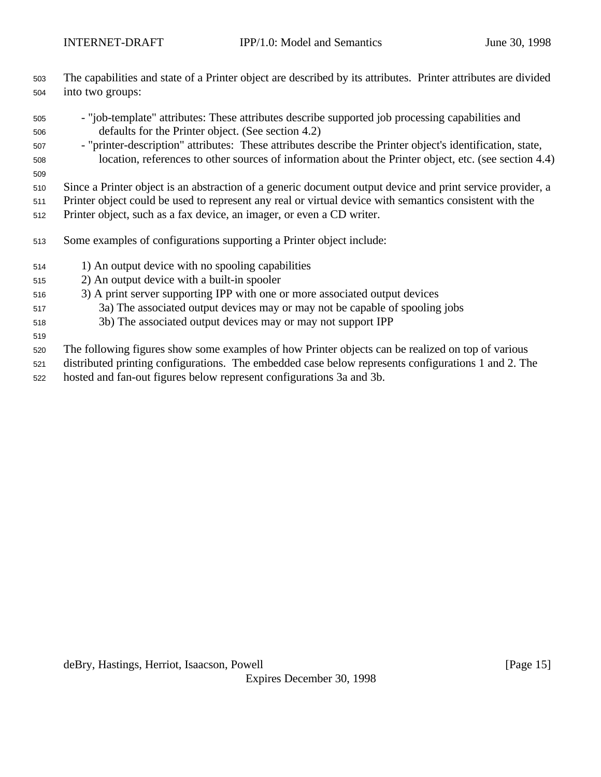- The capabilities and state of a Printer object are described by its attributes. Printer attributes are divided into two groups:
- "job-template" attributes: These attributes describe supported job processing capabilities and defaults for the Printer object. (See section 4.2)
- "printer-description" attributes: These attributes describe the Printer object's identification, state, location, references to other sources of information about the Printer object, etc. (see section 4.4)
- 

Since a Printer object is an abstraction of a generic document output device and print service provider, a

Printer object could be used to represent any real or virtual device with semantics consistent with the

- Printer object, such as a fax device, an imager, or even a CD writer.
- Some examples of configurations supporting a Printer object include:
- 1) An output device with no spooling capabilities
- 2) An output device with a built-in spooler
- 3) A print server supporting IPP with one or more associated output devices
- 3a) The associated output devices may or may not be capable of spooling jobs
- 3b) The associated output devices may or may not support IPP
- The following figures show some examples of how Printer objects can be realized on top of various
- distributed printing configurations. The embedded case below represents configurations 1 and 2. The
- hosted and fan-out figures below represent configurations 3a and 3b.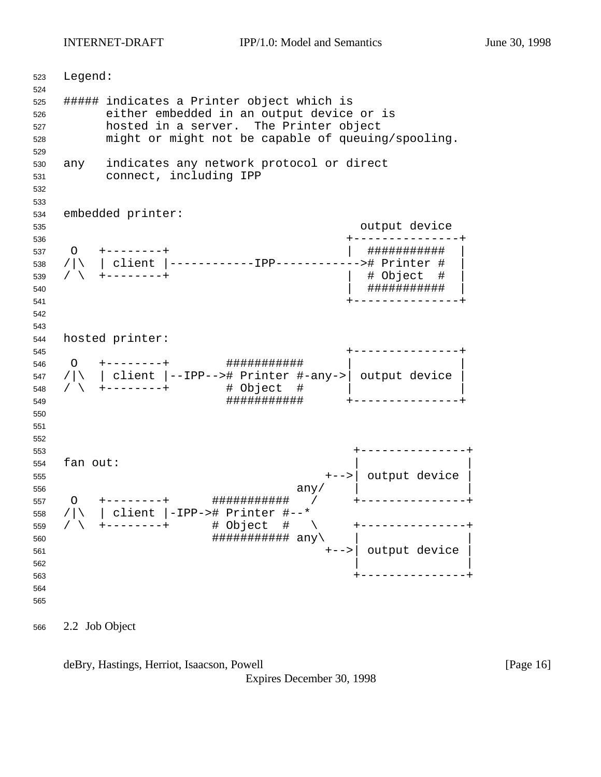INTERNET-DRAFT IPP/1.0: Model and Semantics June 30, 1998

 Legend: ##### indicates a Printer object which is either embedded in an output device or is hosted in a server. The Printer object might or might not be capable of queuing/spooling. any indicates any network protocol or direct connect, including IPP embedded printer: output device +---------------+ O +--------+ | ########### | /|\ | client |------------IPP------------># Printer # | / \ +--------+ | # Object # | | ########### | +---------------+ hosted printer: +---------------+ O +--------+ ########### | | /|\ | client |--IPP--># Printer #-any->| output device | / \ +--------+ # Object # | | ########### +---------------+ +---------------+ fan out:  $+-->$  output device  $\vert$  any/  $\vert$  O +--------+ ########### / +---------------+ /|\ | client |-IPP-># Printer #--\* / \ +--------+ # Object # \ +---------------+  $\# \# \# \# \# \# \# \# \# \# \# \text{ any } \setminus$  +-->| output device | +---------------+ 

2.2 Job Object

deBry, Hastings, Herriot, Isaacson, Powell [Page 16]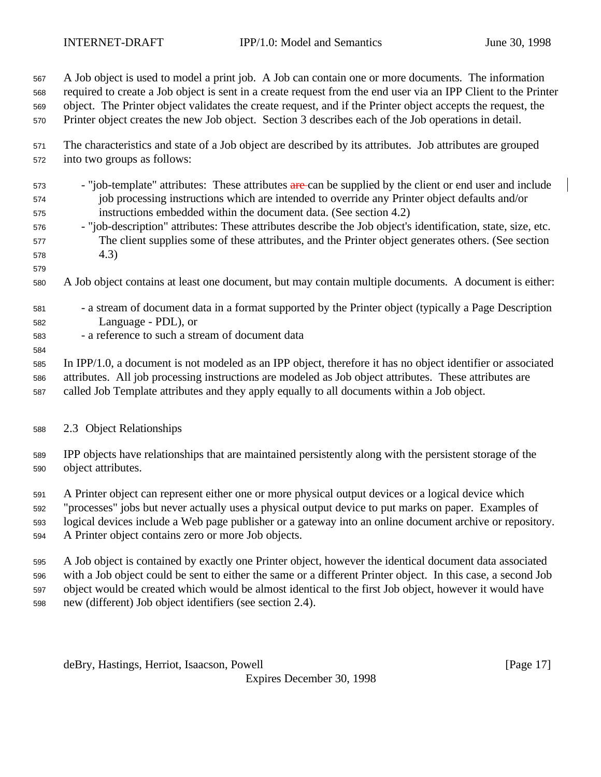A Job object is used to model a print job. A Job can contain one or more documents. The information

required to create a Job object is sent in a create request from the end user via an IPP Client to the Printer

object. The Printer object validates the create request, and if the Printer object accepts the request, the

Printer object creates the new Job object. Section 3 describes each of the Job operations in detail.

- The characteristics and state of a Job object are described by its attributes. Job attributes are grouped into two groups as follows:
- 573 "job-template" attributes: These attributes are can be supplied by the client or end user and include job processing instructions which are intended to override any Printer object defaults and/or instructions embedded within the document data. (See section 4.2)
- "job-description" attributes: These attributes describe the Job object's identification, state, size, etc. The client supplies some of these attributes, and the Printer object generates others. (See section 4.3)
- 

- A Job object contains at least one document, but may contain multiple documents. A document is either:
- a stream of document data in a format supported by the Printer object (typically a Page Description Language - PDL), or
- a reference to such a stream of document data

In IPP/1.0, a document is not modeled as an IPP object, therefore it has no object identifier or associated

 attributes. All job processing instructions are modeled as Job object attributes. These attributes are called Job Template attributes and they apply equally to all documents within a Job object.

- 2.3 Object Relationships
- IPP objects have relationships that are maintained persistently along with the persistent storage of the object attributes.
- A Printer object can represent either one or more physical output devices or a logical device which

"processes" jobs but never actually uses a physical output device to put marks on paper. Examples of

logical devices include a Web page publisher or a gateway into an online document archive or repository.

A Printer object contains zero or more Job objects.

 A Job object is contained by exactly one Printer object, however the identical document data associated with a Job object could be sent to either the same or a different Printer object. In this case, a second Job object would be created which would be almost identical to the first Job object, however it would have

new (different) Job object identifiers (see section 2.4).

deBry, Hastings, Herriot, Isaacson, Powell [Page 17]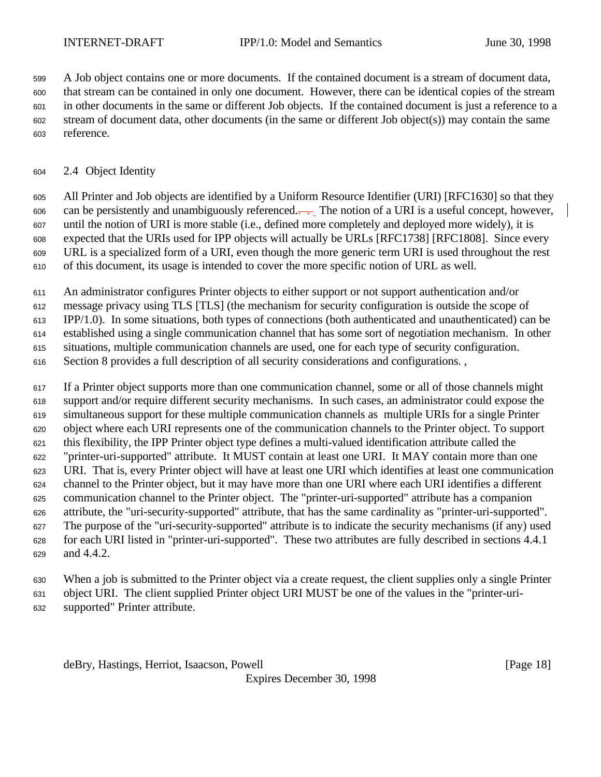A Job object contains one or more documents. If the contained document is a stream of document data, that stream can be contained in only one document. However, there can be identical copies of the stream in other documents in the same or different Job objects. If the contained document is just a reference to a stream of document data, other documents (in the same or different Job object(s)) may contain the same reference.

### 2.4 Object Identity

 All Printer and Job objects are identified by a Uniform Resource Identifier (URI) [RFC1630] so that they 606 can be persistently and unambiguously referenced. $\frac{1}{\sqrt{1-\lambda}}$  The notion of a URI is a useful concept, however, until the notion of URI is more stable (i.e., defined more completely and deployed more widely), it is expected that the URIs used for IPP objects will actually be URLs [RFC1738] [RFC1808]. Since every URL is a specialized form of a URI, even though the more generic term URI is used throughout the rest of this document, its usage is intended to cover the more specific notion of URL as well.

An administrator configures Printer objects to either support or not support authentication and/or

message privacy using TLS [TLS] (the mechanism for security configuration is outside the scope of

IPP/1.0). In some situations, both types of connections (both authenticated and unauthenticated) can be

 established using a single communication channel that has some sort of negotiation mechanism. In other situations, multiple communication channels are used, one for each type of security configuration.

Section 8 provides a full description of all security considerations and configurations. ,

 If a Printer object supports more than one communication channel, some or all of those channels might support and/or require different security mechanisms. In such cases, an administrator could expose the simultaneous support for these multiple communication channels as multiple URIs for a single Printer object where each URI represents one of the communication channels to the Printer object. To support this flexibility, the IPP Printer object type defines a multi-valued identification attribute called the "printer-uri-supported" attribute. It MUST contain at least one URI. It MAY contain more than one URI. That is, every Printer object will have at least one URI which identifies at least one communication channel to the Printer object, but it may have more than one URI where each URI identifies a different communication channel to the Printer object. The "printer-uri-supported" attribute has a companion attribute, the "uri-security-supported" attribute, that has the same cardinality as "printer-uri-supported". The purpose of the "uri-security-supported" attribute is to indicate the security mechanisms (if any) used for each URI listed in "printer-uri-supported". These two attributes are fully described in sections 4.4.1 and 4.4.2.

When a job is submitted to the Printer object via a create request, the client supplies only a single Printer

object URI. The client supplied Printer object URI MUST be one of the values in the "printer-uri-

supported" Printer attribute.

deBry, Hastings, Herriot, Isaacson, Powell [Page 18]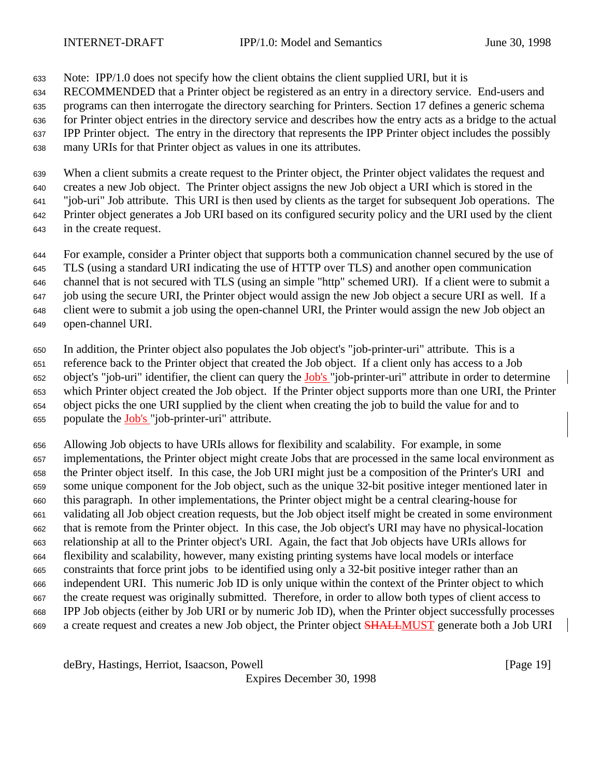Note: IPP/1.0 does not specify how the client obtains the client supplied URI, but it is

RECOMMENDED that a Printer object be registered as an entry in a directory service. End-users and

programs can then interrogate the directory searching for Printers. Section 17 defines a generic schema

 for Printer object entries in the directory service and describes how the entry acts as a bridge to the actual IPP Printer object. The entry in the directory that represents the IPP Printer object includes the possibly

many URIs for that Printer object as values in one its attributes.

 When a client submits a create request to the Printer object, the Printer object validates the request and creates a new Job object. The Printer object assigns the new Job object a URI which is stored in the "job-uri" Job attribute. This URI is then used by clients as the target for subsequent Job operations. The Printer object generates a Job URI based on its configured security policy and the URI used by the client

in the create request.

For example, consider a Printer object that supports both a communication channel secured by the use of

TLS (using a standard URI indicating the use of HTTP over TLS) and another open communication

channel that is not secured with TLS (using an simple "http" schemed URI). If a client were to submit a

job using the secure URI, the Printer object would assign the new Job object a secure URI as well. If a

client were to submit a job using the open-channel URI, the Printer would assign the new Job object an

open-channel URI.

 In addition, the Printer object also populates the Job object's "job-printer-uri" attribute. This is a reference back to the Printer object that created the Job object. If a client only has access to a Job 652 object's "job-uri" identifier, the client can query the **Job's** "job-printer-uri" attribute in order to determine which Printer object created the Job object. If the Printer object supports more than one URI, the Printer object picks the one URI supplied by the client when creating the job to build the value for and to populate the Job's "job-printer-uri" attribute.

 Allowing Job objects to have URIs allows for flexibility and scalability. For example, in some implementations, the Printer object might create Jobs that are processed in the same local environment as the Printer object itself. In this case, the Job URI might just be a composition of the Printer's URI and some unique component for the Job object, such as the unique 32-bit positive integer mentioned later in this paragraph. In other implementations, the Printer object might be a central clearing-house for validating all Job object creation requests, but the Job object itself might be created in some environment that is remote from the Printer object. In this case, the Job object's URI may have no physical-location relationship at all to the Printer object's URI. Again, the fact that Job objects have URIs allows for flexibility and scalability, however, many existing printing systems have local models or interface constraints that force print jobs to be identified using only a 32-bit positive integer rather than an independent URI. This numeric Job ID is only unique within the context of the Printer object to which the create request was originally submitted. Therefore, in order to allow both types of client access to IPP Job objects (either by Job URI or by numeric Job ID), when the Printer object successfully processes 669 a create request and creates a new Job object, the Printer object **SHALLMUST** generate both a Job URI

deBry, Hastings, Herriot, Isaacson, Powell [Page 19]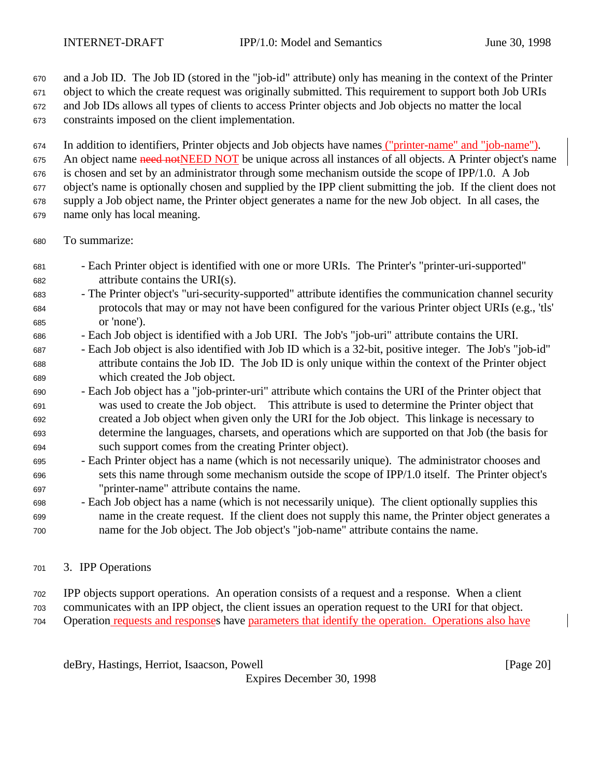and a Job ID. The Job ID (stored in the "job-id" attribute) only has meaning in the context of the Printer

object to which the create request was originally submitted. This requirement to support both Job URIs

 and Job IDs allows all types of clients to access Printer objects and Job objects no matter the local constraints imposed on the client implementation.

In addition to identifiers, Printer objects and Job objects have names ("printer-name" and "job-name").

675 An object name need not NEED NOT be unique across all instances of all objects. A Printer object's name

is chosen and set by an administrator through some mechanism outside the scope of IPP/1.0. A Job

object's name is optionally chosen and supplied by the IPP client submitting the job. If the client does not

supply a Job object name, the Printer object generates a name for the new Job object. In all cases, the

- name only has local meaning.
- To summarize:
- Each Printer object is identified with one or more URIs. The Printer's "printer-uri-supported" attribute contains the URI(s).
- The Printer object's "uri-security-supported" attribute identifies the communication channel security protocols that may or may not have been configured for the various Printer object URIs (e.g., 'tls' or 'none').
- Each Job object is identified with a Job URI. The Job's "job-uri" attribute contains the URI.
- Each Job object is also identified with Job ID which is a 32-bit, positive integer. The Job's "job-id" attribute contains the Job ID. The Job ID is only unique within the context of the Printer object which created the Job object.
- Each Job object has a "job-printer-uri" attribute which contains the URI of the Printer object that was used to create the Job object. This attribute is used to determine the Printer object that created a Job object when given only the URI for the Job object. This linkage is necessary to determine the languages, charsets, and operations which are supported on that Job (the basis for such support comes from the creating Printer object).
- Each Printer object has a name (which is not necessarily unique). The administrator chooses and sets this name through some mechanism outside the scope of IPP/1.0 itself. The Printer object's "printer-name" attribute contains the name.
- Each Job object has a name (which is not necessarily unique). The client optionally supplies this name in the create request. If the client does not supply this name, the Printer object generates a name for the Job object. The Job object's "job-name" attribute contains the name.
- 3. IPP Operations
- IPP objects support operations. An operation consists of a request and a response. When a client
- communicates with an IPP object, the client issues an operation request to the URI for that object.
- Operation requests and responses have parameters that identify the operation. Operations also have

deBry, Hastings, Herriot, Isaacson, Powell [Page 20]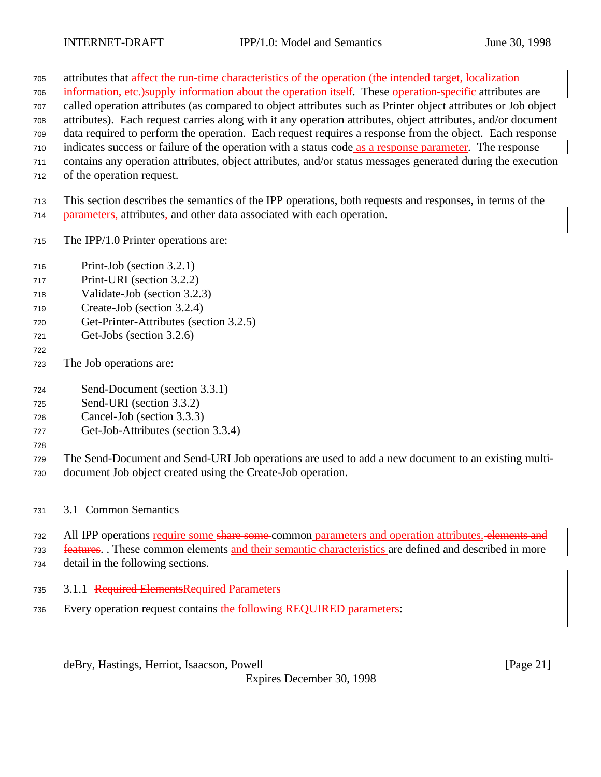attributes that affect the run-time characteristics of the operation (the intended target, localization

- information, etc.)supply information about the operation itself. These operation-specific attributes are
- called operation attributes (as compared to object attributes such as Printer object attributes or Job object
- attributes). Each request carries along with it any operation attributes, object attributes, and/or document
- data required to perform the operation. Each request requires a response from the object. Each response
- indicates success or failure of the operation with a status code as a response parameter. The response contains any operation attributes, object attributes, and/or status messages generated during the execution
- 
- of the operation request.

 This section describes the semantics of the IPP operations, both requests and responses, in terms of the parameters, attributes, and other data associated with each operation.

- The IPP/1.0 Printer operations are:
- Print-Job (section 3.2.1)
- Print-URI (section 3.2.2)
- Validate-Job (section 3.2.3)
- Create-Job (section 3.2.4)
- Get-Printer-Attributes (section 3.2.5)
- Get-Jobs (section 3.2.6)
- 
- The Job operations are:
- Send-Document (section 3.3.1)
- Send-URI (section 3.3.2)
- Cancel-Job (section 3.3.3)
- Get-Job-Attributes (section 3.3.4)
- 

 The Send-Document and Send-URI Job operations are used to add a new document to an existing multi-document Job object created using the Create-Job operation.

- 3.1 Common Semantics
- 732 All IPP operations require some share some common parameters and operation attributes. elements and

features. . These common elements and their semantic characteristics are defined and described in more

- detail in the following sections.
- 3.1.1 Required ElementsRequired Parameters
- Every operation request contains the following REQUIRED parameters:

deBry, Hastings, Herriot, Isaacson, Powell [Page 21]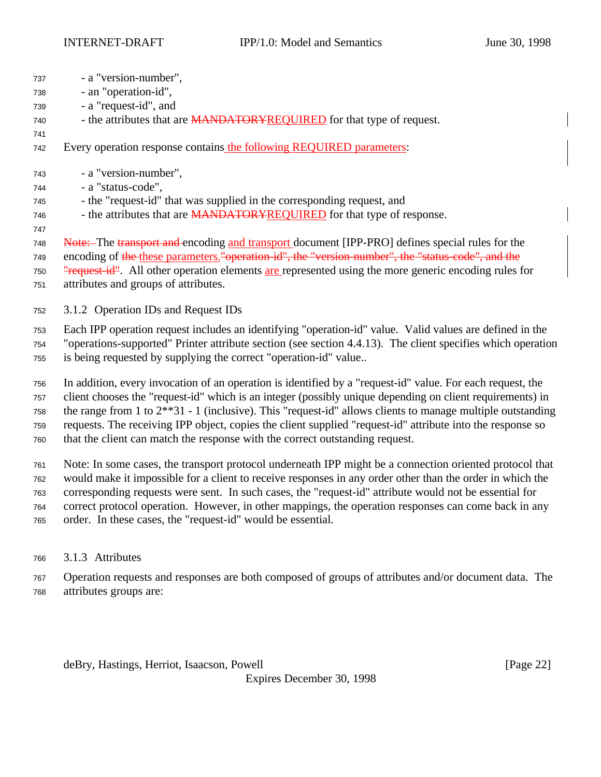| 737 | - a "version-number",                                                         |
|-----|-------------------------------------------------------------------------------|
| 738 | - an "operation-id",                                                          |
| 739 | - a "request-id", and                                                         |
| 740 | - the attributes that are MANDATORYREQUIRED for that type of request.         |
| 741 |                                                                               |
| 742 | Every operation response contains the following REQUIRED parameters:          |
| 743 | - a "version-number",                                                         |
| 744 | - a "status-code",                                                            |
| 745 | - the "request-id" that was supplied in the corresponding request, and        |
| 746 | - the attributes that are <b>MANDATORYREQUIRED</b> for that type of response. |

748 Note: The transport and encoding and transport document [IPP-PRO] defines special rules for the

749 encoding of the these parameters. "operation-id", the "version-number", the "status-code", and the

750 "request-id". All other operation elements are represented using the more generic encoding rules for

attributes and groups of attributes.

3.1.2 Operation IDs and Request IDs

 Each IPP operation request includes an identifying "operation-id" value. Valid values are defined in the "operations-supported" Printer attribute section (see section 4.4.13). The client specifies which operation

is being requested by supplying the correct "operation-id" value..

 In addition, every invocation of an operation is identified by a "request-id" value. For each request, the client chooses the "request-id" which is an integer (possibly unique depending on client requirements) in the range from 1 to 2\*\*31 - 1 (inclusive). This "request-id" allows clients to manage multiple outstanding requests. The receiving IPP object, copies the client supplied "request-id" attribute into the response so that the client can match the response with the correct outstanding request.

 Note: In some cases, the transport protocol underneath IPP might be a connection oriented protocol that would make it impossible for a client to receive responses in any order other than the order in which the corresponding requests were sent. In such cases, the "request-id" attribute would not be essential for correct protocol operation. However, in other mappings, the operation responses can come back in any order. In these cases, the "request-id" would be essential.

- 3.1.3 Attributes
- Operation requests and responses are both composed of groups of attributes and/or document data. The attributes groups are:

deBry, Hastings, Herriot, Isaacson, Powell **Example 20** and the same of the same of the same of the same of the s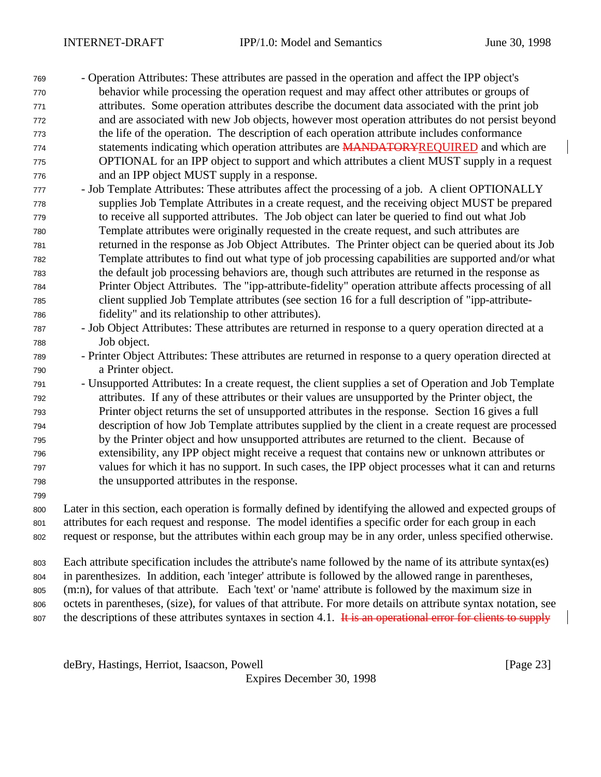- Operation Attributes: These attributes are passed in the operation and affect the IPP object's behavior while processing the operation request and may affect other attributes or groups of attributes. Some operation attributes describe the document data associated with the print job and are associated with new Job objects, however most operation attributes do not persist beyond the life of the operation. The description of each operation attribute includes conformance 774 statements indicating which operation attributes are **MANDATORYREOUIRED** and which are OPTIONAL for an IPP object to support and which attributes a client MUST supply in a request and an IPP object MUST supply in a response.

- Job Template Attributes: These attributes affect the processing of a job. A client OPTIONALLY supplies Job Template Attributes in a create request, and the receiving object MUST be prepared to receive all supported attributes. The Job object can later be queried to find out what Job Template attributes were originally requested in the create request, and such attributes are returned in the response as Job Object Attributes. The Printer object can be queried about its Job Template attributes to find out what type of job processing capabilities are supported and/or what the default job processing behaviors are, though such attributes are returned in the response as Printer Object Attributes. The "ipp-attribute-fidelity" operation attribute affects processing of all client supplied Job Template attributes (see section 16 for a full description of "ipp-attribute-fidelity" and its relationship to other attributes).
- Job Object Attributes: These attributes are returned in response to a query operation directed at a Job object.
- Printer Object Attributes: These attributes are returned in response to a query operation directed at a Printer object.
- Unsupported Attributes: In a create request, the client supplies a set of Operation and Job Template attributes. If any of these attributes or their values are unsupported by the Printer object, the Printer object returns the set of unsupported attributes in the response. Section 16 gives a full description of how Job Template attributes supplied by the client in a create request are processed by the Printer object and how unsupported attributes are returned to the client. Because of extensibility, any IPP object might receive a request that contains new or unknown attributes or values for which it has no support. In such cases, the IPP object processes what it can and returns the unsupported attributes in the response.
- Later in this section, each operation is formally defined by identifying the allowed and expected groups of attributes for each request and response. The model identifies a specific order for each group in each request or response, but the attributes within each group may be in any order, unless specified otherwise.

 Each attribute specification includes the attribute's name followed by the name of its attribute syntax(es) in parenthesizes. In addition, each 'integer' attribute is followed by the allowed range in parentheses, (m:n), for values of that attribute. Each 'text' or 'name' attribute is followed by the maximum size in octets in parentheses, (size), for values of that attribute. For more details on attribute syntax notation, see 807 the descriptions of these attributes syntaxes in section 4.1. It is an operational error for clients to supply

deBry, Hastings, Herriot, Isaacson, Powell **Example 23** (Page 23)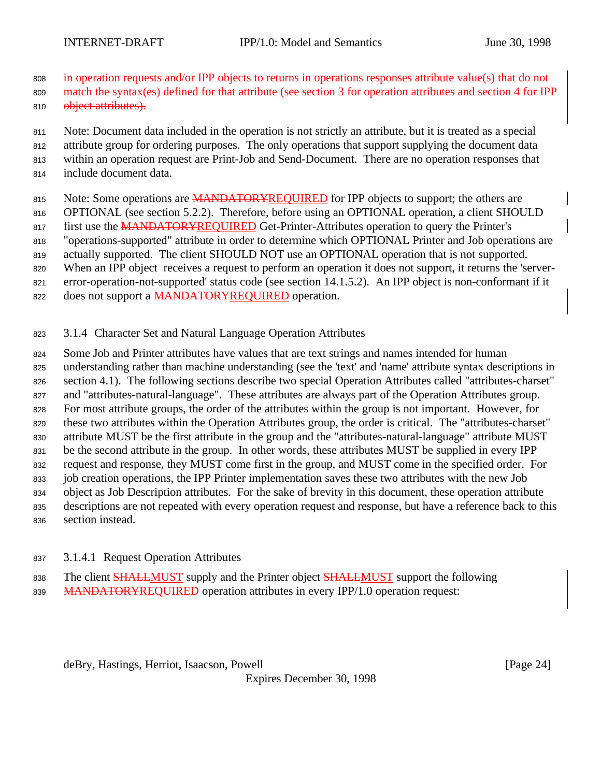- 808 in operation requests and/or IPP objects to returns in operations responses attribute value(s) that do not
- 809 match the syntax(es) defined for that attribute (see section 3 for operation attributes and section 4 for IPP **object attributes**).
- Note: Document data included in the operation is not strictly an attribute, but it is treated as a special attribute group for ordering purposes. The only operations that support supplying the document data within an operation request are Print-Job and Send-Document. There are no operation responses that
- include document data.
- 815 Note: Some operations are MANDATORYREQUIRED for IPP objects to support; the others are OPTIONAL (see section 5.2.2). Therefore, before using an OPTIONAL operation, a client SHOULD 817 first use the MANDATORYREQUIRED Get-Printer-Attributes operation to query the Printer's "operations-supported" attribute in order to determine which OPTIONAL Printer and Job operations are 819 actually supported. The client SHOULD NOT use an OPTIONAL operation that is not supported. When an IPP object receives a request to perform an operation it does not support, it returns the 'server- error-operation-not-supported' status code (see section 14.1.5.2). An IPP object is non-conformant if it 822 does not support a MANDATORYREQUIRED operation.
- 3.1.4 Character Set and Natural Language Operation Attributes

 Some Job and Printer attributes have values that are text strings and names intended for human understanding rather than machine understanding (see the 'text' and 'name' attribute syntax descriptions in section 4.1). The following sections describe two special Operation Attributes called "attributes-charset" and "attributes-natural-language". These attributes are always part of the Operation Attributes group. For most attribute groups, the order of the attributes within the group is not important. However, for these two attributes within the Operation Attributes group, the order is critical. The "attributes-charset" attribute MUST be the first attribute in the group and the "attributes-natural-language" attribute MUST be the second attribute in the group. In other words, these attributes MUST be supplied in every IPP request and response, they MUST come first in the group, and MUST come in the specified order. For job creation operations, the IPP Printer implementation saves these two attributes with the new Job object as Job Description attributes. For the sake of brevity in this document, these operation attribute descriptions are not repeated with every operation request and response, but have a reference back to this section instead.

- 3.1.4.1 Request Operation Attributes
- 838 The client **SHALLMUST** supply and the Printer object **SHALLMUST** support the following
- 839 MANDATORYREQUIRED operation attributes in every IPP/1.0 operation request:

deBry, Hastings, Herriot, Isaacson, Powell [Page 24]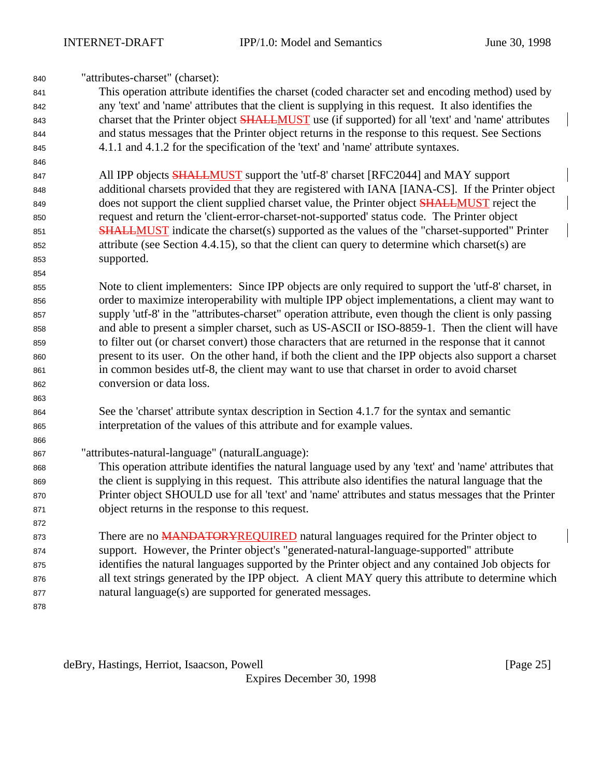"attributes-charset" (charset):

 This operation attribute identifies the charset (coded character set and encoding method) used by any 'text' and 'name' attributes that the client is supplying in this request. It also identifies the 843 charset that the Printer object **SHALLMUST** use (if supported) for all 'text' and 'name' attributes and status messages that the Printer object returns in the response to this request. See Sections 4.1.1 and 4.1.2 for the specification of the 'text' and 'name' attribute syntaxes.

847 All IPP objects **SHALLMUST** support the 'utf-8' charset [RFC2044] and MAY support additional charsets provided that they are registered with IANA [IANA-CS]. If the Printer object 849 does not support the client supplied charset value, the Printer object **SHALLMUST** reject the request and return the 'client-error-charset-not-supported' status code. The Printer object **SHALLMUST** indicate the charset(s) supported as the values of the "charset-supported" Printer attribute (see Section 4.4.15), so that the client can query to determine which charset(s) are supported.

 Note to client implementers: Since IPP objects are only required to support the 'utf-8' charset, in order to maximize interoperability with multiple IPP object implementations, a client may want to supply 'utf-8' in the "attributes-charset" operation attribute, even though the client is only passing and able to present a simpler charset, such as US-ASCII or ISO-8859-1. Then the client will have to filter out (or charset convert) those characters that are returned in the response that it cannot present to its user. On the other hand, if both the client and the IPP objects also support a charset in common besides utf-8, the client may want to use that charset in order to avoid charset conversion or data loss.

 See the 'charset' attribute syntax description in Section 4.1.7 for the syntax and semantic interpretation of the values of this attribute and for example values.

"attributes-natural-language" (naturalLanguage):

 This operation attribute identifies the natural language used by any 'text' and 'name' attributes that the client is supplying in this request. This attribute also identifies the natural language that the Printer object SHOULD use for all 'text' and 'name' attributes and status messages that the Printer object returns in the response to this request.

873 There are no **MANDATORYREQUIRED** natural languages required for the Printer object to support. However, the Printer object's "generated-natural-language-supported" attribute identifies the natural languages supported by the Printer object and any contained Job objects for all text strings generated by the IPP object. A client MAY query this attribute to determine which natural language(s) are supported for generated messages.

deBry, Hastings, Herriot, Isaacson, Powell **Example 26** (Page 25)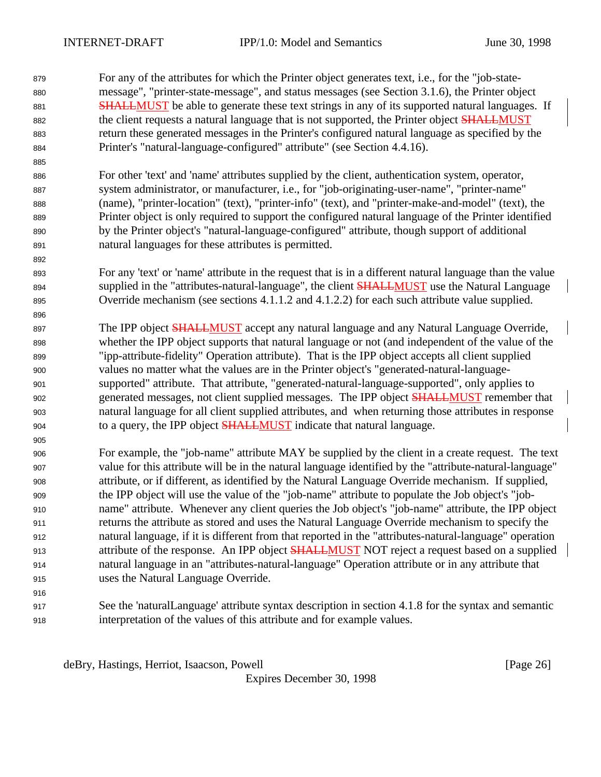For any of the attributes for which the Printer object generates text, i.e., for the "job-state- message", "printer-state-message", and status messages (see Section 3.1.6), the Printer object **SHALLMUST** be able to generate these text strings in any of its supported natural languages. If 882 the client requests a natural language that is not supported, the Printer object **SHALLMUST**  return these generated messages in the Printer's configured natural language as specified by the Printer's "natural-language-configured" attribute" (see Section 4.4.16).

 For other 'text' and 'name' attributes supplied by the client, authentication system, operator, system administrator, or manufacturer, i.e., for "job-originating-user-name", "printer-name" (name), "printer-location" (text), "printer-info" (text), and "printer-make-and-model" (text), the Printer object is only required to support the configured natural language of the Printer identified by the Printer object's "natural-language-configured" attribute, though support of additional natural languages for these attributes is permitted.

 For any 'text' or 'name' attribute in the request that is in a different natural language than the value 894 supplied in the "attributes-natural-language", the client **SHALLMUST** use the Natural Language 895 Override mechanism (see sections 4.1.1.2 and 4.1.2.2) for each such attribute value supplied.

897 The IPP object **SHALLMUST** accept any natural language and any Natural Language Override, whether the IPP object supports that natural language or not (and independent of the value of the "ipp-attribute-fidelity" Operation attribute). That is the IPP object accepts all client supplied values no matter what the values are in the Printer object's "generated-natural-language- supported" attribute. That attribute, "generated-natural-language-supported", only applies to 902 generated messages, not client supplied messages. The IPP object **SHALLMUST** remember that natural language for all client supplied attributes, and when returning those attributes in response 904 to a query, the IPP object **SHALLMUST** indicate that natural language.

 For example, the "job-name" attribute MAY be supplied by the client in a create request. The text value for this attribute will be in the natural language identified by the "attribute-natural-language" attribute, or if different, as identified by the Natural Language Override mechanism. If supplied, the IPP object will use the value of the "job-name" attribute to populate the Job object's "job- name" attribute. Whenever any client queries the Job object's "job-name" attribute, the IPP object returns the attribute as stored and uses the Natural Language Override mechanism to specify the natural language, if it is different from that reported in the "attributes-natural-language" operation 913 attribute of the response. An IPP object **SHALLMUST** NOT reject a request based on a supplied natural language in an "attributes-natural-language" Operation attribute or in any attribute that uses the Natural Language Override.

 See the 'naturalLanguage' attribute syntax description in section 4.1.8 for the syntax and semantic interpretation of the values of this attribute and for example values.

deBry, Hastings, Herriot, Isaacson, Powell **compared and Contact and Contact Contact (Page 26**)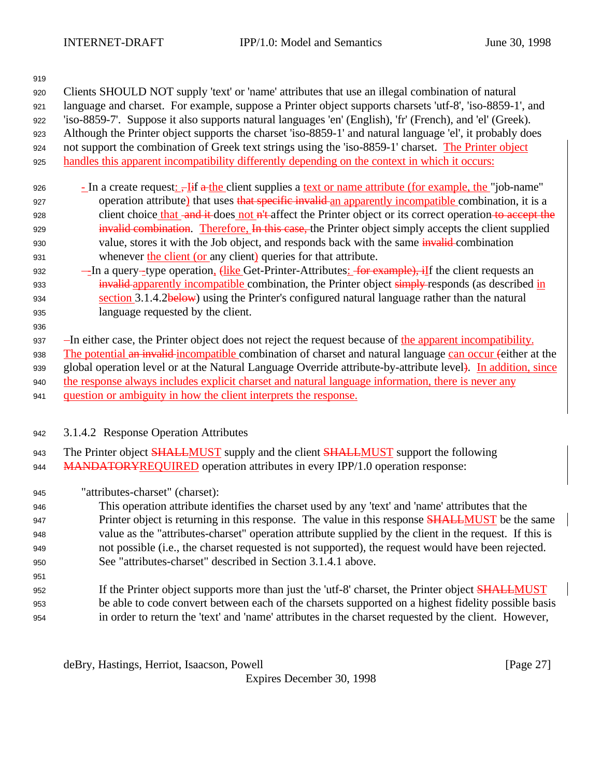Clients SHOULD NOT supply 'text' or 'name' attributes that use an illegal combination of natural

language and charset. For example, suppose a Printer object supports charsets 'utf-8', 'iso-8859-1', and

'iso-8859-7'. Suppose it also supports natural languages 'en' (English), 'fr' (French), and 'el' (Greek).

Although the Printer object supports the charset 'iso-8859-1' and natural language 'el', it probably does

not support the combination of Greek text strings using the 'iso-8859-1' charset. The Printer object

handles this apparent incompatibility differently depending on the context in which it occurs:

- 926 In a create request:  $\frac{1}{2}$  If a the client supplies a text or name attribute (for example, the "job-name" 927 operation attribute) that uses that specific invalid an apparently incompatible combination, it is a 928 client choice that and it does not n't affect the Printer object or its correct operation to accept the **invalid combination.** Therefore, In this case, the Printer object simply accepts the client supplied 930 value, stores it with the Job object, and responds back with the same invalid combination whenever the client (or any client) queries for that attribute.
- 932 -In a query-type operation,  $\frac{flike}{dt}$  Get-Printer-Attributes: for example), if the client requests an **invalid apparently incompatible combination, the Printer object simply responds (as described in** 934 section 3.1.4.2below) using the Printer's configured natural language rather than the natural language requested by the client.
- 937 In either case, the Printer object does not reject the request because of the apparent incompatibility.

938 The potential an invalid incompatible combination of charset and natural language can occur (either at the

global operation level or at the Natural Language Override attribute-by-attribute level). In addition, since

the response always includes explicit charset and natural language information, there is never any

question or ambiguity in how the client interprets the response.

## 3.1.4.2 Response Operation Attributes

943 The Printer object **SHALLMUST** supply and the client **SHALLMUST** support the following 944 MANDATORYREQUIRED operation attributes in every IPP/1.0 operation response:

"attributes-charset" (charset):

 This operation attribute identifies the charset used by any 'text' and 'name' attributes that the 947 Printer object is returning in this response. The value in this response **SHALLMUST** be the same value as the "attributes-charset" operation attribute supplied by the client in the request. If this is not possible (i.e., the charset requested is not supported), the request would have been rejected. See "attributes-charset" described in Section 3.1.4.1 above. 

952 If the Printer object supports more than just the 'utf-8' charset, the Printer object SHALLMUST be able to code convert between each of the charsets supported on a highest fidelity possible basis in order to return the 'text' and 'name' attributes in the charset requested by the client. However,

deBry, Hastings, Herriot, Isaacson, Powell [Page 27]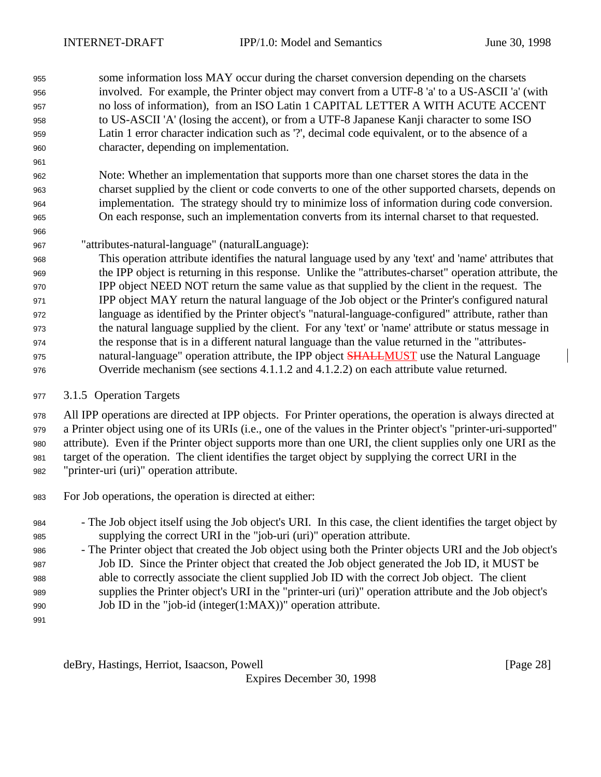some information loss MAY occur during the charset conversion depending on the charsets involved. For example, the Printer object may convert from a UTF-8 'a' to a US-ASCII 'a' (with no loss of information), from an ISO Latin 1 CAPITAL LETTER A WITH ACUTE ACCENT to US-ASCII 'A' (losing the accent), or from a UTF-8 Japanese Kanji character to some ISO Latin 1 error character indication such as '?', decimal code equivalent, or to the absence of a character, depending on implementation.

 Note: Whether an implementation that supports more than one charset stores the data in the charset supplied by the client or code converts to one of the other supported charsets, depends on implementation. The strategy should try to minimize loss of information during code conversion. On each response, such an implementation converts from its internal charset to that requested.

"attributes-natural-language" (naturalLanguage):

 This operation attribute identifies the natural language used by any 'text' and 'name' attributes that the IPP object is returning in this response. Unlike the "attributes-charset" operation attribute, the IPP object NEED NOT return the same value as that supplied by the client in the request. The IPP object MAY return the natural language of the Job object or the Printer's configured natural language as identified by the Printer object's "natural-language-configured" attribute, rather than the natural language supplied by the client. For any 'text' or 'name' attribute or status message in the response that is in a different natural language than the value returned in the "attributes-975 natural-language" operation attribute, the IPP object **SHALLMUST** use the Natural Language Override mechanism (see sections 4.1.1.2 and 4.1.2.2) on each attribute value returned.

3.1.5 Operation Targets

 All IPP operations are directed at IPP objects. For Printer operations, the operation is always directed at a Printer object using one of its URIs (i.e., one of the values in the Printer object's "printer-uri-supported" attribute). Even if the Printer object supports more than one URI, the client supplies only one URI as the target of the operation. The client identifies the target object by supplying the correct URI in the "printer-uri (uri)" operation attribute.

- For Job operations, the operation is directed at either:
- The Job object itself using the Job object's URI. In this case, the client identifies the target object by supplying the correct URI in the "job-uri (uri)" operation attribute.
- The Printer object that created the Job object using both the Printer objects URI and the Job object's Job ID. Since the Printer object that created the Job object generated the Job ID, it MUST be able to correctly associate the client supplied Job ID with the correct Job object. The client supplies the Printer object's URI in the "printer-uri (uri)" operation attribute and the Job object's Job ID in the "job-id (integer(1:MAX))" operation attribute.
- 

deBry, Hastings, Herriot, Isaacson, Powell **Example 28** and the same control in the same control of  $\alpha$  and  $\beta$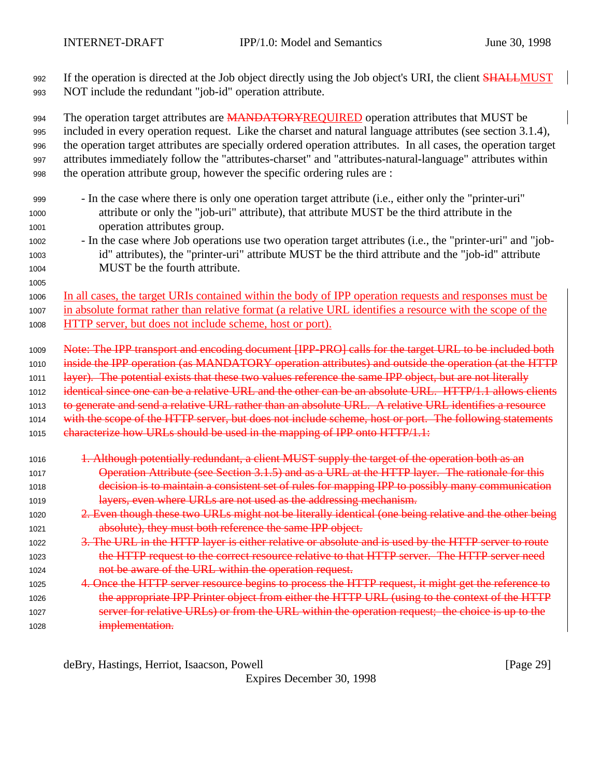992 If the operation is directed at the Job object directly using the Job object's URI, the client SHALLMUST NOT include the redundant "job-id" operation attribute.

994 The operation target attributes are MANDATORYREQUIRED operation attributes that MUST be included in every operation request. Like the charset and natural language attributes (see section 3.1.4), the operation target attributes are specially ordered operation attributes. In all cases, the operation target attributes immediately follow the "attributes-charset" and "attributes-natural-language" attributes within

- the operation attribute group, however the specific ordering rules are :
- In the case where there is only one operation target attribute (i.e., either only the "printer-uri" attribute or only the "job-uri" attribute), that attribute MUST be the third attribute in the operation attributes group.
- In the case where Job operations use two operation target attributes (i.e., the "printer-uri" and "job- id" attributes), the "printer-uri" attribute MUST be the third attribute and the "job-id" attribute MUST be the fourth attribute.
- 

 In all cases, the target URIs contained within the body of IPP operation requests and responses must be in absolute format rather than relative format (a relative URL identifies a resource with the scope of the HTTP server, but does not include scheme, host or port).

1009 Note: The IPP transport and encoding document [IPP-PRO] calls for the target URL to be included both 1010 inside the IPP operation (as MANDATORY operation attributes) and outside the operation (at the HTTP

1011 layer). The potential exists that these two values reference the same IPP object, but are not literally

1012 identical since one can be a relative URL and the other can be an absolute URL. HTTP/1.1 allows clients

1013 to generate and send a relative URL rather than an absolute URL. A relative URL identifies a resource

1014 with the scope of the HTTP server, but does not include scheme, host or port. The following statements

- 1015 characterize how URLs should be used in the mapping of IPP onto HTTP/1.1:
- 1016 1. Although potentially redundant, a client MUST supply the target of the operation both as an Operation Attribute (see Section 3.1.5) and as a URL at the HTTP layer. The rationale for this decision is to maintain a consistent set of rules for mapping IPP to possibly many communication layers, even where URLs are not used as the addressing mechanism.
- 2. Even though these two URLs might not be literally identical (one being relative and the other being **absolute**), they must both reference the same IPP object.
- 3. The URL in the HTTP layer is either relative or absolute and is used by the HTTP server to route the HTTP request to the correct resource relative to that HTTP server. The HTTP server need not be aware of the URL within the operation request.
- 4. Once the HTTP server resource begins to process the HTTP request, it might get the reference to **the appropriate IPP Printer object from either the HTTP URL (using to the context of the HTTP** 1027 server for relative URLs) or from the URL within the operation request; the choice is up to the **implementation.**

deBry, Hastings, Herriot, Isaacson, Powell [Page 29]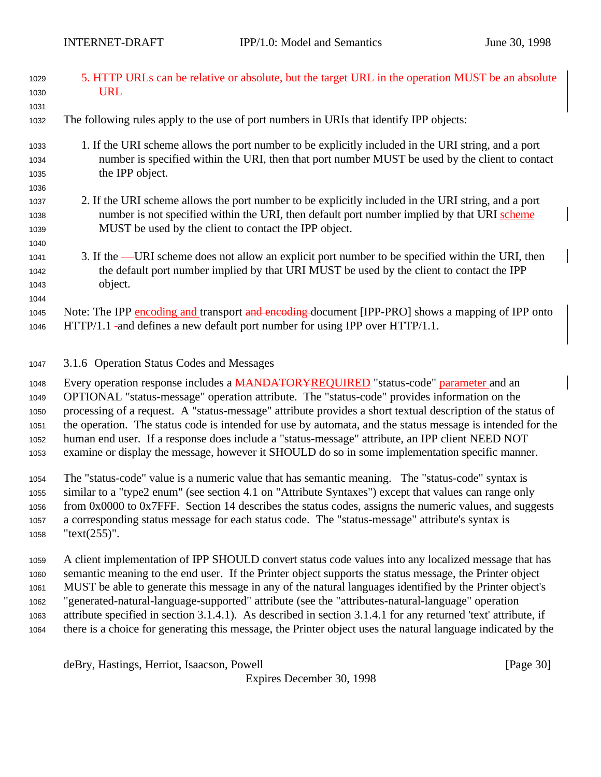| 1029<br>1030 | 5. HTTP URLs can be relative or absolute, but the target URL in the operation MUST be an absolute<br><b>URL</b> |
|--------------|-----------------------------------------------------------------------------------------------------------------|
| 1031         |                                                                                                                 |
| 1032         | The following rules apply to the use of port numbers in URIs that identify IPP objects:                         |
| 1033         | 1. If the URI scheme allows the port number to be explicitly included in the URI string, and a port             |
| 1034         | number is specified within the URI, then that port number MUST be used by the client to contact                 |
| 1035         | the IPP object.                                                                                                 |
| 1036         |                                                                                                                 |
| 1037         | 2. If the URI scheme allows the port number to be explicitly included in the URI string, and a port             |
| 1038         | number is not specified within the URI, then default port number implied by that URI scheme                     |
| 1039         | MUST be used by the client to contact the IPP object.                                                           |
| 1040         |                                                                                                                 |
| 1041         | 3. If the —URI scheme does not allow an explicit port number to be specified within the URI, then               |
| 1042         | the default port number implied by that URI MUST be used by the client to contact the IPP                       |
| 1043         | object.                                                                                                         |
| 1044         |                                                                                                                 |
| 1045         | Note: The IPP encoding and transport and encoding document [IPP-PRO] shows a mapping of IPP onto                |
| 1046         | $HTTP/1.1$ -and defines a new default port number for using IPP over $HTTP/1.1$ .                               |
|              |                                                                                                                 |

#### 3.1.6 Operation Status Codes and Messages

1048 Every operation response includes a **MANDATORYREQUIRED** "status-code" parameter and an OPTIONAL "status-message" operation attribute. The "status-code" provides information on the processing of a request. A "status-message" attribute provides a short textual description of the status of the operation. The status code is intended for use by automata, and the status message is intended for the human end user. If a response does include a "status-message" attribute, an IPP client NEED NOT examine or display the message, however it SHOULD do so in some implementation specific manner.

 The "status-code" value is a numeric value that has semantic meaning. The "status-code" syntax is similar to a "type2 enum" (see section 4.1 on "Attribute Syntaxes") except that values can range only from 0x0000 to 0x7FFF. Section 14 describes the status codes, assigns the numeric values, and suggests a corresponding status message for each status code. The "status-message" attribute's syntax is "text(255)".

 A client implementation of IPP SHOULD convert status code values into any localized message that has semantic meaning to the end user. If the Printer object supports the status message, the Printer object MUST be able to generate this message in any of the natural languages identified by the Printer object's "generated-natural-language-supported" attribute (see the "attributes-natural-language" operation attribute specified in section 3.1.4.1). As described in section 3.1.4.1 for any returned 'text' attribute, if there is a choice for generating this message, the Printer object uses the natural language indicated by the

deBry, Hastings, Herriot, Isaacson, Powell [Page 30]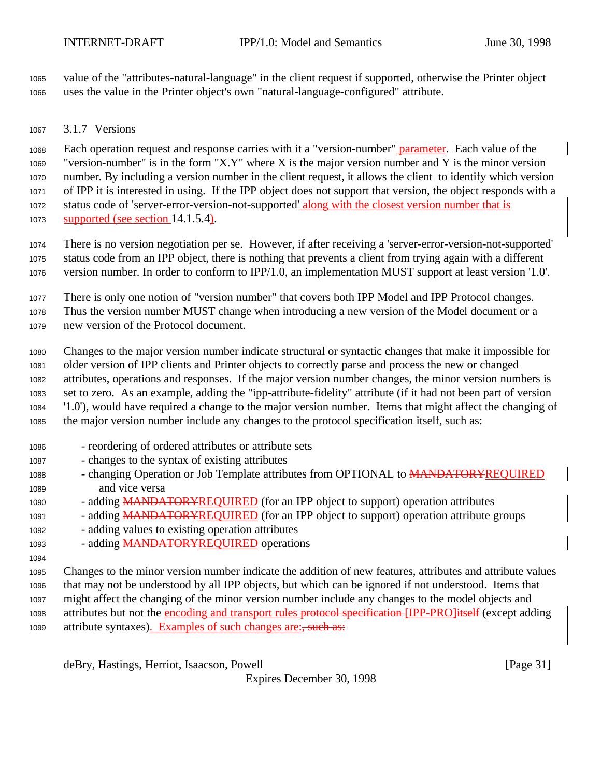value of the "attributes-natural-language" in the client request if supported, otherwise the Printer object uses the value in the Printer object's own "natural-language-configured" attribute.

#### 3.1.7 Versions

1068 Each operation request and response carries with it a "version-number" parameter. Each value of the 1069 "version-number" is in the form "X.Y" where X is the major version number and Y is the minor version number. By including a version number in the client request, it allows the client to identify which version of IPP it is interested in using. If the IPP object does not support that version, the object responds with a 1072 status code of 'server-error-version-not-supported' along with the closest version number that is supported (see section 14.1.5.4).

 There is no version negotiation per se. However, if after receiving a 'server-error-version-not-supported' status code from an IPP object, there is nothing that prevents a client from trying again with a different version number. In order to conform to IPP/1.0, an implementation MUST support at least version '1.0'.

 There is only one notion of "version number" that covers both IPP Model and IPP Protocol changes. Thus the version number MUST change when introducing a new version of the Model document or a new version of the Protocol document.

 Changes to the major version number indicate structural or syntactic changes that make it impossible for older version of IPP clients and Printer objects to correctly parse and process the new or changed attributes, operations and responses. If the major version number changes, the minor version numbers is set to zero. As an example, adding the "ipp-attribute-fidelity" attribute (if it had not been part of version '1.0'), would have required a change to the major version number. Items that might affect the changing of the major version number include any changes to the protocol specification itself, such as:

- reordering of ordered attributes or attribute sets
- changes to the syntax of existing attributes
- 1088 changing Operation or Job Template attributes from OPTIONAL to **MANDATORYREQUIRED** and vice versa
- 1090 adding MANDATORYREQUIRED (for an IPP object to support) operation attributes
- 1091 adding MANDATORYREQUIRED (for an IPP object to support) operation attribute groups
- adding values to existing operation attributes
- 1093 adding MANDATORYREQUIRED operations
- 

 Changes to the minor version number indicate the addition of new features, attributes and attribute values that may not be understood by all IPP objects, but which can be ignored if not understood. Items that

might affect the changing of the minor version number include any changes to the model objects and

1098 attributes but not the encoding and transport rules protocol specification-[IPP-PRO]itself (except adding 1099 attribute syntaxes). Examples of such changes are: such as:

deBry, Hastings, Herriot, Isaacson, Powell [Page 31]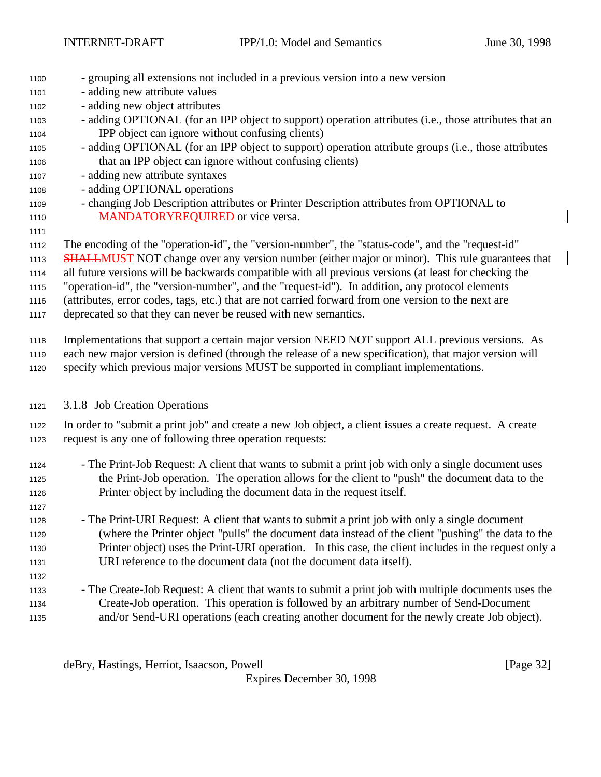| 1100 | - grouping all extensions not included in a previous version into a new version                          |
|------|----------------------------------------------------------------------------------------------------------|
| 1101 | - adding new attribute values                                                                            |
| 1102 | - adding new object attributes                                                                           |
| 1103 | - adding OPTIONAL (for an IPP object to support) operation attributes (i.e., those attributes that an    |
| 1104 | IPP object can ignore without confusing clients)                                                         |
| 1105 | - adding OPTIONAL (for an IPP object to support) operation attribute groups (i.e., those attributes      |
| 1106 | that an IPP object can ignore without confusing clients)                                                 |
| 1107 | - adding new attribute syntaxes                                                                          |
| 1108 | - adding OPTIONAL operations                                                                             |
| 1109 | - changing Job Description attributes or Printer Description attributes from OPTIONAL to                 |
| 1110 | <b>MANDATORYREQUIRED</b> or vice versa.                                                                  |
| 1111 |                                                                                                          |
| 1112 | The encoding of the "operation-id", the "version-number", the "status-code", and the "request-id"        |
| 1113 | <b>SHALLMUST</b> NOT change over any version number (either major or minor). This rule guarantees that   |
| 1114 | all future versions will be backwards compatible with all previous versions (at least for checking the   |
| 1115 | "operation-id", the "version-number", and the "request-id"). In addition, any protocol elements          |
| 1116 | (attributes, error codes, tags, etc.) that are not carried forward from one version to the next are      |
| 1117 | deprecated so that they can never be reused with new semantics.                                          |
| 1118 | Implementations that support a certain major version NEED NOT support ALL previous versions. As          |
| 1119 | each new major version is defined (through the release of a new specification), that major version will  |
| 1120 | specify which previous major versions MUST be supported in compliant implementations.                    |
|      |                                                                                                          |
| 1121 | 3.1.8 Job Creation Operations                                                                            |
| 1122 | In order to "submit a print job" and create a new Job object, a client issues a create request. A create |
| 1123 | request is any one of following three operation requests:                                                |
|      |                                                                                                          |
| 1124 | - The Print-Job Request: A client that wants to submit a print job with only a single document uses      |
| 1125 | the Print-Job operation. The operation allows for the client to "push" the document data to the          |
| 1126 | Printer object by including the document data in the request itself.                                     |
| 1127 |                                                                                                          |
| 1128 | - The Print-URI Request: A client that wants to submit a print job with only a single document           |
| 1129 | (where the Printer object "pulls" the document data instead of the client "pushing" the data to the      |
| 1130 | Printer object) uses the Print-URI operation. In this case, the client includes in the request only a    |
| 1131 | URI reference to the document data (not the document data itself).                                       |
| 1132 |                                                                                                          |
| 1133 | - The Create-Job Request: A client that wants to submit a print job with multiple documents uses the     |
| 1134 | Create-Job operation. This operation is followed by an arbitrary number of Send-Document                 |
| 1135 | and/or Send-URI operations (each creating another document for the newly create Job object).             |
|      |                                                                                                          |

deBry, Hastings, Herriot, Isaacson, Powell [Page 32]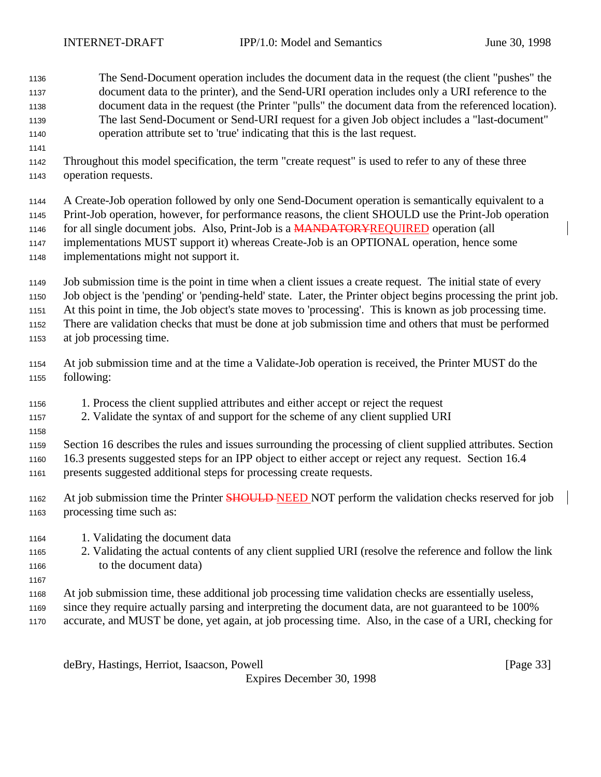The Send-Document operation includes the document data in the request (the client "pushes" the document data to the printer), and the Send-URI operation includes only a URI reference to the document data in the request (the Printer "pulls" the document data from the referenced location). The last Send-Document or Send-URI request for a given Job object includes a "last-document" operation attribute set to 'true' indicating that this is the last request.

- 
- Throughout this model specification, the term "create request" is used to refer to any of these three operation requests.

 A Create-Job operation followed by only one Send-Document operation is semantically equivalent to a Print-Job operation, however, for performance reasons, the client SHOULD use the Print-Job operation 1146 for all single document jobs. Also, Print-Job is a **MANDATORYREQUIRED** operation (all implementations MUST support it) whereas Create-Job is an OPTIONAL operation, hence some

implementations might not support it.

 Job submission time is the point in time when a client issues a create request. The initial state of every Job object is the 'pending' or 'pending-held' state. Later, the Printer object begins processing the print job. At this point in time, the Job object's state moves to 'processing'. This is known as job processing time.

There are validation checks that must be done at job submission time and others that must be performed

- at job processing time.
- At job submission time and at the time a Validate-Job operation is received, the Printer MUST do the following:
- 1. Process the client supplied attributes and either accept or reject the request
- 2. Validate the syntax of and support for the scheme of any client supplied URI
- 

Section 16 describes the rules and issues surrounding the processing of client supplied attributes. Section

16.3 presents suggested steps for an IPP object to either accept or reject any request. Section 16.4

- presents suggested additional steps for processing create requests.
- 1162 At job submission time the Printer SHOULD-NEED NOT perform the validation checks reserved for job processing time such as:
- 1. Validating the document data
- 2. Validating the actual contents of any client supplied URI (resolve the reference and follow the link to the document data)
- 
- At job submission time, these additional job processing time validation checks are essentially useless,
- since they require actually parsing and interpreting the document data, are not guaranteed to be 100%
- accurate, and MUST be done, yet again, at job processing time. Also, in the case of a URI, checking for

deBry, Hastings, Herriot, Isaacson, Powell [Page 33]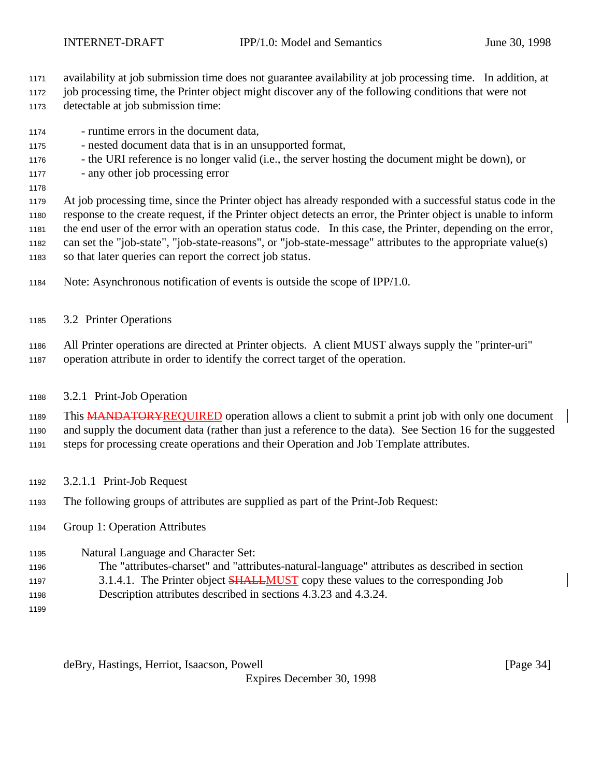- availability at job submission time does not guarantee availability at job processing time. In addition, at
- job processing time, the Printer object might discover any of the following conditions that were not
- detectable at job submission time:
- runtime errors in the document data,
- nested document data that is in an unsupported format,
- the URI reference is no longer valid (i.e., the server hosting the document might be down), or
- any other job processing error
- 

 At job processing time, since the Printer object has already responded with a successful status code in the response to the create request, if the Printer object detects an error, the Printer object is unable to inform the end user of the error with an operation status code. In this case, the Printer, depending on the error, can set the "job-state", "job-state-reasons", or "job-state-message" attributes to the appropriate value(s) so that later queries can report the correct job status.

- Note: Asynchronous notification of events is outside the scope of IPP/1.0.
- 3.2 Printer Operations

 All Printer operations are directed at Printer objects. A client MUST always supply the "printer-uri" operation attribute in order to identify the correct target of the operation.

3.2.1 Print-Job Operation

1189 This MANDATORYREQUIRED operation allows a client to submit a print job with only one document and supply the document data (rather than just a reference to the data). See Section 16 for the suggested steps for processing create operations and their Operation and Job Template attributes.

- 
- 3.2.1.1 Print-Job Request
- The following groups of attributes are supplied as part of the Print-Job Request:
- Group 1: Operation Attributes
- Natural Language and Character Set:
- The "attributes-charset" and "attributes-natural-language" attributes as described in section 1197 3.1.4.1. The Printer object **SHALLMUST** copy these values to the corresponding Job Description attributes described in sections 4.3.23 and 4.3.24.
- 

deBry, Hastings, Herriot, Isaacson, Powell [Page 34]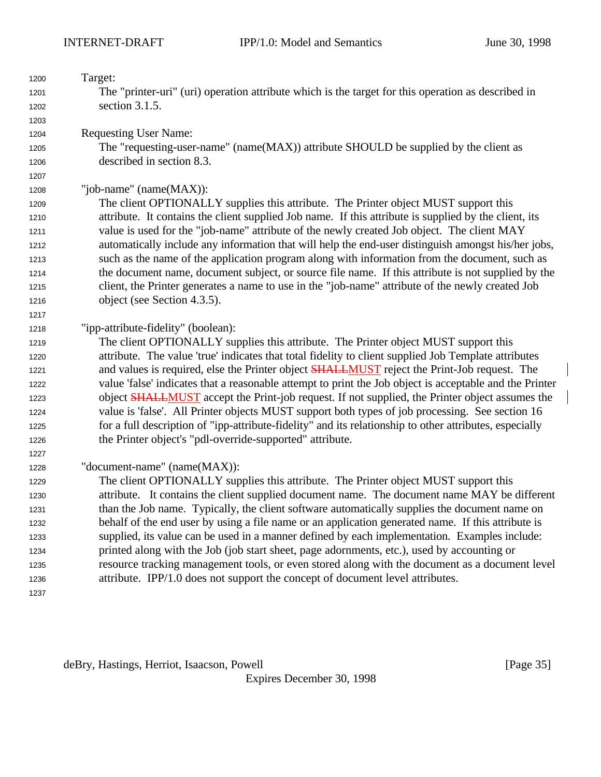| 1200 | Target:                                                                                                 |
|------|---------------------------------------------------------------------------------------------------------|
| 1201 | The "printer-uri" (uri) operation attribute which is the target for this operation as described in      |
| 1202 | section 3.1.5.                                                                                          |
| 1203 |                                                                                                         |
| 1204 | <b>Requesting User Name:</b>                                                                            |
| 1205 | The "requesting-user-name" (name(MAX)) attribute SHOULD be supplied by the client as                    |
| 1206 | described in section 8.3.                                                                               |
| 1207 |                                                                                                         |
| 1208 | "job-name" (name(MAX)):                                                                                 |
| 1209 | The client OPTIONALLY supplies this attribute. The Printer object MUST support this                     |
| 1210 | attribute. It contains the client supplied Job name. If this attribute is supplied by the client, its   |
| 1211 | value is used for the "job-name" attribute of the newly created Job object. The client MAY              |
| 1212 | automatically include any information that will help the end-user distinguish amongst his/her jobs,     |
| 1213 | such as the name of the application program along with information from the document, such as           |
| 1214 | the document name, document subject, or source file name. If this attribute is not supplied by the      |
| 1215 | client, the Printer generates a name to use in the "job-name" attribute of the newly created Job        |
| 1216 | object (see Section 4.3.5).                                                                             |
| 1217 |                                                                                                         |
| 1218 | "ipp-attribute-fidelity" (boolean):                                                                     |
| 1219 | The client OPTIONALLY supplies this attribute. The Printer object MUST support this                     |
| 1220 | attribute. The value 'true' indicates that total fidelity to client supplied Job Template attributes    |
| 1221 | and values is required, else the Printer object <b>SHALLMUST</b> reject the Print-Job request. The      |
| 1222 | value 'false' indicates that a reasonable attempt to print the Job object is acceptable and the Printer |
| 1223 | object <b>SHALLMUST</b> accept the Print-job request. If not supplied, the Printer object assumes the   |
| 1224 | value is 'false'. All Printer objects MUST support both types of job processing. See section 16         |
| 1225 | for a full description of "ipp-attribute-fidelity" and its relationship to other attributes, especially |
| 1226 | the Printer object's "pdl-override-supported" attribute.                                                |
| 1227 |                                                                                                         |
| 1228 | "document-name" (name(MAX)):                                                                            |
| 1229 | The client OPTIONALLY supplies this attribute. The Printer object MUST support this                     |
| 1230 | attribute. It contains the client supplied document name. The document name MAY be different            |
| 1231 | than the Job name. Typically, the client software automatically supplies the document name on           |
| 1232 | behalf of the end user by using a file name or an application generated name. If this attribute is      |
| 1233 | supplied, its value can be used in a manner defined by each implementation. Examples include:           |
| 1234 | printed along with the Job (job start sheet, page adornments, etc.), used by accounting or              |
| 1235 | resource tracking management tools, or even stored along with the document as a document level          |
| 1236 | attribute. IPP/1.0 does not support the concept of document level attributes.                           |
| 1237 |                                                                                                         |
|      |                                                                                                         |

Expires December 30, 1998

 $\overline{\phantom{a}}$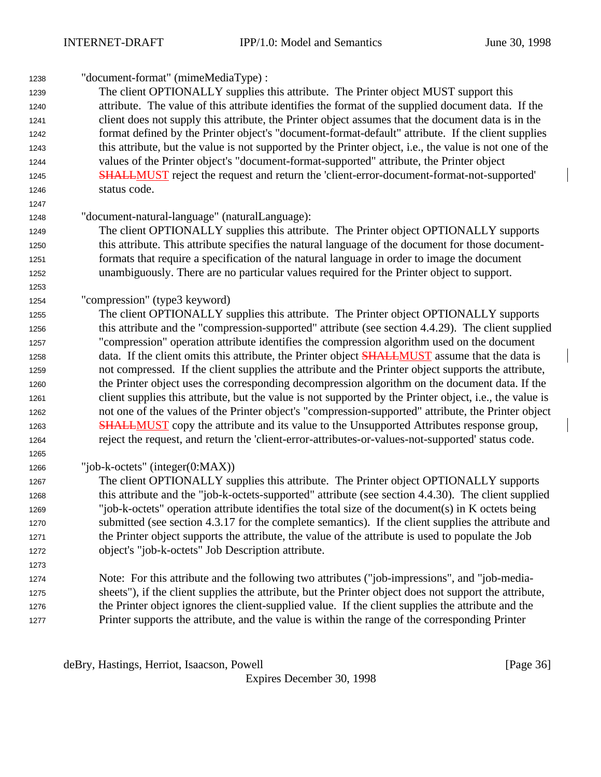| 1238<br>1239<br>1240<br>1241<br>1242<br>1243<br>1244<br>1245<br>1246 | "document-format" (mimeMediaType) :<br>The client OPTIONALLY supplies this attribute. The Printer object MUST support this<br>attribute. The value of this attribute identifies the format of the supplied document data. If the<br>client does not supply this attribute, the Printer object assumes that the document data is in the<br>format defined by the Printer object's "document-format-default" attribute. If the client supplies<br>this attribute, but the value is not supported by the Printer object, i.e., the value is not one of the<br>values of the Printer object's "document-format-supported" attribute, the Printer object<br><b>SHALLMUST</b> reject the request and return the 'client-error-document-format-not-supported'<br>status code. |
|----------------------------------------------------------------------|------------------------------------------------------------------------------------------------------------------------------------------------------------------------------------------------------------------------------------------------------------------------------------------------------------------------------------------------------------------------------------------------------------------------------------------------------------------------------------------------------------------------------------------------------------------------------------------------------------------------------------------------------------------------------------------------------------------------------------------------------------------------|
| 1247<br>1248<br>1249<br>1250<br>1251<br>1252                         | "document-natural-language" (naturalLanguage):<br>The client OPTIONALLY supplies this attribute. The Printer object OPTIONALLY supports<br>this attribute. This attribute specifies the natural language of the document for those document-<br>formats that require a specification of the natural language in order to image the document<br>unambiguously. There are no particular values required for the Printer object to support.                                                                                                                                                                                                                                                                                                                               |
| 1253                                                                 |                                                                                                                                                                                                                                                                                                                                                                                                                                                                                                                                                                                                                                                                                                                                                                        |
| 1254                                                                 | "compression" (type3 keyword)                                                                                                                                                                                                                                                                                                                                                                                                                                                                                                                                                                                                                                                                                                                                          |
| 1255                                                                 | The client OPTIONALLY supplies this attribute. The Printer object OPTIONALLY supports                                                                                                                                                                                                                                                                                                                                                                                                                                                                                                                                                                                                                                                                                  |
| 1256                                                                 | this attribute and the "compression-supported" attribute (see section 4.4.29). The client supplied                                                                                                                                                                                                                                                                                                                                                                                                                                                                                                                                                                                                                                                                     |
| 1257                                                                 | "compression" operation attribute identifies the compression algorithm used on the document                                                                                                                                                                                                                                                                                                                                                                                                                                                                                                                                                                                                                                                                            |
| 1258                                                                 | data. If the client omits this attribute, the Printer object <b>SHALLMUST</b> assume that the data is                                                                                                                                                                                                                                                                                                                                                                                                                                                                                                                                                                                                                                                                  |
| 1259                                                                 | not compressed. If the client supplies the attribute and the Printer object supports the attribute,                                                                                                                                                                                                                                                                                                                                                                                                                                                                                                                                                                                                                                                                    |
| 1260                                                                 | the Printer object uses the corresponding decompression algorithm on the document data. If the                                                                                                                                                                                                                                                                                                                                                                                                                                                                                                                                                                                                                                                                         |
| 1261                                                                 | client supplies this attribute, but the value is not supported by the Printer object, i.e., the value is                                                                                                                                                                                                                                                                                                                                                                                                                                                                                                                                                                                                                                                               |
| 1262                                                                 | not one of the values of the Printer object's "compression-supported" attribute, the Printer object                                                                                                                                                                                                                                                                                                                                                                                                                                                                                                                                                                                                                                                                    |
| 1263                                                                 | <b>SHALLMUST</b> copy the attribute and its value to the Unsupported Attributes response group,                                                                                                                                                                                                                                                                                                                                                                                                                                                                                                                                                                                                                                                                        |
| 1264                                                                 | reject the request, and return the 'client-error-attributes-or-values-not-supported' status code.                                                                                                                                                                                                                                                                                                                                                                                                                                                                                                                                                                                                                                                                      |
| 1265                                                                 | "job-k-octets" (integer $(0:MAX)$ )                                                                                                                                                                                                                                                                                                                                                                                                                                                                                                                                                                                                                                                                                                                                    |
| 1266                                                                 | The client OPTIONALLY supplies this attribute. The Printer object OPTIONALLY supports                                                                                                                                                                                                                                                                                                                                                                                                                                                                                                                                                                                                                                                                                  |
| 1267                                                                 |                                                                                                                                                                                                                                                                                                                                                                                                                                                                                                                                                                                                                                                                                                                                                                        |
| 1268                                                                 | this attribute and the "job-k-octets-supported" attribute (see section 4.4.30). The client supplied<br>'job-k-octets" operation attribute identifies the total size of the document(s) in K octets being                                                                                                                                                                                                                                                                                                                                                                                                                                                                                                                                                               |
| 1269                                                                 | submitted (see section 4.3.17 for the complete semantics). If the client supplies the attribute and                                                                                                                                                                                                                                                                                                                                                                                                                                                                                                                                                                                                                                                                    |
| 1270                                                                 | the Printer object supports the attribute, the value of the attribute is used to populate the Job                                                                                                                                                                                                                                                                                                                                                                                                                                                                                                                                                                                                                                                                      |
| 1271                                                                 | object's "job-k-octets" Job Description attribute.                                                                                                                                                                                                                                                                                                                                                                                                                                                                                                                                                                                                                                                                                                                     |
| 1272                                                                 |                                                                                                                                                                                                                                                                                                                                                                                                                                                                                                                                                                                                                                                                                                                                                                        |
| 1273                                                                 | Note: For this attribute and the following two attributes ("job-impressions", and "job-media-                                                                                                                                                                                                                                                                                                                                                                                                                                                                                                                                                                                                                                                                          |
| 1274<br>1275                                                         | sheets"), if the client supplies the attribute, but the Printer object does not support the attribute,                                                                                                                                                                                                                                                                                                                                                                                                                                                                                                                                                                                                                                                                 |
|                                                                      | the Printer object ignores the client-supplied value. If the client supplies the attribute and the                                                                                                                                                                                                                                                                                                                                                                                                                                                                                                                                                                                                                                                                     |
| 1276                                                                 | Printer supports the attribute, and the value is within the range of the corresponding Printer                                                                                                                                                                                                                                                                                                                                                                                                                                                                                                                                                                                                                                                                         |
| 1277                                                                 |                                                                                                                                                                                                                                                                                                                                                                                                                                                                                                                                                                                                                                                                                                                                                                        |

deBry, Hastings, Herriot, Isaacson, Powell [Page 36]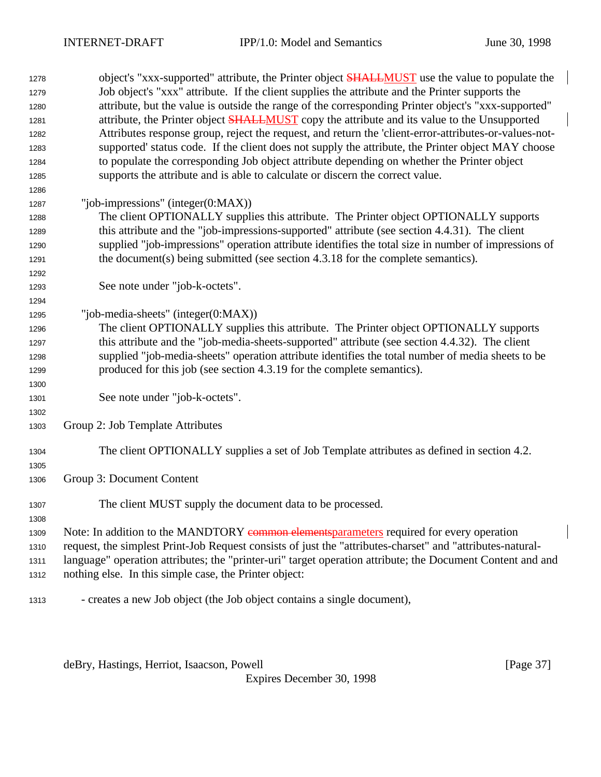| 1278 | object's "xxx-supported" attribute, the Printer object <b>SHALLMUST</b> use the value to populate the      |
|------|------------------------------------------------------------------------------------------------------------|
| 1279 | Job object's "xxx" attribute. If the client supplies the attribute and the Printer supports the            |
| 1280 | attribute, but the value is outside the range of the corresponding Printer object's "xxx-supported"        |
| 1281 | attribute, the Printer object <b>SHALLMUST</b> copy the attribute and its value to the Unsupported         |
| 1282 | Attributes response group, reject the request, and return the 'client-error-attributes-or-values-not-      |
| 1283 | supported' status code. If the client does not supply the attribute, the Printer object MAY choose         |
| 1284 | to populate the corresponding Job object attribute depending on whether the Printer object                 |
| 1285 | supports the attribute and is able to calculate or discern the correct value.                              |
| 1286 |                                                                                                            |
| 1287 | "job-impressions" (integer(0:MAX))                                                                         |
| 1288 | The client OPTIONALLY supplies this attribute. The Printer object OPTIONALLY supports                      |
| 1289 | this attribute and the "job-impressions-supported" attribute (see section 4.4.31). The client              |
| 1290 | supplied "job-impressions" operation attribute identifies the total size in number of impressions of       |
| 1291 | the document(s) being submitted (see section 4.3.18 for the complete semantics).                           |
| 1292 |                                                                                                            |
| 1293 | See note under "job-k-octets".                                                                             |
| 1294 |                                                                                                            |
| 1295 | "job-media-sheets" (integer(0:MAX))                                                                        |
| 1296 | The client OPTIONALLY supplies this attribute. The Printer object OPTIONALLY supports                      |
| 1297 | this attribute and the "job-media-sheets-supported" attribute (see section 4.4.32). The client             |
| 1298 | supplied "job-media-sheets" operation attribute identifies the total number of media sheets to be          |
| 1299 | produced for this job (see section 4.3.19 for the complete semantics).                                     |
| 1300 |                                                                                                            |
| 1301 | See note under "job-k-octets".                                                                             |
| 1302 |                                                                                                            |
| 1303 | Group 2: Job Template Attributes                                                                           |
|      |                                                                                                            |
| 1304 | The client OPTIONALLY supplies a set of Job Template attributes as defined in section 4.2.                 |
| 1305 |                                                                                                            |
| 1306 | Group 3: Document Content                                                                                  |
| 1307 | The client MUST supply the document data to be processed.                                                  |
| 1308 |                                                                                                            |
| 1309 | Note: In addition to the MANDTORY common elements parameters required for every operation                  |
| 1310 | request, the simplest Print-Job Request consists of just the "attributes-charset" and "attributes-natural- |
| 1311 | language" operation attributes; the "printer-uri" target operation attribute; the Document Content and and |
| 1312 | nothing else. In this simple case, the Printer object:                                                     |
|      |                                                                                                            |
|      |                                                                                                            |

- creates a new Job object (the Job object contains a single document),

deBry, Hastings, Herriot, Isaacson, Powell [Page 37]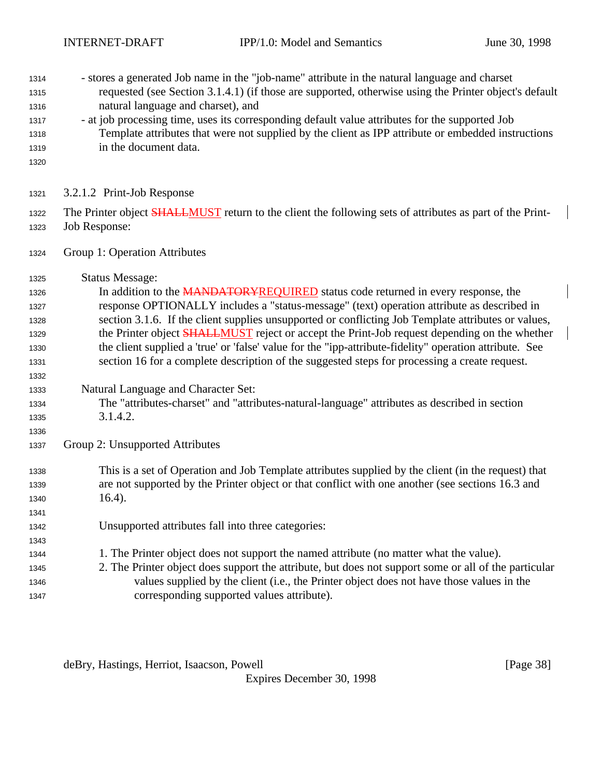- stores a generated Job name in the "job-name" attribute in the natural language and charset requested (see Section 3.1.4.1) (if those are supported, otherwise using the Printer object's default natural language and charset), and - at job processing time, uses its corresponding default value attributes for the supported Job Template attributes that were not supplied by the client as IPP attribute or embedded instructions in the document data. 3.2.1.2 Print-Job Response 1322 The Printer object **SHALLMUST** return to the client the following sets of attributes as part of the Print- Job Response: Group 1: Operation Attributes Status Message: 1326 In addition to the **MANDATORYREQUIRED** status code returned in every response, the response OPTIONALLY includes a "status-message" (text) operation attribute as described in section 3.1.6. If the client supplies unsupported or conflicting Job Template attributes or values, 1329 the Printer object **SHALLMUST** reject or accept the Print-Job request depending on the whether the client supplied a 'true' or 'false' value for the "ipp-attribute-fidelity" operation attribute. See section 16 for a complete description of the suggested steps for processing a create request. Natural Language and Character Set: The "attributes-charset" and "attributes-natural-language" attributes as described in section 3.1.4.2. Group 2: Unsupported Attributes This is a set of Operation and Job Template attributes supplied by the client (in the request) that are not supported by the Printer object or that conflict with one another (see sections 16.3 and  $16.4$ ). Unsupported attributes fall into three categories: 1. The Printer object does not support the named attribute (no matter what the value). 2. The Printer object does support the attribute, but does not support some or all of the particular values supplied by the client (i.e., the Printer object does not have those values in the corresponding supported values attribute).

deBry, Hastings, Herriot, Isaacson, Powell **Example 28** and the set of the set of the set of the set of the set o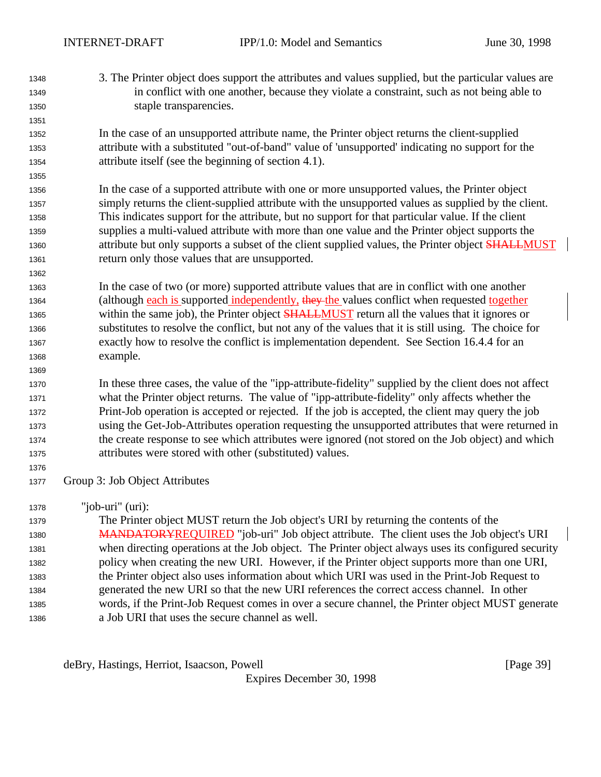3. The Printer object does support the attributes and values supplied, but the particular values are in conflict with one another, because they violate a constraint, such as not being able to staple transparencies.

 In the case of an unsupported attribute name, the Printer object returns the client-supplied attribute with a substituted "out-of-band" value of 'unsupported' indicating no support for the attribute itself (see the beginning of section 4.1).

 In the case of a supported attribute with one or more unsupported values, the Printer object simply returns the client-supplied attribute with the unsupported values as supplied by the client. This indicates support for the attribute, but no support for that particular value. If the client supplies a multi-valued attribute with more than one value and the Printer object supports the 1360 attribute but only supports a subset of the client supplied values, the Printer object **SHALLMUST** return only those values that are unsupported.

 In the case of two (or more) supported attribute values that are in conflict with one another 1364 (although each is supported independently, they the values conflict when requested together 1365 within the same job), the Printer object **SHALLMUST** return all the values that it ignores or substitutes to resolve the conflict, but not any of the values that it is still using. The choice for exactly how to resolve the conflict is implementation dependent. See Section 16.4.4 for an example.

 In these three cases, the value of the "ipp-attribute-fidelity" supplied by the client does not affect what the Printer object returns. The value of "ipp-attribute-fidelity" only affects whether the Print-Job operation is accepted or rejected. If the job is accepted, the client may query the job using the Get-Job-Attributes operation requesting the unsupported attributes that were returned in the create response to see which attributes were ignored (not stored on the Job object) and which attributes were stored with other (substituted) values.

Group 3: Job Object Attributes

"job-uri" (uri):

 The Printer object MUST return the Job object's URI by returning the contents of the 1380 MANDATORYREQUIRED "job-uri" Job object attribute. The client uses the Job object's URI when directing operations at the Job object. The Printer object always uses its configured security policy when creating the new URI. However, if the Printer object supports more than one URI, the Printer object also uses information about which URI was used in the Print-Job Request to generated the new URI so that the new URI references the correct access channel. In other words, if the Print-Job Request comes in over a secure channel, the Printer object MUST generate a Job URI that uses the secure channel as well.

deBry, Hastings, Herriot, Isaacson, Powell **compared as a set of the Second Contract Convention** (Page 39)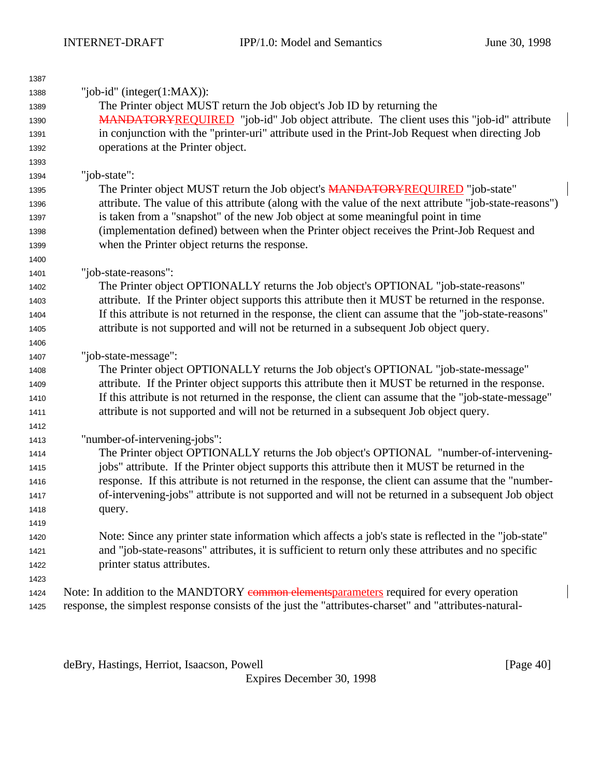$\overline{\phantom{a}}$ 

 $\overline{\phantom{a}}$ 

| 1387 |                                                                                                         |
|------|---------------------------------------------------------------------------------------------------------|
| 1388 | "job-id" (integer $(1:MAX)$ ):                                                                          |
| 1389 | The Printer object MUST return the Job object's Job ID by returning the                                 |
| 1390 | <b>MANDATORYREQUIRED</b> "job-id" Job object attribute. The client uses this "job-id" attribute         |
| 1391 | in conjunction with the "printer-uri" attribute used in the Print-Job Request when directing Job        |
| 1392 | operations at the Printer object.                                                                       |
| 1393 |                                                                                                         |
| 1394 | "job-state":                                                                                            |
| 1395 | The Printer object MUST return the Job object's <b>MANDATORYREQUIRED</b> "job-state"                    |
| 1396 | attribute. The value of this attribute (along with the value of the next attribute "job-state-reasons") |
| 1397 | is taken from a "snapshot" of the new Job object at some meaningful point in time                       |
| 1398 | (implementation defined) between when the Printer object receives the Print-Job Request and             |
| 1399 | when the Printer object returns the response.                                                           |
| 1400 |                                                                                                         |
| 1401 | "job-state-reasons":                                                                                    |
| 1402 | The Printer object OPTIONALLY returns the Job object's OPTIONAL "job-state-reasons"                     |
| 1403 | attribute. If the Printer object supports this attribute then it MUST be returned in the response.      |
| 1404 | If this attribute is not returned in the response, the client can assume that the "job-state-reasons"   |
| 1405 | attribute is not supported and will not be returned in a subsequent Job object query.                   |
| 1406 |                                                                                                         |
| 1407 | "job-state-message":                                                                                    |
| 1408 | The Printer object OPTIONALLY returns the Job object's OPTIONAL "job-state-message"                     |
| 1409 | attribute. If the Printer object supports this attribute then it MUST be returned in the response.      |
| 1410 | If this attribute is not returned in the response, the client can assume that the "job-state-message"   |
| 1411 | attribute is not supported and will not be returned in a subsequent Job object query.                   |
| 1412 |                                                                                                         |
| 1413 | "number-of-intervening-jobs":                                                                           |
| 1414 | The Printer object OPTIONALLY returns the Job object's OPTIONAL "number-of-intervening-                 |
| 1415 | jobs" attribute. If the Printer object supports this attribute then it MUST be returned in the          |
| 1416 | response. If this attribute is not returned in the response, the client can assume that the "number-    |
| 1417 | of-intervening-jobs" attribute is not supported and will not be returned in a subsequent Job object     |
| 1418 | query.                                                                                                  |
| 1419 |                                                                                                         |
| 1420 | Note: Since any printer state information which affects a job's state is reflected in the "job-state"   |
| 1421 | and "job-state-reasons" attributes, it is sufficient to return only these attributes and no specific    |
| 1422 | printer status attributes.                                                                              |
| 1423 |                                                                                                         |
| 1424 | Note: In addition to the MANDTORY common elements parameters required for every operation               |
| 1425 | response, the simplest response consists of the just the "attributes-charset" and "attributes-natural-  |

deBry, Hastings, Herriot, Isaacson, Powell [Page 40]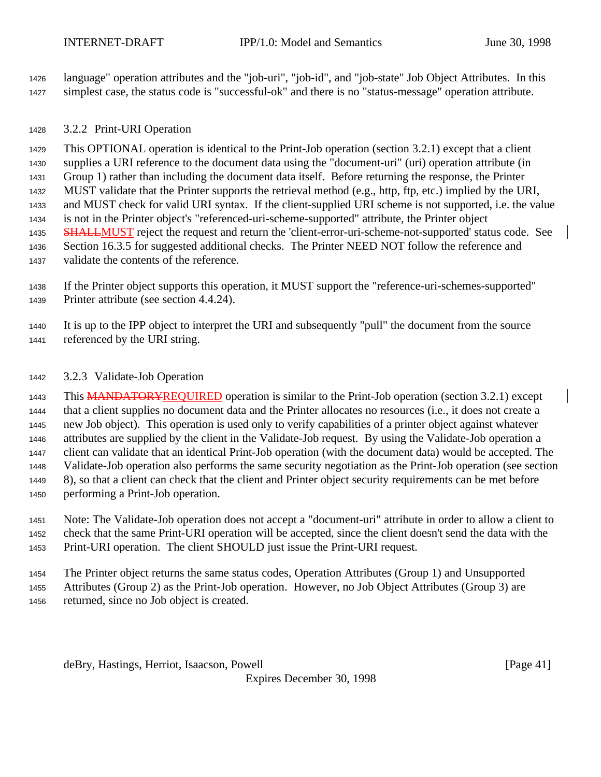language" operation attributes and the "job-uri", "job-id", and "job-state" Job Object Attributes. In this simplest case, the status code is "successful-ok" and there is no "status-message" operation attribute.

## 3.2.2 Print-URI Operation

 This OPTIONAL operation is identical to the Print-Job operation (section 3.2.1) except that a client supplies a URI reference to the document data using the "document-uri" (uri) operation attribute (in Group 1) rather than including the document data itself. Before returning the response, the Printer MUST validate that the Printer supports the retrieval method (e.g., http, ftp, etc.) implied by the URI, and MUST check for valid URI syntax. If the client-supplied URI scheme is not supported, i.e. the value is not in the Printer object's "referenced-uri-scheme-supported" attribute, the Printer object 1435 SHALLMUST reject the request and return the 'client-error-uri-scheme-not-supported' status code. See Section 16.3.5 for suggested additional checks. The Printer NEED NOT follow the reference and validate the contents of the reference.

 If the Printer object supports this operation, it MUST support the "reference-uri-schemes-supported" Printer attribute (see section 4.4.24).

 It is up to the IPP object to interpret the URI and subsequently "pull" the document from the source referenced by the URI string.

## 3.2.3 Validate-Job Operation

1443 This MANDATORYREQUIRED operation is similar to the Print-Job operation (section 3.2.1) except that a client supplies no document data and the Printer allocates no resources (i.e., it does not create a new Job object). This operation is used only to verify capabilities of a printer object against whatever attributes are supplied by the client in the Validate-Job request. By using the Validate-Job operation a client can validate that an identical Print-Job operation (with the document data) would be accepted. The Validate-Job operation also performs the same security negotiation as the Print-Job operation (see section 8), so that a client can check that the client and Printer object security requirements can be met before performing a Print-Job operation.

 Note: The Validate-Job operation does not accept a "document-uri" attribute in order to allow a client to check that the same Print-URI operation will be accepted, since the client doesn't send the data with the Print-URI operation. The client SHOULD just issue the Print-URI request.

 The Printer object returns the same status codes, Operation Attributes (Group 1) and Unsupported Attributes (Group 2) as the Print-Job operation. However, no Job Object Attributes (Group 3) are returned, since no Job object is created.

deBry, Hastings, Herriot, Isaacson, Powell [Page 41]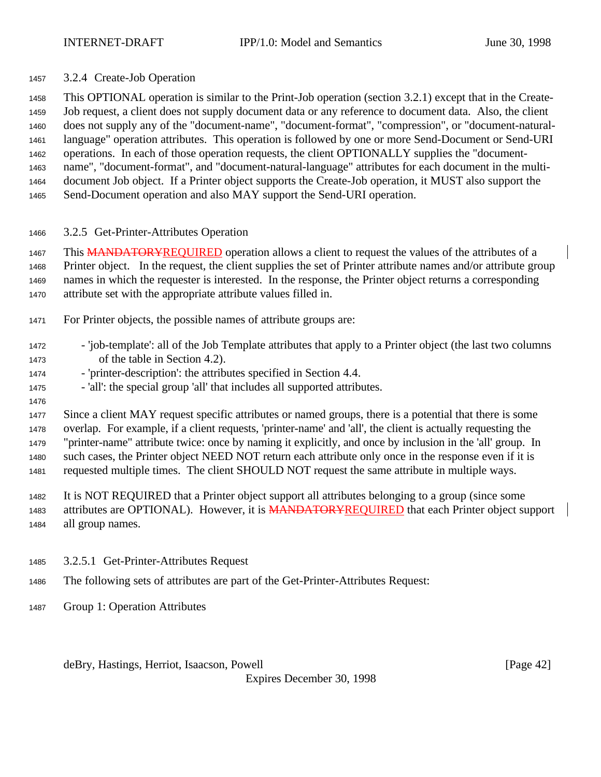3.2.4 Create-Job Operation

 This OPTIONAL operation is similar to the Print-Job operation (section 3.2.1) except that in the Create- Job request, a client does not supply document data or any reference to document data. Also, the client does not supply any of the "document-name", "document-format", "compression", or "document-natural- language" operation attributes. This operation is followed by one or more Send-Document or Send-URI operations. In each of those operation requests, the client OPTIONALLY supplies the "document- name", "document-format", and "document-natural-language" attributes for each document in the multi- document Job object. If a Printer object supports the Create-Job operation, it MUST also support the Send-Document operation and also MAY support the Send-URI operation.

3.2.5 Get-Printer-Attributes Operation

1467 This MANDATORYREQUIRED operation allows a client to request the values of the attributes of a Printer object. In the request, the client supplies the set of Printer attribute names and/or attribute group names in which the requester is interested. In the response, the Printer object returns a corresponding attribute set with the appropriate attribute values filled in.

- For Printer objects, the possible names of attribute groups are:
- 'job-template': all of the Job Template attributes that apply to a Printer object (the last two columns of the table in Section 4.2).
- 'printer-description': the attributes specified in Section 4.4.
- 'all': the special group 'all' that includes all supported attributes.
- 

1477 Since a client MAY request specific attributes or named groups, there is a potential that there is some overlap. For example, if a client requests, 'printer-name' and 'all', the client is actually requesting the "printer-name" attribute twice: once by naming it explicitly, and once by inclusion in the 'all' group. In such cases, the Printer object NEED NOT return each attribute only once in the response even if it is requested multiple times. The client SHOULD NOT request the same attribute in multiple ways.

 It is NOT REQUIRED that a Printer object support all attributes belonging to a group (since some 1483 attributes are OPTIONAL). However, it is **MANDATORYREQUIRED** that each Printer object support all group names.

- 3.2.5.1 Get-Printer-Attributes Request
- The following sets of attributes are part of the Get-Printer-Attributes Request:
- Group 1: Operation Attributes

deBry, Hastings, Herriot, Isaacson, Powell [Page 42]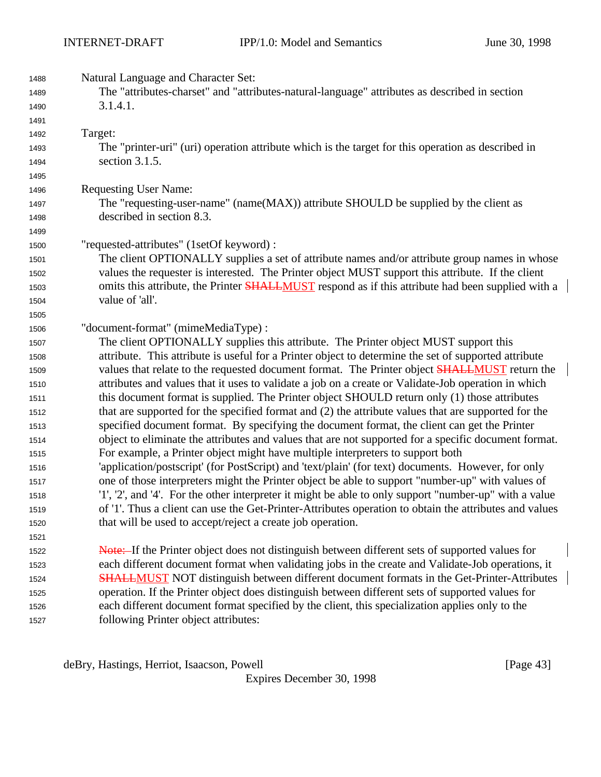| 1488 | Natural Language and Character Set:                                                                    |
|------|--------------------------------------------------------------------------------------------------------|
| 1489 | The "attributes-charset" and "attributes-natural-language" attributes as described in section          |
| 1490 | 3.1.4.1.                                                                                               |
| 1491 |                                                                                                        |
| 1492 | Target:                                                                                                |
| 1493 | The "printer-uri" (uri) operation attribute which is the target for this operation as described in     |
| 1494 | section 3.1.5.                                                                                         |
| 1495 |                                                                                                        |
| 1496 | <b>Requesting User Name:</b>                                                                           |
| 1497 | The "requesting-user-name" (name(MAX)) attribute SHOULD be supplied by the client as                   |
| 1498 | described in section 8.3.                                                                              |
| 1499 |                                                                                                        |
| 1500 | "requested-attributes" (1setOf keyword) :                                                              |
| 1501 | The client OPTIONALLY supplies a set of attribute names and/or attribute group names in whose          |
| 1502 | values the requester is interested. The Printer object MUST support this attribute. If the client      |
| 1503 | omits this attribute, the Printer SHALLMUST respond as if this attribute had been supplied with a      |
| 1504 | value of 'all'.                                                                                        |
| 1505 |                                                                                                        |
| 1506 | "document-format" (mimeMediaType) :                                                                    |
| 1507 | The client OPTIONALLY supplies this attribute. The Printer object MUST support this                    |
| 1508 | attribute. This attribute is useful for a Printer object to determine the set of supported attribute   |
| 1509 | values that relate to the requested document format. The Printer object <b>SHALLMUST</b> return the    |
| 1510 | attributes and values that it uses to validate a job on a create or Validate-Job operation in which    |
| 1511 | this document format is supplied. The Printer object SHOULD return only (1) those attributes           |
| 1512 | that are supported for the specified format and (2) the attribute values that are supported for the    |
| 1513 | specified document format. By specifying the document format, the client can get the Printer           |
| 1514 | object to eliminate the attributes and values that are not supported for a specific document format.   |
| 1515 | For example, a Printer object might have multiple interpreters to support both                         |
| 1516 | 'application/postscript' (for PostScript) and 'text/plain' (for text) documents. However, for only     |
| 1517 | one of those interpreters might the Printer object be able to support "number-up" with values of       |
| 1518 | '1', '2', and '4'. For the other interpreter it might be able to only support "number-up" with a value |
| 1519 | of '1'. Thus a client can use the Get-Printer-Attributes operation to obtain the attributes and values |
| 1520 | that will be used to accept/reject a create job operation.                                             |
| 1521 |                                                                                                        |
| 1522 | Note: If the Printer object does not distinguish between different sets of supported values for        |
| 1523 | each different document format when validating jobs in the create and Validate-Job operations, it      |
| 1524 | <b>SHALLMUST</b> NOT distinguish between different document formats in the Get-Printer-Attributes      |
| 1525 | operation. If the Printer object does distinguish between different sets of supported values for       |
| 1526 | each different document format specified by the client, this specialization applies only to the        |
| 1527 | following Printer object attributes:                                                                   |

deBry, Hastings, Herriot, Isaacson, Powell [Page 43]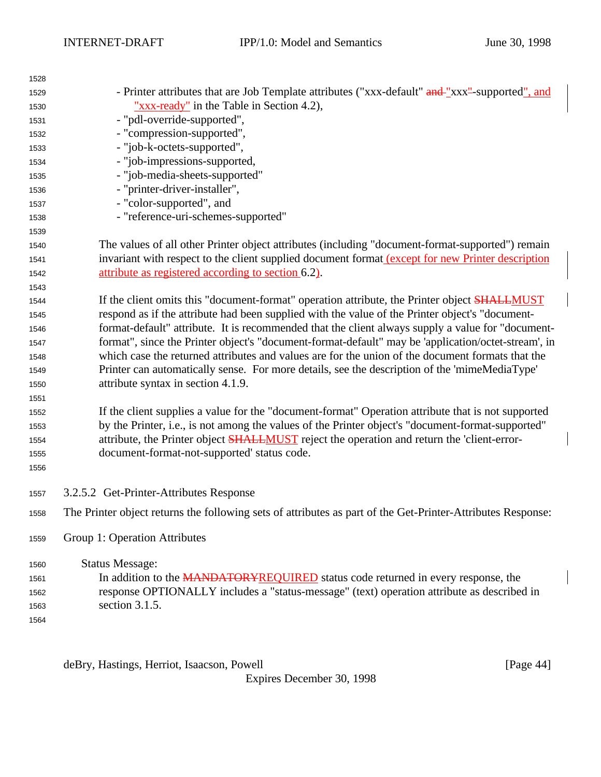| 1528 |                                                                                                             |
|------|-------------------------------------------------------------------------------------------------------------|
| 1529 | - Printer attributes that are Job Template attributes ("xxx-default" and "xxx"-supported", and              |
| 1530 | $\frac{y}{x}$ xxx-ready" in the Table in Section 4.2),                                                      |
| 1531 | - "pdl-override-supported",                                                                                 |
| 1532 | - "compression-supported",                                                                                  |
| 1533 | - "job-k-octets-supported",                                                                                 |
| 1534 | - "job-impressions-supported,                                                                               |
| 1535 | - "job-media-sheets-supported"                                                                              |
| 1536 | - "printer-driver-installer",                                                                               |
| 1537 | - "color-supported", and                                                                                    |
| 1538 | - "reference-uri-schemes-supported"                                                                         |
| 1539 |                                                                                                             |
| 1540 | The values of all other Printer object attributes (including "document-format-supported") remain            |
| 1541 | invariant with respect to the client supplied document format (except for new Printer description           |
| 1542 | attribute as registered according to section 6.2).                                                          |
| 1543 |                                                                                                             |
| 1544 | If the client omits this "document-format" operation attribute, the Printer object <b>SHALLMUST</b>         |
| 1545 | respond as if the attribute had been supplied with the value of the Printer object's "document-             |
| 1546 | format-default" attribute. It is recommended that the client always supply a value for "document-           |
| 1547 | format", since the Printer object's "document-format-default" may be 'application/octet-stream', in         |
| 1548 | which case the returned attributes and values are for the union of the document formats that the            |
| 1549 | Printer can automatically sense. For more details, see the description of the 'mimeMediaType'               |
| 1550 | attribute syntax in section 4.1.9.                                                                          |
| 1551 |                                                                                                             |
| 1552 | If the client supplies a value for the "document-format" Operation attribute that is not supported          |
| 1553 | by the Printer, i.e., is not among the values of the Printer object's "document-format-supported"           |
| 1554 | attribute, the Printer object <b>SHALLMUST</b> reject the operation and return the 'client-error-           |
| 1555 | document-format-not-supported' status code.                                                                 |
| 1556 |                                                                                                             |
| 1557 | 3.2.5.2 Get-Printer-Attributes Response                                                                     |
| 1558 | The Printer object returns the following sets of attributes as part of the Get-Printer-Attributes Response: |
| 1559 | Group 1: Operation Attributes                                                                               |
| 1560 | <b>Status Message:</b>                                                                                      |
| 1561 | In addition to the MANDATORYREQUIRED status code returned in every response, the                            |
| 1562 | response OPTIONALLY includes a "status-message" (text) operation attribute as described in                  |
| 1563 | section 3.1.5.                                                                                              |
| 1564 |                                                                                                             |

deBry, Hastings, Herriot, Isaacson, Powell [Page 44]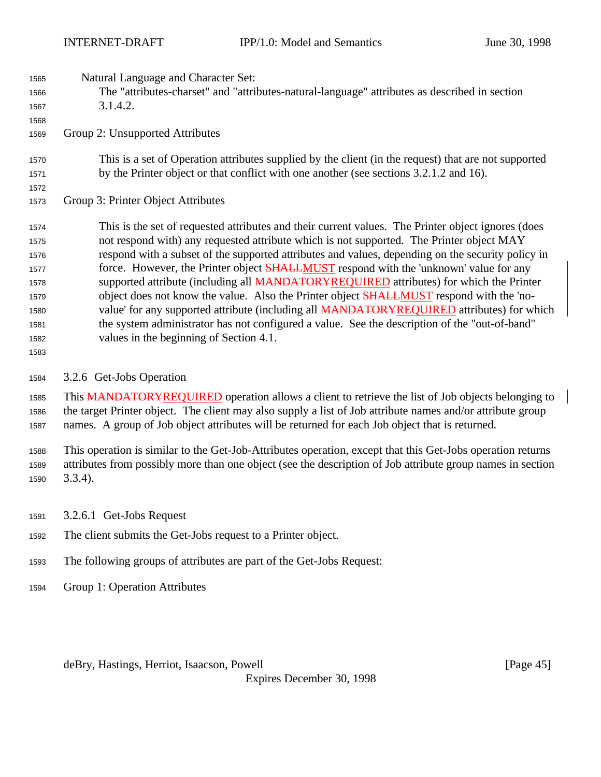| 1565 | Natural Language and Character Set:                                                                  |
|------|------------------------------------------------------------------------------------------------------|
| 1566 | The "attributes-charset" and "attributes-natural-language" attributes as described in section        |
| 1567 | 3.1.4.2.                                                                                             |
| 1568 |                                                                                                      |
| 1569 | Group 2: Unsupported Attributes                                                                      |
| 1570 | This is a set of Operation attributes supplied by the client (in the request) that are not supported |
| 1571 | by the Printer object or that conflict with one another (see sections 3.2.1.2 and 16).               |
| 1572 |                                                                                                      |
| 1573 | Group 3: Printer Object Attributes                                                                   |
| 1574 | This is the set of requested attributes and their current values. The Printer object ignores (does   |
| 1575 | not respond with) any requested attribute which is not supported. The Printer object MAY             |
| 1576 | respond with a subset of the supported attributes and values, depending on the security policy in    |
| 1577 | force. However, the Printer object <b>SHALLMUST</b> respond with the 'unknown' value for any         |
| 1578 | supported attribute (including all MANDATORYREQUIRED attributes) for which the Printer               |
| 1579 | object does not know the value. Also the Printer object <b>SHALLMUST</b> respond with the 'no-       |
| 1580 | value' for any supported attribute (including all <b>MANDATORYREQUIRED</b> attributes) for which     |
| 1581 | the system administrator has not configured a value. See the description of the "out-of-band"        |
| 1582 | values in the beginning of Section 4.1.                                                              |
| 1583 |                                                                                                      |

3.2.6 Get-Jobs Operation

1585 This MANDATORYREQUIRED operation allows a client to retrieve the list of Job objects belonging to the target Printer object. The client may also supply a list of Job attribute names and/or attribute group names. A group of Job object attributes will be returned for each Job object that is returned.

 This operation is similar to the Get-Job-Attributes operation, except that this Get-Jobs operation returns attributes from possibly more than one object (see the description of Job attribute group names in section 3.3.4).

- 3.2.6.1 Get-Jobs Request
- The client submits the Get-Jobs request to a Printer object.
- The following groups of attributes are part of the Get-Jobs Request:
- Group 1: Operation Attributes

deBry, Hastings, Herriot, Isaacson, Powell [Page 45]

Expires December 30, 1998

 $\mathcal{A}$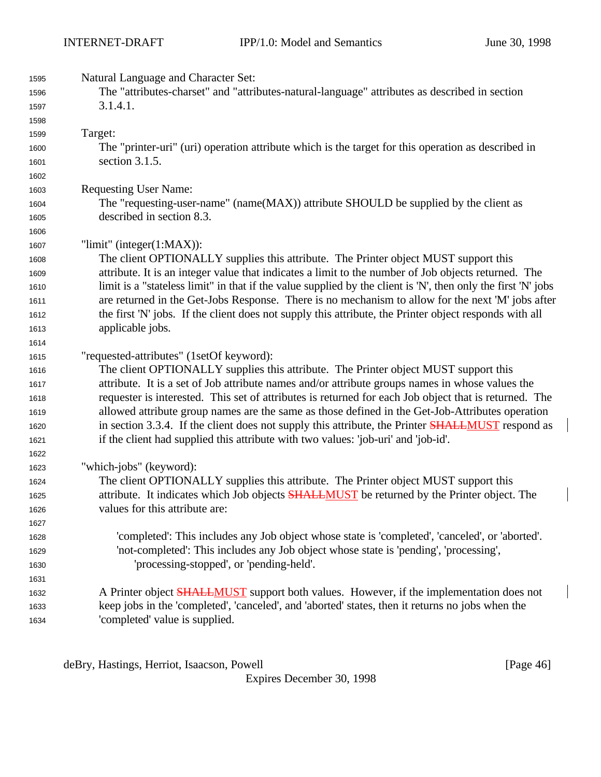| 1595 | Natural Language and Character Set:                                                                           |
|------|---------------------------------------------------------------------------------------------------------------|
| 1596 | The "attributes-charset" and "attributes-natural-language" attributes as described in section                 |
| 1597 | 3.1.4.1.                                                                                                      |
| 1598 |                                                                                                               |
| 1599 | Target:                                                                                                       |
| 1600 | The "printer-uri" (uri) operation attribute which is the target for this operation as described in            |
| 1601 | section 3.1.5.                                                                                                |
| 1602 |                                                                                                               |
| 1603 | <b>Requesting User Name:</b>                                                                                  |
| 1604 | The "requesting-user-name" (name(MAX)) attribute SHOULD be supplied by the client as                          |
| 1605 | described in section 8.3.                                                                                     |
| 1606 |                                                                                                               |
| 1607 | "limit" (integer $(1:MAX)$ ):                                                                                 |
| 1608 | The client OPTIONALLY supplies this attribute. The Printer object MUST support this                           |
| 1609 | attribute. It is an integer value that indicates a limit to the number of Job objects returned. The           |
| 1610 | limit is a "stateless limit" in that if the value supplied by the client is 'N', then only the first 'N' jobs |
| 1611 | are returned in the Get-Jobs Response. There is no mechanism to allow for the next 'M' jobs after             |
| 1612 | the first 'N' jobs. If the client does not supply this attribute, the Printer object responds with all        |
| 1613 | applicable jobs.                                                                                              |
| 1614 |                                                                                                               |
| 1615 | "requested-attributes" (1setOf keyword):                                                                      |
| 1616 | The client OPTIONALLY supplies this attribute. The Printer object MUST support this                           |
| 1617 | attribute. It is a set of Job attribute names and/or attribute groups names in whose values the               |
| 1618 | requester is interested. This set of attributes is returned for each Job object that is returned. The         |
| 1619 | allowed attribute group names are the same as those defined in the Get-Job-Attributes operation               |
| 1620 | in section 3.3.4. If the client does not supply this attribute, the Printer <b>SHALLMUST</b> respond as       |
| 1621 | if the client had supplied this attribute with two values: 'job-uri' and 'job-id'.                            |
| 1622 |                                                                                                               |
| 1623 | "which-jobs" (keyword):                                                                                       |
| 1624 | The client OPTIONALLY supplies this attribute. The Printer object MUST support this                           |
| 1625 | attribute. It indicates which Job objects <b>SHALLMUST</b> be returned by the Printer object. The             |
| 1626 | values for this attribute are:                                                                                |
| 1627 |                                                                                                               |
| 1628 | 'completed': This includes any Job object whose state is 'completed', 'canceled', or 'aborted'.               |
| 1629 | 'not-completed': This includes any Job object whose state is 'pending', 'processing',                         |
| 1630 | 'processing-stopped', or 'pending-held'.                                                                      |
| 1631 |                                                                                                               |
| 1632 | A Printer object <b>SHALLMUST</b> support both values. However, if the implementation does not                |
| 1633 | keep jobs in the 'completed', 'canceled', and 'aborted' states, then it returns no jobs when the              |
| 1634 | 'completed' value is supplied.                                                                                |

deBry, Hastings, Herriot, Isaacson, Powell [Page 46]

Expires December 30, 1998

 $\begin{array}{c} \hline \end{array}$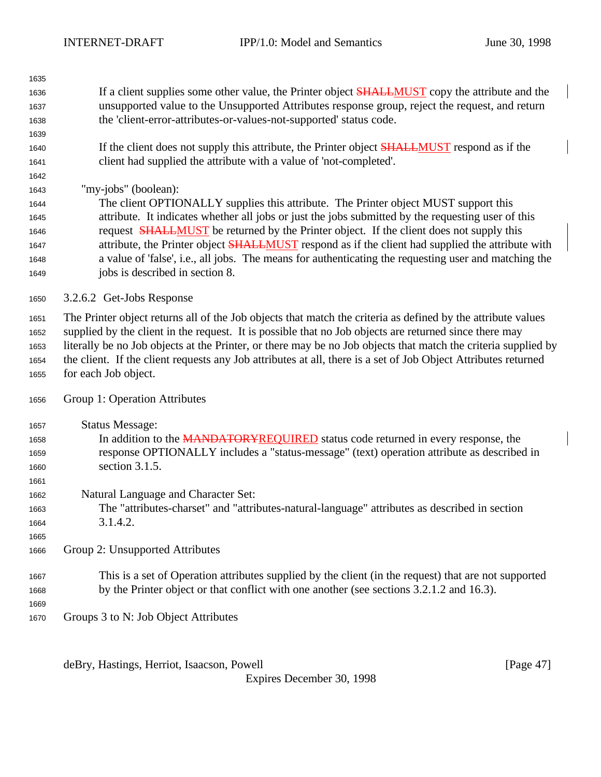If a client supplies some other value, the Printer object SHALLMUST copy the attribute and the unsupported value to the Unsupported Attributes response group, reject the request, and return the 'client-error-attributes-or-values-not-supported' status code. 

- 1640 If the client does not supply this attribute, the Printer object **SHALLMUST** respond as if the client had supplied the attribute with a value of 'not-completed'.
- "my-jobs" (boolean):

 The client OPTIONALLY supplies this attribute. The Printer object MUST support this attribute. It indicates whether all jobs or just the jobs submitted by the requesting user of this 1646 request **SHALLMUST** be returned by the Printer object. If the client does not supply this 1647 attribute, the Printer object **SHALLMUST** respond as if the client had supplied the attribute with a value of 'false', i.e., all jobs. The means for authenticating the requesting user and matching the jobs is described in section 8.

3.2.6.2 Get-Jobs Response

 The Printer object returns all of the Job objects that match the criteria as defined by the attribute values supplied by the client in the request. It is possible that no Job objects are returned since there may literally be no Job objects at the Printer, or there may be no Job objects that match the criteria supplied by the client. If the client requests any Job attributes at all, there is a set of Job Object Attributes returned for each Job object.

Group 1: Operation Attributes

| 1657 | <b>Status Message:</b>                                                                               |
|------|------------------------------------------------------------------------------------------------------|
| 1658 | In addition to the MANDATORYREQUIRED status code returned in every response, the                     |
| 1659 | response OPTIONALLY includes a "status-message" (text) operation attribute as described in           |
| 1660 | section $3.1.5$ .                                                                                    |
| 1661 |                                                                                                      |
| 1662 | Natural Language and Character Set:                                                                  |
| 1663 | The "attributes-charset" and "attributes-natural-language" attributes as described in section        |
| 1664 | 3.1.4.2.                                                                                             |
| 1665 |                                                                                                      |
| 1666 | Group 2: Unsupported Attributes                                                                      |
| 1667 | This is a set of Operation attributes supplied by the client (in the request) that are not supported |
| 1668 | by the Printer object or that conflict with one another (see sections 3.2.1.2 and 16.3).             |
| 1669 |                                                                                                      |

Groups 3 to N: Job Object Attributes

deBry, Hastings, Herriot, Isaacson, Powell **Example 20** (Page 47)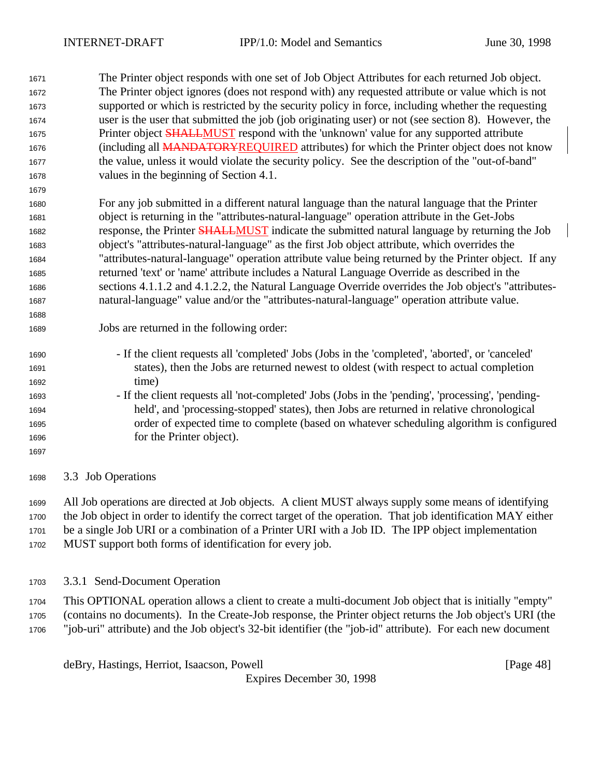| 1671 | The Printer object responds with one set of Job Object Attributes for each returned Job object.             |
|------|-------------------------------------------------------------------------------------------------------------|
| 1672 | The Printer object ignores (does not respond with) any requested attribute or value which is not            |
| 1673 | supported or which is restricted by the security policy in force, including whether the requesting          |
| 1674 | user is the user that submitted the job (job originating user) or not (see section 8). However, the         |
| 1675 | Printer object <b>SHALLMUST</b> respond with the 'unknown' value for any supported attribute                |
| 1676 | (including all <b>MANDATORYREQUIRED</b> attributes) for which the Printer object does not know              |
| 1677 | the value, unless it would violate the security policy. See the description of the "out-of-band"            |
| 1678 | values in the beginning of Section 4.1.                                                                     |
| 1679 |                                                                                                             |
| 1680 | For any job submitted in a different natural language than the natural language that the Printer            |
| 1681 | object is returning in the "attributes-natural-language" operation attribute in the Get-Jobs                |
| 1682 | response, the Printer SHALLMUST indicate the submitted natural language by returning the Job                |
| 1683 | object's "attributes-natural-language" as the first Job object attribute, which overrides the               |
| 1684 | "attributes-natural-language" operation attribute value being returned by the Printer object. If any        |
| 1685 | returned 'text' or 'name' attribute includes a Natural Language Override as described in the                |
| 1686 | sections 4.1.1.2 and 4.1.2.2, the Natural Language Override overrides the Job object's "attributes-         |
| 1687 | natural-language" value and/or the "attributes-natural-language" operation attribute value.                 |
| 1688 |                                                                                                             |
| 1689 | Jobs are returned in the following order:                                                                   |
| 1690 | - If the client requests all 'completed' Jobs (Jobs in the 'completed', 'aborted', or 'canceled'            |
| 1691 | states), then the Jobs are returned newest to oldest (with respect to actual completion                     |
| 1692 | time)                                                                                                       |
| 1693 | - If the client requests all 'not-completed' Jobs (Jobs in the 'pending', 'processing', 'pending-           |
| 1694 | held', and 'processing-stopped' states), then Jobs are returned in relative chronological                   |
| 1695 | order of expected time to complete (based on whatever scheduling algorithm is configured                    |
| 1696 | for the Printer object).                                                                                    |
| 1697 |                                                                                                             |
| 1698 | 3.3 Job Operations                                                                                          |
| 1699 | All Job operations are directed at Job objects. A client MUST always supply some means of identifying       |
| 1700 | the Job object in order to identify the correct target of the operation. That job identification MAY either |

 be a single Job URI or a combination of a Printer URI with a Job ID. The IPP object implementation MUST support both forms of identification for every job.

3.3.1 Send-Document Operation

 This OPTIONAL operation allows a client to create a multi-document Job object that is initially "empty" (contains no documents). In the Create-Job response, the Printer object returns the Job object's URI (the "job-uri" attribute) and the Job object's 32-bit identifier (the "job-id" attribute). For each new document

deBry, Hastings, Herriot, Isaacson, Powell [Page 48]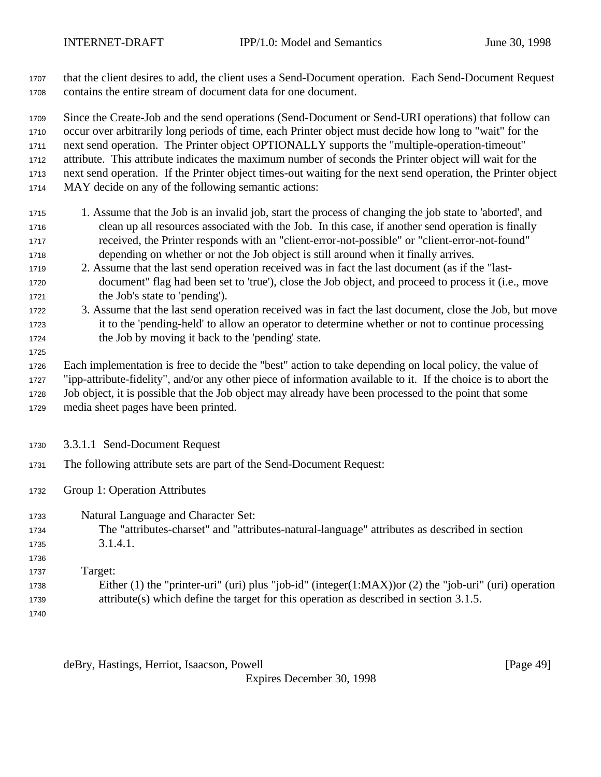that the client desires to add, the client uses a Send-Document operation. Each Send-Document Request contains the entire stream of document data for one document.

 Since the Create-Job and the send operations (Send-Document or Send-URI operations) that follow can occur over arbitrarily long periods of time, each Printer object must decide how long to "wait" for the next send operation. The Printer object OPTIONALLY supports the "multiple-operation-timeout" attribute. This attribute indicates the maximum number of seconds the Printer object will wait for the

- next send operation. If the Printer object times-out waiting for the next send operation, the Printer object
- MAY decide on any of the following semantic actions:
- 1. Assume that the Job is an invalid job, start the process of changing the job state to 'aborted', and clean up all resources associated with the Job. In this case, if another send operation is finally received, the Printer responds with an "client-error-not-possible" or "client-error-not-found" depending on whether or not the Job object is still around when it finally arrives.
- 2. Assume that the last send operation received was in fact the last document (as if the "last- document" flag had been set to 'true'), close the Job object, and proceed to process it (i.e., move 1721 the Job's state to 'pending').
- 3. Assume that the last send operation received was in fact the last document, close the Job, but move it to the 'pending-held' to allow an operator to determine whether or not to continue processing the Job by moving it back to the 'pending' state.
- Each implementation is free to decide the "best" action to take depending on local policy, the value of "ipp-attribute-fidelity", and/or any other piece of information available to it. If the choice is to abort the Job object, it is possible that the Job object may already have been processed to the point that some media sheet pages have been printed.
- 3.3.1.1 Send-Document Request

- The following attribute sets are part of the Send-Document Request:
- Group 1: Operation Attributes
- Natural Language and Character Set:
- The "attributes-charset" and "attributes-natural-language" attributes as described in section 3.1.4.1.
- Target: Either (1) the "printer-uri" (uri) plus "job-id" (integer(1:MAX))or (2) the "job-uri" (uri) operation attribute(s) which define the target for this operation as described in section 3.1.5.

deBry, Hastings, Herriot, Isaacson, Powell [Page 49]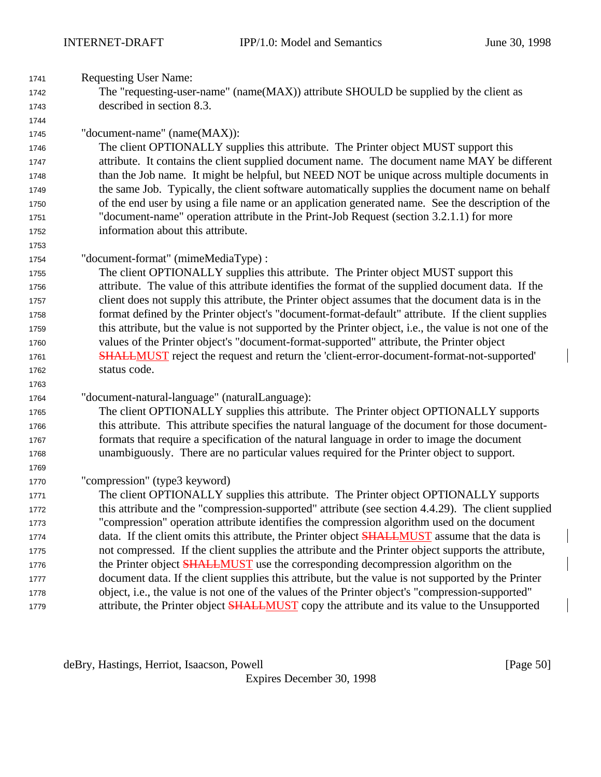| 1741 | <b>Requesting User Name:</b>                                                                            |
|------|---------------------------------------------------------------------------------------------------------|
| 1742 | The "requesting-user-name" (name(MAX)) attribute SHOULD be supplied by the client as                    |
| 1743 | described in section 8.3.                                                                               |
| 1744 |                                                                                                         |
| 1745 | "document-name" (name(MAX)):                                                                            |
| 1746 | The client OPTIONALLY supplies this attribute. The Printer object MUST support this                     |
| 1747 | attribute. It contains the client supplied document name. The document name MAY be different            |
| 1748 | than the Job name. It might be helpful, but NEED NOT be unique across multiple documents in             |
| 1749 | the same Job. Typically, the client software automatically supplies the document name on behalf         |
| 1750 | of the end user by using a file name or an application generated name. See the description of the       |
| 1751 | "document-name" operation attribute in the Print-Job Request (section 3.2.1.1) for more                 |
| 1752 | information about this attribute.                                                                       |
| 1753 |                                                                                                         |
| 1754 | "document-format" (mimeMediaType) :                                                                     |
| 1755 | The client OPTIONALLY supplies this attribute. The Printer object MUST support this                     |
| 1756 | attribute. The value of this attribute identifies the format of the supplied document data. If the      |
| 1757 | client does not supply this attribute, the Printer object assumes that the document data is in the      |
| 1758 | format defined by the Printer object's "document-format-default" attribute. If the client supplies      |
| 1759 | this attribute, but the value is not supported by the Printer object, i.e., the value is not one of the |
| 1760 | values of the Printer object's "document-format-supported" attribute, the Printer object                |
| 1761 | <b>SHALLMUST</b> reject the request and return the 'client-error-document-format-not-supported'         |
| 1762 | status code.                                                                                            |
| 1763 |                                                                                                         |
| 1764 | "document-natural-language" (naturalLanguage):                                                          |
| 1765 | The client OPTIONALLY supplies this attribute. The Printer object OPTIONALLY supports                   |
| 1766 | this attribute. This attribute specifies the natural language of the document for those document-       |
| 1767 | formats that require a specification of the natural language in order to image the document             |
| 1768 | unambiguously. There are no particular values required for the Printer object to support.               |
| 1769 |                                                                                                         |
| 1770 | "compression" (type3 keyword)                                                                           |
| 1771 | The client OPTIONALLY supplies this attribute. The Printer object OPTIONALLY supports                   |
| 1772 | this attribute and the "compression-supported" attribute (see section 4.4.29). The client supplied      |
| 1773 | "compression" operation attribute identifies the compression algorithm used on the document             |
| 1774 | data. If the client omits this attribute, the Printer object <b>SHALLMUST</b> assume that the data is   |
| 1775 | not compressed. If the client supplies the attribute and the Printer object supports the attribute,     |
| 1776 | the Printer object <b>SHALLMUST</b> use the corresponding decompression algorithm on the                |
| 1777 | document data. If the client supplies this attribute, but the value is not supported by the Printer     |
| 1778 | object, i.e., the value is not one of the values of the Printer object's "compression-supported"        |
| 1779 | attribute, the Printer object <b>SHALLMUST</b> copy the attribute and its value to the Unsupported      |

deBry, Hastings, Herriot, Isaacson, Powell [Page 50]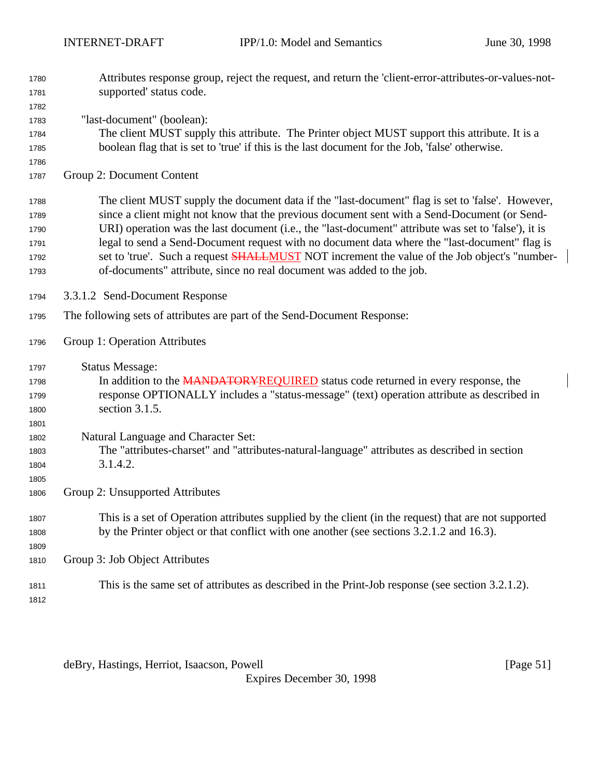$\overline{\phantom{a}}$ 

 $\overline{\phantom{a}}$ 

| 1780<br>1781 | Attributes response group, reject the request, and return the 'client-error-attributes-or-values-not-<br>supported' status code. |
|--------------|----------------------------------------------------------------------------------------------------------------------------------|
| 1782         |                                                                                                                                  |
| 1783         | "last-document" (boolean):                                                                                                       |
| 1784         | The client MUST supply this attribute. The Printer object MUST support this attribute. It is a                                   |
| 1785         | boolean flag that is set to 'true' if this is the last document for the Job, 'false' otherwise.                                  |
| 1786<br>1787 | Group 2: Document Content                                                                                                        |
|              |                                                                                                                                  |
| 1788         | The client MUST supply the document data if the "last-document" flag is set to 'false'. However,                                 |
| 1789         | since a client might not know that the previous document sent with a Send-Document (or Send-                                     |
| 1790         | URI) operation was the last document (i.e., the "last-document" attribute was set to 'false'), it is                             |
| 1791         | legal to send a Send-Document request with no document data where the "last-document" flag is                                    |
| 1792         | set to 'true'. Such a request <b>SHALLMUST</b> NOT increment the value of the Job object's "number-                              |
| 1793         | of-documents" attribute, since no real document was added to the job.                                                            |
| 1794         | 3.3.1.2 Send-Document Response                                                                                                   |
| 1795         | The following sets of attributes are part of the Send-Document Response:                                                         |
| 1796         | Group 1: Operation Attributes                                                                                                    |
| 1797         | <b>Status Message:</b>                                                                                                           |
| 1798         | In addition to the MANDATORYREQUIRED status code returned in every response, the                                                 |
| 1799         | response OPTIONALLY includes a "status-message" (text) operation attribute as described in                                       |
| 1800         | section 3.1.5.                                                                                                                   |
| 1801         |                                                                                                                                  |
| 1802         | Natural Language and Character Set:                                                                                              |
| 1803         | The "attributes-charset" and "attributes-natural-language" attributes as described in section                                    |
| 1804         | 3.1.4.2.                                                                                                                         |
| 1805         |                                                                                                                                  |
| 1806         | Group 2: Unsupported Attributes                                                                                                  |
| 1807         | This is a set of Operation attributes supplied by the client (in the request) that are not supported                             |
| 1808         | by the Printer object or that conflict with one another (see sections 3.2.1.2 and 16.3).                                         |
| 1809         |                                                                                                                                  |
| 1810         | Group 3: Job Object Attributes                                                                                                   |
| 1811         | This is the same set of attributes as described in the Print-Job response (see section 3.2.1.2).                                 |
| 1812         |                                                                                                                                  |

deBry, Hastings, Herriot, Isaacson, Powell [Page 51]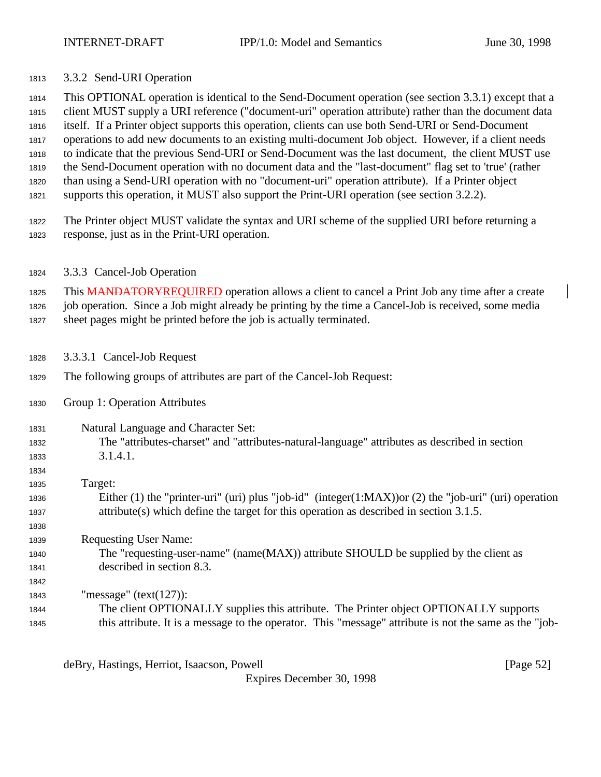3.3.2 Send-URI Operation

 This OPTIONAL operation is identical to the Send-Document operation (see section 3.3.1) except that a client MUST supply a URI reference ("document-uri" operation attribute) rather than the document data itself. If a Printer object supports this operation, clients can use both Send-URI or Send-Document operations to add new documents to an existing multi-document Job object. However, if a client needs to indicate that the previous Send-URI or Send-Document was the last document, the client MUST use the Send-Document operation with no document data and the "last-document" flag set to 'true' (rather than using a Send-URI operation with no "document-uri" operation attribute). If a Printer object supports this operation, it MUST also support the Print-URI operation (see section 3.2.2).

 The Printer object MUST validate the syntax and URI scheme of the supplied URI before returning a response, just as in the Print-URI operation.

3.3.3 Cancel-Job Operation

1825 This MANDATORYREQUIRED operation allows a client to cancel a Print Job any time after a create job operation. Since a Job might already be printing by the time a Cancel-Job is received, some media sheet pages might be printed before the job is actually terminated.

- 3.3.3.1 Cancel-Job Request
- The following groups of attributes are part of the Cancel-Job Request:
- Group 1: Operation Attributes

- Natural Language and Character Set:
- The "attributes-charset" and "attributes-natural-language" attributes as described in section 3.1.4.1.
- Target: Either (1) the "printer-uri" (uri) plus "job-id" (integer(1:MAX))or (2) the "job-uri" (uri) operation attribute(s) which define the target for this operation as described in section 3.1.5.
- Requesting User Name: The "requesting-user-name" (name(MAX)) attribute SHOULD be supplied by the client as described in section 8.3.

 "message" (text(127)): The client OPTIONALLY supplies this attribute. The Printer object OPTIONALLY supports this attribute. It is a message to the operator. This "message" attribute is not the same as the "job-

deBry, Hastings, Herriot, Isaacson, Powell [Page 52]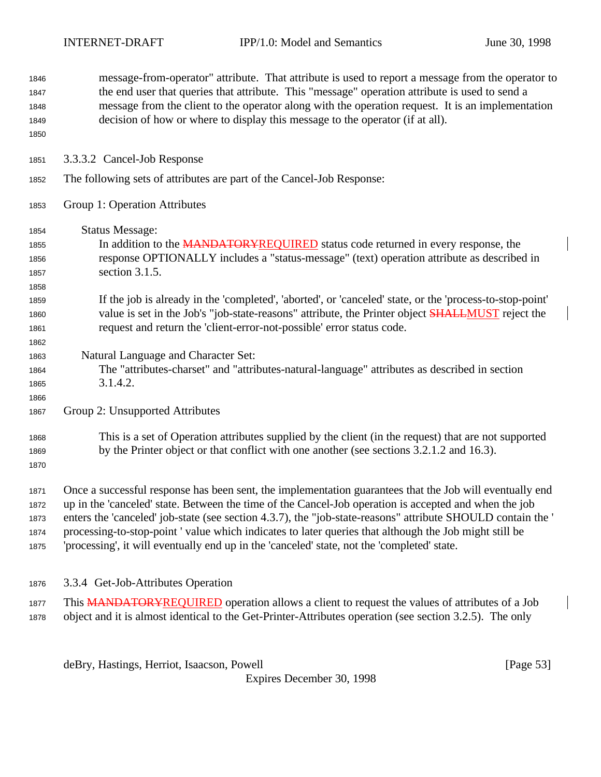| 1846 | message-from-operator" attribute. That attribute is used to report a message from the operator to           |
|------|-------------------------------------------------------------------------------------------------------------|
| 1847 | the end user that queries that attribute. This "message" operation attribute is used to send a              |
| 1848 | message from the client to the operator along with the operation request. It is an implementation           |
| 1849 | decision of how or where to display this message to the operator (if at all).                               |
| 1850 |                                                                                                             |
| 1851 | 3.3.3.2 Cancel-Job Response                                                                                 |
| 1852 | The following sets of attributes are part of the Cancel-Job Response:                                       |
| 1853 | Group 1: Operation Attributes                                                                               |
| 1854 | <b>Status Message:</b>                                                                                      |
| 1855 | In addition to the MANDATORYREQUIRED status code returned in every response, the                            |
| 1856 | response OPTIONALLY includes a "status-message" (text) operation attribute as described in                  |
| 1857 | section 3.1.5.                                                                                              |
| 1858 |                                                                                                             |
| 1859 | If the job is already in the 'completed', 'aborted', or 'canceled' state, or the 'process-to-stop-point'    |
| 1860 | value is set in the Job's "job-state-reasons" attribute, the Printer object <b>SHALLMUST</b> reject the     |
| 1861 | request and return the 'client-error-not-possible' error status code.                                       |
| 1862 |                                                                                                             |
| 1863 | Natural Language and Character Set:                                                                         |
| 1864 | The "attributes-charset" and "attributes-natural-language" attributes as described in section               |
| 1865 | 3.1.4.2.                                                                                                    |
| 1866 |                                                                                                             |
| 1867 | Group 2: Unsupported Attributes                                                                             |
| 1868 | This is a set of Operation attributes supplied by the client (in the request) that are not supported        |
| 1869 | by the Printer object or that conflict with one another (see sections 3.2.1.2 and 16.3).                    |
| 1870 |                                                                                                             |
| 1871 | Once a successful response has been sent, the implementation guarantees that the Job will eventually end    |
| 1872 | up in the 'canceled' state. Between the time of the Cancel-Job operation is accepted and when the job       |
| 1873 | enters the 'canceled' job-state (see section 4.3.7), the "job-state-reasons" attribute SHOULD contain the ' |
| 1874 | processing-to-stop-point 'value which indicates to later queries that although the Job might still be       |
| 1875 | 'processing', it will eventually end up in the 'canceled' state, not the 'completed' state.                 |
|      |                                                                                                             |
| 1876 | 3.3.4 Get-Job-Attributes Operation                                                                          |

1877 This MANDATORYREQUIRED operation allows a client to request the values of attributes of a Job object and it is almost identical to the Get-Printer-Attributes operation (see section 3.2.5). The only

deBry, Hastings, Herriot, Isaacson, Powell [Page 53]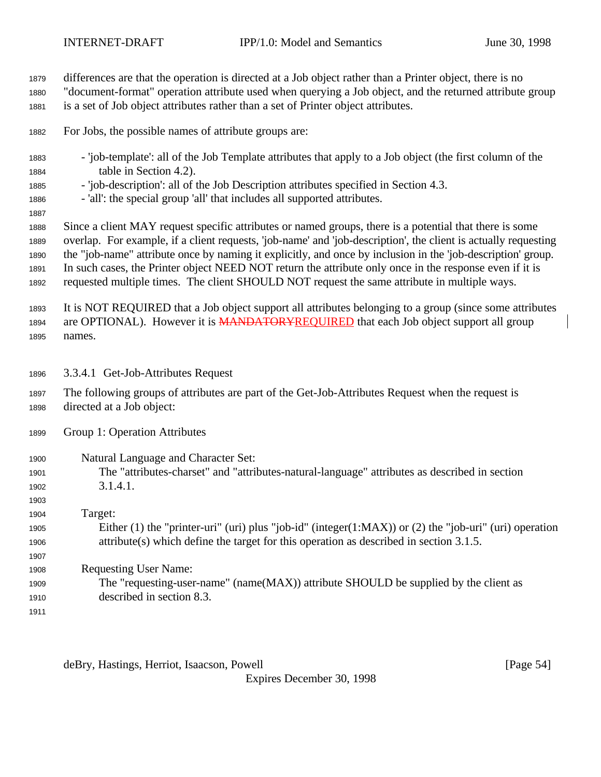| 1879<br>1880<br>1881                 | differences are that the operation is directed at a Job object rather than a Printer object, there is no<br>"document-format" operation attribute used when querying a Job object, and the returned attribute group<br>is a set of Job object attributes rather than a set of Printer object attributes.                                                                                                                                                                                                                                              |
|--------------------------------------|-------------------------------------------------------------------------------------------------------------------------------------------------------------------------------------------------------------------------------------------------------------------------------------------------------------------------------------------------------------------------------------------------------------------------------------------------------------------------------------------------------------------------------------------------------|
| 1882                                 | For Jobs, the possible names of attribute groups are:                                                                                                                                                                                                                                                                                                                                                                                                                                                                                                 |
| 1883<br>1884<br>1885<br>1886<br>1887 | - 'job-template': all of the Job Template attributes that apply to a Job object (the first column of the<br>table in Section 4.2).<br>- 'job-description': all of the Job Description attributes specified in Section 4.3.<br>- 'all': the special group 'all' that includes all supported attributes.                                                                                                                                                                                                                                                |
| 1888<br>1889<br>1890<br>1891<br>1892 | Since a client MAY request specific attributes or named groups, there is a potential that there is some<br>overlap. For example, if a client requests, 'job-name' and 'job-description', the client is actually requesting<br>the "job-name" attribute once by naming it explicitly, and once by inclusion in the 'job-description' group.<br>In such cases, the Printer object NEED NOT return the attribute only once in the response even if it is<br>requested multiple times. The client SHOULD NOT request the same attribute in multiple ways. |
| 1893<br>1894<br>1895                 | It is NOT REQUIRED that a Job object support all attributes belonging to a group (since some attributes<br>are OPTIONAL). However it is <b>MANDATORYREQUIRED</b> that each Job object support all group<br>names.                                                                                                                                                                                                                                                                                                                                     |
| 1896                                 | 3.3.4.1 Get-Job-Attributes Request                                                                                                                                                                                                                                                                                                                                                                                                                                                                                                                    |
| 1897<br>1898                         | The following groups of attributes are part of the Get-Job-Attributes Request when the request is<br>directed at a Job object:                                                                                                                                                                                                                                                                                                                                                                                                                        |
| 1899                                 | Group 1: Operation Attributes                                                                                                                                                                                                                                                                                                                                                                                                                                                                                                                         |
| 1900<br>1901<br>1902<br>1903         | Natural Language and Character Set:<br>The "attributes-charset" and "attributes-natural-language" attributes as described in section<br>3.1.4.1.                                                                                                                                                                                                                                                                                                                                                                                                      |
| 1904<br>1905<br>1906<br>1907         | Target:<br>Either (1) the "printer-uri" (uri) plus "job-id" (integer(1:MAX)) or (2) the "job-uri" (uri) operation<br>$attribute(s)$ which define the target for this operation as described in section 3.1.5.                                                                                                                                                                                                                                                                                                                                         |
| 1908<br>1909<br>1910<br>1911         | <b>Requesting User Name:</b><br>The "requesting-user-name" (name(MAX)) attribute SHOULD be supplied by the client as<br>described in section 8.3.                                                                                                                                                                                                                                                                                                                                                                                                     |

deBry, Hastings, Herriot, Isaacson, Powell [Page 54]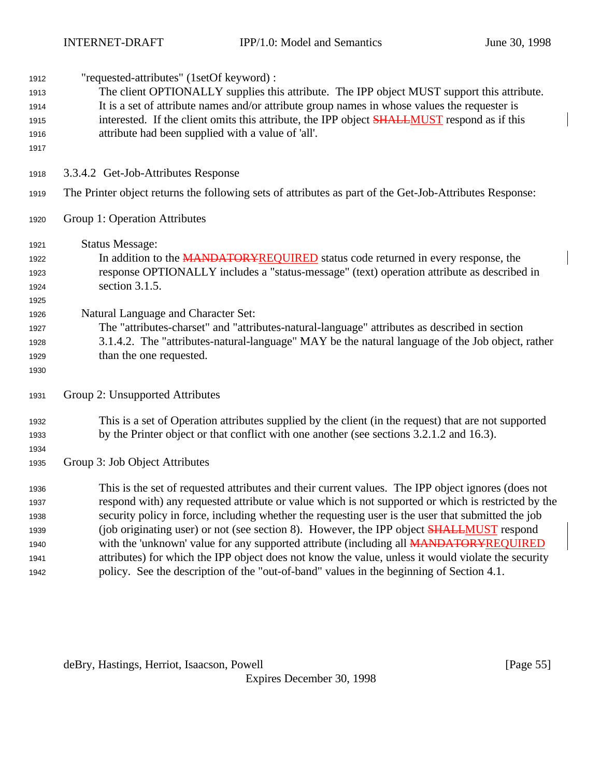| 1912<br>1913<br>1914<br>1915<br>1916<br>1917 | "requested-attributes" (1setOf keyword) :<br>The client OPTIONALLY supplies this attribute. The IPP object MUST support this attribute.<br>It is a set of attribute names and/or attribute group names in whose values the requester is<br>interested. If the client omits this attribute, the IPP object <b>SHALLMUST</b> respond as if this<br>attribute had been supplied with a value of 'all'. |
|----------------------------------------------|-----------------------------------------------------------------------------------------------------------------------------------------------------------------------------------------------------------------------------------------------------------------------------------------------------------------------------------------------------------------------------------------------------|
| 1918                                         | 3.3.4.2 Get-Job-Attributes Response                                                                                                                                                                                                                                                                                                                                                                 |
| 1919                                         | The Printer object returns the following sets of attributes as part of the Get-Job-Attributes Response:                                                                                                                                                                                                                                                                                             |
| 1920                                         | Group 1: Operation Attributes                                                                                                                                                                                                                                                                                                                                                                       |
| 1921                                         | <b>Status Message:</b>                                                                                                                                                                                                                                                                                                                                                                              |
| 1922                                         | In addition to the MANDATORYREQUIRED status code returned in every response, the                                                                                                                                                                                                                                                                                                                    |
| 1923                                         | response OPTIONALLY includes a "status-message" (text) operation attribute as described in                                                                                                                                                                                                                                                                                                          |
| 1924                                         | section 3.1.5.                                                                                                                                                                                                                                                                                                                                                                                      |
| 1925                                         |                                                                                                                                                                                                                                                                                                                                                                                                     |
| 1926                                         | Natural Language and Character Set:                                                                                                                                                                                                                                                                                                                                                                 |
| 1927                                         | The "attributes-charset" and "attributes-natural-language" attributes as described in section                                                                                                                                                                                                                                                                                                       |
| 1928                                         | 3.1.4.2. The "attributes-natural-language" MAY be the natural language of the Job object, rather                                                                                                                                                                                                                                                                                                    |
| 1929                                         | than the one requested.                                                                                                                                                                                                                                                                                                                                                                             |
| 1930                                         |                                                                                                                                                                                                                                                                                                                                                                                                     |
| 1931                                         | Group 2: Unsupported Attributes                                                                                                                                                                                                                                                                                                                                                                     |
| 1932                                         | This is a set of Operation attributes supplied by the client (in the request) that are not supported                                                                                                                                                                                                                                                                                                |
| 1933                                         | by the Printer object or that conflict with one another (see sections 3.2.1.2 and 16.3).                                                                                                                                                                                                                                                                                                            |
| 1934                                         |                                                                                                                                                                                                                                                                                                                                                                                                     |
| 1935                                         | Group 3: Job Object Attributes                                                                                                                                                                                                                                                                                                                                                                      |
| 1936                                         | This is the set of requested attributes and their current values. The IPP object ignores (does not                                                                                                                                                                                                                                                                                                  |
| 1937                                         | respond with) any requested attribute or value which is not supported or which is restricted by the                                                                                                                                                                                                                                                                                                 |
| 1938                                         | security policy in force, including whether the requesting user is the user that submitted the job                                                                                                                                                                                                                                                                                                  |
| 1939                                         | (job originating user) or not (see section 8). However, the IPP object <b>SHALLMUST</b> respond                                                                                                                                                                                                                                                                                                     |
| 1940                                         | with the 'unknown' value for any supported attribute (including all <b>MANDATORYREQUIRED</b>                                                                                                                                                                                                                                                                                                        |
| 1941                                         | attributes) for which the IPP object does not know the value, unless it would violate the security                                                                                                                                                                                                                                                                                                  |
| 1942                                         | policy. See the description of the "out-of-band" values in the beginning of Section 4.1.                                                                                                                                                                                                                                                                                                            |

deBry, Hastings, Herriot, Isaacson, Powell [Page 55]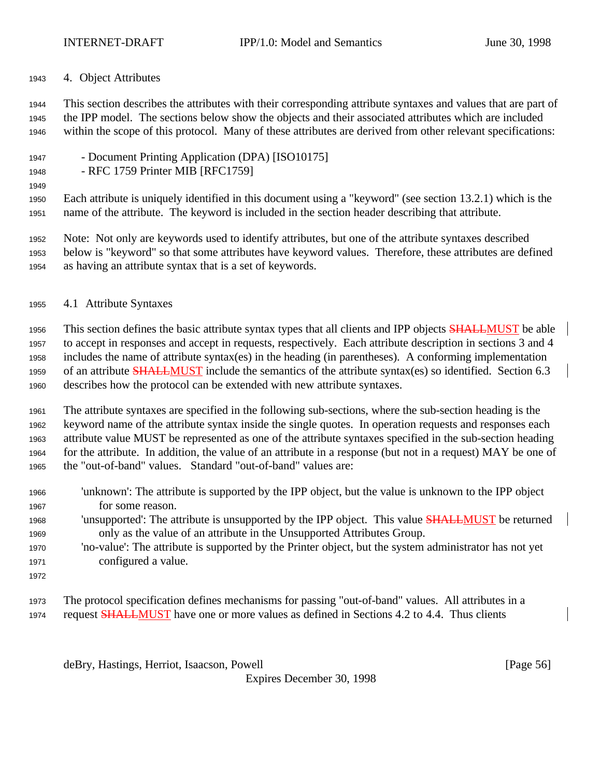4. Object Attributes

 This section describes the attributes with their corresponding attribute syntaxes and values that are part of the IPP model. The sections below show the objects and their associated attributes which are included within the scope of this protocol. Many of these attributes are derived from other relevant specifications:

- Document Printing Application (DPA) [ISO10175]
- RFC 1759 Printer MIB [RFC1759]
- 

 Each attribute is uniquely identified in this document using a "keyword" (see section 13.2.1) which is the name of the attribute. The keyword is included in the section header describing that attribute.

 Note: Not only are keywords used to identify attributes, but one of the attribute syntaxes described below is "keyword" so that some attributes have keyword values. Therefore, these attributes are defined as having an attribute syntax that is a set of keywords.

4.1 Attribute Syntaxes

1956 This section defines the basic attribute syntax types that all clients and IPP objects **SHALLMUST** be able to accept in responses and accept in requests, respectively. Each attribute description in sections 3 and 4 includes the name of attribute syntax(es) in the heading (in parentheses). A conforming implementation 1959 of an attribute **SHALLMUST** include the semantics of the attribute syntax(es) so identified. Section 6.3 describes how the protocol can be extended with new attribute syntaxes.

 The attribute syntaxes are specified in the following sub-sections, where the sub-section heading is the keyword name of the attribute syntax inside the single quotes. In operation requests and responses each attribute value MUST be represented as one of the attribute syntaxes specified in the sub-section heading for the attribute. In addition, the value of an attribute in a response (but not in a request) MAY be one of the "out-of-band" values. Standard "out-of-band" values are:

- 'unknown': The attribute is supported by the IPP object, but the value is unknown to the IPP object for some reason.
- 1968 'unsupported': The attribute is unsupported by the IPP object. This value **SHALLMUST** be returned only as the value of an attribute in the Unsupported Attributes Group.
- 'no-value': The attribute is supported by the Printer object, but the system administrator has not yet configured a value.
- 

 The protocol specification defines mechanisms for passing "out-of-band" values. All attributes in a 1974 request **SHALLMUST** have one or more values as defined in Sections 4.2 to 4.4. Thus clients

deBry, Hastings, Herriot, Isaacson, Powell [Page 56]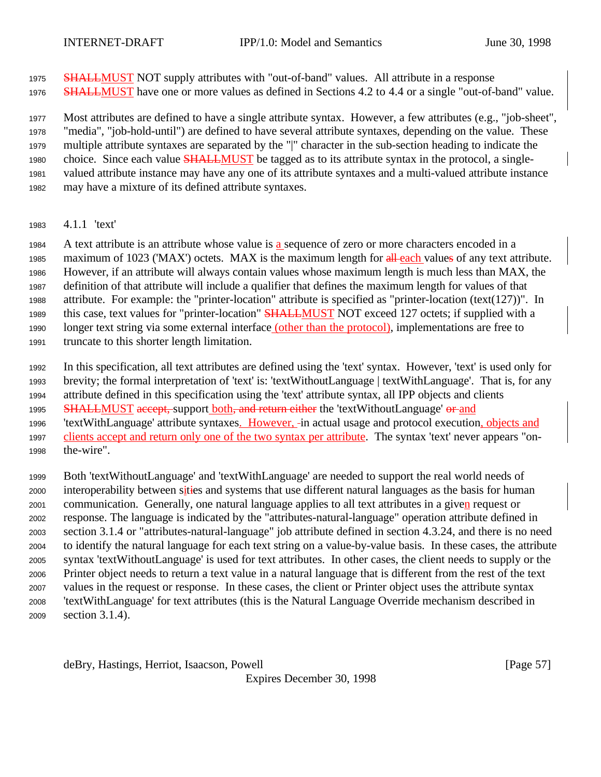1975 SHALLMUST NOT supply attributes with "out-of-band" values. All attribute in a response 1976 SHALLMUST have one or more values as defined in Sections 4.2 to 4.4 or a single "out-of-band" value.

 Most attributes are defined to have a single attribute syntax. However, a few attributes (e.g., "job-sheet", "media", "job-hold-until") are defined to have several attribute syntaxes, depending on the value. These multiple attribute syntaxes are separated by the "|" character in the sub-section heading to indicate the 1980 choice. Since each value **SHALLMUST** be tagged as to its attribute syntax in the protocol, a single-valued attribute instance may have any one of its attribute syntaxes and a multi-valued attribute instance

- may have a mixture of its defined attribute syntaxes.
- 4.1.1 'text'

 A text attribute is an attribute whose value is a sequence of zero or more characters encoded in a 1985 maximum of 1023 ('MAX') octets. MAX is the maximum length for  $\frac{all}{in}$  values of any text attribute. However, if an attribute will always contain values whose maximum length is much less than MAX, the definition of that attribute will include a qualifier that defines the maximum length for values of that attribute. For example: the "printer-location" attribute is specified as "printer-location (text(127))". In 1989 this case, text values for "printer-location" **SHALLMUST** NOT exceed 127 octets; if supplied with a 1990 longer text string via some external interface (other than the protocol), implementations are free to truncate to this shorter length limitation.

 In this specification, all text attributes are defined using the 'text' syntax. However, 'text' is used only for brevity; the formal interpretation of 'text' is: 'textWithoutLanguage | textWithLanguage'. That is, for any attribute defined in this specification using the 'text' attribute syntax, all IPP objects and clients

1995 SHALLMUST accept, support both, and return either the 'textWithoutLanguage' or and

1996 'textWithLanguage' attribute syntaxes. However, -in actual usage and protocol execution, objects and clients accept and return only one of the two syntax per attribute. The syntax 'text' never appears "on-the-wire".

 Both 'textWithoutLanguage' and 'textWithLanguage' are needed to support the real world needs of interoperability between sities and systems that use different natural languages as the basis for human communication. Generally, one natural language applies to all text attributes in a given request or response. The language is indicated by the "attributes-natural-language" operation attribute defined in section 3.1.4 or "attributes-natural-language" job attribute defined in section 4.3.24, and there is no need to identify the natural language for each text string on a value-by-value basis. In these cases, the attribute syntax 'textWithoutLanguage' is used for text attributes. In other cases, the client needs to supply or the Printer object needs to return a text value in a natural language that is different from the rest of the text values in the request or response. In these cases, the client or Printer object uses the attribute syntax 'textWithLanguage' for text attributes (this is the Natural Language Override mechanism described in section 3.1.4).

deBry, Hastings, Herriot, Isaacson, Powell [Page 57]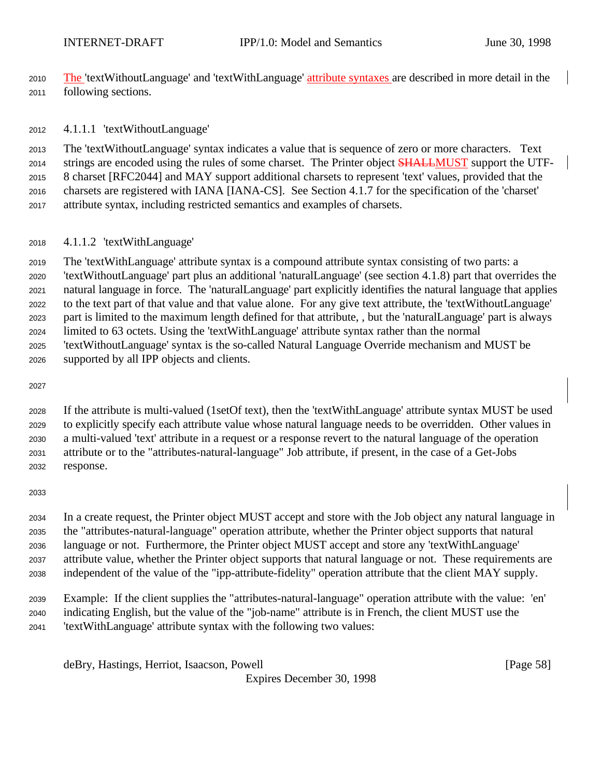The 'textWithoutLanguage' and 'textWithLanguage' attribute syntaxes are described in more detail in the following sections.

4.1.1.1 'textWithoutLanguage'

 The 'textWithoutLanguage' syntax indicates a value that is sequence of zero or more characters. Text 2014 strings are encoded using the rules of some charset. The Printer object **SHALLMUST** support the UTF- 8 charset [RFC2044] and MAY support additional charsets to represent 'text' values, provided that the charsets are registered with IANA [IANA-CS]. See Section 4.1.7 for the specification of the 'charset' attribute syntax, including restricted semantics and examples of charsets.

4.1.1.2 'textWithLanguage'

 The 'textWithLanguage' attribute syntax is a compound attribute syntax consisting of two parts: a 'textWithoutLanguage' part plus an additional 'naturalLanguage' (see section 4.1.8) part that overrides the natural language in force. The 'naturalLanguage' part explicitly identifies the natural language that applies to the text part of that value and that value alone. For any give text attribute, the 'textWithoutLanguage' part is limited to the maximum length defined for that attribute, , but the 'naturalLanguage' part is always limited to 63 octets. Using the 'textWithLanguage' attribute syntax rather than the normal 'textWithoutLanguage' syntax is the so-called Natural Language Override mechanism and MUST be supported by all IPP objects and clients.

 If the attribute is multi-valued (1setOf text), then the 'textWithLanguage' attribute syntax MUST be used to explicitly specify each attribute value whose natural language needs to be overridden. Other values in a multi-valued 'text' attribute in a request or a response revert to the natural language of the operation attribute or to the "attributes-natural-language" Job attribute, if present, in the case of a Get-Jobs response.

 In a create request, the Printer object MUST accept and store with the Job object any natural language in the "attributes-natural-language" operation attribute, whether the Printer object supports that natural language or not. Furthermore, the Printer object MUST accept and store any 'textWithLanguage' attribute value, whether the Printer object supports that natural language or not. These requirements are independent of the value of the "ipp-attribute-fidelity" operation attribute that the client MAY supply.

 Example: If the client supplies the "attributes-natural-language" operation attribute with the value: 'en' indicating English, but the value of the "job-name" attribute is in French, the client MUST use the 'textWithLanguage' attribute syntax with the following two values:

deBry, Hastings, Herriot, Isaacson, Powell [Page 58]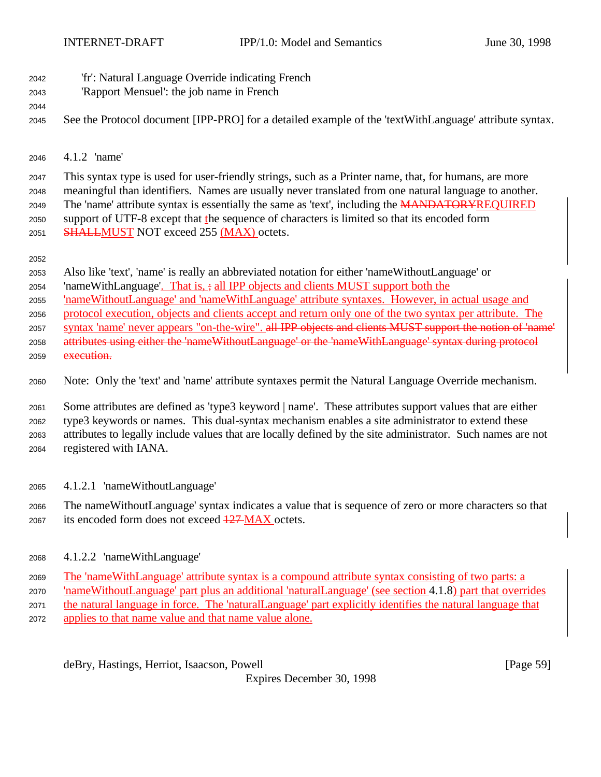- 'fr': Natural Language Override indicating French
- 'Rapport Mensuel': the job name in French
- See the Protocol document [IPP-PRO] for a detailed example of the 'textWithLanguage' attribute syntax.
- 4.1.2 'name'

 This syntax type is used for user-friendly strings, such as a Printer name, that, for humans, are more meaningful than identifiers. Names are usually never translated from one natural language to another. 2049 The 'name' attribute syntax is essentially the same as 'text', including the MANDATORYREQUIRED support of UTF-8 except that the sequence of characters is limited so that its encoded form **SHALLMUST NOT exceed 255 (MAX) octets.** 

Also like 'text', 'name' is really an abbreviated notation for either 'nameWithoutLanguage' or

2054 'nameWithLanguage'. That is,  $\frac{1}{2}$  all IPP objects and clients MUST support both the

'nameWithoutLanguage' and 'nameWithLanguage' attribute syntaxes. However, in actual usage and

protocol execution, objects and clients accept and return only one of the two syntax per attribute. The

 syntax 'name' never appears "on-the-wire". all IPP objects and clients MUST support the notion of 'name' attributes using either the 'nameWithoutLanguage' or the 'nameWithLanguage' syntax during protocol

- 2059 execution.
- Note: Only the 'text' and 'name' attribute syntaxes permit the Natural Language Override mechanism.

 Some attributes are defined as 'type3 keyword | name'. These attributes support values that are either type3 keywords or names. This dual-syntax mechanism enables a site administrator to extend these attributes to legally include values that are locally defined by the site administrator. Such names are not registered with IANA.

- 4.1.2.1 'nameWithoutLanguage'
- The nameWithoutLanguage' syntax indicates a value that is sequence of zero or more characters so that its encoded form does not exceed 127 MAX octets.
- 4.1.2.2 'nameWithLanguage'
- The 'nameWithLanguage' attribute syntax is a compound attribute syntax consisting of two parts: a

'nameWithoutLanguage' part plus an additional 'naturalLanguage' (see section 4.1.8) part that overrides

- the natural language in force. The 'naturalLanguage' part explicitly identifies the natural language that
- applies to that name value and that name value alone.

deBry, Hastings, Herriot, Isaacson, Powell [Page 59]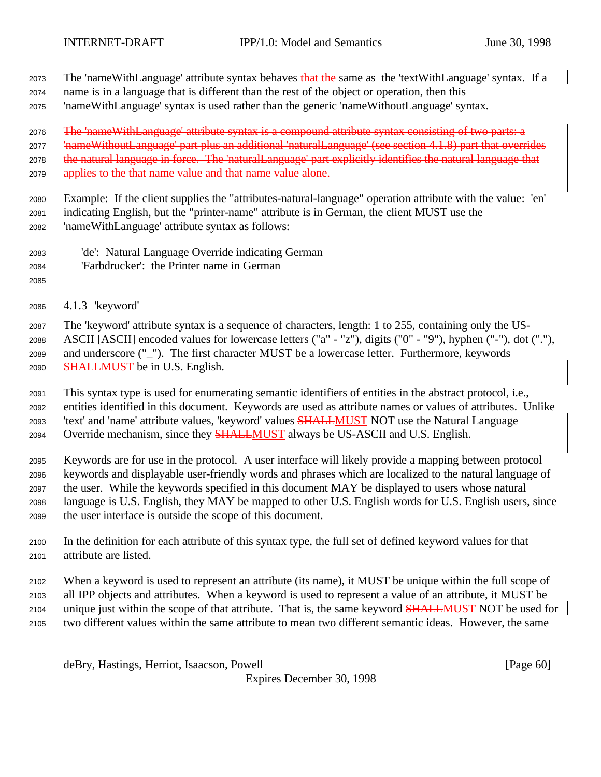2073 The 'nameWithLanguage' attribute syntax behaves that the same as the 'textWithLanguage' syntax. If a

name is in a language that is different than the rest of the object or operation, then this

'nameWithLanguage' syntax is used rather than the generic 'nameWithoutLanguage' syntax.

The 'nameWithLanguage' attribute syntax is a compound attribute syntax consisting of two parts: a

2077 <sup>'</sup>nameWithoutLanguage' part plus an additional 'naturalLanguage' (see section 4.1.8) part that overrides 2078 the natural language in force. The 'naturalLanguage' part explicitly identifies the natural language that

2079 applies to the that name value and that name value alone.

 Example: If the client supplies the "attributes-natural-language" operation attribute with the value: 'en' indicating English, but the "printer-name" attribute is in German, the client MUST use the 'nameWithLanguage' attribute syntax as follows:

- 'de': Natural Language Override indicating German
- 'Farbdrucker': the Printer name in German
- 
- 4.1.3 'keyword'

 The 'keyword' attribute syntax is a sequence of characters, length: 1 to 255, containing only the US- ASCII [ASCII] encoded values for lowercase letters ("a" - "z"), digits ("0" - "9"), hyphen ("-"), dot ("."), and underscore ("\_"). The first character MUST be a lowercase letter. Furthermore, keywords 2090 SHALLMUST be in U.S. English.

 This syntax type is used for enumerating semantic identifiers of entities in the abstract protocol, i.e., entities identified in this document. Keywords are used as attribute names or values of attributes. Unlike 2093 'text' and 'name' attribute values, 'keyword' values **SHALLMUST** NOT use the Natural Language 2094 Override mechanism, since they **SHALLMUST** always be US-ASCII and U.S. English.

 Keywords are for use in the protocol. A user interface will likely provide a mapping between protocol keywords and displayable user-friendly words and phrases which are localized to the natural language of the user. While the keywords specified in this document MAY be displayed to users whose natural language is U.S. English, they MAY be mapped to other U.S. English words for U.S. English users, since the user interface is outside the scope of this document.

 In the definition for each attribute of this syntax type, the full set of defined keyword values for that attribute are listed.

 When a keyword is used to represent an attribute (its name), it MUST be unique within the full scope of all IPP objects and attributes. When a keyword is used to represent a value of an attribute, it MUST be 2104 unique just within the scope of that attribute. That is, the same keyword  $SHALLMUST NOT$  be used for

two different values within the same attribute to mean two different semantic ideas. However, the same

deBry, Hastings, Herriot, Isaacson, Powell [Page 60]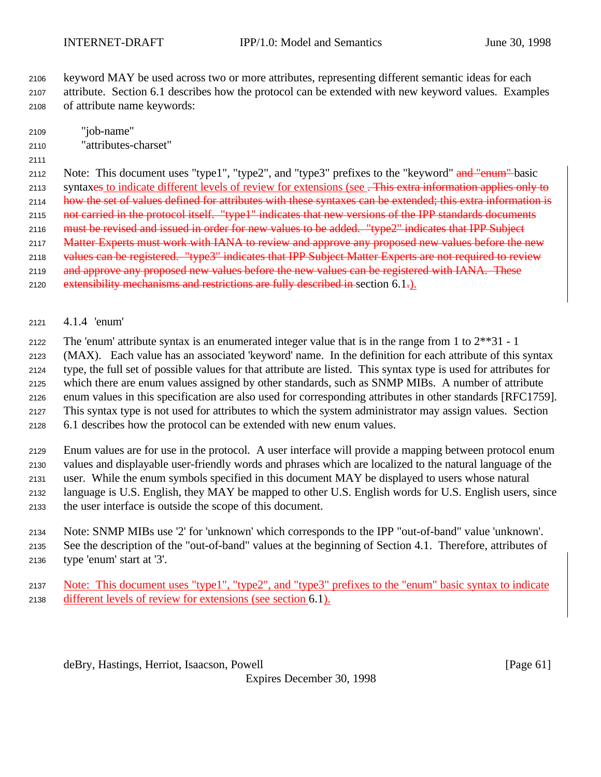keyword MAY be used across two or more attributes, representing different semantic ideas for each attribute. Section 6.1 describes how the protocol can be extended with new keyword values. Examples of attribute name keywords:

 "job-name" "attributes-charset"

2112 Note: This document uses "type1", "type2", and "type3" prefixes to the "keyword" and "enum" basic 2113 syntaxes to indicate different levels of review for extensions (see . This extra information applies only to 2114 how the set of values defined for attributes with these syntaxes can be extended; this extra information is 2115 not carried in the protocol itself. "type1" indicates that new versions of the IPP standards documents 2116 must be revised and issued in order for new values to be added. "type2" indicates that IPP Subject 2117 Matter Experts must work with IANA to review and approve any proposed new values before the new 2118 values can be registered. "type3" indicates that IPP Subject Matter Experts are not required to review 2119 and approve any proposed new values before the new values can be registered with IANA. These 2120 extensibility mechanisms and restrictions are fully described in-section  $6.1$ .

## 4.1.4 'enum'

2122 The 'enum' attribute syntax is an enumerated integer value that is in the range from 1 to  $2^{**}31 - 1$ 

(MAX). Each value has an associated 'keyword' name. In the definition for each attribute of this syntax

type, the full set of possible values for that attribute are listed. This syntax type is used for attributes for

which there are enum values assigned by other standards, such as SNMP MIBs. A number of attribute

enum values in this specification are also used for corresponding attributes in other standards [RFC1759].

This syntax type is not used for attributes to which the system administrator may assign values. Section

6.1 describes how the protocol can be extended with new enum values.

 Enum values are for use in the protocol. A user interface will provide a mapping between protocol enum values and displayable user-friendly words and phrases which are localized to the natural language of the user. While the enum symbols specified in this document MAY be displayed to users whose natural language is U.S. English, they MAY be mapped to other U.S. English words for U.S. English users, since the user interface is outside the scope of this document.

Note: SNMP MIBs use '2' for 'unknown' which corresponds to the IPP "out-of-band" value 'unknown'.

See the description of the "out-of-band" values at the beginning of Section 4.1. Therefore, attributes of

type 'enum' start at '3'.

 Note: This document uses "type1", "type2", and "type3" prefixes to the "enum" basic syntax to indicate different levels of review for extensions (see section 6.1).

deBry, Hastings, Herriot, Isaacson, Powell [Page 61]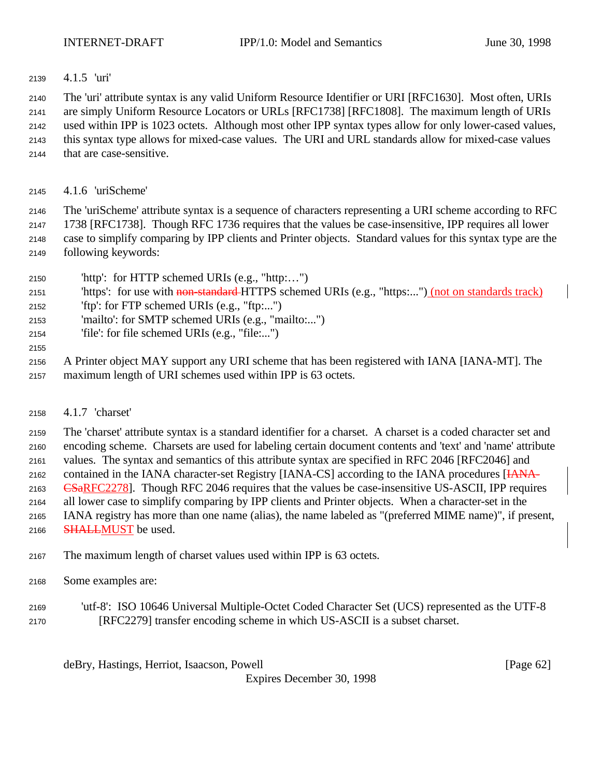4.1.5 'uri'

 The 'uri' attribute syntax is any valid Uniform Resource Identifier or URI [RFC1630]. Most often, URIs are simply Uniform Resource Locators or URLs [RFC1738] [RFC1808]. The maximum length of URIs used within IPP is 1023 octets. Although most other IPP syntax types allow for only lower-cased values, this syntax type allows for mixed-case values. The URI and URL standards allow for mixed-case values that are case-sensitive.

4.1.6 'uriScheme'

 The 'uriScheme' attribute syntax is a sequence of characters representing a URI scheme according to RFC 1738 [RFC1738]. Though RFC 1736 requires that the values be case-insensitive, IPP requires all lower case to simplify comparing by IPP clients and Printer objects. Standard values for this syntax type are the following keywords:

- 'http': for HTTP schemed URIs (e.g., "http:…")
- 2151 'https': for use with non-standard-HTTPS schemed URIs (e.g., "https:...") (not on standards track)
- 'ftp': for FTP schemed URIs (e.g., "ftp:...")
- 'mailto': for SMTP schemed URIs (e.g., "mailto:...")
- 'file': for file schemed URIs (e.g., "file:...")
- 
- A Printer object MAY support any URI scheme that has been registered with IANA [IANA-MT]. The maximum length of URI schemes used within IPP is 63 octets.
- 4.1.7 'charset'

 The 'charset' attribute syntax is a standard identifier for a charset. A charset is a coded character set and encoding scheme. Charsets are used for labeling certain document contents and 'text' and 'name' attribute

values. The syntax and semantics of this attribute syntax are specified in RFC 2046 [RFC2046] and

2162 contained in the IANA character-set Registry [IANA-CS] according to the IANA procedures [IANA-

CSaRFC2278]. Though RFC 2046 requires that the values be case-insensitive US-ASCII, IPP requires

- all lower case to simplify comparing by IPP clients and Printer objects. When a character-set in the
- IANA registry has more than one name (alias), the name labeled as "(preferred MIME name)", if present,
- **SHALLMUST** be used.
- The maximum length of charset values used within IPP is 63 octets.
- Some examples are:
- 'utf-8': ISO 10646 Universal Multiple-Octet Coded Character Set (UCS) represented as the UTF-8 [RFC2279] transfer encoding scheme in which US-ASCII is a subset charset.

deBry, Hastings, Herriot, Isaacson, Powell [Page 62]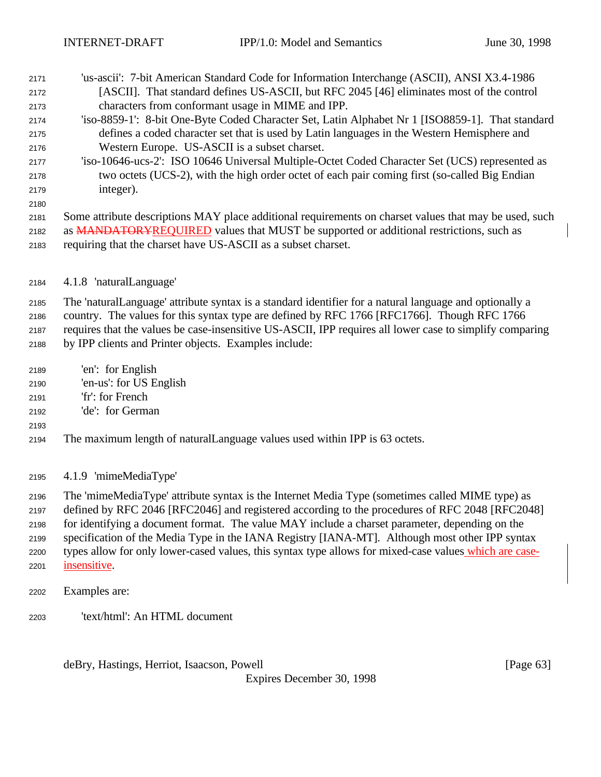| 2171 | 'us-ascii': 7-bit American Standard Code for Information Interchange (ASCII), ANSI X3.4-1986     |
|------|--------------------------------------------------------------------------------------------------|
| 2172 | [ASCII]. That standard defines US-ASCII, but RFC 2045 [46] eliminates most of the control        |
| 2173 | characters from conformant usage in MIME and IPP.                                                |
| 2174 | 'iso-8859-1': 8-bit One-Byte Coded Character Set, Latin Alphabet Nr 1 [ISO8859-1]. That standard |
| 2175 | defines a coded character set that is used by Latin languages in the Western Hemisphere and      |
| 2176 | Western Europe. US-ASCII is a subset charset.                                                    |
| 2177 | 'iso-10646-ucs-2': ISO 10646 Universal Multiple-Octet Coded Character Set (UCS) represented as   |
| 2178 | two octets (UCS-2), with the high order octet of each pair coming first (so-called Big Endian    |
| 2179 | integer).                                                                                        |
| 2180 |                                                                                                  |

 Some attribute descriptions MAY place additional requirements on charset values that may be used, such 2182 as MANDATORYREQUIRED values that MUST be supported or additional restrictions, such as requiring that the charset have US-ASCII as a subset charset.

4.1.8 'naturalLanguage'

The 'naturalLanguage' attribute syntax is a standard identifier for a natural language and optionally a

country. The values for this syntax type are defined by RFC 1766 [RFC1766]. Though RFC 1766

requires that the values be case-insensitive US-ASCII, IPP requires all lower case to simplify comparing

by IPP clients and Printer objects. Examples include:

- 'en': for English
- 'en-us': for US English
- 'fr': for French
- 'de': for German

## 

- The maximum length of naturalLanguage values used within IPP is 63 octets.
- 4.1.9 'mimeMediaType'

 The 'mimeMediaType' attribute syntax is the Internet Media Type (sometimes called MIME type) as defined by RFC 2046 [RFC2046] and registered according to the procedures of RFC 2048 [RFC2048] for identifying a document format. The value MAY include a charset parameter, depending on the specification of the Media Type in the IANA Registry [IANA-MT]. Although most other IPP syntax

- types allow for only lower-cased values, this syntax type allows for mixed-case values which are case-insensitive.
- Examples are:
- 'text/html': An HTML document

deBry, Hastings, Herriot, Isaacson, Powell [Page 63]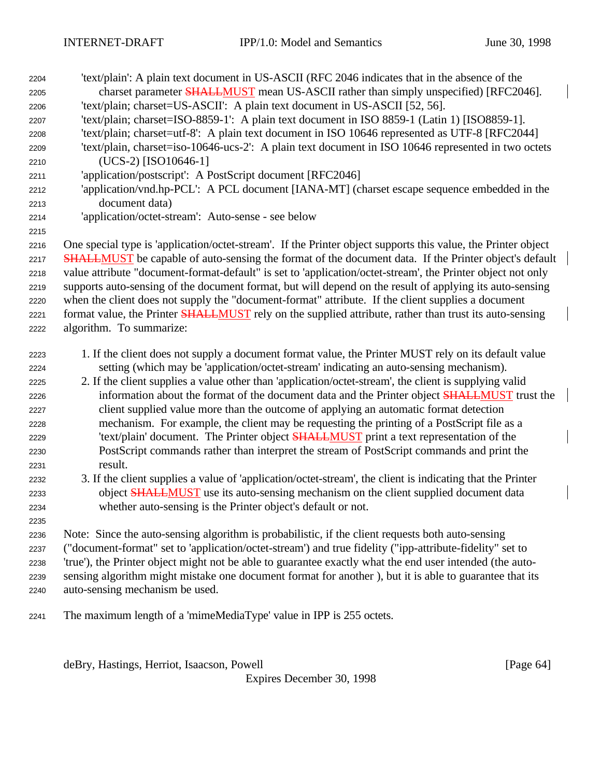| 2204         | 'text/plain': A plain text document in US-ASCII (RFC 2046 indicates that in the absence of the                                                                                                    |
|--------------|---------------------------------------------------------------------------------------------------------------------------------------------------------------------------------------------------|
| 2205         | charset parameter <b>SHALLMUST</b> mean US-ASCII rather than simply unspecified) [RFC2046].                                                                                                       |
| 2206         | 'text/plain; charset=US-ASCII': A plain text document in US-ASCII [52, 56].                                                                                                                       |
| 2207         | 'text/plain; charset=ISO-8859-1': A plain text document in ISO 8859-1 (Latin 1) [ISO8859-1].                                                                                                      |
| 2208         | 'text/plain; charset=utf-8': A plain text document in ISO 10646 represented as UTF-8 [RFC2044]                                                                                                    |
| 2209         | 'text/plain, charset=iso-10646-ucs-2': A plain text document in ISO 10646 represented in two octets                                                                                               |
| 2210         | (UCS-2) [ISO10646-1]                                                                                                                                                                              |
| 2211         | 'application/postscript': A PostScript document [RFC2046]                                                                                                                                         |
| 2212         | 'application/vnd.hp-PCL': A PCL document [IANA-MT] (charset escape sequence embedded in the                                                                                                       |
| 2213         | document data)                                                                                                                                                                                    |
| 2214         | 'application/octet-stream': Auto-sense - see below                                                                                                                                                |
| 2215         |                                                                                                                                                                                                   |
| 2216         | One special type is 'application/octet-stream'. If the Printer object supports this value, the Printer object                                                                                     |
| 2217         | <b>SHALLMUST</b> be capable of auto-sensing the format of the document data. If the Printer object's default                                                                                      |
| 2218         | value attribute "document-format-default" is set to 'application/octet-stream', the Printer object not only                                                                                       |
| 2219         | supports auto-sensing of the document format, but will depend on the result of applying its auto-sensing                                                                                          |
| 2220         | when the client does not supply the "document-format" attribute. If the client supplies a document                                                                                                |
| 2221         | format value, the Printer <b>SHALLMUST</b> rely on the supplied attribute, rather than trust its auto-sensing                                                                                     |
| 2222         | algorithm. To summarize:                                                                                                                                                                          |
|              |                                                                                                                                                                                                   |
| 2223         | 1. If the client does not supply a document format value, the Printer MUST rely on its default value                                                                                              |
| 2224         | setting (which may be 'application/octet-stream' indicating an auto-sensing mechanism).<br>2. If the client supplies a value other than 'application/octet-stream', the client is supplying valid |
| 2225         | information about the format of the document data and the Printer object <b>SHALLMUST</b> trust the                                                                                               |
| 2226         | client supplied value more than the outcome of applying an automatic format detection                                                                                                             |
| 2227<br>2228 | mechanism. For example, the client may be requesting the printing of a PostScript file as a                                                                                                       |
| 2229         | 'text/plain' document. The Printer object <b>SHALLMUST</b> print a text representation of the                                                                                                     |
| 2230         | PostScript commands rather than interpret the stream of PostScript commands and print the                                                                                                         |
| 2231         | result.                                                                                                                                                                                           |
| 2232         | 3. If the client supplies a value of 'application/octet-stream', the client is indicating that the Printer                                                                                        |
| 2233         | object <b>SHALLMUST</b> use its auto-sensing mechanism on the client supplied document data                                                                                                       |
| 2234         | whether auto-sensing is the Printer object's default or not.                                                                                                                                      |
| 2235         |                                                                                                                                                                                                   |
| 2236         | Note: Since the auto-sensing algorithm is probabilistic, if the client requests both auto-sensing                                                                                                 |
| 2237         | ("document-format" set to 'application/octet-stream') and true fidelity ("ipp-attribute-fidelity" set to                                                                                          |
| 2238         | 'true'), the Printer object might not be able to guarantee exactly what the end user intended (the auto-                                                                                          |
| 2239         | sensing algorithm might mistake one document format for another), but it is able to guarantee that its                                                                                            |
| 2240         | auto-sensing mechanism be used.                                                                                                                                                                   |
|              |                                                                                                                                                                                                   |
| 2241         | The maximum length of a 'mimeMediaType' value in IPP is 255 octets.                                                                                                                               |
|              |                                                                                                                                                                                                   |
|              |                                                                                                                                                                                                   |

deBry, Hastings, Herriot, Isaacson, Powell [Page 64]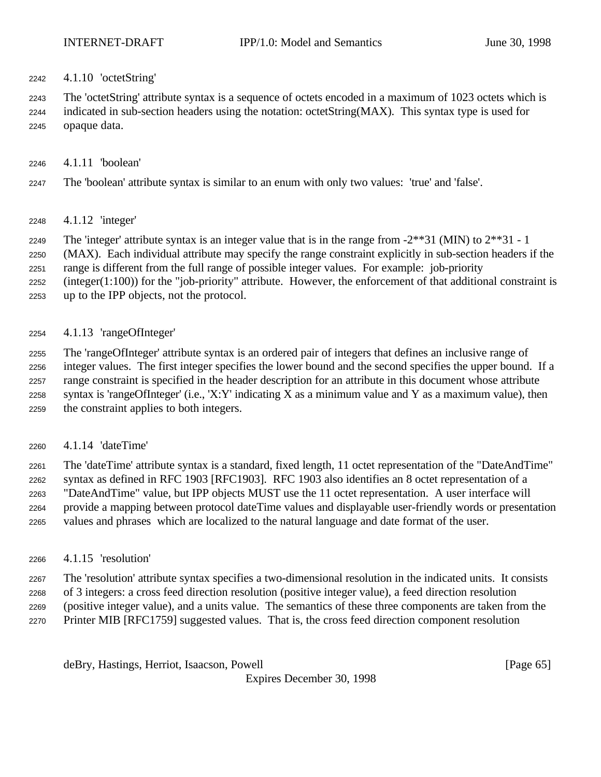4.1.10 'octetString'

 The 'octetString' attribute syntax is a sequence of octets encoded in a maximum of 1023 octets which is indicated in sub-section headers using the notation: octetString(MAX). This syntax type is used for opaque data.

4.1.11 'boolean'

The 'boolean' attribute syntax is similar to an enum with only two values: 'true' and 'false'.

- 4.1.12 'integer'
- 2249 The 'integer' attribute syntax is an integer value that is in the range from  $-2^{**}31$  (MIN) to  $2^{**}31 1$

(MAX). Each individual attribute may specify the range constraint explicitly in sub-section headers if the

range is different from the full range of possible integer values. For example: job-priority

(integer(1:100)) for the "job-priority" attribute. However, the enforcement of that additional constraint is

- up to the IPP objects, not the protocol.
- 4.1.13 'rangeOfInteger'

 The 'rangeOfInteger' attribute syntax is an ordered pair of integers that defines an inclusive range of integer values. The first integer specifies the lower bound and the second specifies the upper bound. If a range constraint is specified in the header description for an attribute in this document whose attribute 2258 syntax is 'rangeOfInteger' (i.e., 'X:Y' indicating X as a minimum value and Y as a maximum value), then the constraint applies to both integers.

4.1.14 'dateTime'

 The 'dateTime' attribute syntax is a standard, fixed length, 11 octet representation of the "DateAndTime" syntax as defined in RFC 1903 [RFC1903]. RFC 1903 also identifies an 8 octet representation of a "DateAndTime" value, but IPP objects MUST use the 11 octet representation. A user interface will provide a mapping between protocol dateTime values and displayable user-friendly words or presentation values and phrases which are localized to the natural language and date format of the user.

4.1.15 'resolution'

 The 'resolution' attribute syntax specifies a two-dimensional resolution in the indicated units. It consists of 3 integers: a cross feed direction resolution (positive integer value), a feed direction resolution (positive integer value), and a units value. The semantics of these three components are taken from the

Printer MIB [RFC1759] suggested values. That is, the cross feed direction component resolution

deBry, Hastings, Herriot, Isaacson, Powell [Page 65]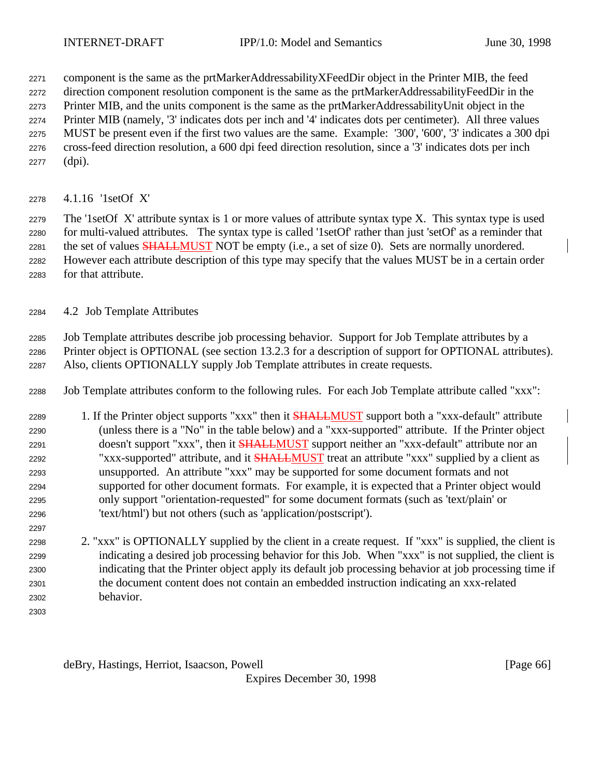component is the same as the prtMarkerAddressabilityXFeedDir object in the Printer MIB, the feed

direction component resolution component is the same as the prtMarkerAddressabilityFeedDir in the

Printer MIB, and the units component is the same as the prtMarkerAddressabilityUnit object in the

 Printer MIB (namely, '3' indicates dots per inch and '4' indicates dots per centimeter). All three values MUST be present even if the first two values are the same. Example: '300', '600', '3' indicates a 300 dpi cross-feed direction resolution, a 600 dpi feed direction resolution, since a '3' indicates dots per inch

(dpi).

4.1.16 '1setOf X'

 The '1setOf X' attribute syntax is 1 or more values of attribute syntax type X. This syntax type is used for multi-valued attributes. The syntax type is called '1setOf' rather than just 'setOf' as a reminder that 2281 the set of values **SHALLMUST** NOT be empty (i.e., a set of size 0). Sets are normally unordered. However each attribute description of this type may specify that the values MUST be in a certain order for that attribute.

4.2 Job Template Attributes

 Job Template attributes describe job processing behavior. Support for Job Template attributes by a Printer object is OPTIONAL (see section 13.2.3 for a description of support for OPTIONAL attributes). Also, clients OPTIONALLY supply Job Template attributes in create requests.

Job Template attributes conform to the following rules. For each Job Template attribute called "xxx":

2289 1. If the Printer object supports "xxx" then it **SHALLMUST** support both a "xxx-default" attribute (unless there is a "No" in the table below) and a "xxx-supported" attribute. If the Printer object 2291 doesn't support "xxx", then it **SHALLMUST** support neither an "xxx-default" attribute nor an 2292 "xxx-supported" attribute, and it **SHALLMUST** treat an attribute "xxx" supplied by a client as unsupported. An attribute "xxx" may be supported for some document formats and not supported for other document formats. For example, it is expected that a Printer object would only support "orientation-requested" for some document formats (such as 'text/plain' or 'text/html') but not others (such as 'application/postscript').

 2. "xxx" is OPTIONALLY supplied by the client in a create request. If "xxx" is supplied, the client is indicating a desired job processing behavior for this Job. When "xxx" is not supplied, the client is indicating that the Printer object apply its default job processing behavior at job processing time if the document content does not contain an embedded instruction indicating an xxx-related behavior.

deBry, Hastings, Herriot, Isaacson, Powell **compared and Contract and Contract Contract (Page 66**)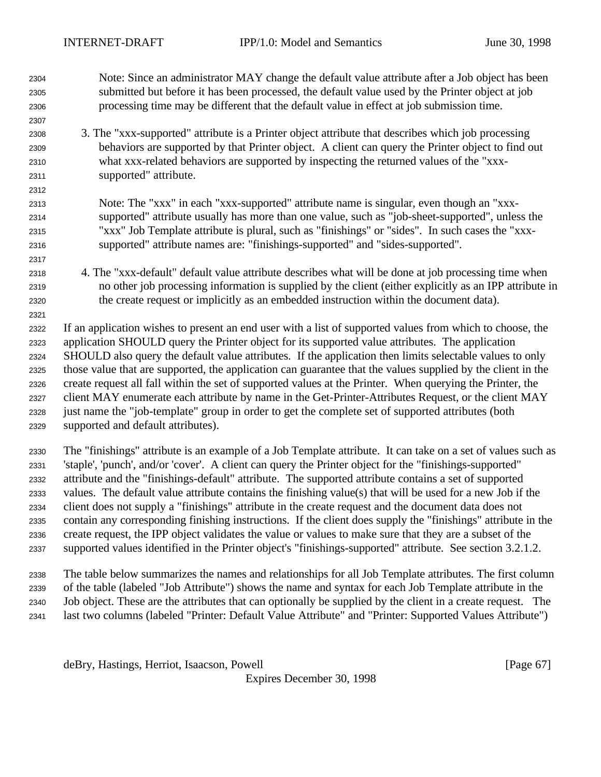Note: Since an administrator MAY change the default value attribute after a Job object has been submitted but before it has been processed, the default value used by the Printer object at job processing time may be different that the default value in effect at job submission time.

- 3. The "xxx-supported" attribute is a Printer object attribute that describes which job processing behaviors are supported by that Printer object. A client can query the Printer object to find out what xxx-related behaviors are supported by inspecting the returned values of the "xxx-supported" attribute.
- Note: The "xxx" in each "xxx-supported" attribute name is singular, even though an "xxx- supported" attribute usually has more than one value, such as "job-sheet-supported", unless the "xxx" Job Template attribute is plural, such as "finishings" or "sides". In such cases the "xxx-supported" attribute names are: "finishings-supported" and "sides-supported".
- 4. The "xxx-default" default value attribute describes what will be done at job processing time when no other job processing information is supplied by the client (either explicitly as an IPP attribute in the create request or implicitly as an embedded instruction within the document data).

 If an application wishes to present an end user with a list of supported values from which to choose, the application SHOULD query the Printer object for its supported value attributes. The application SHOULD also query the default value attributes. If the application then limits selectable values to only those value that are supported, the application can guarantee that the values supplied by the client in the create request all fall within the set of supported values at the Printer. When querying the Printer, the client MAY enumerate each attribute by name in the Get-Printer-Attributes Request, or the client MAY just name the "job-template" group in order to get the complete set of supported attributes (both supported and default attributes).

 The "finishings" attribute is an example of a Job Template attribute. It can take on a set of values such as 'staple', 'punch', and/or 'cover'. A client can query the Printer object for the "finishings-supported" attribute and the "finishings-default" attribute. The supported attribute contains a set of supported values. The default value attribute contains the finishing value(s) that will be used for a new Job if the client does not supply a "finishings" attribute in the create request and the document data does not contain any corresponding finishing instructions. If the client does supply the "finishings" attribute in the create request, the IPP object validates the value or values to make sure that they are a subset of the supported values identified in the Printer object's "finishings-supported" attribute. See section 3.2.1.2.

 The table below summarizes the names and relationships for all Job Template attributes. The first column of the table (labeled "Job Attribute") shows the name and syntax for each Job Template attribute in the Job object. These are the attributes that can optionally be supplied by the client in a create request. The last two columns (labeled "Printer: Default Value Attribute" and "Printer: Supported Values Attribute")

deBry, Hastings, Herriot, Isaacson, Powell [Page 67]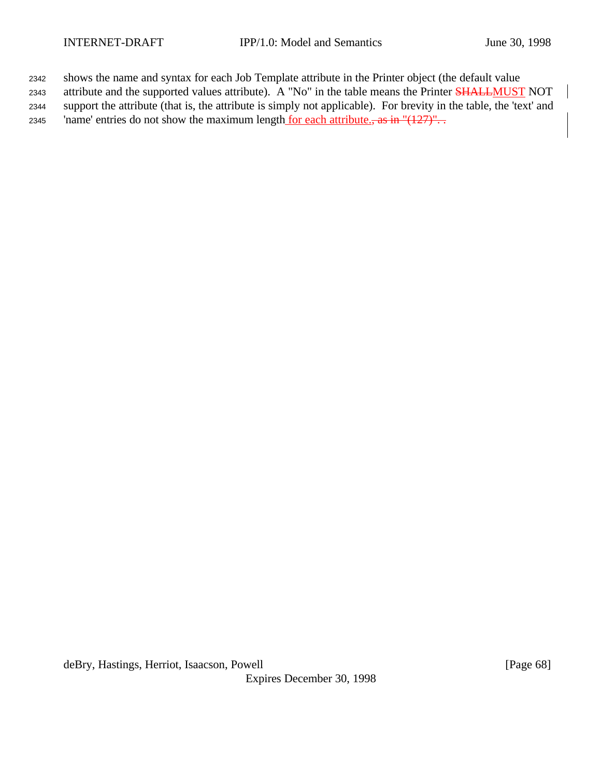<sup>2342</sup> shows the name and syntax for each Job Template attribute in the Printer object (the default value

2343 attribute and the supported values attribute). A "No" in the table means the Printer **SHALLMUST** NOT <sup>2344</sup> support the attribute (that is, the attribute is simply not applicable). For brevity in the table, the 'text' and

2345 'name' entries do not show the maximum length for each attribute., as in " $(127)$ "...

deBry, Hastings, Herriot, Isaacson, Powell [Page 68] Expires December 30, 1998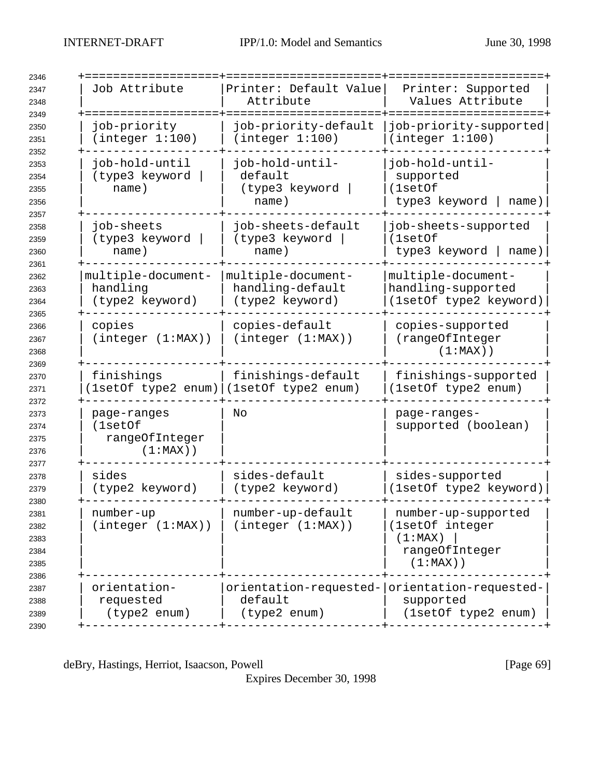| 2346                                         |                                                         |                                                                          |                                                                                    |  |
|----------------------------------------------|---------------------------------------------------------|--------------------------------------------------------------------------|------------------------------------------------------------------------------------|--|
| 2347<br>2348<br>2349                         | Job Attribute                                           | Printer: Default Value<br>Attribute                                      | Printer: Supported<br>Values Attribute                                             |  |
| 2350<br>2351                                 | job-priority<br>(integer 1:100)                         | job-priority-default<br>(integer 1:100)                                  | job-priority-supported<br>(integer 1:100)                                          |  |
| 2352<br>2353<br>2354<br>2355<br>2356         | job-hold-until<br>(type3 keyword<br>name)               | job-hold-until-<br>default<br>(type3 keyword<br>name)                    | job-hold-until-<br>supported<br>(1setOf<br>type3 keyword<br>name)                  |  |
| 2357<br>2358<br>2359<br>2360<br>2361         | job-sheets<br>(type3 keyword<br>name)                   | job-sheets-default<br>(type3 keyword<br>name)                            | job-sheets-supported<br>(1setOf<br>type3 keyword<br>name)                          |  |
| 2362<br>2363<br>2364<br>2365                 | multiple-document-<br>handling<br>(type2 keyword)       | multiple-document-<br>handling-default<br>(type2 keyword)                | multiple-document-<br>handling-supported<br>(1setOf type2 keyword)                 |  |
| 2366<br>2367<br>2368                         | copies<br>(integer (1:MAX))                             | copies-default<br>(integer (1:MAX))                                      | copies-supported<br>(rangeOfInteger<br>$(1:MAX)$ )                                 |  |
| 2369<br>2370<br>2371                         | finishings                                              | finishings-default<br>(1setOf type2 enum) (1setOf type2 enum)            | finishings-supported<br>(1setOf type2 enum)                                        |  |
| 2372<br>2373<br>2374<br>2375<br>2376         | page-ranges<br>(1setOf<br>rangeOfInteger<br>$(1:MAX)$ ) | No                                                                       | page-ranges-<br>supported (boolean)                                                |  |
| 2377<br>2378<br>2379                         | sides<br>(type2 keyword)                                | sides-default<br>(type2 keyword)                                         | sides-supported<br>(1setOf type2 keyword)                                          |  |
| 2380<br>2381<br>2382<br>2383<br>2384<br>2385 | number-up<br>(integer (1:MAX))                          | number-up-default<br>(integer (1:MAX))                                   | number-up-supported<br>(1setOf integer<br>(1:MAX)<br>rangeOfInteger<br>$(1:MAX)$ ) |  |
| 2386<br>2387<br>2388<br>2389<br>2390         | orientation-<br>requested<br>(type2 enum)               | orientation-requested- orientation-requested-<br>default<br>(type2 enum) | supported<br>(1setOf type2 enum)                                                   |  |

deBry, Hastings, Herriot, Isaacson, Powell [Page 69]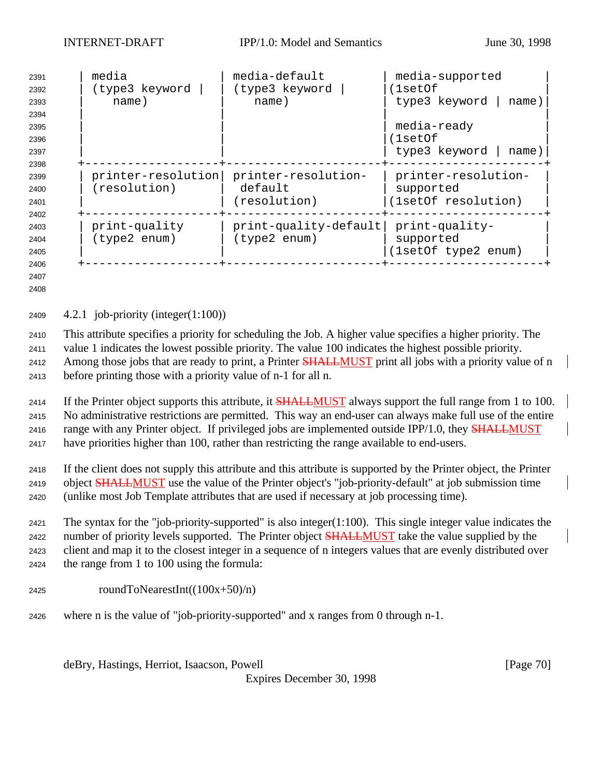| 2391<br>2392<br>2393                 | media<br>(type3 keyword<br>name)   | media-default<br>(type3 keyword<br>name)       | media-supported<br>1setOf)<br>type3 keyword<br>name)    |
|--------------------------------------|------------------------------------|------------------------------------------------|---------------------------------------------------------|
| 2394<br>2395                         |                                    |                                                | media-ready                                             |
| 2396<br>2397                         |                                    |                                                | (lsetOf<br>type3 keyword<br>name)                       |
| 2398<br>2399<br>2400<br>2401         | printer-resolution<br>(resolution) | printer-resolution-<br>default<br>(resolution) | printer-resolution-<br>supported<br>(1setOf resolution) |
| 2402<br>2403<br>2404<br>2405<br>2406 | print-quality<br>(type2 enum)      | print-quality-default<br>(type2 enum)          | print-quality-<br>supported<br>(lsetOf type2 enum)      |
| 2407                                 |                                    |                                                |                                                         |

4.2.1 job-priority (integer(1:100))

This attribute specifies a priority for scheduling the Job. A higher value specifies a higher priority. The

value 1 indicates the lowest possible priority. The value 100 indicates the highest possible priority.

2412 Among those jobs that are ready to print, a Printer **SHALLMUST** print all jobs with a priority value of n

before printing those with a priority value of n-1 for all n.

2414 If the Printer object supports this attribute, it **SHALLMUST** always support the full range from 1 to 100. No administrative restrictions are permitted. This way an end-user can always make full use of the entire 2416 range with any Printer object. If privileged jobs are implemented outside IPP/1.0, they SHALLMUST have priorities higher than 100, rather than restricting the range available to end-users.

 If the client does not supply this attribute and this attribute is supported by the Printer object, the Printer 2419 object **SHALLMUST** use the value of the Printer object's "job-priority-default" at job submission time (unlike most Job Template attributes that are used if necessary at job processing time).

 The syntax for the "job-priority-supported" is also integer(1:100). This single integer value indicates the 2422 number of priority levels supported. The Printer object **SHALLMUST** take the value supplied by the client and map it to the closest integer in a sequence of n integers values that are evenly distributed over the range from 1 to 100 using the formula:

- 2425 roundToNearestInt( $(100x+50)/n$ )
- where n is the value of "job-priority-supported" and x ranges from 0 through n-1.

deBry, Hastings, Herriot, Isaacson, Powell **Example 20** and the same of the same of the same of the same of the s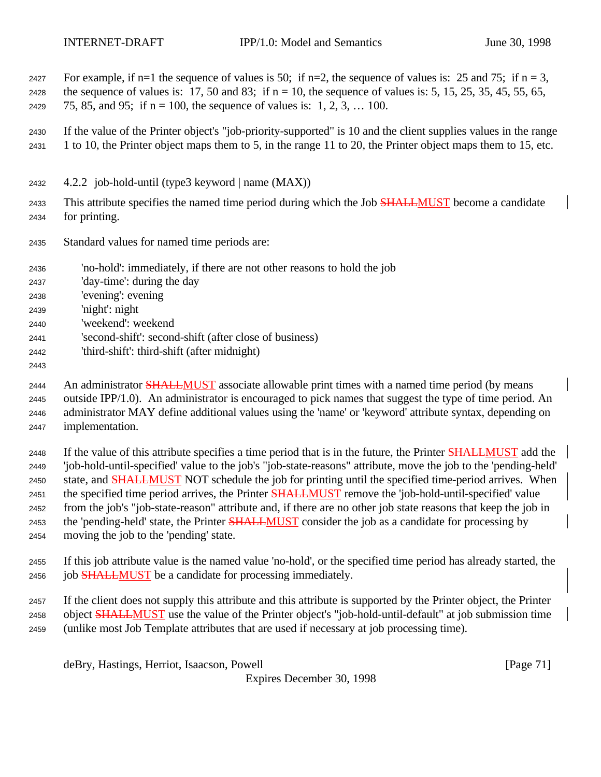- 2427 For example, if n=1 the sequence of values is 50; if n=2, the sequence of values is: 25 and 75; if n = 3, 2428 the sequence of values is: 17, 50 and 83; if  $n = 10$ , the sequence of values is: 5, 15, 25, 35, 45, 55, 65, 2429 75, 85, and 95; if  $n = 100$ , the sequence of values is: 1, 2, 3, ... 100.
- If the value of the Printer object's "job-priority-supported" is 10 and the client supplies values in the range 1 to 10, the Printer object maps them to 5, in the range 11 to 20, the Printer object maps them to 15, etc.
- 4.2.2 job-hold-until (type3 keyword | name (MAX))
- 2433 This attribute specifies the named time period during which the Job **SHALLMUST** become a candidate for printing.
- Standard values for named time periods are:
- 'no-hold': immediately, if there are not other reasons to hold the job
- 'day-time': during the day
- 'evening': evening
- 'night': night
- 'weekend': weekend
- 'second-shift': second-shift (after close of business)
- 'third-shift': third-shift (after midnight)
- 

2444 An administrator **SHALLMUST** associate allowable print times with a named time period (by means outside IPP/1.0). An administrator is encouraged to pick names that suggest the type of time period. An administrator MAY define additional values using the 'name' or 'keyword' attribute syntax, depending on implementation.

2448 If the value of this attribute specifies a time period that is in the future, the Printer **SHALLMUST** add the 'job-hold-until-specified' value to the job's "job-state-reasons" attribute, move the job to the 'pending-held' 2450 state, and **SHALLMUST** NOT schedule the job for printing until the specified time-period arrives. When 2451 the specified time period arrives, the Printer SHALLMUST remove the 'job-hold-until-specified' value from the job's "job-state-reason" attribute and, if there are no other job state reasons that keep the job in 2453 the 'pending-held' state, the Printer SHALLMUST consider the job as a candidate for processing by moving the job to the 'pending' state.

 If this job attribute value is the named value 'no-hold', or the specified time period has already started, the 2456 job **SHALLMUST** be a candidate for processing immediately.

 If the client does not supply this attribute and this attribute is supported by the Printer object, the Printer 2458 object **SHALLMUST** use the value of the Printer object's "job-hold-until-default" at job submission time (unlike most Job Template attributes that are used if necessary at job processing time).

deBry, Hastings, Herriot, Isaacson, Powell [Page 71]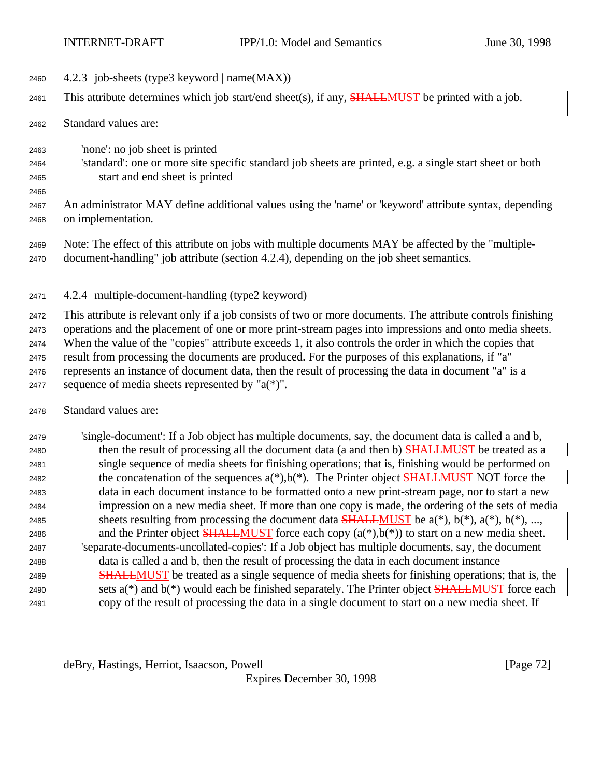- 2460  $4.2.3$  job-sheets (type3 keyword | name(MAX))
- 2461 This attribute determines which job start/end sheet(s), if any, **SHALLMUST** be printed with a job.
- Standard values are:

- 'none': no job sheet is printed
- 'standard': one or more site specific standard job sheets are printed, e.g. a single start sheet or both start and end sheet is printed
- An administrator MAY define additional values using the 'name' or 'keyword' attribute syntax, depending on implementation.
- Note: The effect of this attribute on jobs with multiple documents MAY be affected by the "multiple-document-handling" job attribute (section 4.2.4), depending on the job sheet semantics.
- 4.2.4 multiple-document-handling (type2 keyword)

 This attribute is relevant only if a job consists of two or more documents. The attribute controls finishing operations and the placement of one or more print-stream pages into impressions and onto media sheets. When the value of the "copies" attribute exceeds 1, it also controls the order in which the copies that result from processing the documents are produced. For the purposes of this explanations, if "a" represents an instance of document data, then the result of processing the data in document "a" is a 2477 sequence of media sheets represented by " $a(*)$ ".

Standard values are:

 'single-document': If a Job object has multiple documents, say, the document data is called a and b, 2480 then the result of processing all the document data (a and then b) **SHALLMUST** be treated as a single sequence of media sheets for finishing operations; that is, finishing would be performed on 2482 the concatenation of the sequences  $a(*)$ ,  $b(*)$ . The Printer object **SHALLMUST** NOT force the data in each document instance to be formatted onto a new print-stream page, nor to start a new impression on a new media sheet. If more than one copy is made, the ordering of the sets of media 2485 sheets resulting from processing the document data **SHALLMUST** be  $a(*)$ ,  $b(*)$ ,  $a(*)$ ,  $b(*)$ , ..., 2486 and the Printer object **SHALLMUST** force each copy  $(a(*),b(*))$  to start on a new media sheet. 'separate-documents-uncollated-copies': If a Job object has multiple documents, say, the document data is called a and b, then the result of processing the data in each document instance **SHALLMUST** be treated as a single sequence of media sheets for finishing operations; that is, the 2490 sets  $a(*)$  and  $b(*)$  would each be finished separately. The Printer object **SHALLMUST** force each copy of the result of processing the data in a single document to start on a new media sheet. If

deBry, Hastings, Herriot, Isaacson, Powell **Example 20** (Page 72)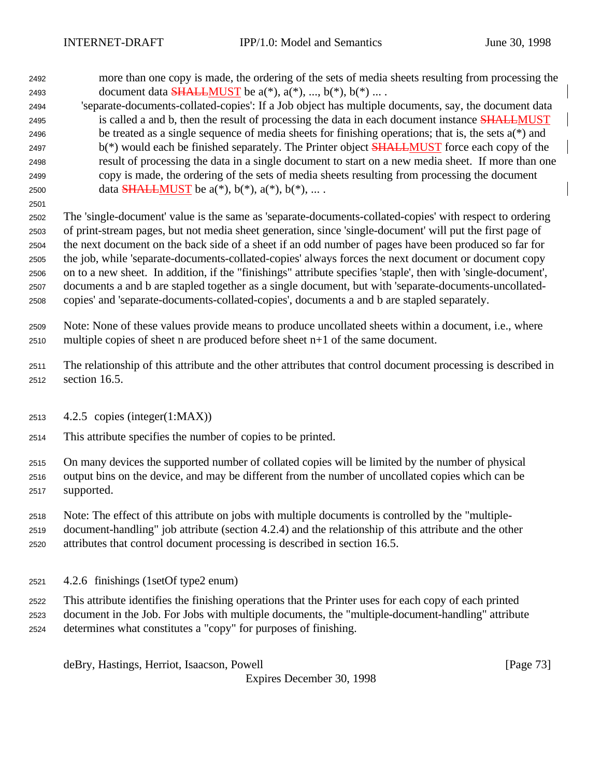more than one copy is made, the ordering of the sets of media sheets resulting from processing the 2493 document data **SHALLMUST** be  $a(*)$ ,  $a(*)$ , ...,  $b(*)$ ,  $b(*)$  ...

 'separate-documents-collated-copies': If a Job object has multiple documents, say, the document data 2495 is called a and b, then the result of processing the data in each document instance **SHALLMUST** 2496 be treated as a single sequence of media sheets for finishing operations; that is, the sets  $a(*)$  and  $b(*)$  would each be finished separately. The Printer object **SHALLMUST** force each copy of the result of processing the data in a single document to start on a new media sheet. If more than one copy is made, the ordering of the sets of media sheets resulting from processing the document 2500 data SHALLMUST be  $a(*)$ ,  $b(*)$ ,  $a(*)$ ,  $b(*)$ , ... .

 The 'single-document' value is the same as 'separate-documents-collated-copies' with respect to ordering of print-stream pages, but not media sheet generation, since 'single-document' will put the first page of the next document on the back side of a sheet if an odd number of pages have been produced so far for the job, while 'separate-documents-collated-copies' always forces the next document or document copy on to a new sheet. In addition, if the "finishings" attribute specifies 'staple', then with 'single-document', documents a and b are stapled together as a single document, but with 'separate-documents-uncollated-copies' and 'separate-documents-collated-copies', documents a and b are stapled separately.

- Note: None of these values provide means to produce uncollated sheets within a document, i.e., where multiple copies of sheet n are produced before sheet n+1 of the same document.
- The relationship of this attribute and the other attributes that control document processing is described in section 16.5.
- 4.2.5 copies (integer(1:MAX))
- This attribute specifies the number of copies to be printed.
- On many devices the supported number of collated copies will be limited by the number of physical output bins on the device, and may be different from the number of uncollated copies which can be supported.
- Note: The effect of this attribute on jobs with multiple documents is controlled by the "multiple-document-handling" job attribute (section 4.2.4) and the relationship of this attribute and the other
- attributes that control document processing is described in section 16.5.
- 4.2.6 finishings (1setOf type2 enum)
- This attribute identifies the finishing operations that the Printer uses for each copy of each printed document in the Job. For Jobs with multiple documents, the "multiple-document-handling" attribute determines what constitutes a "copy" for purposes of finishing.

deBry, Hastings, Herriot, Isaacson, Powell [Page 73]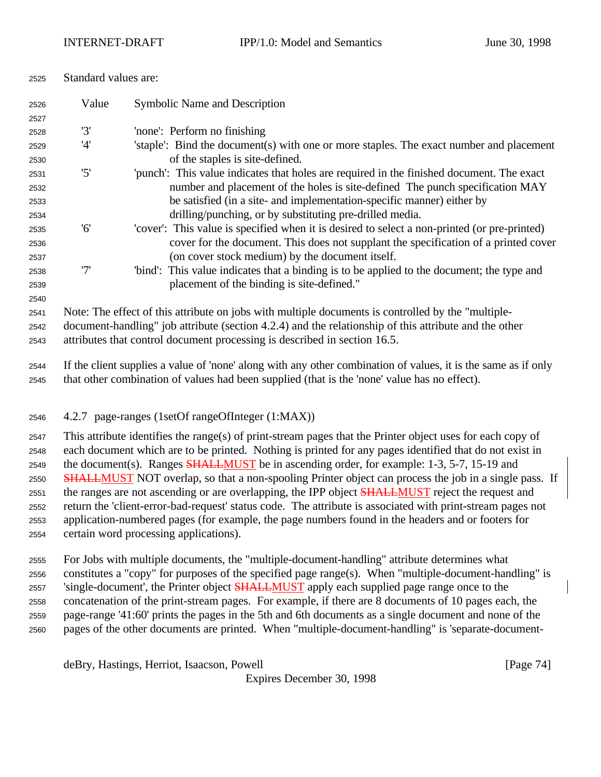| 2525 | Standard values are: |  |  |
|------|----------------------|--|--|
|------|----------------------|--|--|

| 2526 | Value | Symbolic Name and Description                                                                                  |
|------|-------|----------------------------------------------------------------------------------------------------------------|
| 2527 |       |                                                                                                                |
| 2528 | '3'   | 'none': Perform no finishing                                                                                   |
| 2529 | '4'   | staple: Bind the document(s) with one or more staples. The exact number and placement                          |
| 2530 |       | of the staples is site-defined.                                                                                |
| 2531 | '5'   | 'punch': This value indicates that holes are required in the finished document. The exact                      |
| 2532 |       | number and placement of the holes is site-defined. The punch specification MAY                                 |
| 2533 |       | be satisfied (in a site- and implementation-specific manner) either by                                         |
| 2534 |       | drilling/punching, or by substituting pre-drilled media.                                                       |
| 2535 | '6'   | 'cover': This value is specified when it is desired to select a non-printed (or pre-printed)                   |
| 2536 |       | cover for the document. This does not supplant the specification of a printed cover                            |
| 2537 |       | (on cover stock medium) by the document itself.                                                                |
| 2538 | '7'   | "bind": This value indicates that a binding is to be applied to the document; the type and                     |
| 2539 |       | placement of the binding is site-defined."                                                                     |
| 2540 |       |                                                                                                                |
| 2541 |       | Note: The effect of this attribute on jobs with multiple documents is controlled by the "multiple-             |
| 2542 |       | document-handling" job attribute (section 4.2.4) and the relationship of this attribute and the other          |
| 2543 |       | attributes that control document processing is described in section 16.5.                                      |
| 2544 |       | If the client supplies a value of 'none' along with any other combination of values, it is the same as if only |
| 2545 |       | that other combination of values had been supplied (that is the 'none' value has no effect).                   |

## 4.2.7 page-ranges (1setOf rangeOfInteger (1:MAX))

 This attribute identifies the range(s) of print-stream pages that the Printer object uses for each copy of each document which are to be printed. Nothing is printed for any pages identified that do not exist in 2549 the document(s). Ranges  $\frac{\text{SHALLMUST}}{\text{De}}$  be in ascending order, for example: 1-3, 5-7, 15-19 and 2550 SHALLMUST NOT overlap, so that a non-spooling Printer object can process the job in a single pass. If 2551 the ranges are not ascending or are overlapping, the IPP object **SHALLMUST** reject the request and return the 'client-error-bad-request' status code. The attribute is associated with print-stream pages not application-numbered pages (for example, the page numbers found in the headers and or footers for certain word processing applications).

 For Jobs with multiple documents, the "multiple-document-handling" attribute determines what constitutes a "copy" for purposes of the specified page range(s). When "multiple-document-handling" is 2557 'single-document', the Printer object **SHALLMUST** apply each supplied page range once to the concatenation of the print-stream pages. For example, if there are 8 documents of 10 pages each, the page-range '41:60' prints the pages in the 5th and 6th documents as a single document and none of the pages of the other documents are printed. When "multiple-document-handling" is 'separate-document-

deBry, Hastings, Herriot, Isaacson, Powell [Page 74]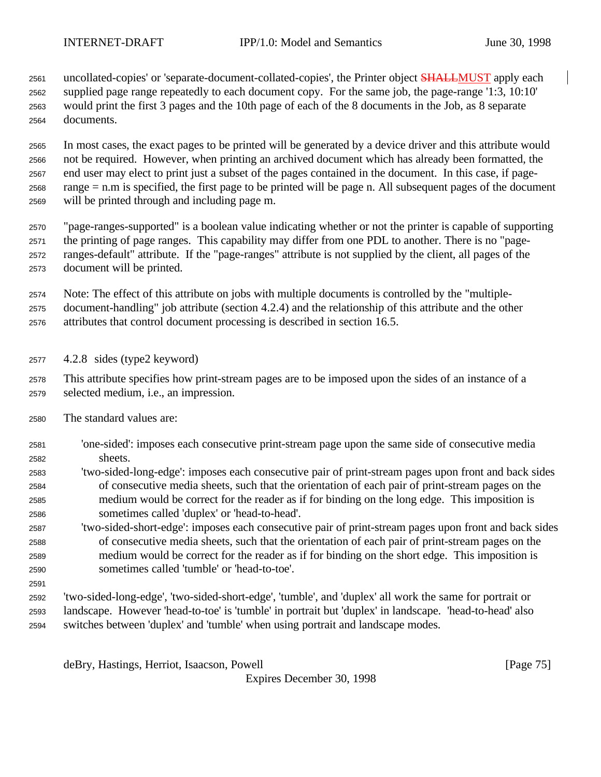2561 uncollated-copies' or 'separate-document-collated-copies', the Printer object **SHALLMUST** apply each supplied page range repeatedly to each document copy. For the same job, the page-range '1:3, 10:10' would print the first 3 pages and the 10th page of each of the 8 documents in the Job, as 8 separate documents.

 In most cases, the exact pages to be printed will be generated by a device driver and this attribute would not be required. However, when printing an archived document which has already been formatted, the end user may elect to print just a subset of the pages contained in the document. In this case, if page- range = n.m is specified, the first page to be printed will be page n. All subsequent pages of the document will be printed through and including page m.

 "page-ranges-supported" is a boolean value indicating whether or not the printer is capable of supporting the printing of page ranges. This capability may differ from one PDL to another. There is no "page- ranges-default" attribute. If the "page-ranges" attribute is not supplied by the client, all pages of the document will be printed.

 Note: The effect of this attribute on jobs with multiple documents is controlled by the "multiple- document-handling" job attribute (section 4.2.4) and the relationship of this attribute and the other attributes that control document processing is described in section 16.5.

4.2.8 sides (type2 keyword)

 This attribute specifies how print-stream pages are to be imposed upon the sides of an instance of a selected medium, i.e., an impression.

The standard values are:

- 'one-sided': imposes each consecutive print-stream page upon the same side of consecutive media sheets.
- 'two-sided-long-edge': imposes each consecutive pair of print-stream pages upon front and back sides of consecutive media sheets, such that the orientation of each pair of print-stream pages on the medium would be correct for the reader as if for binding on the long edge. This imposition is sometimes called 'duplex' or 'head-to-head'.
- 'two-sided-short-edge': imposes each consecutive pair of print-stream pages upon front and back sides of consecutive media sheets, such that the orientation of each pair of print-stream pages on the medium would be correct for the reader as if for binding on the short edge. This imposition is sometimes called 'tumble' or 'head-to-toe'.
- 'two-sided-long-edge', 'two-sided-short-edge', 'tumble', and 'duplex' all work the same for portrait or landscape. However 'head-to-toe' is 'tumble' in portrait but 'duplex' in landscape. 'head-to-head' also switches between 'duplex' and 'tumble' when using portrait and landscape modes.

deBry, Hastings, Herriot, Isaacson, Powell [Page 75]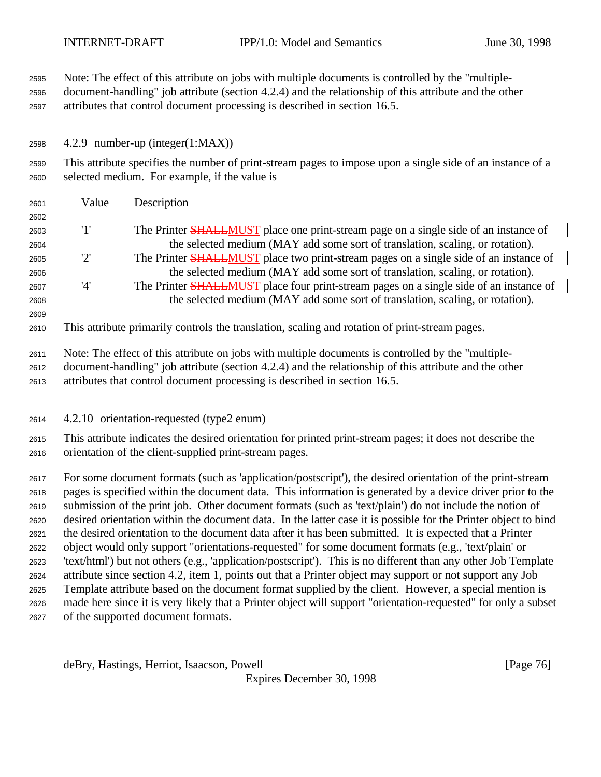Note: The effect of this attribute on jobs with multiple documents is controlled by the "multiple- document-handling" job attribute (section 4.2.4) and the relationship of this attribute and the other attributes that control document processing is described in section 16.5. 4.2.9 number-up (integer(1:MAX)) This attribute specifies the number of print-stream pages to impose upon a single side of an instance of a selected medium. For example, if the value is Value Description 2603 <sup>'1</sup>' The Printer **SHALLMUST** place one print-stream page on a single side of an instance of the selected medium (MAY add some sort of translation, scaling, or rotation). 2605 <sup>'2'</sup> The Printer SHALLMUST place two print-stream pages on a single side of an instance of the selected medium (MAY add some sort of translation, scaling, or rotation). 2607 '4' The Printer **SHALLMUST** place four print-stream pages on a single side of an instance of the selected medium (MAY add some sort of translation, scaling, or rotation). This attribute primarily controls the translation, scaling and rotation of print-stream pages. Note: The effect of this attribute on jobs with multiple documents is controlled by the "multiple- document-handling" job attribute (section 4.2.4) and the relationship of this attribute and the other attributes that control document processing is described in section 16.5. 4.2.10 orientation-requested (type2 enum) This attribute indicates the desired orientation for printed print-stream pages; it does not describe the orientation of the client-supplied print-stream pages. For some document formats (such as 'application/postscript'), the desired orientation of the print-stream pages is specified within the document data. This information is generated by a device driver prior to the submission of the print job. Other document formats (such as 'text/plain') do not include the notion of desired orientation within the document data. In the latter case it is possible for the Printer object to bind the desired orientation to the document data after it has been submitted. It is expected that a Printer object would only support "orientations-requested" for some document formats (e.g., 'text/plain' or 'text/html') but not others (e.g., 'application/postscript'). This is no different than any other Job Template attribute since section 4.2, item 1, points out that a Printer object may support or not support any Job Template attribute based on the document format supplied by the client. However, a special mention is made here since it is very likely that a Printer object will support "orientation-requested" for only a subset of the supported document formats.

deBry, Hastings, Herriot, Isaacson, Powell [Page 76]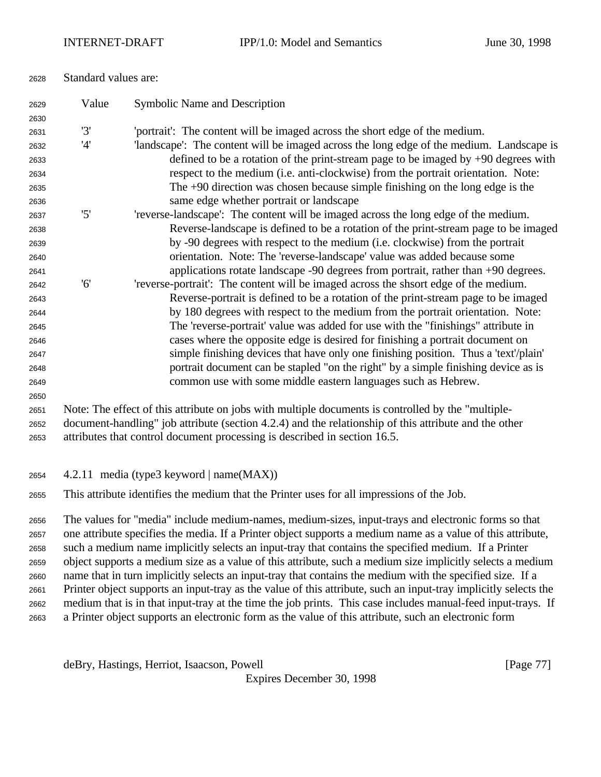| Standard values are: |
|----------------------|
|                      |

| 2629 | Value | Symbolic Name and Description                                                                               |
|------|-------|-------------------------------------------------------------------------------------------------------------|
| 2630 |       |                                                                                                             |
| 2631 | '3'   | 'portrait': The content will be imaged across the short edge of the medium.                                 |
| 2632 | '4'   | 'landscape': The content will be imaged across the long edge of the medium. Landscape is                    |
| 2633 |       | defined to be a rotation of the print-stream page to be imaged by $+90$ degrees with                        |
| 2634 |       | respect to the medium (i.e. anti-clockwise) from the portrait orientation. Note:                            |
| 2635 |       | The $+90$ direction was chosen because simple finishing on the long edge is the                             |
| 2636 |       | same edge whether portrait or landscape                                                                     |
| 2637 | '5'   | 'reverse-landscape': The content will be imaged across the long edge of the medium.                         |
| 2638 |       | Reverse-landscape is defined to be a rotation of the print-stream page to be imaged                         |
| 2639 |       | by -90 degrees with respect to the medium (i.e. clockwise) from the portrait                                |
| 2640 |       | orientation. Note: The 'reverse-landscape' value was added because some                                     |
| 2641 |       | applications rotate landscape -90 degrees from portrait, rather than +90 degrees.                           |
| 2642 | '6'   | 'reverse-portrait': The content will be imaged across the shsort edge of the medium.                        |
| 2643 |       | Reverse-portrait is defined to be a rotation of the print-stream page to be imaged                          |
| 2644 |       | by 180 degrees with respect to the medium from the portrait orientation. Note:                              |
| 2645 |       | The 'reverse-portrait' value was added for use with the "finishings" attribute in                           |
| 2646 |       | cases where the opposite edge is desired for finishing a portrait document on                               |
| 2647 |       | simple finishing devices that have only one finishing position. Thus a 'text'/plain'                        |
| 2648 |       | portrait document can be stapled "on the right" by a simple finishing device as is                          |
| 2649 |       | common use with some middle eastern languages such as Hebrew.                                               |
| 2650 |       |                                                                                                             |
| 2651 |       | Note: The effect of this attribute on jobs with multiple documents is controlled by the "multiple-          |
| 2652 |       | document-handling" job attribute (section 4.2.4) and the relationship of this attribute and the other       |
| 2653 |       | attributes that control document processing is described in section 16.5.                                   |
| 2654 |       | 4.2.11 media (type3 keyword   name(MAX))                                                                    |
| 2655 |       | This attribute identifies the medium that the Printer uses for all impressions of the Job.                  |
| 2656 |       | The values for "media" include medium-names, medium-sizes, input-trays and electronic forms so that         |
| 2657 |       | one attribute specifies the media. If a Printer object supports a medium name as a value of this attribute, |
| 2658 |       | such a medium name implicitly selects an input-tray that contains the specified medium. If a Printer        |
| 2659 |       | object supports a medium size as a value of this attribute, such a medium size implicitly selects a medium  |

 name that in turn implicitly selects an input-tray that contains the medium with the specified size. If a Printer object supports an input-tray as the value of this attribute, such an input-tray implicitly selects the medium that is in that input-tray at the time the job prints. This case includes manual-feed input-trays. If a Printer object supports an electronic form as the value of this attribute, such an electronic form

deBry, Hastings, Herriot, Isaacson, Powell [Page 77]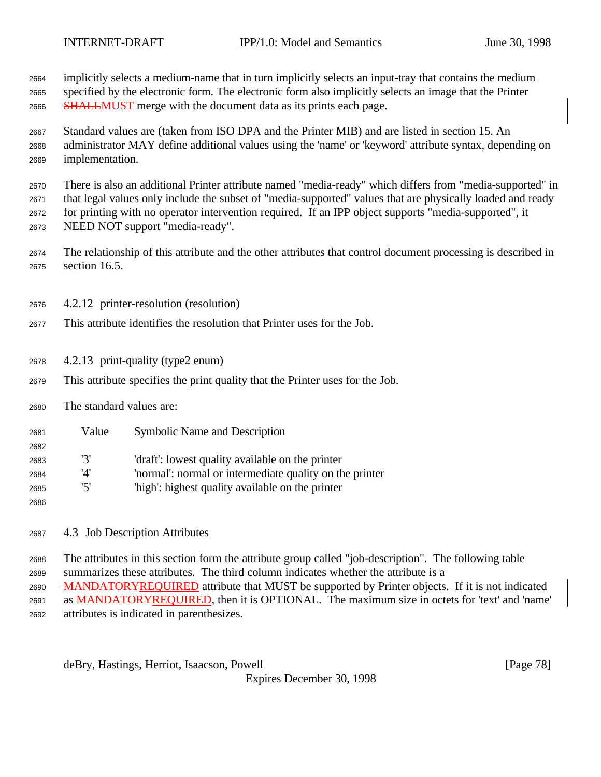implicitly selects a medium-name that in turn implicitly selects an input-tray that contains the medium specified by the electronic form. The electronic form also implicitly selects an image that the Printer **SHALLMUST** merge with the document data as its prints each page.

 Standard values are (taken from ISO DPA and the Printer MIB) and are listed in section 15. An administrator MAY define additional values using the 'name' or 'keyword' attribute syntax, depending on implementation.

 There is also an additional Printer attribute named "media-ready" which differs from "media-supported" in that legal values only include the subset of "media-supported" values that are physically loaded and ready for printing with no operator intervention required. If an IPP object supports "media-supported", it NEED NOT support "media-ready".

- The relationship of this attribute and the other attributes that control document processing is described in section 16.5.
- 4.2.12 printer-resolution (resolution)
- This attribute identifies the resolution that Printer uses for the Job.
- 4.2.13 print-quality (type2 enum)
- This attribute specifies the print quality that the Printer uses for the Job.
- The standard values are:

| 2681 | Value | <b>Symbolic Name and Description</b>                    |
|------|-------|---------------------------------------------------------|
| 2682 |       |                                                         |
| 2683 | ידי   | 'draft': lowest quality available on the printer        |
| 2684 | '4'   | 'normal': normal or intermediate quality on the printer |
| 2685 | 'ה'   | 'high': highest quality available on the printer        |
| 2686 |       |                                                         |

4.3 Job Description Attributes

 The attributes in this section form the attribute group called "job-description". The following table summarizes these attributes. The third column indicates whether the attribute is a 2690 MANDATORYREQUIRED attribute that MUST be supported by Printer objects. If it is not indicated as MANDATORYREQUIRED, then it is OPTIONAL. The maximum size in octets for 'text' and 'name' attributes is indicated in parenthesizes.

deBry, Hastings, Herriot, Isaacson, Powell [Page 78]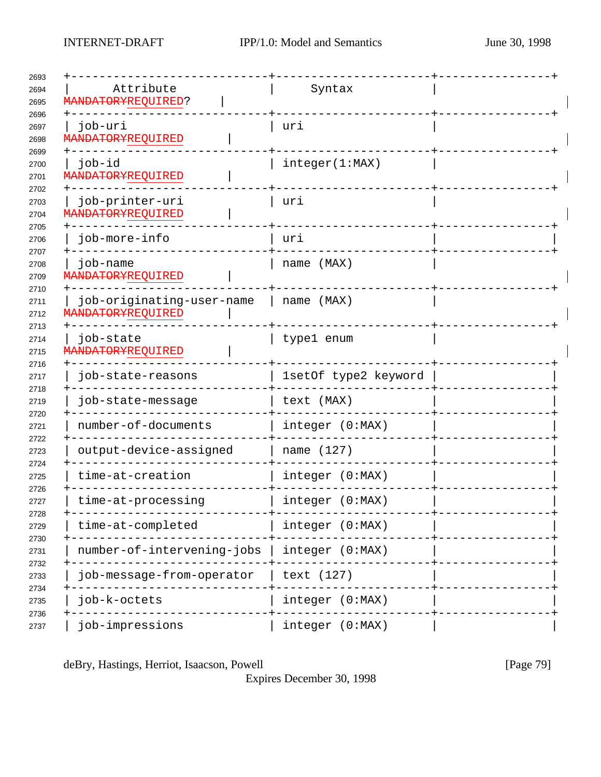| Attribute<br>MANDATORYREQUIRED?                       | Syntax               |  |
|-------------------------------------------------------|----------------------|--|
| job-uri<br><b>MANDATORYREQUIRED</b>                   | uri                  |  |
| job-id<br><b>MANDATORYREQUIRED</b>                    | integer(1:MAX)       |  |
| job-printer-uri<br><b>MANDATORYREQUIRED</b>           | uri                  |  |
| job-more-info                                         | uri                  |  |
| job-name<br>NDATORYREQUIRED                           | name (MAX)           |  |
| job-originating-user-name<br><b>MANDATORYREQUIRED</b> | name (MAX)           |  |
| job-state<br><b>MANDATORYREQUIRED</b>                 | type1 enum           |  |
| job-state-reasons                                     | 1setOf type2 keyword |  |
| job-state-message                                     | text (MAX)           |  |
| number-of-documents                                   | integer (0:MAX)      |  |
| output-device-assigned                                | name (127)           |  |
| time-at-creation                                      | integer (0:MAX)      |  |
| time-at-processing                                    | integer (0:MAX)      |  |
| time-at-completed                                     | integer (0:MAX)      |  |
| number-of-intervening-jobs                            | integer (0:MAX)      |  |
| job-message-from-operator                             | text (127)           |  |
| job-k-octets                                          | integer (0:MAX)      |  |
| job-impressions                                       | integer (0:MAX)      |  |

deBry, Hastings, Herriot, Isaacson, Powell [Page 79]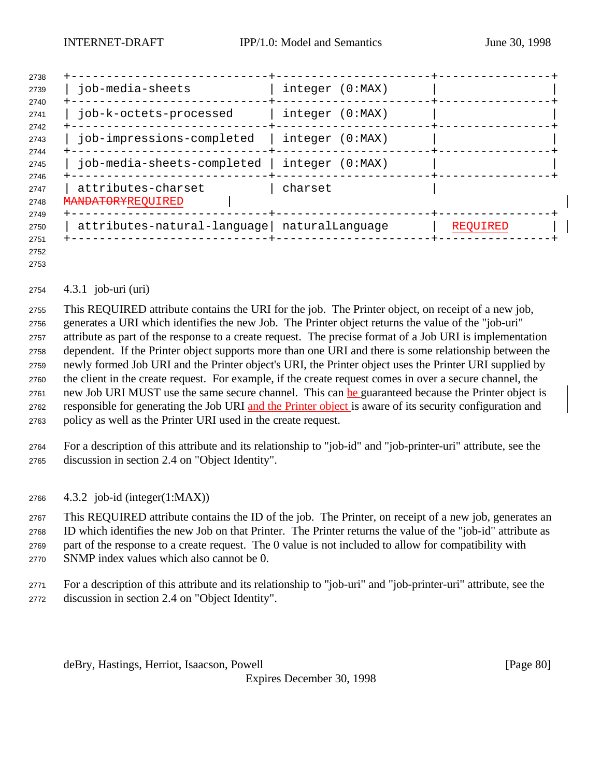| 2738                 |                                                |                 |          |
|----------------------|------------------------------------------------|-----------------|----------|
| 2739<br>2740         | job-media-sheets                               | integer (0:MAX) |          |
| 2741                 | job-k-octets-processed                         | integer (0:MAX) |          |
| 2742<br>2743         | job-impressions-completed                      | integer (0:MAX) |          |
| 2744<br>2745         | job-media-sheets-completed                     | integer (0:MAX) |          |
| 2746<br>2747<br>2748 | attributes-charset<br><b>MANDATORYREQUIRED</b> | charset         |          |
| 2749<br>2750<br>2751 | attributes-natural-language                    | naturalLanquaqe | REOUIRED |
| 2752                 |                                                |                 |          |

## 4.3.1 job-uri (uri)

 This REQUIRED attribute contains the URI for the job. The Printer object, on receipt of a new job, generates a URI which identifies the new Job. The Printer object returns the value of the "job-uri" attribute as part of the response to a create request. The precise format of a Job URI is implementation dependent. If the Printer object supports more than one URI and there is some relationship between the newly formed Job URI and the Printer object's URI, the Printer object uses the Printer URI supplied by the client in the create request. For example, if the create request comes in over a secure channel, the 2761 new Job URI MUST use the same secure channel. This can be guaranteed because the Printer object is responsible for generating the Job URI and the Printer object is aware of its security configuration and policy as well as the Printer URI used in the create request.

 For a description of this attribute and its relationship to "job-id" and "job-printer-uri" attribute, see the discussion in section 2.4 on "Object Identity".

4.3.2 job-id (integer(1:MAX))

 This REQUIRED attribute contains the ID of the job. The Printer, on receipt of a new job, generates an ID which identifies the new Job on that Printer. The Printer returns the value of the "job-id" attribute as part of the response to a create request. The 0 value is not included to allow for compatibility with SNMP index values which also cannot be 0.

 For a description of this attribute and its relationship to "job-uri" and "job-printer-uri" attribute, see the discussion in section 2.4 on "Object Identity".

deBry, Hastings, Herriot, Isaacson, Powell **compared and Contact Contact Contact Contact Contact Contact Contact**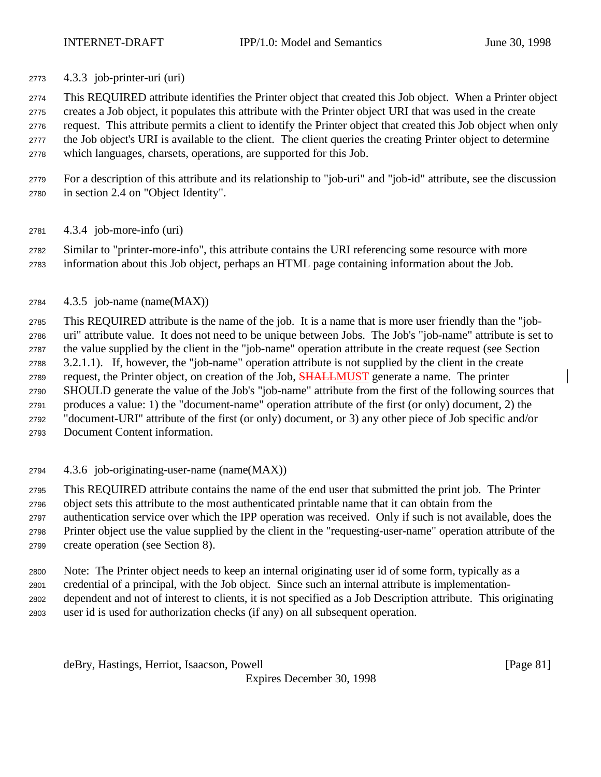4.3.3 job-printer-uri (uri)

This REQUIRED attribute identifies the Printer object that created this Job object. When a Printer object

 creates a Job object, it populates this attribute with the Printer object URI that was used in the create request. This attribute permits a client to identify the Printer object that created this Job object when only 2777 the Job object's URI is available to the client. The client queries the creating Printer object to determine which languages, charsets, operations, are supported for this Job.

 For a description of this attribute and its relationship to "job-uri" and "job-id" attribute, see the discussion in section 2.4 on "Object Identity".

4.3.4 job-more-info (uri)

 Similar to "printer-more-info", this attribute contains the URI referencing some resource with more information about this Job object, perhaps an HTML page containing information about the Job.

4.3.5 job-name (name(MAX))

 This REQUIRED attribute is the name of the job. It is a name that is more user friendly than the "job- uri" attribute value. It does not need to be unique between Jobs. The Job's "job-name" attribute is set to the value supplied by the client in the "job-name" operation attribute in the create request (see Section 3.2.1.1). If, however, the "job-name" operation attribute is not supplied by the client in the create 2789 request, the Printer object, on creation of the Job, **SHALLMUST** generate a name. The printer SHOULD generate the value of the Job's "job-name" attribute from the first of the following sources that produces a value: 1) the "document-name" operation attribute of the first (or only) document, 2) the "document-URI" attribute of the first (or only) document, or 3) any other piece of Job specific and/or Document Content information.

4.3.6 job-originating-user-name (name(MAX))

This REQUIRED attribute contains the name of the end user that submitted the print job. The Printer

object sets this attribute to the most authenticated printable name that it can obtain from the

authentication service over which the IPP operation was received. Only if such is not available, does the

Printer object use the value supplied by the client in the "requesting-user-name" operation attribute of the

create operation (see Section 8).

Note: The Printer object needs to keep an internal originating user id of some form, typically as a

credential of a principal, with the Job object. Since such an internal attribute is implementation-

dependent and not of interest to clients, it is not specified as a Job Description attribute. This originating

user id is used for authorization checks (if any) on all subsequent operation.

deBry, Hastings, Herriot, Isaacson, Powell **Example 2018** [Page 81]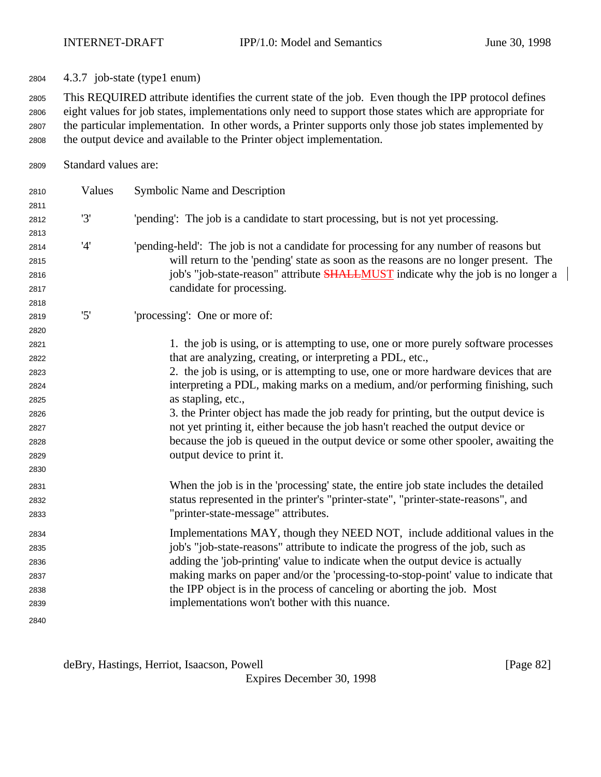4.3.7 job-state (type1 enum)

 This REQUIRED attribute identifies the current state of the job. Even though the IPP protocol defines eight values for job states, implementations only need to support those states which are appropriate for the particular implementation. In other words, a Printer supports only those job states implemented by the output device and available to the Printer object implementation.

Standard values are:

 Values Symbolic Name and Description '3' 'pending': The job is a candidate to start processing, but is not yet processing. '4' 'pending-held': The job is not a candidate for processing for any number of reasons but will return to the 'pending' state as soon as the reasons are no longer present. The 2816 iob's "job-state-reason" attribute **SHALLMUST** indicate why the job is no longer a candidate for processing. '5' 'processing': One or more of: 2821 1. the job is using, or is attempting to use, one or more purely software processes that are analyzing, creating, or interpreting a PDL, etc., 2. the job is using, or is attempting to use, one or more hardware devices that are interpreting a PDL, making marks on a medium, and/or performing finishing, such as stapling, etc., 3. the Printer object has made the job ready for printing, but the output device is not yet printing it, either because the job hasn't reached the output device or because the job is queued in the output device or some other spooler, awaiting the output device to print it. When the job is in the 'processing' state, the entire job state includes the detailed status represented in the printer's "printer-state", "printer-state-reasons", and "printer-state-message" attributes. Implementations MAY, though they NEED NOT, include additional values in the job's "job-state-reasons" attribute to indicate the progress of the job, such as adding the 'job-printing' value to indicate when the output device is actually making marks on paper and/or the 'processing-to-stop-point' value to indicate that the IPP object is in the process of canceling or aborting the job. Most implementations won't bother with this nuance. 

deBry, Hastings, Herriot, Isaacson, Powell **compared and Containers** and Containers and Containers and Container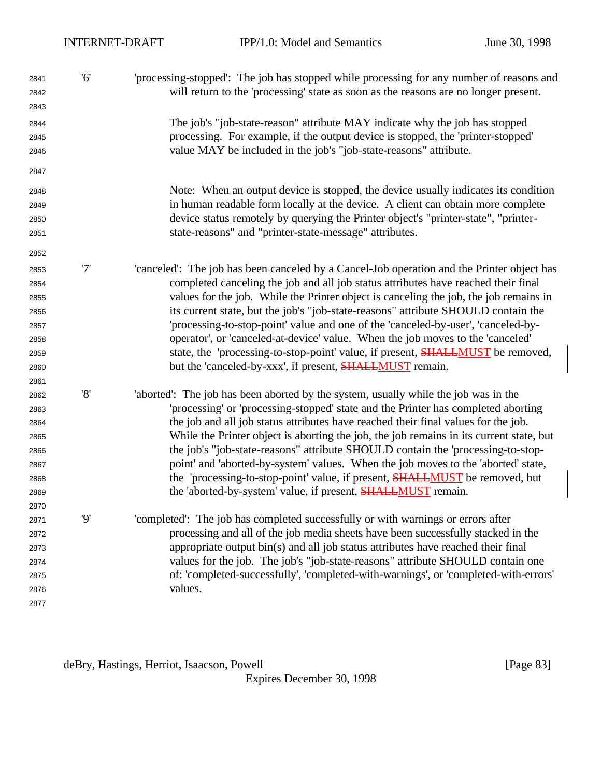| 2841<br>2842<br>2843 | '6' | 'processing-stopped': The job has stopped while processing for any number of reasons and<br>will return to the 'processing' state as soon as the reasons are no longer present.<br>The job's "job-state-reason" attribute MAY indicate why the job has stopped |
|----------------------|-----|----------------------------------------------------------------------------------------------------------------------------------------------------------------------------------------------------------------------------------------------------------------|
| 2844                 |     |                                                                                                                                                                                                                                                                |
| 2845                 |     | processing. For example, if the output device is stopped, the 'printer-stopped'                                                                                                                                                                                |
| 2846                 |     | value MAY be included in the job's "job-state-reasons" attribute.                                                                                                                                                                                              |
| 2847                 |     |                                                                                                                                                                                                                                                                |
| 2848                 |     | Note: When an output device is stopped, the device usually indicates its condition                                                                                                                                                                             |
| 2849                 |     | in human readable form locally at the device. A client can obtain more complete                                                                                                                                                                                |
| 2850                 |     | device status remotely by querying the Printer object's "printer-state", "printer-                                                                                                                                                                             |
| 2851                 |     | state-reasons" and "printer-state-message" attributes.                                                                                                                                                                                                         |
| 2852                 |     |                                                                                                                                                                                                                                                                |
| 2853                 | '7' | 'canceled': The job has been canceled by a Cancel-Job operation and the Printer object has                                                                                                                                                                     |
| 2854                 |     | completed canceling the job and all job status attributes have reached their final                                                                                                                                                                             |
| 2855                 |     | values for the job. While the Printer object is canceling the job, the job remains in                                                                                                                                                                          |
| 2856                 |     | its current state, but the job's "job-state-reasons" attribute SHOULD contain the                                                                                                                                                                              |
| 2857                 |     | 'processing-to-stop-point' value and one of the 'canceled-by-user', 'canceled-by-                                                                                                                                                                              |
| 2858                 |     | operator', or 'canceled-at-device' value. When the job moves to the 'canceled'                                                                                                                                                                                 |
| 2859                 |     | state, the 'processing-to-stop-point' value, if present, <b>SHALLMUST</b> be removed,                                                                                                                                                                          |
| 2860                 |     | but the 'canceled-by-xxx', if present, <b>SHALLMUST</b> remain.                                                                                                                                                                                                |
| 2861                 |     |                                                                                                                                                                                                                                                                |
| 2862                 | '8' | 'aborted': The job has been aborted by the system, usually while the job was in the                                                                                                                                                                            |
| 2863                 |     | 'processing' or 'processing-stopped' state and the Printer has completed aborting                                                                                                                                                                              |
| 2864                 |     | the job and all job status attributes have reached their final values for the job.                                                                                                                                                                             |
| 2865                 |     | While the Printer object is aborting the job, the job remains in its current state, but                                                                                                                                                                        |
| 2866                 |     | the job's "job-state-reasons" attribute SHOULD contain the 'processing-to-stop-                                                                                                                                                                                |
| 2867                 |     | point' and 'aborted-by-system' values. When the job moves to the 'aborted' state,                                                                                                                                                                              |
| 2868                 |     | the 'processing-to-stop-point' value, if present, <b>SHALLMUST</b> be removed, but                                                                                                                                                                             |
| 2869                 |     | the 'aborted-by-system' value, if present, <b>SHALLMUST</b> remain.                                                                                                                                                                                            |
| 2870                 |     |                                                                                                                                                                                                                                                                |
| 2871                 | 'Q' | 'completed': The job has completed successfully or with warnings or errors after                                                                                                                                                                               |
| 2872                 |     | processing and all of the job media sheets have been successfully stacked in the                                                                                                                                                                               |
| 2873                 |     | appropriate output bin(s) and all job status attributes have reached their final                                                                                                                                                                               |
| 2874                 |     | values for the job. The job's "job-state-reasons" attribute SHOULD contain one                                                                                                                                                                                 |
| 2875                 |     | of: 'completed-successfully', 'completed-with-warnings', or 'completed-with-errors'                                                                                                                                                                            |
| 2876                 |     | values.                                                                                                                                                                                                                                                        |
| 2877                 |     |                                                                                                                                                                                                                                                                |

deBry, Hastings, Herriot, Isaacson, Powell [Page 83]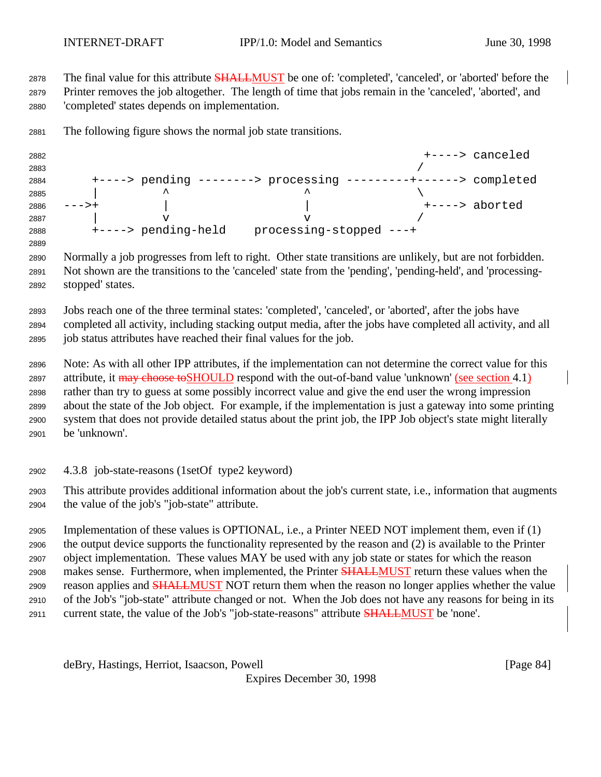2878 The final value for this attribute **SHALLMUST** be one of: 'completed', 'canceled', or 'aborted' before the Printer removes the job altogether. The length of time that jobs remain in the 'canceled', 'aborted', and 'completed' states depends on implementation.

The following figure shows the normal job state transitions.

 +----> canceled / +----> pending --------> processing ---------+------> completed  $\qquad$   $\qquad$  --->+ | | +----> aborted | v v / +----> pending-held processing-stopped ---+

 Normally a job progresses from left to right. Other state transitions are unlikely, but are not forbidden. Not shown are the transitions to the 'canceled' state from the 'pending', 'pending-held', and 'processing-stopped' states.

 Jobs reach one of the three terminal states: 'completed', 'canceled', or 'aborted', after the jobs have completed all activity, including stacking output media, after the jobs have completed all activity, and all job status attributes have reached their final values for the job.

 Note: As with all other IPP attributes, if the implementation can not determine the correct value for this 2897 attribute, it may choose to SHOULD respond with the out-of-band value 'unknown' (see section 4.1) rather than try to guess at some possibly incorrect value and give the end user the wrong impression about the state of the Job object. For example, if the implementation is just a gateway into some printing system that does not provide detailed status about the print job, the IPP Job object's state might literally be 'unknown'.

4.3.8 job-state-reasons (1setOf type2 keyword)

 This attribute provides additional information about the job's current state, i.e., information that augments the value of the job's "job-state" attribute.

 Implementation of these values is OPTIONAL, i.e., a Printer NEED NOT implement them, even if (1) the output device supports the functionality represented by the reason and (2) is available to the Printer object implementation. These values MAY be used with any job state or states for which the reason 2908 makes sense. Furthermore, when implemented, the Printer **SHALLMUST** return these values when the reason applies and SHALLMUST NOT return them when the reason no longer applies whether the value of the Job's "job-state" attribute changed or not. When the Job does not have any reasons for being in its 2911 current state, the value of the Job's "job-state-reasons" attribute **SHALLMUST** be 'none'.

deBry, Hastings, Herriot, Isaacson, Powell [Page 84]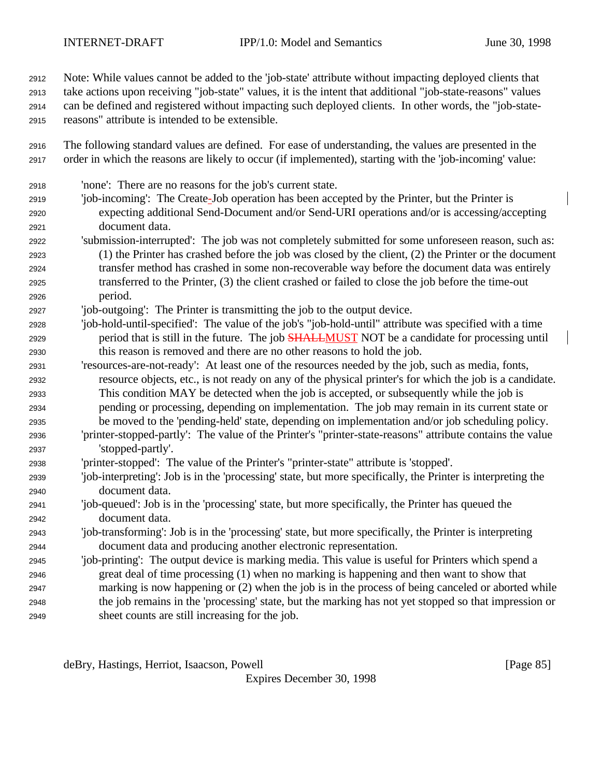Note: While values cannot be added to the 'job-state' attribute without impacting deployed clients that take actions upon receiving "job-state" values, it is the intent that additional "job-state-reasons" values can be defined and registered without impacting such deployed clients. In other words, the "job-state-

- reasons" attribute is intended to be extensible.
- The following standard values are defined. For ease of understanding, the values are presented in the order in which the reasons are likely to occur (if implemented), starting with the 'job-incoming' value:
- 'none': There are no reasons for the job's current state. 'job-incoming': The Create-Job operation has been accepted by the Printer, but the Printer is expecting additional Send-Document and/or Send-URI operations and/or is accessing/accepting document data.
- 'submission-interrupted': The job was not completely submitted for some unforeseen reason, such as: (1) the Printer has crashed before the job was closed by the client, (2) the Printer or the document transfer method has crashed in some non-recoverable way before the document data was entirely transferred to the Printer, (3) the client crashed or failed to close the job before the time-out period.
- 'job-outgoing': The Printer is transmitting the job to the output device.
- 'job-hold-until-specified': The value of the job's "job-hold-until" attribute was specified with a time 2929 period that is still in the future. The job **SHALLMUST** NOT be a candidate for processing until this reason is removed and there are no other reasons to hold the job.
- 'resources-are-not-ready': At least one of the resources needed by the job, such as media, fonts, resource objects, etc., is not ready on any of the physical printer's for which the job is a candidate. This condition MAY be detected when the job is accepted, or subsequently while the job is pending or processing, depending on implementation. The job may remain in its current state or be moved to the 'pending-held' state, depending on implementation and/or job scheduling policy.
- 'printer-stopped-partly': The value of the Printer's "printer-state-reasons" attribute contains the value 'stopped-partly'.
- 'printer-stopped': The value of the Printer's "printer-state" attribute is 'stopped'.
- 'job-interpreting': Job is in the 'processing' state, but more specifically, the Printer is interpreting the document data.
- 'job-queued': Job is in the 'processing' state, but more specifically, the Printer has queued the document data.
- 'job-transforming': Job is in the 'processing' state, but more specifically, the Printer is interpreting document data and producing another electronic representation.
- 'job-printing': The output device is marking media. This value is useful for Printers which spend a great deal of time processing (1) when no marking is happening and then want to show that marking is now happening or (2) when the job is in the process of being canceled or aborted while the job remains in the 'processing' state, but the marking has not yet stopped so that impression or sheet counts are still increasing for the job.

deBry, Hastings, Herriot, Isaacson, Powell **compared 1998** (Page 85)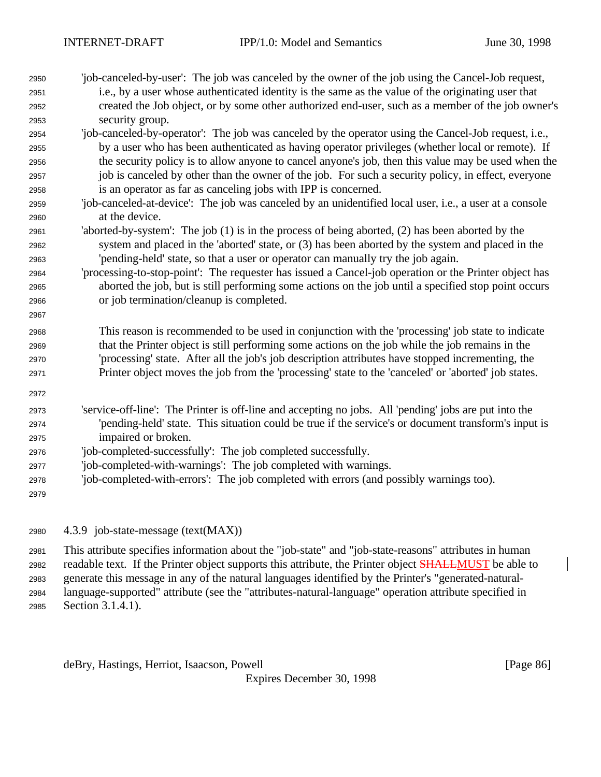| 2950 | 'job-canceled-by-user': The job was canceled by the owner of the job using the Cancel-Job request,      |
|------|---------------------------------------------------------------------------------------------------------|
| 2951 | i.e., by a user whose authenticated identity is the same as the value of the originating user that      |
| 2952 | created the Job object, or by some other authorized end-user, such as a member of the job owner's       |
| 2953 | security group.                                                                                         |
| 2954 | 'job-canceled-by-operator': The job was canceled by the operator using the Cancel-Job request, i.e.,    |
| 2955 | by a user who has been authenticated as having operator privileges (whether local or remote). If        |
| 2956 | the security policy is to allow anyone to cancel anyone's job, then this value may be used when the     |
| 2957 | job is canceled by other than the owner of the job. For such a security policy, in effect, everyone     |
| 2958 | is an operator as far as canceling jobs with IPP is concerned.                                          |
| 2959 | 'job-canceled-at-device': The job was canceled by an unidentified local user, i.e., a user at a console |
| 2960 | at the device.                                                                                          |
| 2961 | 'aborted-by-system': The job (1) is in the process of being aborted, (2) has been aborted by the        |
| 2962 | system and placed in the 'aborted' state, or (3) has been aborted by the system and placed in the       |
| 2963 | 'pending-held' state, so that a user or operator can manually try the job again.                        |
| 2964 | 'processing-to-stop-point': The requester has issued a Cancel-job operation or the Printer object has   |
| 2965 | aborted the job, but is still performing some actions on the job until a specified stop point occurs    |
| 2966 | or job termination/cleanup is completed.                                                                |
| 2967 |                                                                                                         |
| 2968 | This reason is recommended to be used in conjunction with the 'processing' job state to indicate        |
| 2969 | that the Printer object is still performing some actions on the job while the job remains in the        |
| 2970 | 'processing' state. After all the job's job description attributes have stopped incrementing, the       |
| 2971 | Printer object moves the job from the 'processing' state to the 'canceled' or 'aborted' job states.     |
| 2972 |                                                                                                         |
| 2973 | 'service-off-line': The Printer is off-line and accepting no jobs. All 'pending' jobs are put into the  |
| 2974 | 'pending-held' state. This situation could be true if the service's or document transform's input is    |
| 2975 | impaired or broken.                                                                                     |
| 2976 | 'job-completed-successfully': The job completed successfully.                                           |
| 2977 | 'job-completed-with-warnings': The job completed with warnings.                                         |
| 2978 | 'job-completed-with-errors': The job completed with errors (and possibly warnings too).                 |
| 2979 |                                                                                                         |
|      |                                                                                                         |
|      |                                                                                                         |

4.3.9 job-state-message (text(MAX))

 This attribute specifies information about the "job-state" and "job-state-reasons" attributes in human 2982 readable text. If the Printer object supports this attribute, the Printer object **SHALLMUST** be able to generate this message in any of the natural languages identified by the Printer's "generated-natural- language-supported" attribute (see the "attributes-natural-language" operation attribute specified in Section 3.1.4.1).

deBry, Hastings, Herriot, Isaacson, Powell [Page 86]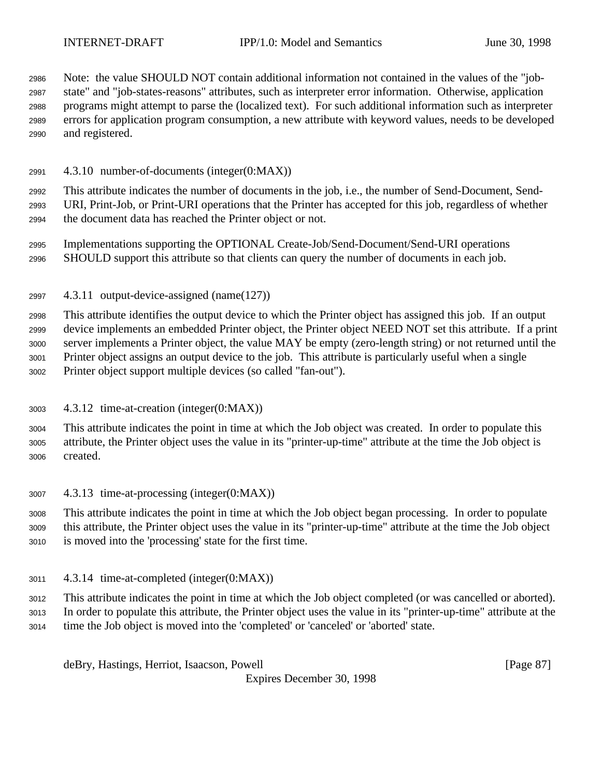Note: the value SHOULD NOT contain additional information not contained in the values of the "job- state" and "job-states-reasons" attributes, such as interpreter error information. Otherwise, application programs might attempt to parse the (localized text). For such additional information such as interpreter errors for application program consumption, a new attribute with keyword values, needs to be developed and registered.

4.3.10 number-of-documents (integer(0:MAX))

 This attribute indicates the number of documents in the job, i.e., the number of Send-Document, Send- URI, Print-Job, or Print-URI operations that the Printer has accepted for this job, regardless of whether the document data has reached the Printer object or not.

- Implementations supporting the OPTIONAL Create-Job/Send-Document/Send-URI operations SHOULD support this attribute so that clients can query the number of documents in each job.
- 4.3.11 output-device-assigned (name(127))

 This attribute identifies the output device to which the Printer object has assigned this job. If an output device implements an embedded Printer object, the Printer object NEED NOT set this attribute. If a print server implements a Printer object, the value MAY be empty (zero-length string) or not returned until the Printer object assigns an output device to the job. This attribute is particularly useful when a single Printer object support multiple devices (so called "fan-out").

4.3.12 time-at-creation (integer(0:MAX))

 This attribute indicates the point in time at which the Job object was created. In order to populate this attribute, the Printer object uses the value in its "printer-up-time" attribute at the time the Job object is created.

4.3.13 time-at-processing (integer(0:MAX))

 This attribute indicates the point in time at which the Job object began processing. In order to populate this attribute, the Printer object uses the value in its "printer-up-time" attribute at the time the Job object is moved into the 'processing' state for the first time.

4.3.14 time-at-completed (integer(0:MAX))

This attribute indicates the point in time at which the Job object completed (or was cancelled or aborted).

 In order to populate this attribute, the Printer object uses the value in its "printer-up-time" attribute at the time the Job object is moved into the 'completed' or 'canceled' or 'aborted' state.

deBry, Hastings, Herriot, Isaacson, Powell [Page 87]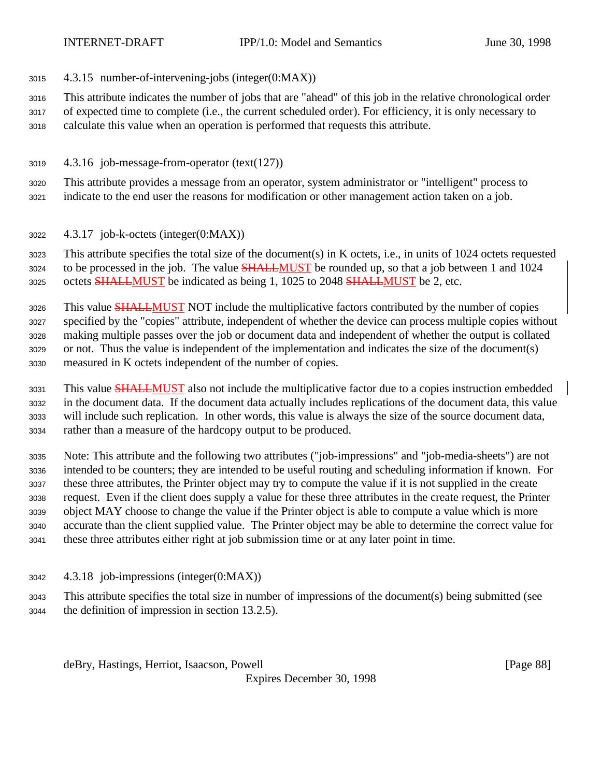4.3.15 number-of-intervening-jobs (integer(0:MAX))

This attribute indicates the number of jobs that are "ahead" of this job in the relative chronological order

 of expected time to complete (i.e., the current scheduled order). For efficiency, it is only necessary to calculate this value when an operation is performed that requests this attribute.

4.3.16 job-message-from-operator (text(127))

 This attribute provides a message from an operator, system administrator or "intelligent" process to indicate to the end user the reasons for modification or other management action taken on a job.

4.3.17 job-k-octets (integer(0:MAX))

 This attribute specifies the total size of the document(s) in K octets, i.e., in units of 1024 octets requested 3024 to be processed in the job. The value **SHALLMUST** be rounded up, so that a job between 1 and 1024 3025 octets **SHALLMUST** be indicated as being 1, 1025 to 2048 **SHALLMUST** be 2, etc.

3026 This value **SHALLMUST** NOT include the multiplicative factors contributed by the number of copies specified by the "copies" attribute, independent of whether the device can process multiple copies without making multiple passes over the job or document data and independent of whether the output is collated or not. Thus the value is independent of the implementation and indicates the size of the document(s) measured in K octets independent of the number of copies.

3031 This value **SHALLMUST** also not include the multiplicative factor due to a copies instruction embedded in the document data. If the document data actually includes replications of the document data, this value will include such replication. In other words, this value is always the size of the source document data, rather than a measure of the hardcopy output to be produced.

 Note: This attribute and the following two attributes ("job-impressions" and "job-media-sheets") are not intended to be counters; they are intended to be useful routing and scheduling information if known. For these three attributes, the Printer object may try to compute the value if it is not supplied in the create request. Even if the client does supply a value for these three attributes in the create request, the Printer object MAY choose to change the value if the Printer object is able to compute a value which is more accurate than the client supplied value. The Printer object may be able to determine the correct value for these three attributes either right at job submission time or at any later point in time.

4.3.18 job-impressions (integer(0:MAX))

 This attribute specifies the total size in number of impressions of the document(s) being submitted (see the definition of impression in section 13.2.5).

deBry, Hastings, Herriot, Isaacson, Powell [Page 88]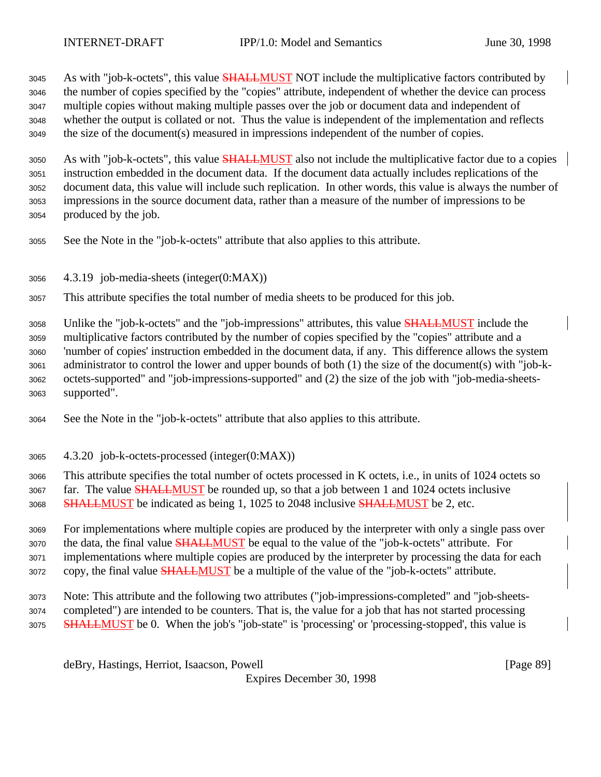3045 As with "job-k-octets", this value **SHALLMUST NOT** include the multiplicative factors contributed by the number of copies specified by the "copies" attribute, independent of whether the device can process multiple copies without making multiple passes over the job or document data and independent of whether the output is collated or not. Thus the value is independent of the implementation and reflects the size of the document(s) measured in impressions independent of the number of copies.

3050 As with "job-k-octets", this value SHALLMUST also not include the multiplicative factor due to a copies instruction embedded in the document data. If the document data actually includes replications of the document data, this value will include such replication. In other words, this value is always the number of impressions in the source document data, rather than a measure of the number of impressions to be produced by the job.

- See the Note in the "job-k-octets" attribute that also applies to this attribute.
- 4.3.19 job-media-sheets (integer(0:MAX))
- This attribute specifies the total number of media sheets to be produced for this job.

 Unlike the "job-k-octets" and the "job-impressions" attributes, this value SHALLMUST include the multiplicative factors contributed by the number of copies specified by the "copies" attribute and a 'number of copies' instruction embedded in the document data, if any. This difference allows the system administrator to control the lower and upper bounds of both (1) the size of the document(s) with "job-k- octets-supported" and "job-impressions-supported" and (2) the size of the job with "job-media-sheets-supported".

- See the Note in the "job-k-octets" attribute that also applies to this attribute.
- 4.3.20 job-k-octets-processed (integer(0:MAX))

 This attribute specifies the total number of octets processed in K octets, i.e., in units of 1024 octets so 3067 far. The value **SHALLMUST** be rounded up, so that a job between 1 and 1024 octets inclusive SHALLMUST be indicated as being 1, 1025 to 2048 inclusive SHALLMUST be 2, etc.

 For implementations where multiple copies are produced by the interpreter with only a single pass over 3070 the data, the final value **SHALLMUST** be equal to the value of the "job-k-octets" attribute. For implementations where multiple copies are produced by the interpreter by processing the data for each 3072 copy, the final value **SHALLMUST** be a multiple of the value of the "job-k-octets" attribute.

 Note: This attribute and the following two attributes ("job-impressions-completed" and "job-sheets- completed") are intended to be counters. That is, the value for a job that has not started processing 3075 SHALLMUST be 0. When the job's "job-state" is 'processing' or 'processing-stopped', this value is

deBry, Hastings, Herriot, Isaacson, Powell [Page 89]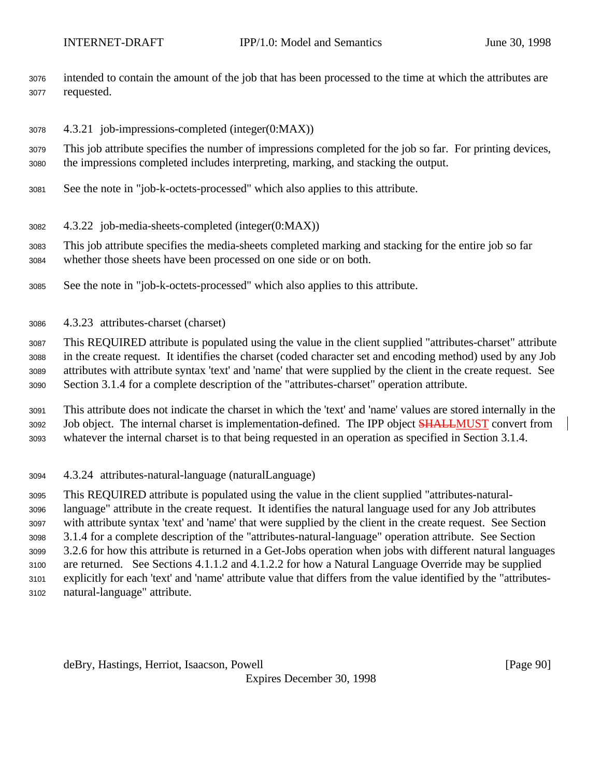intended to contain the amount of the job that has been processed to the time at which the attributes are requested.

4.3.21 job-impressions-completed (integer(0:MAX))

 This job attribute specifies the number of impressions completed for the job so far. For printing devices, the impressions completed includes interpreting, marking, and stacking the output.

- See the note in "job-k-octets-processed" which also applies to this attribute.
- 4.3.22 job-media-sheets-completed (integer(0:MAX))

 This job attribute specifies the media-sheets completed marking and stacking for the entire job so far whether those sheets have been processed on one side or on both.

- See the note in "job-k-octets-processed" which also applies to this attribute.
- 4.3.23 attributes-charset (charset)

 This REQUIRED attribute is populated using the value in the client supplied "attributes-charset" attribute in the create request. It identifies the charset (coded character set and encoding method) used by any Job attributes with attribute syntax 'text' and 'name' that were supplied by the client in the create request. See Section 3.1.4 for a complete description of the "attributes-charset" operation attribute.

 This attribute does not indicate the charset in which the 'text' and 'name' values are stored internally in the 3092 Job object. The internal charset is implementation-defined. The IPP object **SHALLMUST** convert from whatever the internal charset is to that being requested in an operation as specified in Section 3.1.4.

4.3.24 attributes-natural-language (naturalLanguage)

 This REQUIRED attribute is populated using the value in the client supplied "attributes-natural- language" attribute in the create request. It identifies the natural language used for any Job attributes with attribute syntax 'text' and 'name' that were supplied by the client in the create request. See Section 3.1.4 for a complete description of the "attributes-natural-language" operation attribute. See Section 3.2.6 for how this attribute is returned in a Get-Jobs operation when jobs with different natural languages are returned. See Sections 4.1.1.2 and 4.1.2.2 for how a Natural Language Override may be supplied explicitly for each 'text' and 'name' attribute value that differs from the value identified by the "attributes-natural-language" attribute.

deBry, Hastings, Herriot, Isaacson, Powell [Page 90]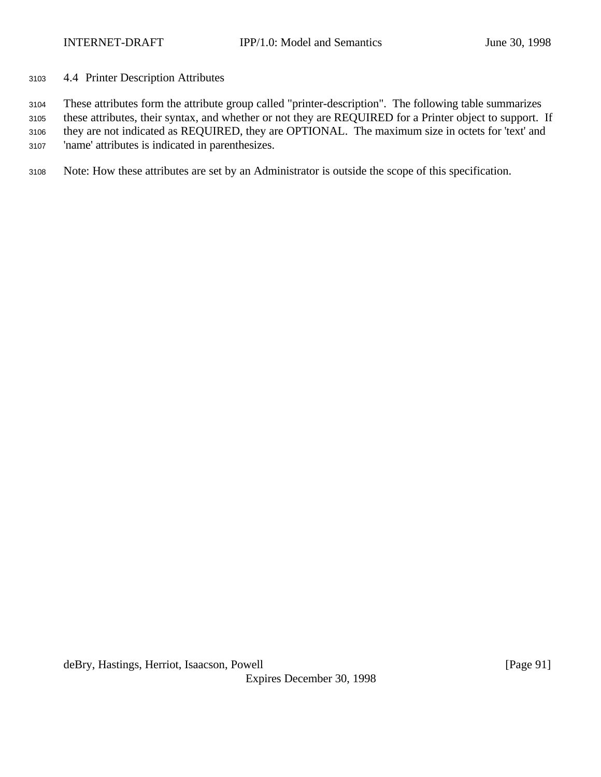4.4 Printer Description Attributes

These attributes form the attribute group called "printer-description". The following table summarizes

 these attributes, their syntax, and whether or not they are REQUIRED for a Printer object to support. If they are not indicated as REQUIRED, they are OPTIONAL. The maximum size in octets for 'text' and

'name' attributes is indicated in parenthesizes.

Note: How these attributes are set by an Administrator is outside the scope of this specification.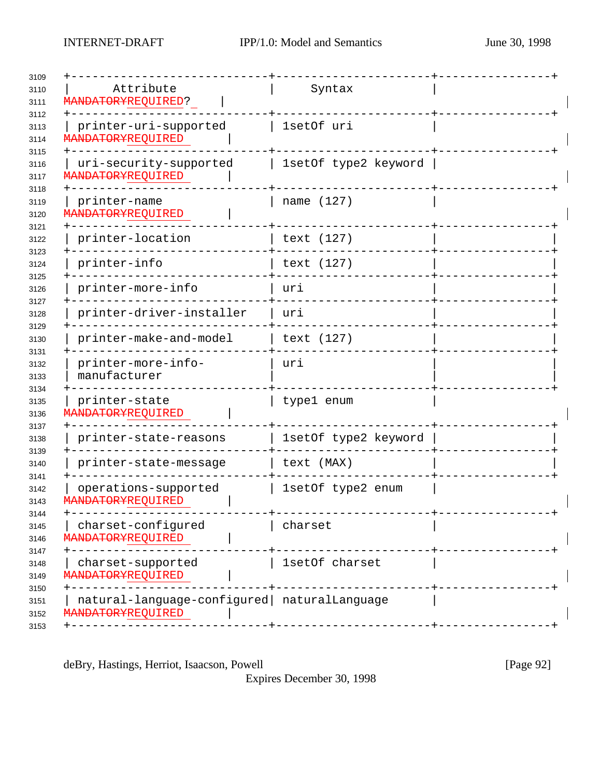| 3109                         |                                                    |                      |  |
|------------------------------|----------------------------------------------------|----------------------|--|
| 3110<br>3111<br>3112         | Attribute<br>MANDATORYREQUIRED?                    | Syntax               |  |
| 3113<br>3114<br>3115         | printer-uri-supported<br><b>MANDATORYREQUIRED</b>  | 1setOf uri           |  |
| 3116<br>3117                 | uri-security-supported<br><b>MANDATORYREQUIRED</b> | 1setOf type2 keyword |  |
| 3118<br>3119<br>3120<br>3121 | printer-name<br><b>MANDATORYREQUIRED</b>           | name (127)           |  |
| 3122<br>3123                 | printer-location                                   | text (127)           |  |
| 3124<br>3125                 | printer-info                                       | text (127)           |  |
| 3126<br>3127                 | printer-more-info                                  | uri                  |  |
| 3128<br>3129                 | printer-driver-installer                           | uri                  |  |
| 3130<br>3131                 | printer-make-and-model                             | text (127)           |  |
| 3132<br>3133<br>3134         | printer-more-info-<br>manufacturer                 | uri                  |  |
| 3135<br>3136<br>3137         | printer-state<br><b>MANDATORYREQUIRED</b>          | type1 enum           |  |
| 3138<br>3139                 | printer-state-reasons                              | 1setOf type2 keyword |  |
| 3140<br>3141                 | printer-state-message                              | text (MAX)           |  |
| 3142<br>3143<br>3144         | operations-supported<br><b>MANDATORYREQUIRED</b>   | 1setOf type2 enum    |  |
| 3145<br>3146                 | charset-configured<br><b>IDATORYREQUIRED</b>       | charset              |  |
| 3147<br>3148<br>3149         | charset-supported<br><b>DATORYREQUIRED</b>         | 1setOf charset       |  |
| 3150<br>3151<br>3152<br>3153 | natural-language-configured<br>DATORYREQUIRED      | naturalLanguage      |  |
|                              |                                                    |                      |  |

deBry, Hastings, Herriot, Isaacson, Powell [Page 92]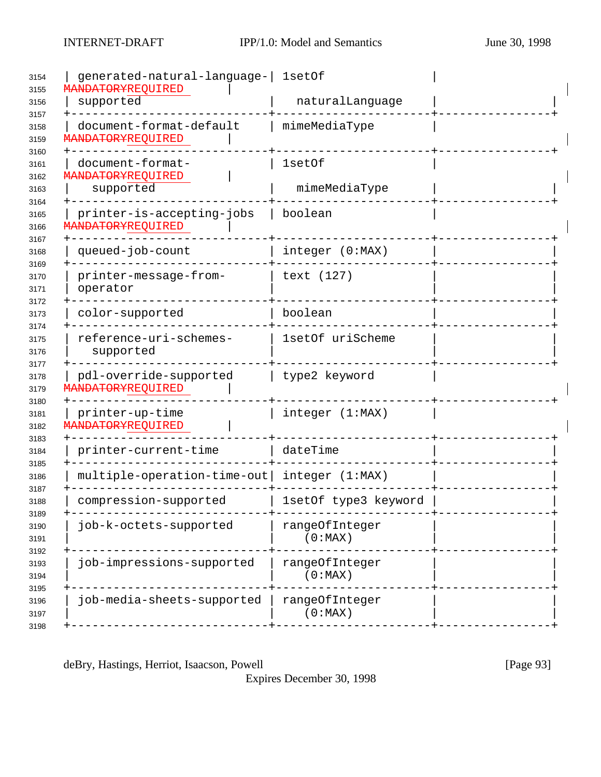| 3154<br>3155                 | generated-natural-language-<br>MANDATORYREQUIRED    | lsetOf                    |  |
|------------------------------|-----------------------------------------------------|---------------------------|--|
| 3156<br>3157                 | supported                                           | naturalLanguage           |  |
| 3158<br>3159<br>3160         | document-format-default<br><b>MANDATORYREQUIRED</b> | mimeMediaType             |  |
| 3161<br>3162                 | document-format-<br><b>MANDATORYREQUIRED</b>        | 1setOf                    |  |
| 3163<br>3164                 | supported                                           | mimeMediaType             |  |
| 3165<br>3166                 | printer-is-accepting-jobs<br>MANDATORYREQUIRED      | boolean                   |  |
| 3167<br>3168                 | queued-job-count                                    | integer (0:MAX)           |  |
| 3169<br>3170<br>3171         | printer-message-from-<br>operator                   | text (127)                |  |
| 3172<br>3173<br>3174         | color-supported                                     | boolean                   |  |
| 3175<br>3176<br>3177         | reference-uri-schemes-<br>supported                 | 1setOf uriScheme          |  |
| 3178<br>3179<br>3180         | pdl-override-supported<br><b>MANDATORYREQUIRED</b>  | type2 keyword             |  |
| 3181<br>3182<br>3183         | printer-up-time<br><del>MANDATORY</del> REQUIRED    | integer (1:MAX)           |  |
| 3184<br>3185                 | printer-current-time                                | dateTime                  |  |
| 3186<br>3187                 | multiple-operation-time-out integer (1:MAX)         |                           |  |
| 3188                         | compression-supported                               | 1setOf type3 keyword      |  |
| 3189<br>3190<br>3191<br>3192 | job-k-octets-supported                              | rangeOfInteger<br>(0:MAX) |  |
| 3193<br>3194<br>3195         | job-impressions-supported                           | rangeOfInteger<br>(0:MAX) |  |
| 3196<br>3197<br>3198         | job-media-sheets-supported                          | rangeOfInteger<br>(0:MAX) |  |
|                              |                                                     |                           |  |

deBry, Hastings, Herriot, Isaacson, Powell [Page 93]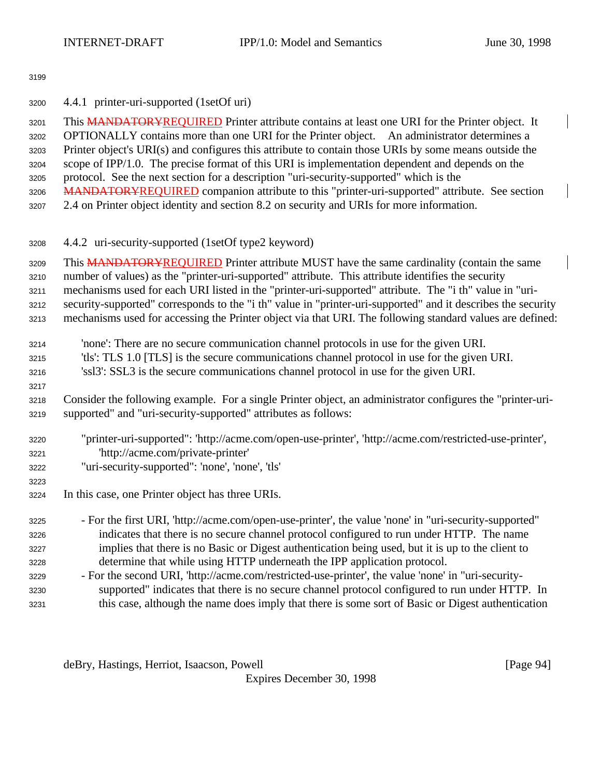4.4.1 printer-uri-supported (1setOf uri)

3201 This **MANDATORYREQUIRED** Printer attribute contains at least one URI for the Printer object. It OPTIONALLY contains more than one URI for the Printer object. An administrator determines a

 Printer object's URI(s) and configures this attribute to contain those URIs by some means outside the scope of IPP/1.0. The precise format of this URI is implementation dependent and depends on the

protocol. See the next section for a description "uri-security-supported" which is the

3206 MANDATORYREQUIRED companion attribute to this "printer-uri-supported" attribute. See section

2.4 on Printer object identity and section 8.2 on security and URIs for more information.

4.4.2 uri-security-supported (1setOf type2 keyword)

3209 This MANDATORYREQUIRED Printer attribute MUST have the same cardinality (contain the same

number of values) as the "printer-uri-supported" attribute. This attribute identifies the security

mechanisms used for each URI listed in the "printer-uri-supported" attribute. The "i th" value in "uri-

security-supported" corresponds to the "i th" value in "printer-uri-supported" and it describes the security

mechanisms used for accessing the Printer object via that URI. The following standard values are defined:

'none': There are no secure communication channel protocols in use for the given URI.

'tls': TLS 1.0 [TLS] is the secure communications channel protocol in use for the given URI.

'ssl3': SSL3 is the secure communications channel protocol in use for the given URI.

 Consider the following example. For a single Printer object, an administrator configures the "printer-uri-supported" and "uri-security-supported" attributes as follows:

- "printer-uri-supported": 'http://acme.com/open-use-printer', 'http://acme.com/restricted-use-printer', 'http://acme.com/private-printer'
- "uri-security-supported": 'none', 'none', 'tls'
- In this case, one Printer object has three URIs.

 - For the first URI, 'http://acme.com/open-use-printer', the value 'none' in "uri-security-supported" indicates that there is no secure channel protocol configured to run under HTTP. The name implies that there is no Basic or Digest authentication being used, but it is up to the client to determine that while using HTTP underneath the IPP application protocol.

 - For the second URI, 'http://acme.com/restricted-use-printer', the value 'none' in "uri-security- supported" indicates that there is no secure channel protocol configured to run under HTTP. In this case, although the name does imply that there is some sort of Basic or Digest authentication

deBry, Hastings, Herriot, Isaacson, Powell [Page 94]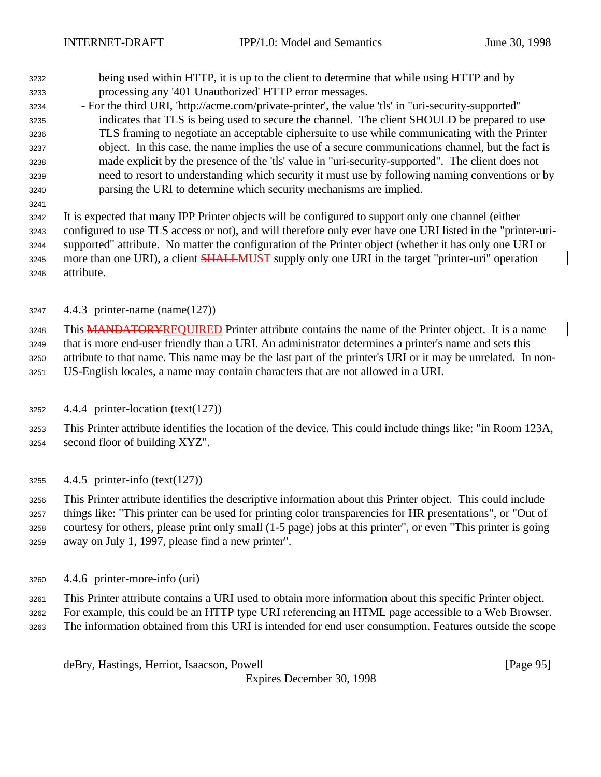- being used within HTTP, it is up to the client to determine that while using HTTP and by processing any '401 Unauthorized' HTTP error messages.
- For the third URI, 'http://acme.com/private-printer', the value 'tls' in "uri-security-supported" indicates that TLS is being used to secure the channel. The client SHOULD be prepared to use TLS framing to negotiate an acceptable ciphersuite to use while communicating with the Printer object. In this case, the name implies the use of a secure communications channel, but the fact is made explicit by the presence of the 'tls' value in "uri-security-supported". The client does not need to resort to understanding which security it must use by following naming conventions or by parsing the URI to determine which security mechanisms are implied.

 It is expected that many IPP Printer objects will be configured to support only one channel (either configured to use TLS access or not), and will therefore only ever have one URI listed in the "printer-uri- supported" attribute. No matter the configuration of the Printer object (whether it has only one URI or 3245 more than one URI), a client **SHALLMUST** supply only one URI in the target "printer-uri" operation attribute.

4.4.3 printer-name (name(127))

3248 This MANDATORYREQUIRED Printer attribute contains the name of the Printer object. It is a name that is more end-user friendly than a URI. An administrator determines a printer's name and sets this attribute to that name. This name may be the last part of the printer's URI or it may be unrelated. In non-US-English locales, a name may contain characters that are not allowed in a URI.

- 4.4.4 printer-location (text(127))
- This Printer attribute identifies the location of the device. This could include things like: "in Room 123A, second floor of building XYZ".
- 4.4.5 printer-info (text(127))

 This Printer attribute identifies the descriptive information about this Printer object. This could include things like: "This printer can be used for printing color transparencies for HR presentations", or "Out of courtesy for others, please print only small (1-5 page) jobs at this printer", or even "This printer is going away on July 1, 1997, please find a new printer".

4.4.6 printer-more-info (uri)

This Printer attribute contains a URI used to obtain more information about this specific Printer object.

- For example, this could be an HTTP type URI referencing an HTML page accessible to a Web Browser.
- The information obtained from this URI is intended for end user consumption. Features outside the scope

deBry, Hastings, Herriot, Isaacson, Powell [Page 95]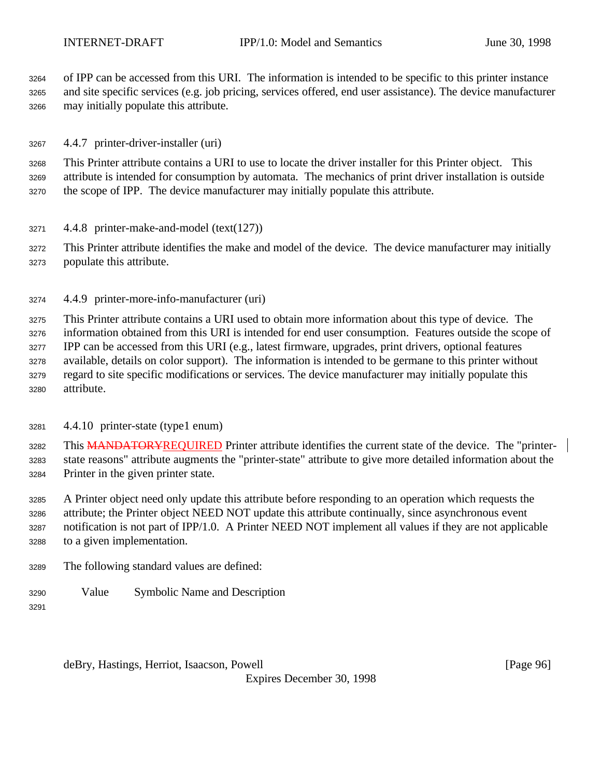of IPP can be accessed from this URI. The information is intended to be specific to this printer instance and site specific services (e.g. job pricing, services offered, end user assistance). The device manufacturer may initially populate this attribute.

4.4.7 printer-driver-installer (uri)

 This Printer attribute contains a URI to use to locate the driver installer for this Printer object. This attribute is intended for consumption by automata. The mechanics of print driver installation is outside the scope of IPP. The device manufacturer may initially populate this attribute.

4.4.8 printer-make-and-model (text(127))

 This Printer attribute identifies the make and model of the device. The device manufacturer may initially populate this attribute.

4.4.9 printer-more-info-manufacturer (uri)

 This Printer attribute contains a URI used to obtain more information about this type of device. The information obtained from this URI is intended for end user consumption. Features outside the scope of IPP can be accessed from this URI (e.g., latest firmware, upgrades, print drivers, optional features available, details on color support). The information is intended to be germane to this printer without regard to site specific modifications or services. The device manufacturer may initially populate this attribute.

4.4.10 printer-state (type1 enum)

3282 This MANDATORYREQUIRED Printer attribute identifies the current state of the device. The "printer- state reasons" attribute augments the "printer-state" attribute to give more detailed information about the Printer in the given printer state.

 A Printer object need only update this attribute before responding to an operation which requests the attribute; the Printer object NEED NOT update this attribute continually, since asynchronous event notification is not part of IPP/1.0. A Printer NEED NOT implement all values if they are not applicable to a given implementation.

- The following standard values are defined:
- Value Symbolic Name and Description

deBry, Hastings, Herriot, Isaacson, Powell [Page 96]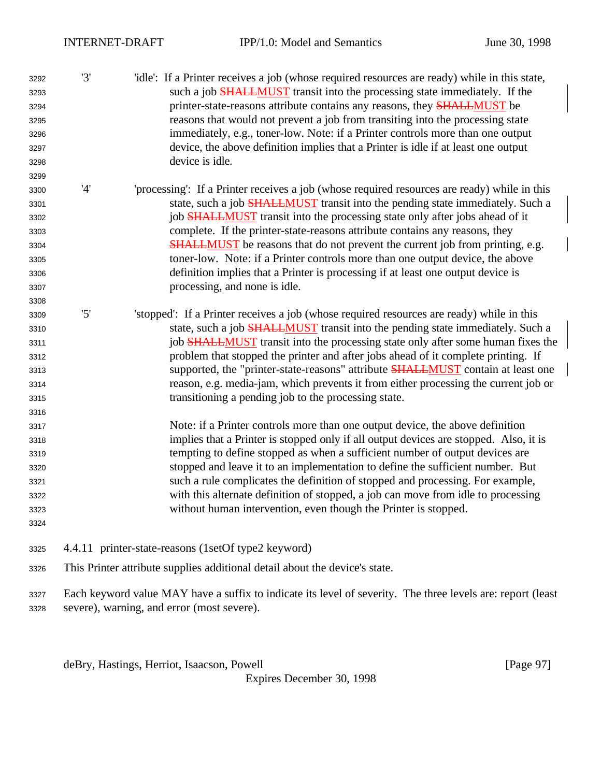| 3292<br>3293 | '3' | 'idle': If a Printer receives a job (whose required resources are ready) while in this state,<br>such a job <b>SHALLMUST</b> transit into the processing state immediately. If the |
|--------------|-----|------------------------------------------------------------------------------------------------------------------------------------------------------------------------------------|
| 3294         |     | printer-state-reasons attribute contains any reasons, they <b>SHALLMUST</b> be                                                                                                     |
|              |     | reasons that would not prevent a job from transiting into the processing state                                                                                                     |
| 3295         |     | immediately, e.g., toner-low. Note: if a Printer controls more than one output                                                                                                     |
| 3296         |     | device, the above definition implies that a Printer is idle if at least one output                                                                                                 |
| 3297         |     | device is idle.                                                                                                                                                                    |
| 3298         |     |                                                                                                                                                                                    |
| 3299         | '4' |                                                                                                                                                                                    |
| 3300         |     | 'processing': If a Printer receives a job (whose required resources are ready) while in this                                                                                       |
| 3301         |     | state, such a job <b>SHALLMUST</b> transit into the pending state immediately. Such a                                                                                              |
| 3302         |     | job <b>SHALLMUST</b> transit into the processing state only after jobs ahead of it                                                                                                 |
| 3303         |     | complete. If the printer-state-reasons attribute contains any reasons, they                                                                                                        |
| 3304         |     | <b>SHALLMUST</b> be reasons that do not prevent the current job from printing, e.g.                                                                                                |
| 3305         |     | toner-low. Note: if a Printer controls more than one output device, the above                                                                                                      |
| 3306         |     | definition implies that a Printer is processing if at least one output device is                                                                                                   |
| 3307         |     | processing, and none is idle.                                                                                                                                                      |
| 3308         |     |                                                                                                                                                                                    |
| 3309         | '5' | 'stopped': If a Printer receives a job (whose required resources are ready) while in this                                                                                          |
| 3310         |     | state, such a job <b>SHALLMUST</b> transit into the pending state immediately. Such a                                                                                              |
| 3311         |     | job <b>SHALLMUST</b> transit into the processing state only after some human fixes the                                                                                             |
| 3312         |     | problem that stopped the printer and after jobs ahead of it complete printing. If                                                                                                  |
| 3313         |     | supported, the "printer-state-reasons" attribute <b>SHALLMUST</b> contain at least one                                                                                             |
| 3314         |     | reason, e.g. media-jam, which prevents it from either processing the current job or                                                                                                |
| 3315         |     | transitioning a pending job to the processing state.                                                                                                                               |
| 3316         |     |                                                                                                                                                                                    |
| 3317         |     | Note: if a Printer controls more than one output device, the above definition                                                                                                      |
| 3318         |     | implies that a Printer is stopped only if all output devices are stopped. Also, it is                                                                                              |
| 3319         |     | tempting to define stopped as when a sufficient number of output devices are                                                                                                       |
| 3320         |     | stopped and leave it to an implementation to define the sufficient number. But                                                                                                     |
| 3321         |     | such a rule complicates the definition of stopped and processing. For example,                                                                                                     |
| 3322         |     | with this alternate definition of stopped, a job can move from idle to processing                                                                                                  |
| 3323         |     | without human intervention, even though the Printer is stopped.                                                                                                                    |
| 3324         |     |                                                                                                                                                                                    |
| 3325         |     | 4.4.11 printer-state-reasons (1setOf type2 keyword)                                                                                                                                |
| 3326         |     | This Printer attribute supplies additional detail about the device's state.                                                                                                        |
| 3327<br>3328 |     | Each keyword value MAY have a suffix to indicate its level of severity. The three levels are: report (least<br>severe), warning, and error (most severe).                          |

deBry, Hastings, Herriot, Isaacson, Powell [Page 97]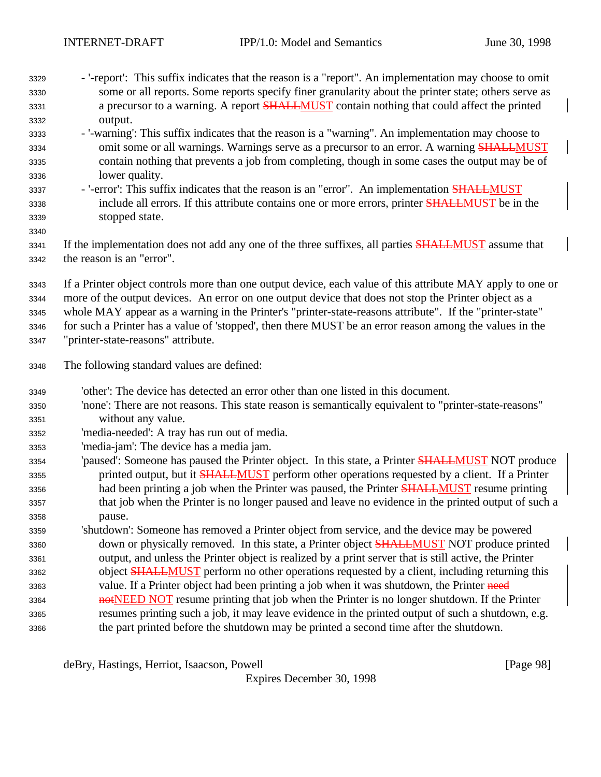- '-report': This suffix indicates that the reason is a "report". An implementation may choose to omit some or all reports. Some reports specify finer granularity about the printer state; others serve as 3331 a precursor to a warning. A report **SHALLMUST** contain nothing that could affect the printed output. - '-warning': This suffix indicates that the reason is a "warning". An implementation may choose to 3334 omit some or all warnings. Warnings serve as a precursor to an error. A warning **SHALLMUST**  contain nothing that prevents a job from completing, though in some cases the output may be of lower quality. 3337 - '-error': This suffix indicates that the reason is an "error". An implementation SHALLMUST 3338 include all errors. If this attribute contains one or more errors, printer **SHALLMUST** be in the stopped state. 3341 If the implementation does not add any one of the three suffixes, all parties **SHALLMUST** assume that the reason is an "error". If a Printer object controls more than one output device, each value of this attribute MAY apply to one or more of the output devices. An error on one output device that does not stop the Printer object as a whole MAY appear as a warning in the Printer's "printer-state-reasons attribute". If the "printer-state" for such a Printer has a value of 'stopped', then there MUST be an error reason among the values in the "printer-state-reasons" attribute. The following standard values are defined: 'other': The device has detected an error other than one listed in this document. 'none': There are not reasons. This state reason is semantically equivalent to "printer-state-reasons" without any value. 'media-needed': A tray has run out of media. 'media-jam': The device has a media jam. 3354 'paused': Someone has paused the Printer object. In this state, a Printer **SHALLMUST NOT** produce 3355 printed output, but it **SHALLMUST** perform other operations requested by a client. If a Printer 3356 had been printing a job when the Printer was paused, the Printer SHALLMUST resume printing that job when the Printer is no longer paused and leave no evidence in the printed output of such a pause. 'shutdown': Someone has removed a Printer object from service, and the device may be powered 3360 down or physically removed. In this state, a Printer object **SHALLMUST** NOT produce printed output, and unless the Printer object is realized by a print server that is still active, the Printer 3362 object **SHALLMUST** perform no other operations requested by a client, including returning this 3363 value. If a Printer object had been printing a job when it was shutdown, the Printer need **not**NEED NOT resume printing that job when the Printer is no longer shutdown. If the Printer resumes printing such a job, it may leave evidence in the printed output of such a shutdown, e.g. the part printed before the shutdown may be printed a second time after the shutdown.

deBry, Hastings, Herriot, Isaacson, Powell [Page 98]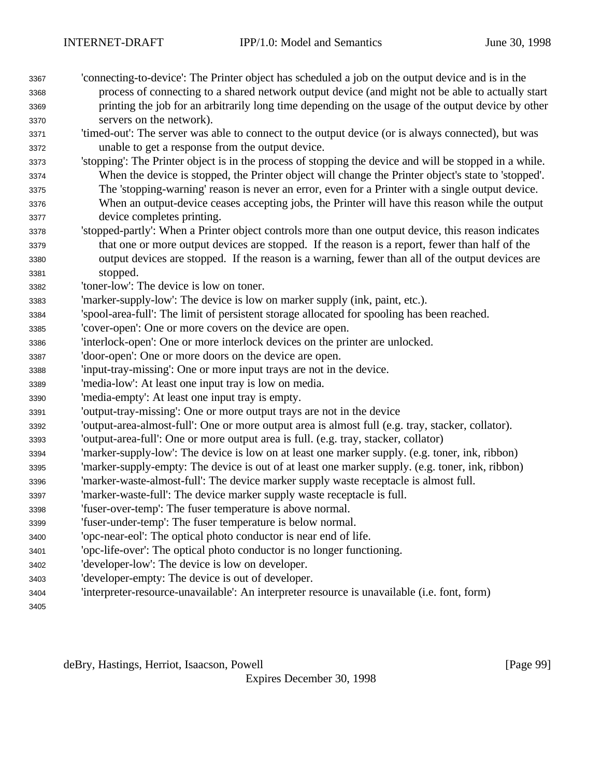| 3367 | 'connecting-to-device': The Printer object has scheduled a job on the output device and is in the       |
|------|---------------------------------------------------------------------------------------------------------|
| 3368 | process of connecting to a shared network output device (and might not be able to actually start        |
| 3369 | printing the job for an arbitrarily long time depending on the usage of the output device by other      |
| 3370 | servers on the network).                                                                                |
| 3371 | 'timed-out': The server was able to connect to the output device (or is always connected), but was      |
| 3372 | unable to get a response from the output device.                                                        |
| 3373 | 'stopping': The Printer object is in the process of stopping the device and will be stopped in a while. |
| 3374 | When the device is stopped, the Printer object will change the Printer object's state to 'stopped'.     |
| 3375 | The 'stopping-warning' reason is never an error, even for a Printer with a single output device.        |
| 3376 | When an output-device ceases accepting jobs, the Printer will have this reason while the output         |
| 3377 | device completes printing.                                                                              |
| 3378 | 'stopped-partly': When a Printer object controls more than one output device, this reason indicates     |
| 3379 | that one or more output devices are stopped. If the reason is a report, fewer than half of the          |
| 3380 | output devices are stopped. If the reason is a warning, fewer than all of the output devices are        |
| 3381 | stopped.                                                                                                |
| 3382 | 'toner-low': The device is low on toner.                                                                |
| 3383 | 'marker-supply-low': The device is low on marker supply (ink, paint, etc.).                             |
| 3384 | 'spool-area-full': The limit of persistent storage allocated for spooling has been reached.             |
| 3385 | 'cover-open': One or more covers on the device are open.                                                |
| 3386 | 'interlock-open': One or more interlock devices on the printer are unlocked.                            |
| 3387 | 'door-open': One or more doors on the device are open.                                                  |
| 3388 | 'input-tray-missing': One or more input trays are not in the device.                                    |
| 3389 | 'media-low': At least one input tray is low on media.                                                   |
| 3390 | 'media-empty': At least one input tray is empty.                                                        |
| 3391 | 'output-tray-missing': One or more output trays are not in the device                                   |
| 3392 | 'output-area-almost-full': One or more output area is almost full (e.g. tray, stacker, collator).       |
| 3393 | 'output-area-full': One or more output area is full. (e.g. tray, stacker, collator)                     |
| 3394 | 'marker-supply-low': The device is low on at least one marker supply. (e.g. toner, ink, ribbon)         |
| 3395 | 'marker-supply-empty: The device is out of at least one marker supply. (e.g. toner, ink, ribbon)        |
| 3396 | 'marker-waste-almost-full': The device marker supply waste receptacle is almost full.                   |
| 3397 | 'marker-waste-full': The device marker supply waste receptacle is full.                                 |
| 3398 | 'fuser-over-temp': The fuser temperature is above normal.                                               |
| 3399 | 'fuser-under-temp': The fuser temperature is below normal.                                              |
| 3400 | 'opc-near-eol': The optical photo conductor is near end of life.                                        |
| 3401 | 'opc-life-over': The optical photo conductor is no longer functioning.                                  |
| 3402 | 'developer-low': The device is low on developer.                                                        |
| 3403 | 'developer-empty: The device is out of developer.                                                       |
| 3404 | 'interpreter-resource-unavailable': An interpreter resource is unavailable (i.e. font, form)            |
| 3405 |                                                                                                         |
|      |                                                                                                         |

deBry, Hastings, Herriot, Isaacson, Powell [Page 99]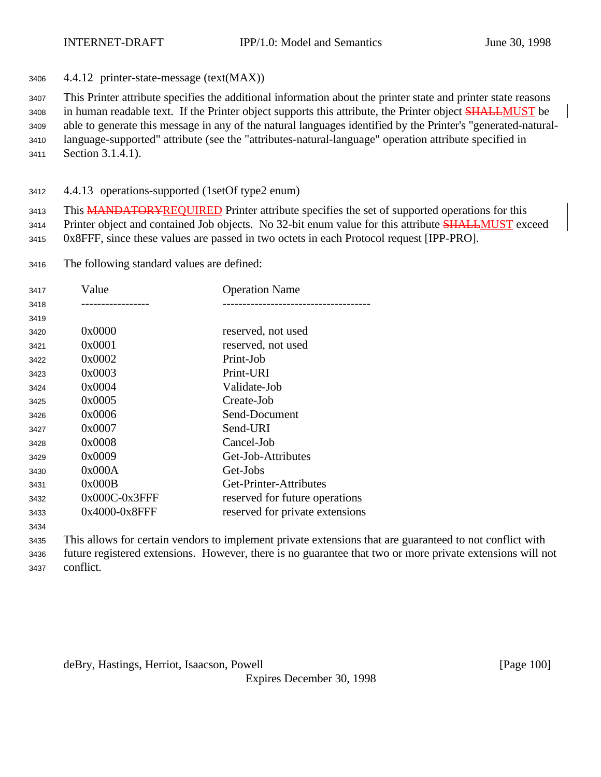4.4.12 printer-state-message (text(MAX))

This Printer attribute specifies the additional information about the printer state and printer state reasons

3408 in human readable text. If the Printer object supports this attribute, the Printer object **SHALLMUST** be able to generate this message in any of the natural languages identified by the Printer's "generated-natural-

language-supported" attribute (see the "attributes-natural-language" operation attribute specified in

- Section 3.1.4.1).
- 4.4.13 operations-supported (1setOf type2 enum)

3413 This MANDATORYREQUIRED Printer attribute specifies the set of supported operations for this 3414 Printer object and contained Job objects. No 32-bit enum value for this attribute **SHALLMUST** exceed 0x8FFF, since these values are passed in two octets in each Protocol request [IPP-PRO].

The following standard values are defined:

| 3417 | Value         | <b>Operation Name</b>           |
|------|---------------|---------------------------------|
| 3418 |               |                                 |
| 3419 |               |                                 |
| 3420 | 0x0000        | reserved, not used              |
| 3421 | 0x0001        | reserved, not used              |
| 3422 | 0x0002        | Print-Job                       |
| 3423 | 0x0003        | Print-URI                       |
| 3424 | 0x0004        | Validate-Job                    |
| 3425 | 0x0005        | Create-Job                      |
| 3426 | 0x0006        | Send-Document                   |
| 3427 | 0x0007        | Send-URI                        |
| 3428 | 0x0008        | Cancel-Job                      |
| 3429 | 0x0009        | Get-Job-Attributes              |
| 3430 | 0x000A        | Get-Jobs                        |
| 3431 | 0x000B        | Get-Printer-Attributes          |
| 3432 | 0x000C-0x3FFF | reserved for future operations  |
| 3433 | 0x4000-0x8FFF | reserved for private extensions |
| 3434 |               |                                 |

 This allows for certain vendors to implement private extensions that are guaranteed to not conflict with future registered extensions. However, there is no guarantee that two or more private extensions will not conflict.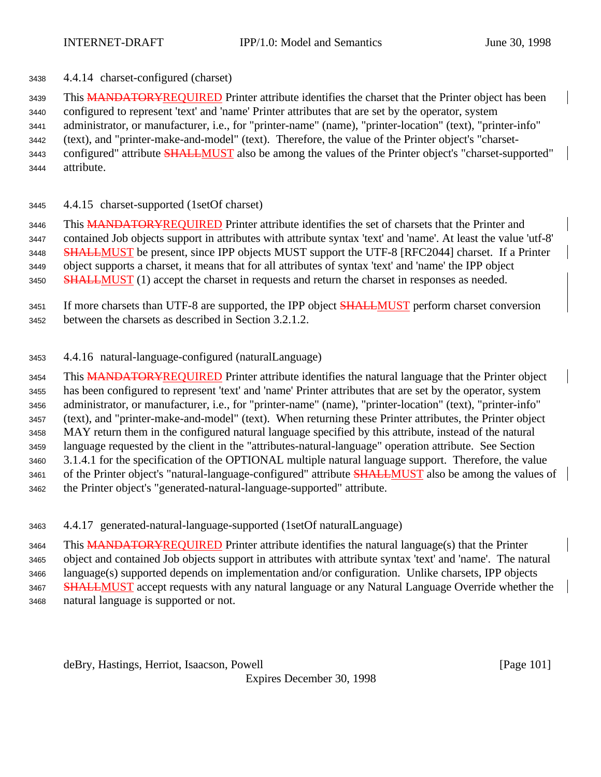- 4.4.14 charset-configured (charset)
- 3439 This MANDATORYREQUIRED Printer attribute identifies the charset that the Printer object has been

configured to represent 'text' and 'name' Printer attributes that are set by the operator, system

administrator, or manufacturer, i.e., for "printer-name" (name), "printer-location" (text), "printer-info"

(text), and "printer-make-and-model" (text). Therefore, the value of the Printer object's "charset-

- 3443 configured" attribute **SHALLMUST** also be among the values of the Printer object's "charset-supported" attribute.
- 4.4.15 charset-supported (1setOf charset)

3446 This MANDATORYREQUIRED Printer attribute identifies the set of charsets that the Printer and contained Job objects support in attributes with attribute syntax 'text' and 'name'. At least the value 'utf-8' 3448 SHALLMUST be present, since IPP objects MUST support the UTF-8 [RFC2044] charset. If a Printer object supports a charset, it means that for all attributes of syntax 'text' and 'name' the IPP object

3450 SHALLMUST (1) accept the charset in requests and return the charset in responses as needed.

4.4.16 natural-language-configured (naturalLanguage)

3454 This MANDATORYREQUIRED Printer attribute identifies the natural language that the Printer object has been configured to represent 'text' and 'name' Printer attributes that are set by the operator, system administrator, or manufacturer, i.e., for "printer-name" (name), "printer-location" (text), "printer-info" (text), and "printer-make-and-model" (text). When returning these Printer attributes, the Printer object MAY return them in the configured natural language specified by this attribute, instead of the natural language requested by the client in the "attributes-natural-language" operation attribute. See Section 3.1.4.1 for the specification of the OPTIONAL multiple natural language support. Therefore, the value 3461 of the Printer object's "natural-language-configured" attribute **SHALLMUST** also be among the values of the Printer object's "generated-natural-language-supported" attribute.

4.4.17 generated-natural-language-supported (1setOf naturalLanguage)

3464 This MANDATORYREQUIRED Printer attribute identifies the natural language(s) that the Printer object and contained Job objects support in attributes with attribute syntax 'text' and 'name'. The natural language(s) supported depends on implementation and/or configuration. Unlike charsets, IPP objects 3467 SHALLMUST accept requests with any natural language or any Natural Language Override whether the natural language is supported or not.

deBry, Hastings, Herriot, Isaacson, Powell **compared and Contract and Contract Contract Contract Contract Contract Contract Contract Contract Contract Contract Contract Contract Contract Contract Contract Contract Contract** 

<sup>3451</sup> If more charsets than UTF-8 are supported, the IPP object **SHALLMUST** perform charset conversion between the charsets as described in Section 3.2.1.2.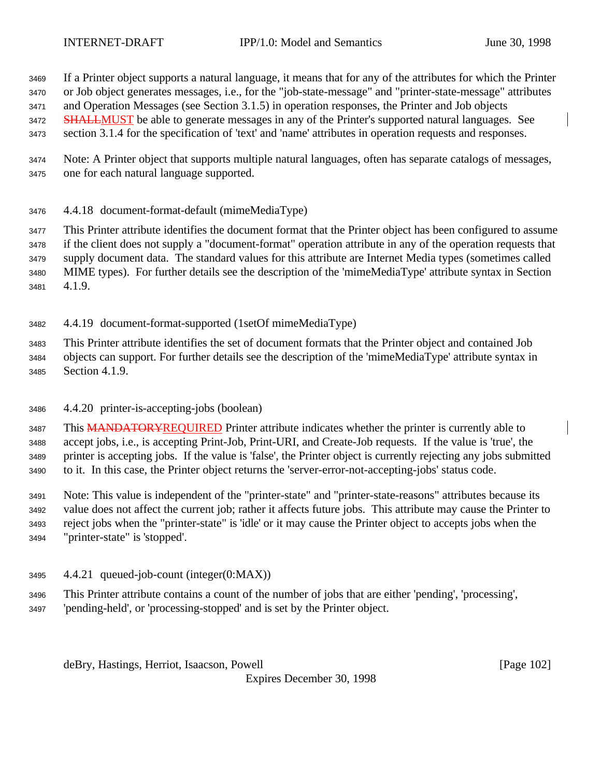If a Printer object supports a natural language, it means that for any of the attributes for which the Printer

or Job object generates messages, i.e., for the "job-state-message" and "printer-state-message" attributes

 and Operation Messages (see Section 3.1.5) in operation responses, the Printer and Job objects 3472 SHALLMUST be able to generate messages in any of the Printer's supported natural languages. See

section 3.1.4 for the specification of 'text' and 'name' attributes in operation requests and responses.

 Note: A Printer object that supports multiple natural languages, often has separate catalogs of messages, one for each natural language supported.

4.4.18 document-format-default (mimeMediaType)

 This Printer attribute identifies the document format that the Printer object has been configured to assume if the client does not supply a "document-format" operation attribute in any of the operation requests that supply document data. The standard values for this attribute are Internet Media types (sometimes called MIME types). For further details see the description of the 'mimeMediaType' attribute syntax in Section 4.1.9.

4.4.19 document-format-supported (1setOf mimeMediaType)

 This Printer attribute identifies the set of document formats that the Printer object and contained Job objects can support. For further details see the description of the 'mimeMediaType' attribute syntax in Section 4.1.9.

4.4.20 printer-is-accepting-jobs (boolean)

3487 This MANDATORYREQUIRED Printer attribute indicates whether the printer is currently able to accept jobs, i.e., is accepting Print-Job, Print-URI, and Create-Job requests. If the value is 'true', the printer is accepting jobs. If the value is 'false', the Printer object is currently rejecting any jobs submitted to it. In this case, the Printer object returns the 'server-error-not-accepting-jobs' status code.

 Note: This value is independent of the "printer-state" and "printer-state-reasons" attributes because its value does not affect the current job; rather it affects future jobs. This attribute may cause the Printer to reject jobs when the "printer-state" is 'idle' or it may cause the Printer object to accepts jobs when the "printer-state" is 'stopped'.

4.4.21 queued-job-count (integer(0:MAX))

This Printer attribute contains a count of the number of jobs that are either 'pending', 'processing',

'pending-held', or 'processing-stopped' and is set by the Printer object.

deBry, Hastings, Herriot, Isaacson, Powell [Page 102]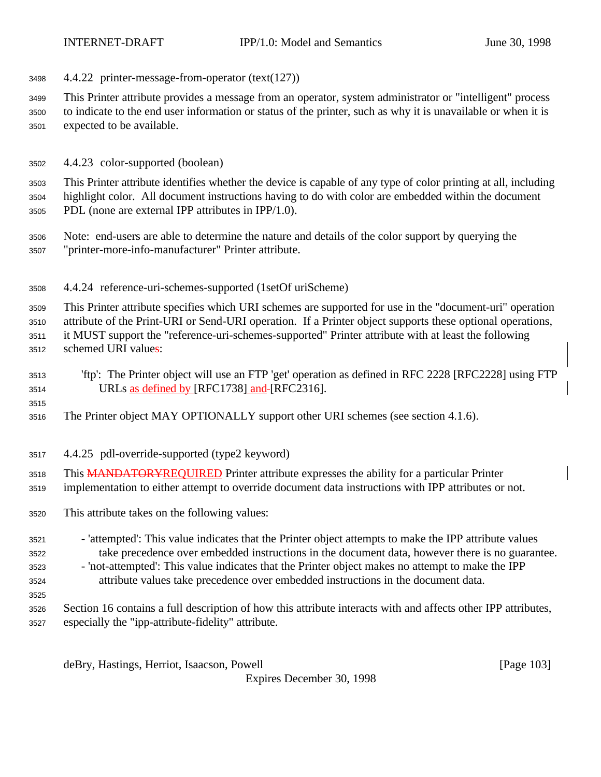4.4.22 printer-message-from-operator (text(127))

 This Printer attribute provides a message from an operator, system administrator or "intelligent" process to indicate to the end user information or status of the printer, such as why it is unavailable or when it is expected to be available.

4.4.23 color-supported (boolean)

 This Printer attribute identifies whether the device is capable of any type of color printing at all, including highlight color. All document instructions having to do with color are embedded within the document PDL (none are external IPP attributes in IPP/1.0).

- Note: end-users are able to determine the nature and details of the color support by querying the "printer-more-info-manufacturer" Printer attribute.
- 4.4.24 reference-uri-schemes-supported (1setOf uriScheme)

This Printer attribute specifies which URI schemes are supported for use in the "document-uri" operation

attribute of the Print-URI or Send-URI operation. If a Printer object supports these optional operations,

it MUST support the "reference-uri-schemes-supported" Printer attribute with at least the following

schemed URI values:

- 'ftp': The Printer object will use an FTP 'get' operation as defined in RFC 2228 [RFC2228] using FTP 3514 URLs as defined by [RFC1738] and [RFC2316].
- The Printer object MAY OPTIONALLY support other URI schemes (see section 4.1.6).
- 4.4.25 pdl-override-supported (type2 keyword)
- 3518 This MANDATORYREQUIRED Printer attribute expresses the ability for a particular Printer
- implementation to either attempt to override document data instructions with IPP attributes or not.
- This attribute takes on the following values:
- 'attempted': This value indicates that the Printer object attempts to make the IPP attribute values take precedence over embedded instructions in the document data, however there is no guarantee. - 'not-attempted': This value indicates that the Printer object makes no attempt to make the IPP
- attribute values take precedence over embedded instructions in the document data.
- Section 16 contains a full description of how this attribute interacts with and affects other IPP attributes, especially the "ipp-attribute-fidelity" attribute.

deBry, Hastings, Herriot, Isaacson, Powell **compared and Contract and Contract Contract (Page 103**)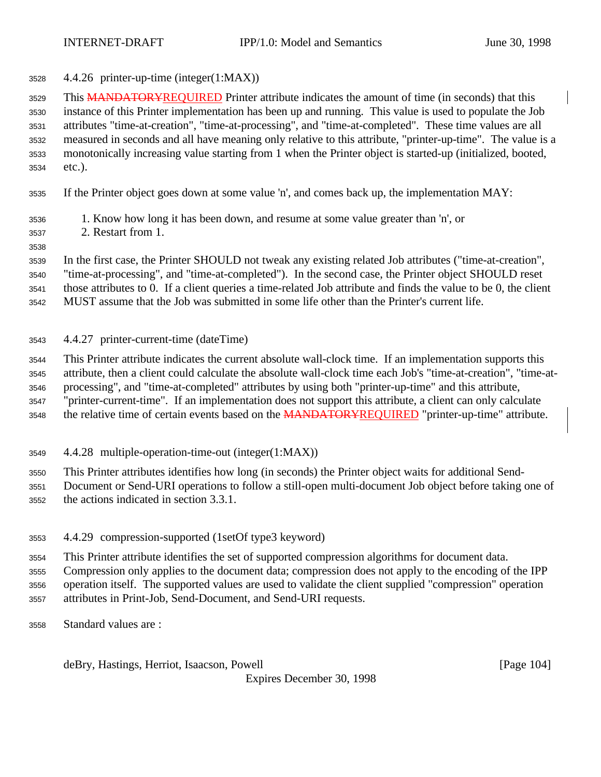4.4.26 printer-up-time (integer(1:MAX))

3529 This MANDATORYREQUIRED Printer attribute indicates the amount of time (in seconds) that this instance of this Printer implementation has been up and running. This value is used to populate the Job attributes "time-at-creation", "time-at-processing", and "time-at-completed". These time values are all measured in seconds and all have meaning only relative to this attribute, "printer-up-time". The value is a monotonically increasing value starting from 1 when the Printer object is started-up (initialized, booted, etc.).

- If the Printer object goes down at some value 'n', and comes back up, the implementation MAY:
- 1. Know how long it has been down, and resume at some value greater than 'n', or
- 2. Restart from 1.
- 

 In the first case, the Printer SHOULD not tweak any existing related Job attributes ("time-at-creation", "time-at-processing", and "time-at-completed"). In the second case, the Printer object SHOULD reset

 those attributes to 0. If a client queries a time-related Job attribute and finds the value to be 0, the client MUST assume that the Job was submitted in some life other than the Printer's current life.

4.4.27 printer-current-time (dateTime)

This Printer attribute indicates the current absolute wall-clock time. If an implementation supports this

attribute, then a client could calculate the absolute wall-clock time each Job's "time-at-creation", "time-at-

 processing", and "time-at-completed" attributes by using both "printer-up-time" and this attribute, "printer-current-time". If an implementation does not support this attribute, a client can only calculate

3548 the relative time of certain events based on the **MANDATORYREQUIRED** "printer-up-time" attribute.

4.4.28 multiple-operation-time-out (integer(1:MAX))

This Printer attributes identifies how long (in seconds) the Printer object waits for additional Send-

Document or Send-URI operations to follow a still-open multi-document Job object before taking one of

the actions indicated in section 3.3.1.

4.4.29 compression-supported (1setOf type3 keyword)

This Printer attribute identifies the set of supported compression algorithms for document data.

 Compression only applies to the document data; compression does not apply to the encoding of the IPP operation itself. The supported values are used to validate the client supplied "compression" operation

- attributes in Print-Job, Send-Document, and Send-URI requests.
- Standard values are :

deBry, Hastings, Herriot, Isaacson, Powell **compared and Contract and Contract Contract (Page 104**)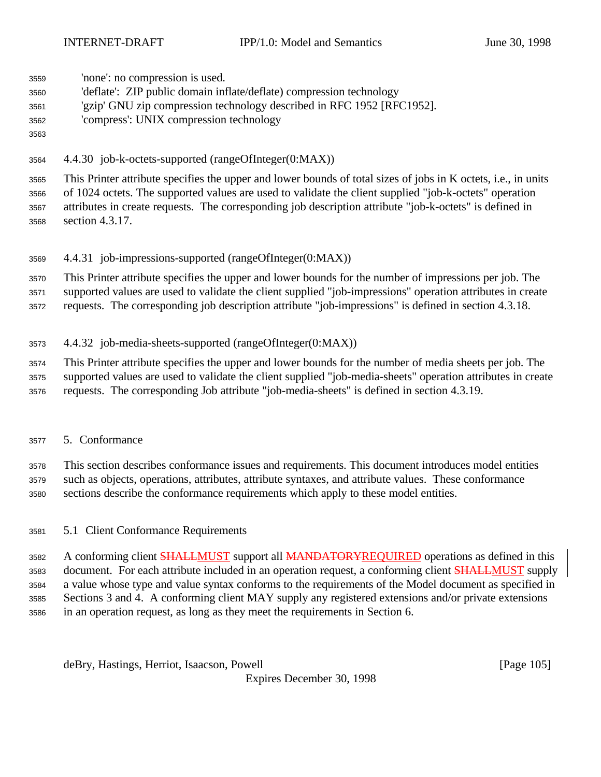- 'none': no compression is used.
- 'deflate': ZIP public domain inflate/deflate) compression technology
- 'gzip' GNU zip compression technology described in RFC 1952 [RFC1952].
- 'compress': UNIX compression technology
- 
- 4.4.30 job-k-octets-supported (rangeOfInteger(0:MAX))

 This Printer attribute specifies the upper and lower bounds of total sizes of jobs in K octets, i.e., in units of 1024 octets. The supported values are used to validate the client supplied "job-k-octets" operation attributes in create requests. The corresponding job description attribute "job-k-octets" is defined in section 4.3.17.

4.4.31 job-impressions-supported (rangeOfInteger(0:MAX))

 This Printer attribute specifies the upper and lower bounds for the number of impressions per job. The supported values are used to validate the client supplied "job-impressions" operation attributes in create

requests. The corresponding job description attribute "job-impressions" is defined in section 4.3.18.

4.4.32 job-media-sheets-supported (rangeOfInteger(0:MAX))

 This Printer attribute specifies the upper and lower bounds for the number of media sheets per job. The supported values are used to validate the client supplied "job-media-sheets" operation attributes in create requests. The corresponding Job attribute "job-media-sheets" is defined in section 4.3.19.

5. Conformance

 This section describes conformance issues and requirements. This document introduces model entities such as objects, operations, attributes, attribute syntaxes, and attribute values. These conformance sections describe the conformance requirements which apply to these model entities.

5.1 Client Conformance Requirements

3582 A conforming client SHALLMUST support all MANDATORYREOUIRED operations as defined in this 3583 document. For each attribute included in an operation request, a conforming client **SHALLMUST** supply a value whose type and value syntax conforms to the requirements of the Model document as specified in Sections 3 and 4. A conforming client MAY supply any registered extensions and/or private extensions in an operation request, as long as they meet the requirements in Section 6.

deBry, Hastings, Herriot, Isaacson, Powell **compared and Containers** [Page 105]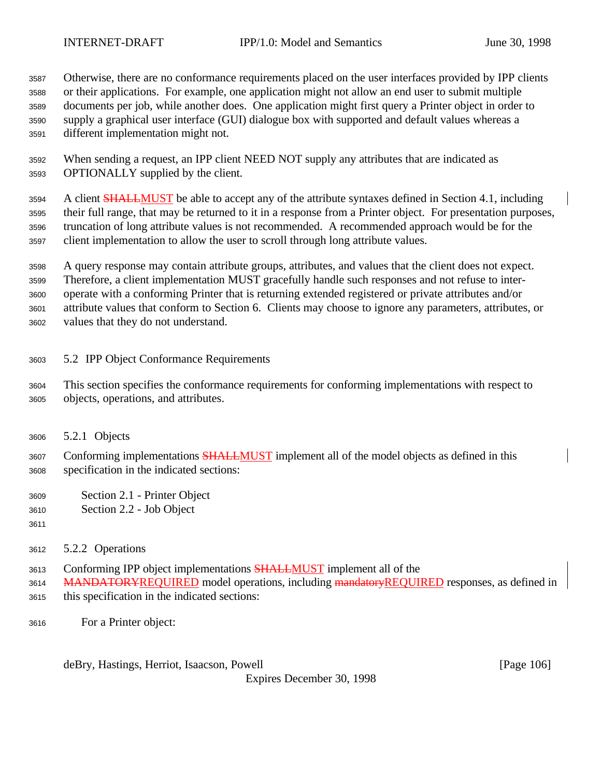Otherwise, there are no conformance requirements placed on the user interfaces provided by IPP clients or their applications. For example, one application might not allow an end user to submit multiple documents per job, while another does. One application might first query a Printer object in order to supply a graphical user interface (GUI) dialogue box with supported and default values whereas a different implementation might not.

 When sending a request, an IPP client NEED NOT supply any attributes that are indicated as OPTIONALLY supplied by the client.

3594 A client **SHALLMUST** be able to accept any of the attribute syntaxes defined in Section 4.1, including their full range, that may be returned to it in a response from a Printer object. For presentation purposes, truncation of long attribute values is not recommended. A recommended approach would be for the client implementation to allow the user to scroll through long attribute values.

 A query response may contain attribute groups, attributes, and values that the client does not expect. Therefore, a client implementation MUST gracefully handle such responses and not refuse to inter- operate with a conforming Printer that is returning extended registered or private attributes and/or attribute values that conform to Section 6. Clients may choose to ignore any parameters, attributes, or values that they do not understand.

- 5.2 IPP Object Conformance Requirements
- This section specifies the conformance requirements for conforming implementations with respect to objects, operations, and attributes.
- 5.2.1 Objects

3607 Conforming implementations **SHALLMUST** implement all of the model objects as defined in this specification in the indicated sections:

- Section 2.1 Printer Object
- Section 2.2 Job Object
- 
- 5.2.2 Operations
- Conforming IPP object implementations SHALLMUST implement all of the
- 3614 MANDATORYREQUIRED model operations, including mandatoryREQUIRED responses, as defined in
- this specification in the indicated sections:
- For a Printer object:

deBry, Hastings, Herriot, Isaacson, Powell **compared and Contract and Contract Contract (Page 106**)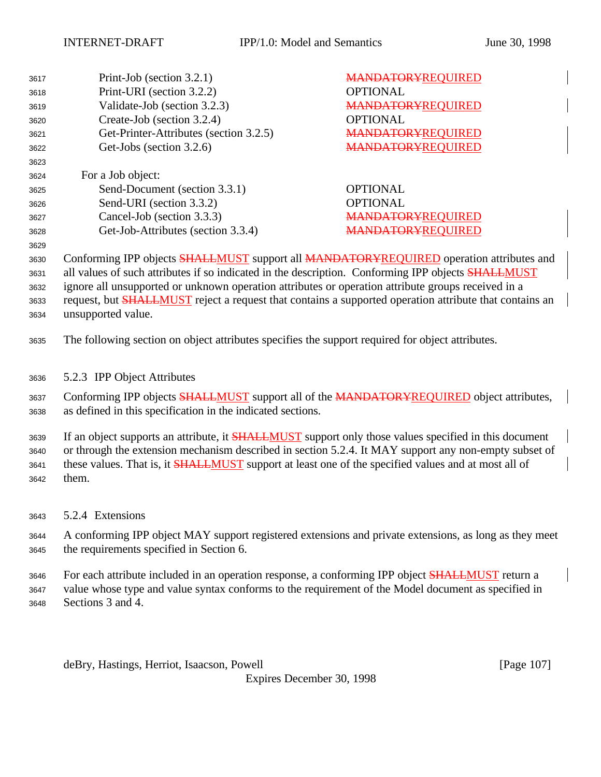| 3617 | Print-Job (section 3.2.1)              | <b>MANDATORYREQUIRED</b> |
|------|----------------------------------------|--------------------------|
| 3618 | Print-URI (section 3.2.2)              | <b>OPTIONAL</b>          |
| 3619 | Validate-Job (section 3.2.3)           | <b>MANDATORYREQUIRED</b> |
| 3620 | Create-Job (section 3.2.4)             | <b>OPTIONAL</b>          |
| 3621 | Get-Printer-Attributes (section 3.2.5) | <b>MANDATORYREQUIRED</b> |
| 3622 | Get-Jobs (section 3.2.6)               | <b>MANDATORYREQUIRED</b> |
| 3623 |                                        |                          |
| 3624 | For a Job object:                      |                          |
| 3625 | Send-Document (section 3.3.1)          | <b>OPTIONAL</b>          |
| 3626 | Send-URI (section 3.3.2)               | <b>OPTIONAL</b>          |
| 3627 | Cancel-Job (section 3.3.3)             | <b>MANDATORYREQUIRED</b> |
| 3628 | Get-Job-Attributes (section 3.3.4)     | <b>MANDATORYREQUIRED</b> |
| 3629 |                                        |                          |

3630 Conforming IPP objects **SHALLMUST** support all **MANDATORYREQUIRED** operation attributes and 3631 all values of such attributes if so indicated in the description. Conforming IPP objects SHALLMUST ignore all unsupported or unknown operation attributes or operation attribute groups received in a 3633 request, but **SHALLMUST** reject a request that contains a supported operation attribute that contains an

- unsupported value.
- The following section on object attributes specifies the support required for object attributes.
- 5.2.3 IPP Object Attributes

3637 Conforming IPP objects **SHALLMUST** support all of the **MANDATORY REQUIRED** object attributes, as defined in this specification in the indicated sections.

3639 If an object supports an attribute, it **SHALLMUST** support only those values specified in this document

or through the extension mechanism described in section 5.2.4. It MAY support any non-empty subset of

3641 these values. That is, it **SHALLMUST** support at least one of the specified values and at most all of them.

5.2.4 Extensions

 A conforming IPP object MAY support registered extensions and private extensions, as long as they meet the requirements specified in Section 6.

- 3646 For each attribute included in an operation response, a conforming IPP object **SHALLMUST** return a
- value whose type and value syntax conforms to the requirement of the Model document as specified in
- Sections 3 and 4.

deBry, Hastings, Herriot, Isaacson, Powell **compared and Contract and Contract Contract (Page 107**)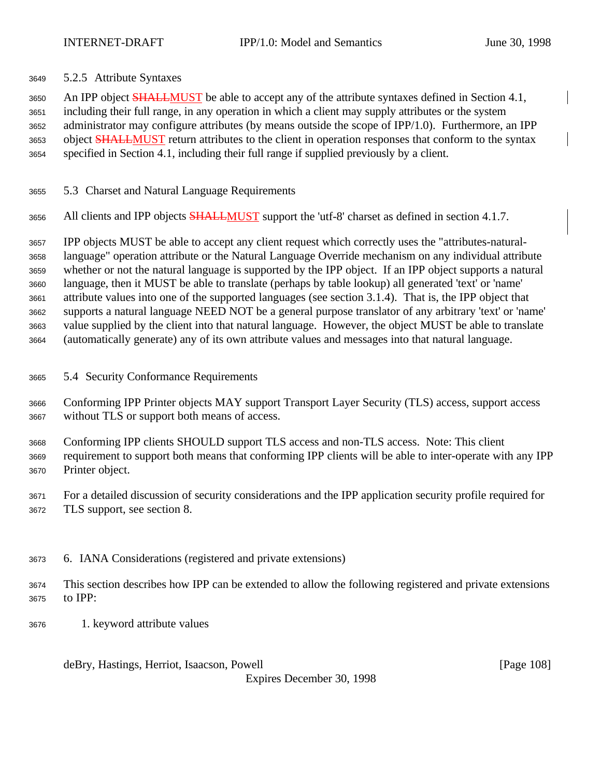## 5.2.5 Attribute Syntaxes

3650 An IPP object **SHALLMUST** be able to accept any of the attribute syntaxes defined in Section 4.1, including their full range, in any operation in which a client may supply attributes or the system administrator may configure attributes (by means outside the scope of IPP/1.0). Furthermore, an IPP 3653 object **SHALLMUST** return attributes to the client in operation responses that conform to the syntax specified in Section 4.1, including their full range if supplied previously by a client.

- 5.3 Charset and Natural Language Requirements
- 3656 All clients and IPP objects **SHALLMUST** support the 'utf-8' charset as defined in section 4.1.7.

 IPP objects MUST be able to accept any client request which correctly uses the "attributes-natural- language" operation attribute or the Natural Language Override mechanism on any individual attribute whether or not the natural language is supported by the IPP object. If an IPP object supports a natural language, then it MUST be able to translate (perhaps by table lookup) all generated 'text' or 'name' attribute values into one of the supported languages (see section 3.1.4). That is, the IPP object that supports a natural language NEED NOT be a general purpose translator of any arbitrary 'text' or 'name' value supplied by the client into that natural language. However, the object MUST be able to translate (automatically generate) any of its own attribute values and messages into that natural language.

- 5.4 Security Conformance Requirements
- Conforming IPP Printer objects MAY support Transport Layer Security (TLS) access, support access without TLS or support both means of access.
- Conforming IPP clients SHOULD support TLS access and non-TLS access. Note: This client requirement to support both means that conforming IPP clients will be able to inter-operate with any IPP
- Printer object.
- For a detailed discussion of security considerations and the IPP application security profile required for TLS support, see section 8.
- 6. IANA Considerations (registered and private extensions)
- This section describes how IPP can be extended to allow the following registered and private extensions to IPP:
- 1. keyword attribute values

deBry, Hastings, Herriot, Isaacson, Powell **compared and Containers** and Containers and Containers and Container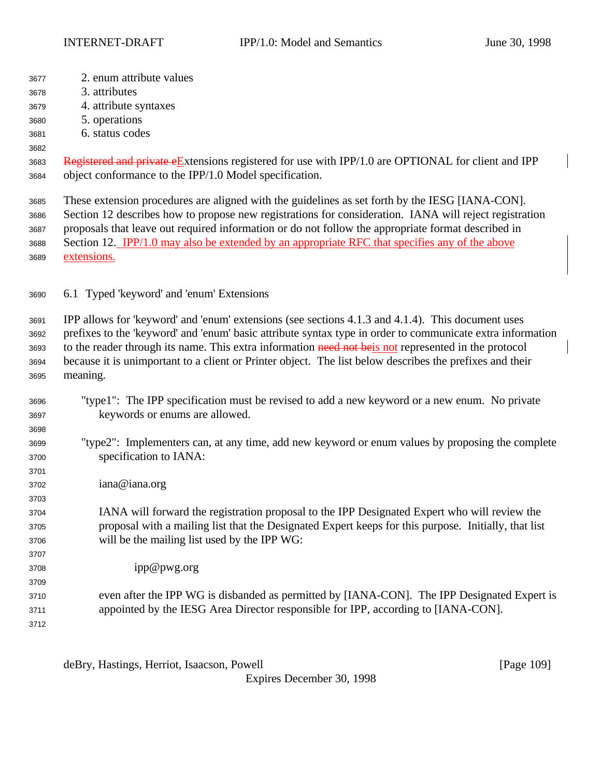INTERNET-DRAFT **IPP/1.0:** Model and Semantics June 30, 1998

- 2. enum attribute values
- 3. attributes
- 4. attribute syntaxes
- 5. operations
- 6. status codes
- 

3683 Registered and private eExtensions registered for use with IPP/1.0 are OPTIONAL for client and IPP object conformance to the IPP/1.0 Model specification.

 These extension procedures are aligned with the guidelines as set forth by the IESG [IANA-CON]. Section 12 describes how to propose new registrations for consideration. IANA will reject registration proposals that leave out required information or do not follow the appropriate format described in 3688 Section 12. IPP/1.0 may also be extended by an appropriate RFC that specifies any of the above extensions.

6.1 Typed 'keyword' and 'enum' Extensions

 IPP allows for 'keyword' and 'enum' extensions (see sections 4.1.3 and 4.1.4). This document uses prefixes to the 'keyword' and 'enum' basic attribute syntax type in order to communicate extra information to the reader through its name. This extra information need not beis not represented in the protocol because it is unimportant to a client or Printer object. The list below describes the prefixes and their meaning.

- "type1": The IPP specification must be revised to add a new keyword or a new enum. No private keywords or enums are allowed.
- "type2": Implementers can, at any time, add new keyword or enum values by proposing the complete specification to IANA:
- iana@iana.org

 IANA will forward the registration proposal to the IPP Designated Expert who will review the proposal with a mailing list that the Designated Expert keeps for this purpose. Initially, that list will be the mailing list used by the IPP WG:

ipp@pwg.org

- even after the IPP WG is disbanded as permitted by [IANA-CON]. The IPP Designated Expert is appointed by the IESG Area Director responsible for IPP, according to [IANA-CON].
- 

deBry, Hastings, Herriot, Isaacson, Powell **company** and the company of the company in the company of the company of the company of the company of the company of the company of the company of the company of the company of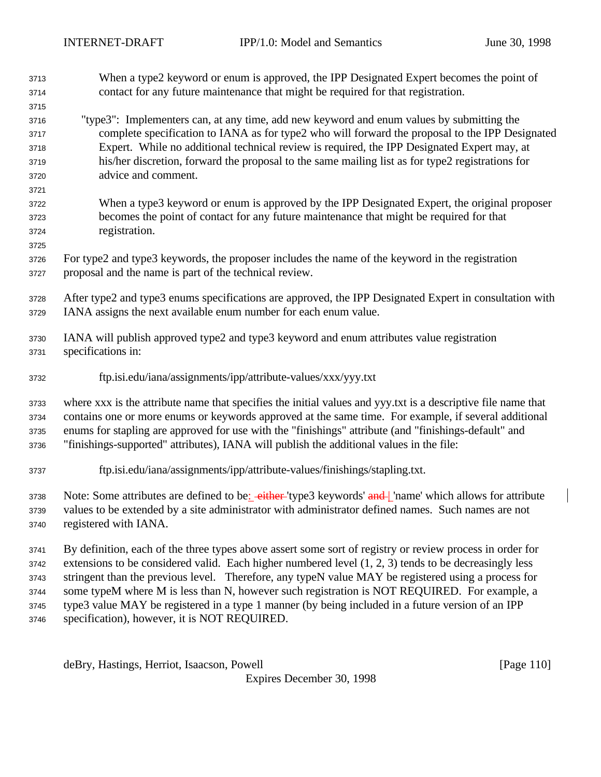- When a type2 keyword or enum is approved, the IPP Designated Expert becomes the point of contact for any future maintenance that might be required for that registration. "type3": Implementers can, at any time, add new keyword and enum values by submitting the complete specification to IANA as for type2 who will forward the proposal to the IPP Designated Expert. While no additional technical review is required, the IPP Designated Expert may, at his/her discretion, forward the proposal to the same mailing list as for type2 registrations for advice and comment. When a type3 keyword or enum is approved by the IPP Designated Expert, the original proposer becomes the point of contact for any future maintenance that might be required for that registration. For type2 and type3 keywords, the proposer includes the name of the keyword in the registration proposal and the name is part of the technical review. After type2 and type3 enums specifications are approved, the IPP Designated Expert in consultation with IANA assigns the next available enum number for each enum value. IANA will publish approved type2 and type3 keyword and enum attributes value registration specifications in: ftp.isi.edu/iana/assignments/ipp/attribute-values/xxx/yyy.txt where xxx is the attribute name that specifies the initial values and yyy.txt is a descriptive file name that contains one or more enums or keywords approved at the same time. For example, if several additional enums for stapling are approved for use with the "finishings" attribute (and "finishings-default" and "finishings-supported" attributes), IANA will publish the additional values in the file: ftp.isi.edu/iana/assignments/ipp/attribute-values/finishings/stapling.txt. 3738 Note: Some attributes are defined to be: *either* 'type3 keywords' and | 'name' which allows for attribute values to be extended by a site administrator with administrator defined names. Such names are not registered with IANA. By definition, each of the three types above assert some sort of registry or review process in order for extensions to be considered valid. Each higher numbered level (1, 2, 3) tends to be decreasingly less stringent than the previous level. Therefore, any typeN value MAY be registered using a process for some typeM where M is less than N, however such registration is NOT REQUIRED. For example, a type3 value MAY be registered in a type 1 manner (by being included in a future version of an IPP
- specification), however, it is NOT REQUIRED.

deBry, Hastings, Herriot, Isaacson, Powell [Page 110]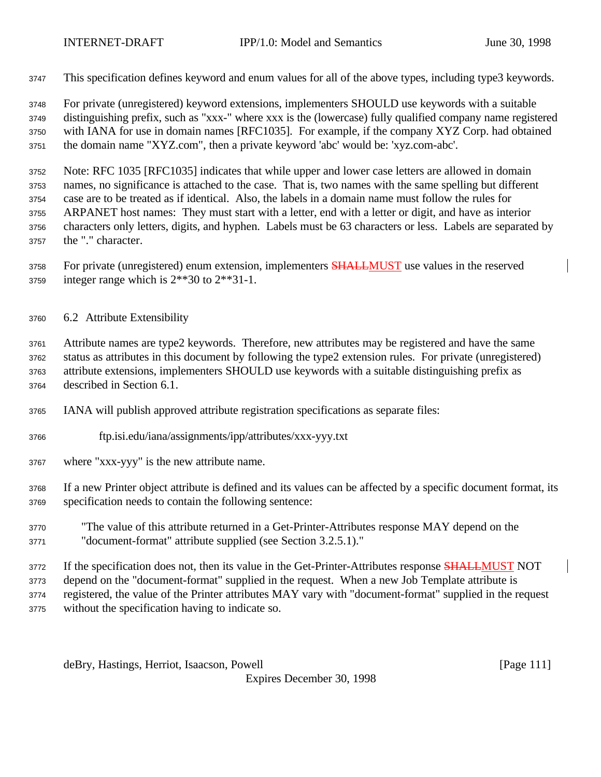This specification defines keyword and enum values for all of the above types, including type3 keywords.

 For private (unregistered) keyword extensions, implementers SHOULD use keywords with a suitable distinguishing prefix, such as "xxx-" where xxx is the (lowercase) fully qualified company name registered with IANA for use in domain names [RFC1035]. For example, if the company XYZ Corp. had obtained the domain name "XYZ.com", then a private keyword 'abc' would be: 'xyz.com-abc'.

 Note: RFC 1035 [RFC1035] indicates that while upper and lower case letters are allowed in domain names, no significance is attached to the case. That is, two names with the same spelling but different case are to be treated as if identical. Also, the labels in a domain name must follow the rules for ARPANET host names: They must start with a letter, end with a letter or digit, and have as interior characters only letters, digits, and hyphen. Labels must be 63 characters or less. Labels are separated by the "." character.

3758 For private (unregistered) enum extension, implementers **SHALLMUST** use values in the reserved integer range which is 2\*\*30 to 2\*\*31-1.

6.2 Attribute Extensibility

 Attribute names are type2 keywords. Therefore, new attributes may be registered and have the same status as attributes in this document by following the type2 extension rules. For private (unregistered) attribute extensions, implementers SHOULD use keywords with a suitable distinguishing prefix as described in Section 6.1.

- IANA will publish approved attribute registration specifications as separate files:
- ftp.isi.edu/iana/assignments/ipp/attributes/xxx-yyy.txt
- where "xxx-yyy" is the new attribute name.
- If a new Printer object attribute is defined and its values can be affected by a specific document format, its specification needs to contain the following sentence:
- "The value of this attribute returned in a Get-Printer-Attributes response MAY depend on the "document-format" attribute supplied (see Section 3.2.5.1)."
- 3772 If the specification does not, then its value in the Get-Printer-Attributes response **SHALLMUST** NOT
- depend on the "document-format" supplied in the request. When a new Job Template attribute is

 registered, the value of the Printer attributes MAY vary with "document-format" supplied in the request without the specification having to indicate so.

deBry, Hastings, Herriot, Isaacson, Powell **compared and Containers** and Containers and Containers and Container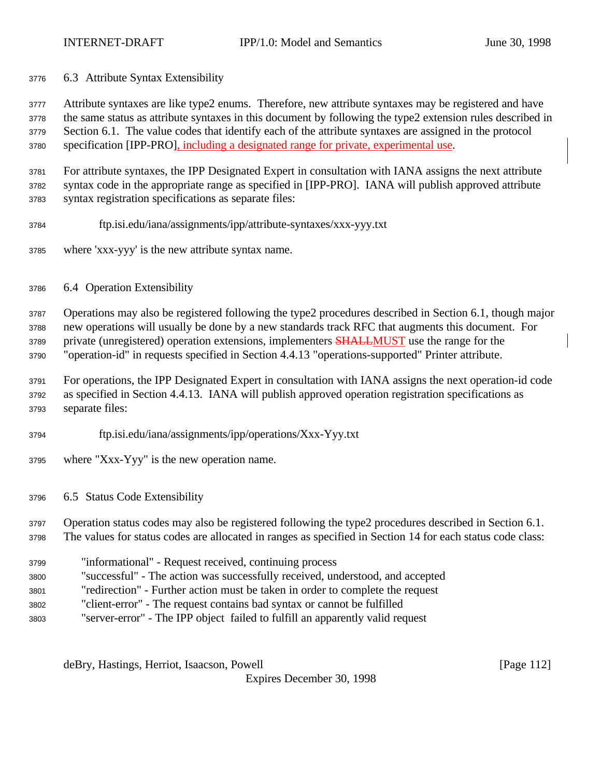6.3 Attribute Syntax Extensibility

Attribute syntaxes are like type2 enums. Therefore, new attribute syntaxes may be registered and have

 the same status as attribute syntaxes in this document by following the type2 extension rules described in Section 6.1. The value codes that identify each of the attribute syntaxes are assigned in the protocol

specification [IPP-PRO], including a designated range for private, experimental use.

 For attribute syntaxes, the IPP Designated Expert in consultation with IANA assigns the next attribute syntax code in the appropriate range as specified in [IPP-PRO]. IANA will publish approved attribute syntax registration specifications as separate files:

- ftp.isi.edu/iana/assignments/ipp/attribute-syntaxes/xxx-yyy.txt
- where 'xxx-yyy' is the new attribute syntax name.
- 6.4 Operation Extensibility

 Operations may also be registered following the type2 procedures described in Section 6.1, though major new operations will usually be done by a new standards track RFC that augments this document. For 3789 private (unregistered) operation extensions, implementers **SHALLMUST** use the range for the "operation-id" in requests specified in Section 4.4.13 "operations-supported" Printer attribute.

 For operations, the IPP Designated Expert in consultation with IANA assigns the next operation-id code as specified in Section 4.4.13. IANA will publish approved operation registration specifications as separate files:

- ftp.isi.edu/iana/assignments/ipp/operations/Xxx-Yyy.txt
- where "Xxx-Yyy" is the new operation name.
- 6.5 Status Code Extensibility

 Operation status codes may also be registered following the type2 procedures described in Section 6.1. The values for status codes are allocated in ranges as specified in Section 14 for each status code class:

- "informational" Request received, continuing process
- "successful" The action was successfully received, understood, and accepted
- "redirection" Further action must be taken in order to complete the request
- "client-error" The request contains bad syntax or cannot be fulfilled
- "server-error" The IPP object failed to fulfill an apparently valid request

deBry, Hastings, Herriot, Isaacson, Powell **compared and Contract and Contract Contract (Page 112**)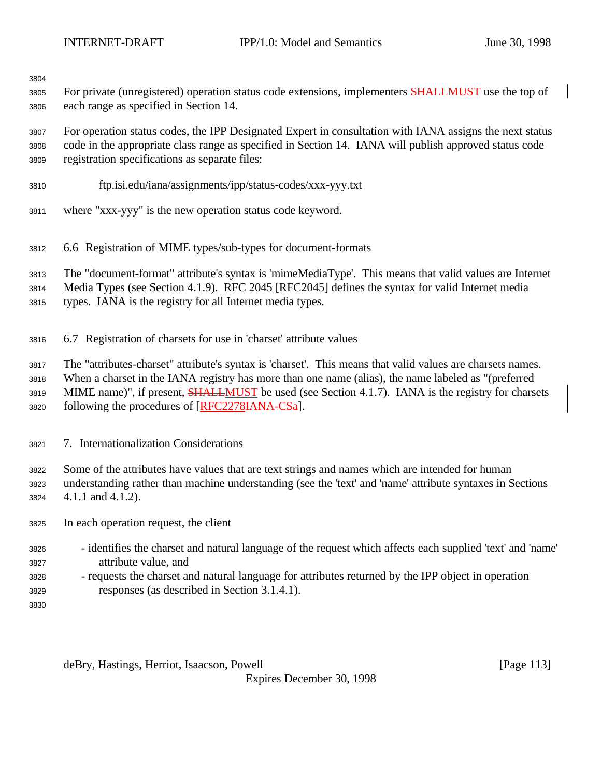3805 For private (unregistered) operation status code extensions, implementers **SHALLMUST** use the top of each range as specified in Section 14.

 For operation status codes, the IPP Designated Expert in consultation with IANA assigns the next status code in the appropriate class range as specified in Section 14. IANA will publish approved status code registration specifications as separate files:

- ftp.isi.edu/iana/assignments/ipp/status-codes/xxx-yyy.txt
- where "xxx-yyy" is the new operation status code keyword.
- 6.6 Registration of MIME types/sub-types for document-formats
- The "document-format" attribute's syntax is 'mimeMediaType'. This means that valid values are Internet
- Media Types (see Section 4.1.9). RFC 2045 [RFC2045] defines the syntax for valid Internet media
- types. IANA is the registry for all Internet media types.
- 6.7 Registration of charsets for use in 'charset' attribute values

The "attributes-charset" attribute's syntax is 'charset'. This means that valid values are charsets names.

When a charset in the IANA registry has more than one name (alias), the name labeled as "(preferred

3819 MIME name)", if present, **SHALLMUST** be used (see Section 4.1.7). IANA is the registry for charsets

- following the procedures of [RFC2278IANA-CSa].
- 7. Internationalization Considerations

Some of the attributes have values that are text strings and names which are intended for human

- understanding rather than machine understanding (see the 'text' and 'name' attribute syntaxes in Sections 4.1.1 and 4.1.2).
- In each operation request, the client
- identifies the charset and natural language of the request which affects each supplied 'text' and 'name' attribute value, and
- requests the charset and natural language for attributes returned by the IPP object in operation responses (as described in Section 3.1.4.1).
- 

deBry, Hastings, Herriot, Isaacson, Powell **compared and Containers** and Containers and Containers and Container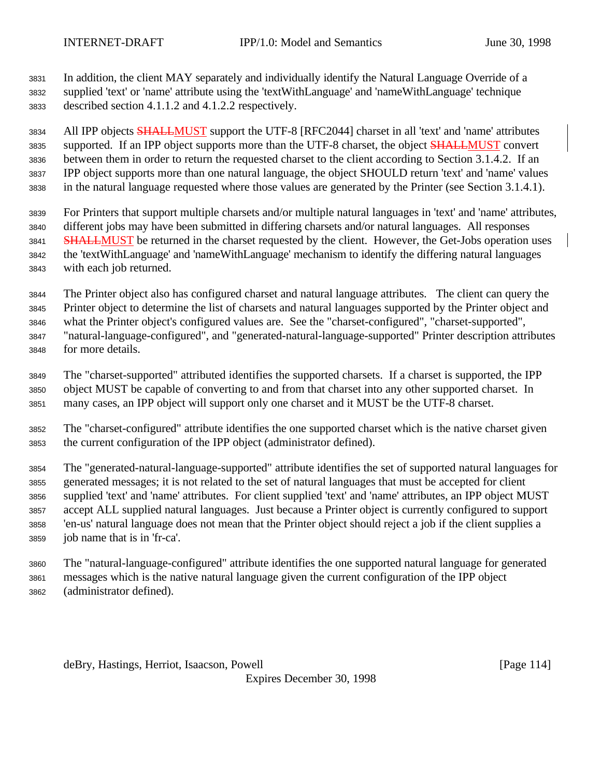In addition, the client MAY separately and individually identify the Natural Language Override of a supplied 'text' or 'name' attribute using the 'textWithLanguage' and 'nameWithLanguage' technique described section 4.1.1.2 and 4.1.2.2 respectively.

3834 All IPP objects **SHALLMUST** support the UTF-8 [RFC2044] charset in all 'text' and 'name' attributes 3835 supported. If an IPP object supports more than the UTF-8 charset, the object **SHALLMUST** convert between them in order to return the requested charset to the client according to Section 3.1.4.2. If an IPP object supports more than one natural language, the object SHOULD return 'text' and 'name' values in the natural language requested where those values are generated by the Printer (see Section 3.1.4.1).

 For Printers that support multiple charsets and/or multiple natural languages in 'text' and 'name' attributes, different jobs may have been submitted in differing charsets and/or natural languages. All responses **SHALLMUST** be returned in the charset requested by the client. However, the Get-Jobs operation uses the 'textWithLanguage' and 'nameWithLanguage' mechanism to identify the differing natural languages with each job returned.

 The Printer object also has configured charset and natural language attributes. The client can query the Printer object to determine the list of charsets and natural languages supported by the Printer object and what the Printer object's configured values are. See the "charset-configured", "charset-supported", "natural-language-configured", and "generated-natural-language-supported" Printer description attributes for more details.

 The "charset-supported" attributed identifies the supported charsets. If a charset is supported, the IPP object MUST be capable of converting to and from that charset into any other supported charset. In many cases, an IPP object will support only one charset and it MUST be the UTF-8 charset.

 The "charset-configured" attribute identifies the one supported charset which is the native charset given the current configuration of the IPP object (administrator defined).

 The "generated-natural-language-supported" attribute identifies the set of supported natural languages for generated messages; it is not related to the set of natural languages that must be accepted for client supplied 'text' and 'name' attributes. For client supplied 'text' and 'name' attributes, an IPP object MUST accept ALL supplied natural languages. Just because a Printer object is currently configured to support 'en-us' natural language does not mean that the Printer object should reject a job if the client supplies a job name that is in 'fr-ca'.

 The "natural-language-configured" attribute identifies the one supported natural language for generated messages which is the native natural language given the current configuration of the IPP object (administrator defined).

deBry, Hastings, Herriot, Isaacson, Powell [Page 114]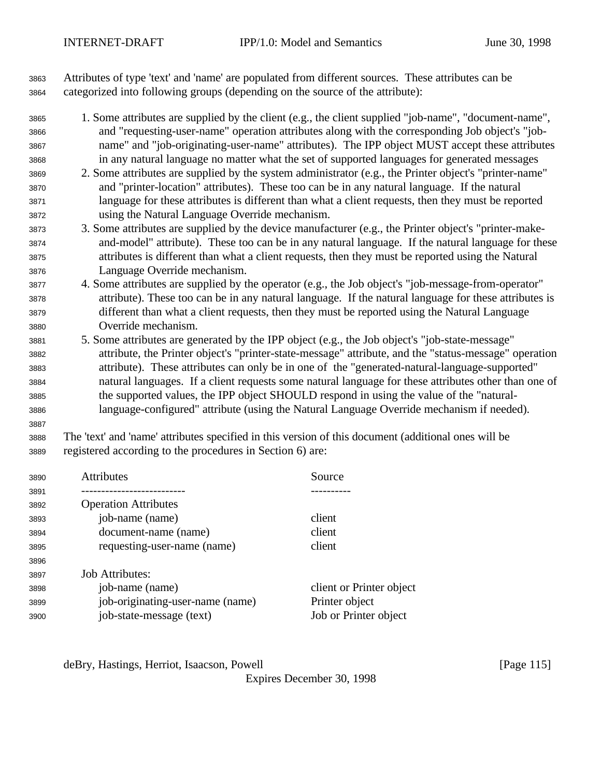Attributes of type 'text' and 'name' are populated from different sources. These attributes can be categorized into following groups (depending on the source of the attribute):

- 1. Some attributes are supplied by the client (e.g., the client supplied "job-name", "document-name", and "requesting-user-name" operation attributes along with the corresponding Job object's "job- name" and "job-originating-user-name" attributes). The IPP object MUST accept these attributes in any natural language no matter what the set of supported languages for generated messages
- 2. Some attributes are supplied by the system administrator (e.g., the Printer object's "printer-name" and "printer-location" attributes). These too can be in any natural language. If the natural language for these attributes is different than what a client requests, then they must be reported using the Natural Language Override mechanism.
- 3. Some attributes are supplied by the device manufacturer (e.g., the Printer object's "printer-make- and-model" attribute). These too can be in any natural language. If the natural language for these attributes is different than what a client requests, then they must be reported using the Natural Language Override mechanism.
- 4. Some attributes are supplied by the operator (e.g., the Job object's "job-message-from-operator" attribute). These too can be in any natural language. If the natural language for these attributes is different than what a client requests, then they must be reported using the Natural Language Override mechanism.
- 5. Some attributes are generated by the IPP object (e.g., the Job object's "job-state-message" attribute, the Printer object's "printer-state-message" attribute, and the "status-message" operation attribute). These attributes can only be in one of the "generated-natural-language-supported" natural languages. If a client requests some natural language for these attributes other than one of the supported values, the IPP object SHOULD respond in using the value of the "natural-language-configured" attribute (using the Natural Language Override mechanism if needed).
- 
- The 'text' and 'name' attributes specified in this version of this document (additional ones will be registered according to the procedures in Section 6) are:

| 3890 | <b>Attributes</b>                | Source                   |  |
|------|----------------------------------|--------------------------|--|
| 3891 |                                  |                          |  |
| 3892 | <b>Operation Attributes</b>      |                          |  |
| 3893 | job-name (name)                  | client                   |  |
| 3894 | document-name (name)             | client                   |  |
| 3895 | requesting-user-name (name)      | client                   |  |
| 3896 |                                  |                          |  |
| 3897 | <b>Job Attributes:</b>           |                          |  |
| 3898 | job-name (name)                  | client or Printer object |  |
| 3899 | job-originating-user-name (name) | Printer object           |  |
| 3900 | job-state-message (text)         | Job or Printer object    |  |
|      |                                  |                          |  |

deBry, Hastings, Herriot, Isaacson, Powell **intervalse and the Contract Contract Contract Contract Contract Contract Contract Contract Contract Contract Contract Contract Contract Contract Contract Contract Contract Contra**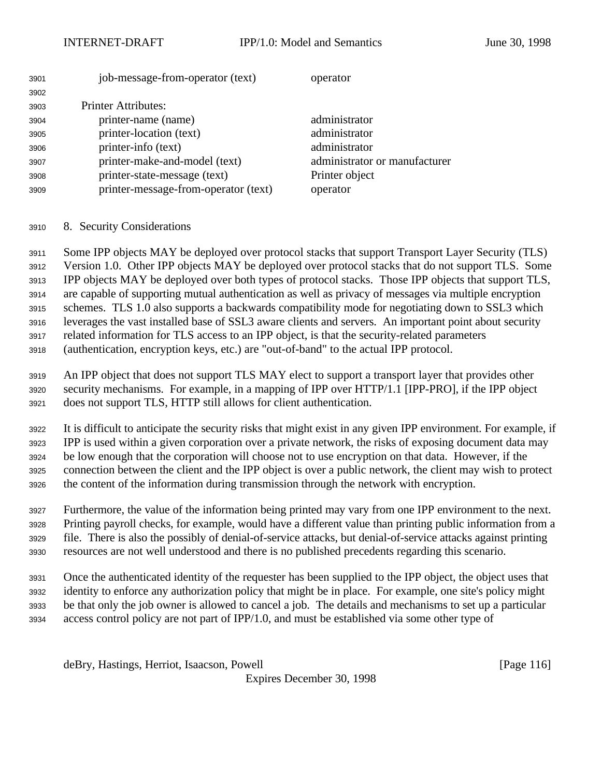| 3901 | job-message-from-operator (text)     | operator                      |
|------|--------------------------------------|-------------------------------|
| 3902 |                                      |                               |
| 3903 | <b>Printer Attributes:</b>           |                               |
| 3904 | printer-name (name)                  | administrator                 |
| 3905 | printer-location (text)              | administrator                 |
| 3906 | printer-info (text)                  | administrator                 |
| 3907 | printer-make-and-model (text)        | administrator or manufacturer |
| 3908 | printer-state-message (text)         | Printer object                |
| 3909 | printer-message-from-operator (text) | operator                      |

8. Security Considerations

 Some IPP objects MAY be deployed over protocol stacks that support Transport Layer Security (TLS) Version 1.0. Other IPP objects MAY be deployed over protocol stacks that do not support TLS. Some IPP objects MAY be deployed over both types of protocol stacks. Those IPP objects that support TLS, are capable of supporting mutual authentication as well as privacy of messages via multiple encryption schemes. TLS 1.0 also supports a backwards compatibility mode for negotiating down to SSL3 which leverages the vast installed base of SSL3 aware clients and servers. An important point about security related information for TLS access to an IPP object, is that the security-related parameters (authentication, encryption keys, etc.) are "out-of-band" to the actual IPP protocol.

 An IPP object that does not support TLS MAY elect to support a transport layer that provides other security mechanisms. For example, in a mapping of IPP over HTTP/1.1 [IPP-PRO], if the IPP object does not support TLS, HTTP still allows for client authentication.

 It is difficult to anticipate the security risks that might exist in any given IPP environment. For example, if IPP is used within a given corporation over a private network, the risks of exposing document data may be low enough that the corporation will choose not to use encryption on that data. However, if the connection between the client and the IPP object is over a public network, the client may wish to protect the content of the information during transmission through the network with encryption.

 Furthermore, the value of the information being printed may vary from one IPP environment to the next. Printing payroll checks, for example, would have a different value than printing public information from a file. There is also the possibly of denial-of-service attacks, but denial-of-service attacks against printing resources are not well understood and there is no published precedents regarding this scenario.

 Once the authenticated identity of the requester has been supplied to the IPP object, the object uses that identity to enforce any authorization policy that might be in place. For example, one site's policy might be that only the job owner is allowed to cancel a job. The details and mechanisms to set up a particular access control policy are not part of IPP/1.0, and must be established via some other type of

deBry, Hastings, Herriot, Isaacson, Powell [Page 116]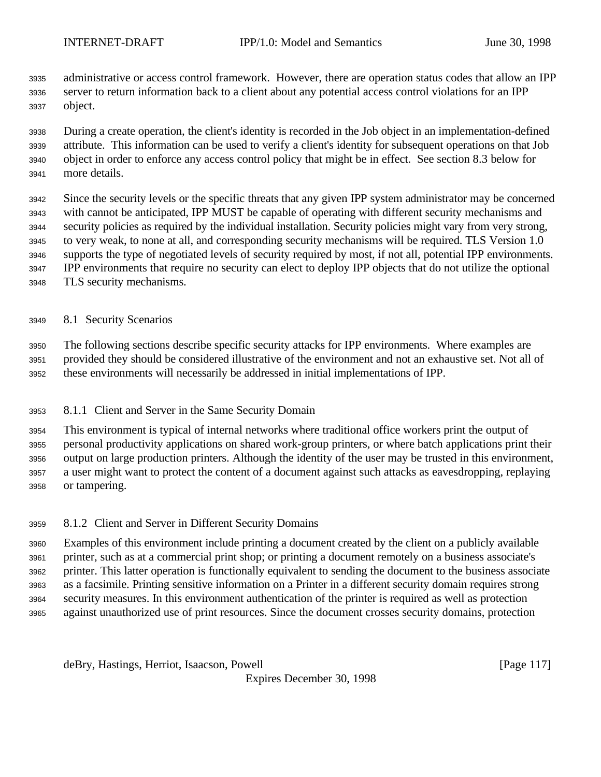administrative or access control framework. However, there are operation status codes that allow an IPP server to return information back to a client about any potential access control violations for an IPP object.

 During a create operation, the client's identity is recorded in the Job object in an implementation-defined attribute. This information can be used to verify a client's identity for subsequent operations on that Job object in order to enforce any access control policy that might be in effect. See section 8.3 below for more details.

 Since the security levels or the specific threats that any given IPP system administrator may be concerned with cannot be anticipated, IPP MUST be capable of operating with different security mechanisms and security policies as required by the individual installation. Security policies might vary from very strong, to very weak, to none at all, and corresponding security mechanisms will be required. TLS Version 1.0 supports the type of negotiated levels of security required by most, if not all, potential IPP environments. IPP environments that require no security can elect to deploy IPP objects that do not utilize the optional TLS security mechanisms.

8.1 Security Scenarios

 The following sections describe specific security attacks for IPP environments. Where examples are provided they should be considered illustrative of the environment and not an exhaustive set. Not all of these environments will necessarily be addressed in initial implementations of IPP.

8.1.1 Client and Server in the Same Security Domain

 This environment is typical of internal networks where traditional office workers print the output of personal productivity applications on shared work-group printers, or where batch applications print their output on large production printers. Although the identity of the user may be trusted in this environment, a user might want to protect the content of a document against such attacks as eavesdropping, replaying or tampering.

8.1.2 Client and Server in Different Security Domains

 Examples of this environment include printing a document created by the client on a publicly available printer, such as at a commercial print shop; or printing a document remotely on a business associate's printer. This latter operation is functionally equivalent to sending the document to the business associate as a facsimile. Printing sensitive information on a Printer in a different security domain requires strong security measures. In this environment authentication of the printer is required as well as protection against unauthorized use of print resources. Since the document crosses security domains, protection

deBry, Hastings, Herriot, Isaacson, Powell [Page 117]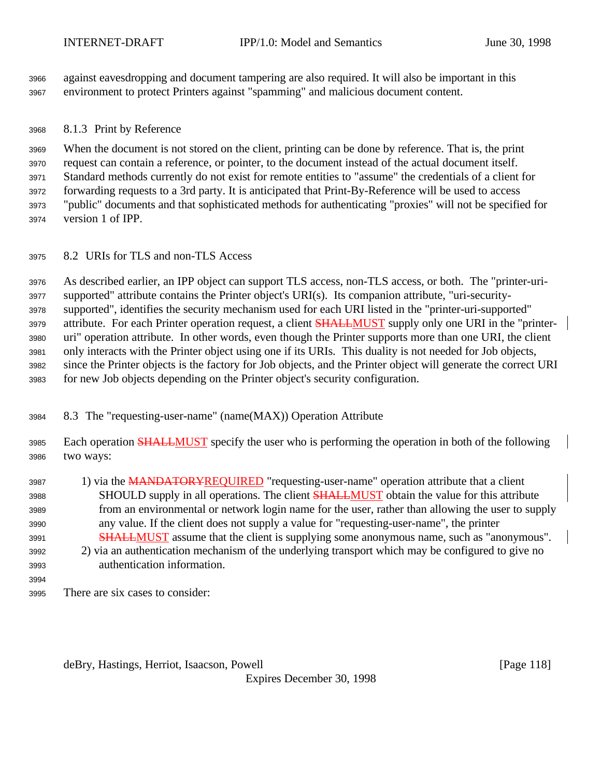against eavesdropping and document tampering are also required. It will also be important in this environment to protect Printers against "spamming" and malicious document content.

## 8.1.3 Print by Reference

 When the document is not stored on the client, printing can be done by reference. That is, the print request can contain a reference, or pointer, to the document instead of the actual document itself. Standard methods currently do not exist for remote entities to "assume" the credentials of a client for forwarding requests to a 3rd party. It is anticipated that Print-By-Reference will be used to access "public" documents and that sophisticated methods for authenticating "proxies" will not be specified for version 1 of IPP.

8.2 URIs for TLS and non-TLS Access

 As described earlier, an IPP object can support TLS access, non-TLS access, or both. The "printer-uri- supported" attribute contains the Printer object's URI(s). Its companion attribute, "uri-security- supported", identifies the security mechanism used for each URI listed in the "printer-uri-supported" 3979 attribute. For each Printer operation request, a client **SHALLMUST** supply only one URI in the "printer- uri" operation attribute. In other words, even though the Printer supports more than one URI, the client only interacts with the Printer object using one if its URIs. This duality is not needed for Job objects, since the Printer objects is the factory for Job objects, and the Printer object will generate the correct URI for new Job objects depending on the Printer object's security configuration.

- 8.3 The "requesting-user-name" (name(MAX)) Operation Attribute
- 3985 Each operation **SHALLMUST** specify the user who is performing the operation in both of the following two ways:
- 3987 1) via the MANDATORYREQUIRED "requesting-user-name" operation attribute that a client 3988 SHOULD supply in all operations. The client **SHALLMUST** obtain the value for this attribute from an environmental or network login name for the user, rather than allowing the user to supply any value. If the client does not supply a value for "requesting-user-name", the printer SHALLMUST assume that the client is supplying some anonymous name, such as "anonymous". 2) via an authentication mechanism of the underlying transport which may be configured to give no authentication information.
- There are six cases to consider:

deBry, Hastings, Herriot, Isaacson, Powell **compared and Containers** and Containers and Containers and Container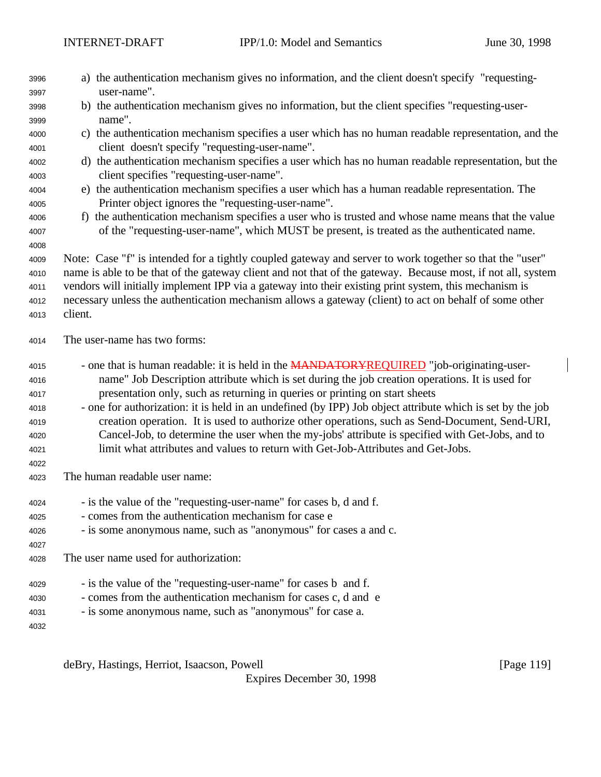| 3996<br>3997 | a) the authentication mechanism gives no information, and the client doesn't specify "requesting-<br>user-name".           |  |  |  |  |  |  |
|--------------|----------------------------------------------------------------------------------------------------------------------------|--|--|--|--|--|--|
| 3998         | b) the authentication mechanism gives no information, but the client specifies "requesting-user-                           |  |  |  |  |  |  |
| 3999         | name".                                                                                                                     |  |  |  |  |  |  |
| 4000         | c) the authentication mechanism specifies a user which has no human readable representation, and the                       |  |  |  |  |  |  |
| 4001         | client doesn't specify "requesting-user-name".                                                                             |  |  |  |  |  |  |
| 4002         | d) the authentication mechanism specifies a user which has no human readable representation, but the                       |  |  |  |  |  |  |
| 4003         | client specifies "requesting-user-name".                                                                                   |  |  |  |  |  |  |
| 4004         | e) the authentication mechanism specifies a user which has a human readable representation. The                            |  |  |  |  |  |  |
| 4005         | Printer object ignores the "requesting-user-name".                                                                         |  |  |  |  |  |  |
| 4006         | f) the authentication mechanism specifies a user who is trusted and whose name means that the value                        |  |  |  |  |  |  |
| 4007         | of the "requesting-user-name", which MUST be present, is treated as the authenticated name.                                |  |  |  |  |  |  |
| 4008         |                                                                                                                            |  |  |  |  |  |  |
| 4009         | Note: Case "f" is intended for a tightly coupled gateway and server to work together so that the "user"                    |  |  |  |  |  |  |
| 4010         | name is able to be that of the gateway client and not that of the gateway. Because most, if not all, system                |  |  |  |  |  |  |
| 4011         | vendors will initially implement IPP via a gateway into their existing print system, this mechanism is                     |  |  |  |  |  |  |
| 4012         | necessary unless the authentication mechanism allows a gateway (client) to act on behalf of some other<br>client.          |  |  |  |  |  |  |
| 4013         |                                                                                                                            |  |  |  |  |  |  |
| 4014         | The user-name has two forms:                                                                                               |  |  |  |  |  |  |
|              |                                                                                                                            |  |  |  |  |  |  |
| 4015         | - one that is human readable: it is held in the <b>MANDATORYREQUIRED</b> "job-originating-user-                            |  |  |  |  |  |  |
| 4016         | name" Job Description attribute which is set during the job creation operations. It is used for                            |  |  |  |  |  |  |
| 4017         | presentation only, such as returning in queries or printing on start sheets                                                |  |  |  |  |  |  |
| 4018         | - one for authorization: it is held in an undefined (by IPP) Job object attribute which is set by the job                  |  |  |  |  |  |  |
| 4019         | creation operation. It is used to authorize other operations, such as Send-Document, Send-URI,                             |  |  |  |  |  |  |
| 4020         | Cancel-Job, to determine the user when the my-jobs' attribute is specified with Get-Jobs, and to                           |  |  |  |  |  |  |
| 4021         | limit what attributes and values to return with Get-Job-Attributes and Get-Jobs.                                           |  |  |  |  |  |  |
| 4022         |                                                                                                                            |  |  |  |  |  |  |
| 4023         | The human readable user name:                                                                                              |  |  |  |  |  |  |
| 4024         |                                                                                                                            |  |  |  |  |  |  |
| 4025         | - is the value of the "requesting-user-name" for cases b, d and f.<br>- comes from the authentication mechanism for case e |  |  |  |  |  |  |
| 4026         | - is some anonymous name, such as "anonymous" for cases a and c.                                                           |  |  |  |  |  |  |
| 4027         |                                                                                                                            |  |  |  |  |  |  |
| 4028         | The user name used for authorization:                                                                                      |  |  |  |  |  |  |
| 4029         | - is the value of the "requesting-user-name" for cases b and f.                                                            |  |  |  |  |  |  |
| 4030         | - comes from the authentication mechanism for cases c, d and e                                                             |  |  |  |  |  |  |
| 4031         | - is some anonymous name, such as "anonymous" for case a.                                                                  |  |  |  |  |  |  |

deBry, Hastings, Herriot, Isaacson, Powell [Page 119]

Expires December 30, 1998

 $\overline{\phantom{a}}$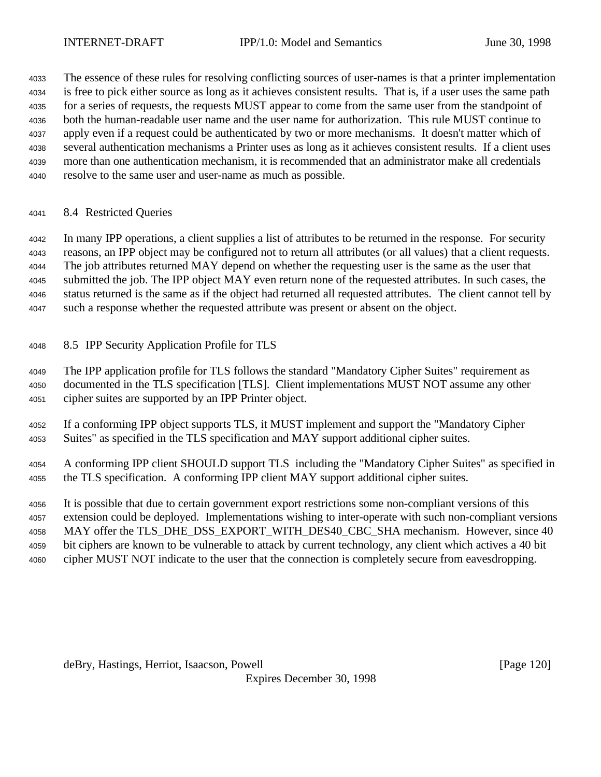The essence of these rules for resolving conflicting sources of user-names is that a printer implementation is free to pick either source as long as it achieves consistent results. That is, if a user uses the same path for a series of requests, the requests MUST appear to come from the same user from the standpoint of both the human-readable user name and the user name for authorization. This rule MUST continue to apply even if a request could be authenticated by two or more mechanisms. It doesn't matter which of several authentication mechanisms a Printer uses as long as it achieves consistent results. If a client uses more than one authentication mechanism, it is recommended that an administrator make all credentials resolve to the same user and user-name as much as possible.

8.4 Restricted Queries

 In many IPP operations, a client supplies a list of attributes to be returned in the response. For security reasons, an IPP object may be configured not to return all attributes (or all values) that a client requests. The job attributes returned MAY depend on whether the requesting user is the same as the user that submitted the job. The IPP object MAY even return none of the requested attributes. In such cases, the status returned is the same as if the object had returned all requested attributes. The client cannot tell by such a response whether the requested attribute was present or absent on the object.

8.5 IPP Security Application Profile for TLS

 The IPP application profile for TLS follows the standard "Mandatory Cipher Suites" requirement as documented in the TLS specification [TLS]. Client implementations MUST NOT assume any other cipher suites are supported by an IPP Printer object.

 If a conforming IPP object supports TLS, it MUST implement and support the "Mandatory Cipher Suites" as specified in the TLS specification and MAY support additional cipher suites.

 A conforming IPP client SHOULD support TLS including the "Mandatory Cipher Suites" as specified in the TLS specification. A conforming IPP client MAY support additional cipher suites.

 It is possible that due to certain government export restrictions some non-compliant versions of this extension could be deployed. Implementations wishing to inter-operate with such non-compliant versions 4058 MAY offer the TLS DHE DSS EXPORT WITH DES40 CBC SHA mechanism. However, since 40

bit ciphers are known to be vulnerable to attack by current technology, any client which actives a 40 bit

cipher MUST NOT indicate to the user that the connection is completely secure from eavesdropping.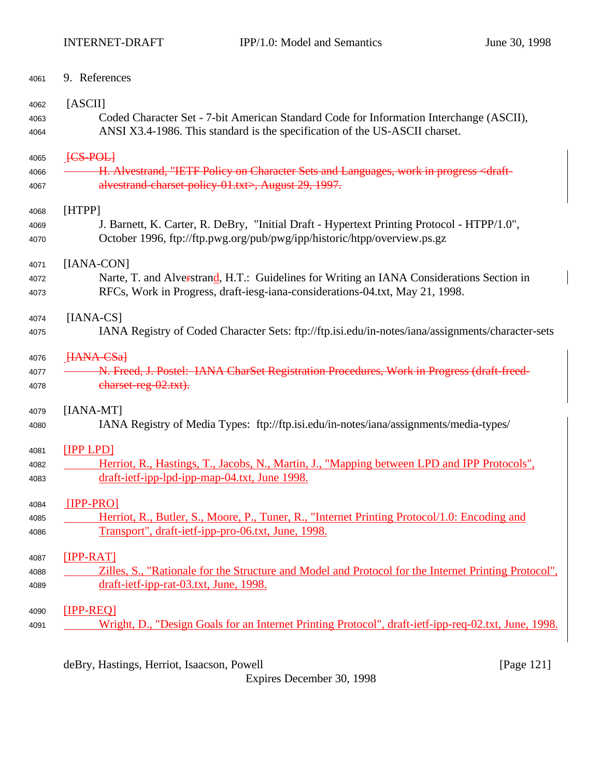$\overline{\phantom{a}}$ 

| 4061 | 9. References                                                                                           |
|------|---------------------------------------------------------------------------------------------------------|
| 4062 | [ASCII]                                                                                                 |
| 4063 | Coded Character Set - 7-bit American Standard Code for Information Interchange (ASCII),                 |
| 4064 | ANSI X3.4-1986. This standard is the specification of the US-ASCII charset.                             |
| 4065 | $FCS-POL$                                                                                               |
| 4066 | H. Alvestrand, "IETF Policy on Character Sets and Languages, work in progress <draft-< td=""></draft-<> |
| 4067 | alvestrand-charset-policy-01.txt>, August 29, 1997.                                                     |
| 4068 | [HTPP]                                                                                                  |
| 4069 | J. Barnett, K. Carter, R. DeBry, "Initial Draft - Hypertext Printing Protocol - HTPP/1.0",              |
| 4070 | October 1996, ftp://ftp.pwg.org/pub/pwg/ipp/historic/htpp/overview.ps.gz                                |
| 4071 | [IANA-CON]                                                                                              |
| 4072 | Narte, T. and Alverstrand, H.T.: Guidelines for Writing an IANA Considerations Section in               |
| 4073 | RFCs, Work in Progress, draft-iesg-iana-considerations-04.txt, May 21, 1998.                            |
| 4074 | $[IANA-CS]$                                                                                             |
| 4075 | IANA Registry of Coded Character Sets: ftp://ftp.isi.edu/in-notes/iana/assignments/character-sets       |
| 4076 | HANA-CSal                                                                                               |
| 4077 | N. Freed, J. Postel: IANA CharSet Registration Procedures, Work in Progress (draft freed-               |
| 4078 | charset-reg-02.txt).                                                                                    |
| 4079 | $[IANA-MT]$                                                                                             |
| 4080 | IANA Registry of Media Types: ftp://ftp.isi.edu/in-notes/iana/assignments/media-types/                  |
| 4081 | [IPP LPD]                                                                                               |
| 4082 | Herriot, R., Hastings, T., Jacobs, N., Martin, J., "Mapping between LPD and IPP Protocols",             |
| 4083 | draft-ietf-ipp-lpd-ipp-map-04.txt, June 1998.                                                           |
| 4084 | [IPP-PRO]                                                                                               |
| 4085 | Herriot, R., Butler, S., Moore, P., Tuner, R., "Internet Printing Protocol/1.0: Encoding and            |
| 4086 | Transport", draft-ietf-ipp-pro-06.txt, June, 1998.                                                      |
| 4087 | $[IPP-RAT]$                                                                                             |
| 4088 | Zilles, S., "Rationale for the Structure and Model and Protocol for the Internet Printing Protocol",    |
| 4089 | draft-ietf-ipp-rat-03.txt, June, 1998.                                                                  |
| 4090 | [IPP-REQ]                                                                                               |
| 4091 | Wright, D., "Design Goals for an Internet Printing Protocol", draft-ietf-ipp-req-02.txt, June, 1998.    |

deBry, Hastings, Herriot, Isaacson, Powell [Page 121]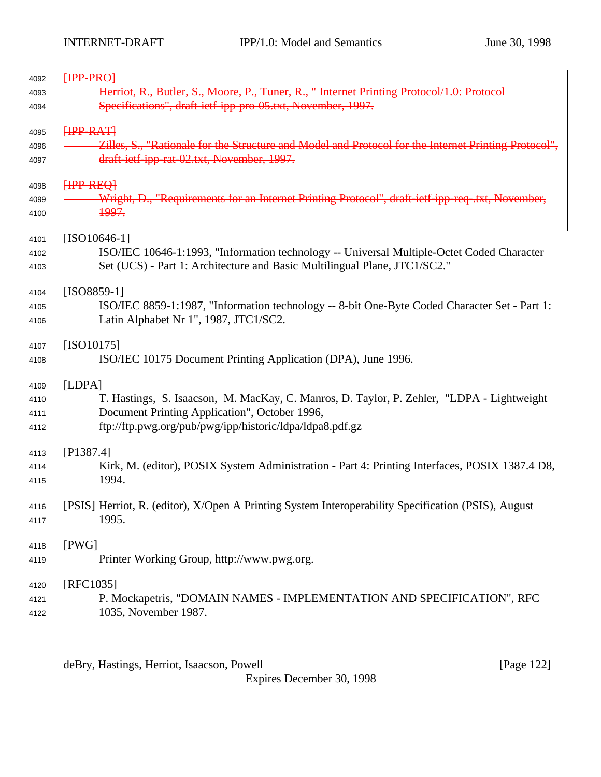| 4092 | HPP-PROT                                                                                             |
|------|------------------------------------------------------------------------------------------------------|
| 4093 | Herriot, R., Butler, S., Moore, P., Tuner, R., "Internet Printing Protocol/1.0: Protocol             |
| 4094 | Specifications", draft-ietf-ipp-pro-05.txt, November, 1997.                                          |
| 4095 | <b>HPP RATH</b>                                                                                      |
| 4096 | Zilles, S., "Rationale for the Structure and Model and Protocol for the Internet Printing Protocol", |
| 4097 | draft-ietf-ipp-rat-02.txt, November, 1997.                                                           |
| 4098 | HPP-REQ1                                                                                             |
| 4099 | Wright, D., "Requirements for an Internet Printing Protocol", draft ietf ipp req .txt, November,     |
| 4100 | <del>1997.</del>                                                                                     |
| 4101 | $[ISO10646-1]$                                                                                       |
| 4102 | ISO/IEC 10646-1:1993, "Information technology -- Universal Multiple-Octet Coded Character            |
| 4103 | Set (UCS) - Part 1: Architecture and Basic Multilingual Plane, JTC1/SC2."                            |
| 4104 | $[ISO8859-1]$                                                                                        |
| 4105 | ISO/IEC 8859-1:1987, "Information technology -- 8-bit One-Byte Coded Character Set - Part 1:         |
| 4106 | Latin Alphabet Nr 1", 1987, JTC1/SC2.                                                                |
| 4107 | $[ISO10175]$                                                                                         |
| 4108 | ISO/IEC 10175 Document Printing Application (DPA), June 1996.                                        |
| 4109 | [LDPA]                                                                                               |
| 4110 | T. Hastings, S. Isaacson, M. MacKay, C. Manros, D. Taylor, P. Zehler, "LDPA - Lightweight            |
| 4111 | Document Printing Application", October 1996,                                                        |
| 4112 | ftp://ftp.pwg.org/pub/pwg/ipp/historic/ldpa/ldpa8.pdf.gz                                             |
| 4113 | [P1387.4]                                                                                            |
| 4114 | Kirk, M. (editor), POSIX System Administration - Part 4: Printing Interfaces, POSIX 1387.4 D8,       |
| 4115 | 1994.                                                                                                |
| 4116 | [PSIS] Herriot, R. (editor), X/Open A Printing System Interoperability Specification (PSIS), August  |
| 4117 | 1995.                                                                                                |
| 4118 | [PWG]                                                                                                |
| 4119 | Printer Working Group, http://www.pwg.org.                                                           |
| 4120 | [RFC1035]                                                                                            |
| 4121 | P. Mockapetris, "DOMAIN NAMES - IMPLEMENTATION AND SPECIFICATION", RFC                               |
| 4122 | 1035, November 1987.                                                                                 |

deBry, Hastings, Herriot, Isaacson, Powell [Page 122]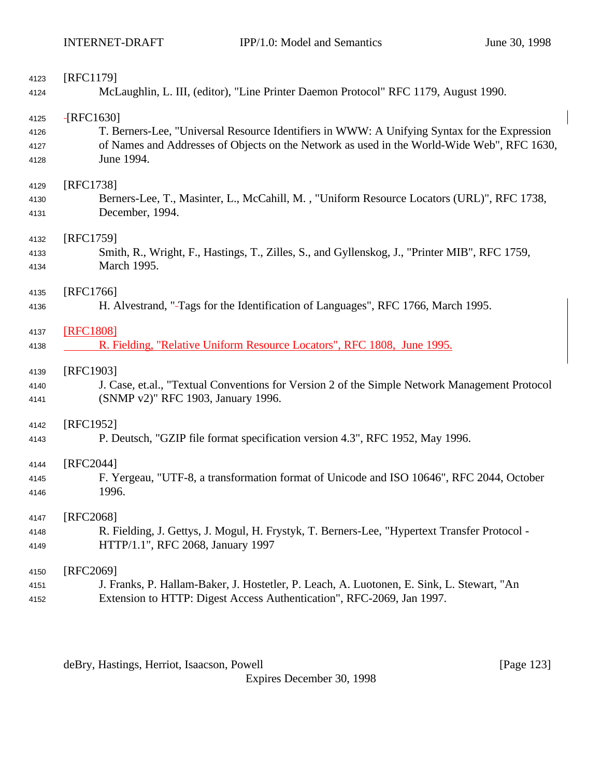| 4123         | [RFC1179]                                                                                                                           |
|--------------|-------------------------------------------------------------------------------------------------------------------------------------|
| 4124         | McLaughlin, L. III, (editor), "Line Printer Daemon Protocol" RFC 1179, August 1990.                                                 |
| 4125         | $-$ [RFC1630]                                                                                                                       |
| 4126         | T. Berners-Lee, "Universal Resource Identifiers in WWW: A Unifying Syntax for the Expression                                        |
| 4127         | of Names and Addresses of Objects on the Network as used in the World-Wide Web", RFC 1630,                                          |
| 4128         | June 1994.                                                                                                                          |
| 4129         | [RFC1738]                                                                                                                           |
| 4130         | Berners-Lee, T., Masinter, L., McCahill, M., "Uniform Resource Locators (URL)", RFC 1738,                                           |
| 4131         | December, 1994.                                                                                                                     |
| 4132         | [RFC1759]                                                                                                                           |
| 4133         | Smith, R., Wright, F., Hastings, T., Zilles, S., and Gyllenskog, J., "Printer MIB", RFC 1759,                                       |
| 4134         | March 1995.                                                                                                                         |
| 4135         | [RFC1766]                                                                                                                           |
| 4136         | H. Alvestrand, "-Tags for the Identification of Languages", RFC 1766, March 1995.                                                   |
| 4137         | [RFC1808]                                                                                                                           |
| 4138         | R. Fielding, "Relative Uniform Resource Locators", RFC 1808, June 1995.                                                             |
| 4139         | [RFC1903]                                                                                                                           |
| 4140<br>4141 | J. Case, et.al., "Textual Conventions for Version 2 of the Simple Network Management Protocol<br>(SNMP v2)" RFC 1903, January 1996. |
| 4142         | [RFC1952]                                                                                                                           |
| 4143         | P. Deutsch, "GZIP file format specification version 4.3", RFC 1952, May 1996.                                                       |
| 4144         | [RFC2044]                                                                                                                           |
| 4145         | F. Yergeau, "UTF-8, a transformation format of Unicode and ISO 10646", RFC 2044, October                                            |
| 4146         | 1996.                                                                                                                               |
| 4147         | [RFC2068]                                                                                                                           |
| 4148         | R. Fielding, J. Gettys, J. Mogul, H. Frystyk, T. Berners-Lee, "Hypertext Transfer Protocol -                                        |
| 4149         | HTTP/1.1", RFC 2068, January 1997                                                                                                   |
| 4150         | [RFC2069]                                                                                                                           |
| 4151         | J. Franks, P. Hallam-Baker, J. Hostetler, P. Leach, A. Luotonen, E. Sink, L. Stewart, "An                                           |
| 4152         | Extension to HTTP: Digest Access Authentication", RFC-2069, Jan 1997.                                                               |

deBry, Hastings, Herriot, Isaacson, Powell [Page 123]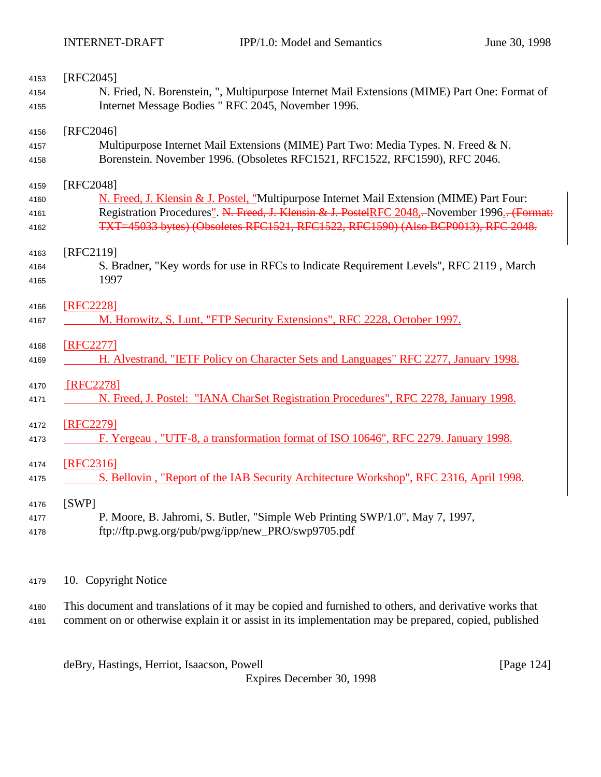| 4153         | $[RFC2045]$                                                                                                                                                                     |
|--------------|---------------------------------------------------------------------------------------------------------------------------------------------------------------------------------|
| 4154<br>4155 | N. Fried, N. Borenstein, ", Multipurpose Internet Mail Extensions (MIME) Part One: Format of<br>Internet Message Bodies " RFC 2045, November 1996.                              |
| 4156         | [RFC2046]                                                                                                                                                                       |
| 4157         | Multipurpose Internet Mail Extensions (MIME) Part Two: Media Types. N. Freed & N.                                                                                               |
| 4158         | Borenstein. November 1996. (Obsoletes RFC1521, RFC1522, RFC1590), RFC 2046.                                                                                                     |
| 4159         | [RFC2048]                                                                                                                                                                       |
| 4160         | N. Freed, J. Klensin & J. Postel, "Multipurpose Internet Mail Extension (MIME) Part Four:                                                                                       |
| 4161<br>4162 | Registration Procedures". N. Freed, J. Klensin & J. PostelRFC 2048,-November 1996.-(Format:<br>TXT=45033 bytes) (Obsoletes RFC1521, RFC1522, RFC1590) (Also BCP0013), RFC 2048. |
| 4163         | [RFC2119]                                                                                                                                                                       |
| 4164         | S. Bradner, "Key words for use in RFCs to Indicate Requirement Levels", RFC 2119, March                                                                                         |
| 4165         | 1997                                                                                                                                                                            |
| 4166         | [RFC2228]                                                                                                                                                                       |
| 4167         | M. Horowitz, S. Lunt, "FTP Security Extensions", RFC 2228, October 1997.                                                                                                        |
| 4168         | [RFC2277]                                                                                                                                                                       |
| 4169         | H. Alvestrand, "IETF Policy on Character Sets and Languages" RFC 2277, January 1998.                                                                                            |
| 4170         | [RFC2278]                                                                                                                                                                       |
| 4171         | N. Freed, J. Postel: "IANA CharSet Registration Procedures", RFC 2278, January 1998.                                                                                            |
| 4172         | [RFC2279]                                                                                                                                                                       |
| 4173         | F. Yergeau, "UTF-8, a transformation format of ISO 10646", RFC 2279. January 1998.                                                                                              |
| 4174         | [RFC2316]                                                                                                                                                                       |
| 4175         | S. Bellovin, "Report of the IAB Security Architecture Workshop", RFC 2316, April 1998.                                                                                          |
| 4176         | [SWP]                                                                                                                                                                           |
| 4177         | P. Moore, B. Jahromi, S. Butler, "Simple Web Printing SWP/1.0", May 7, 1997,                                                                                                    |
| 4178         | ftp://ftp.pwg.org/pub/pwg/ipp/new_PRO/swp9705.pdf                                                                                                                               |
| 4179         | 10. Copyright Notice                                                                                                                                                            |

 This document and translations of it may be copied and furnished to others, and derivative works that comment on or otherwise explain it or assist in its implementation may be prepared, copied, published

deBry, Hastings, Herriot, Isaacson, Powell [Page 124]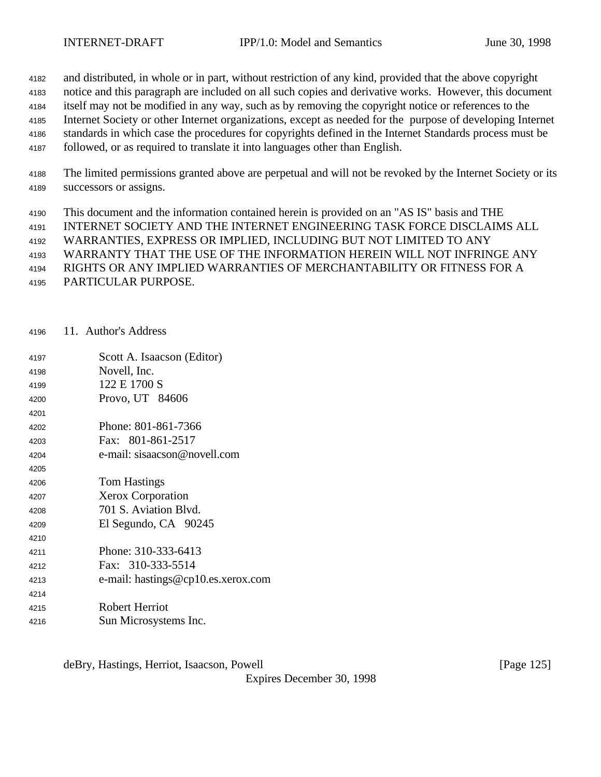and distributed, in whole or in part, without restriction of any kind, provided that the above copyright

notice and this paragraph are included on all such copies and derivative works. However, this document

itself may not be modified in any way, such as by removing the copyright notice or references to the

 Internet Society or other Internet organizations, except as needed for the purpose of developing Internet standards in which case the procedures for copyrights defined in the Internet Standards process must be

followed, or as required to translate it into languages other than English.

 The limited permissions granted above are perpetual and will not be revoked by the Internet Society or its successors or assigns.

This document and the information contained herein is provided on an "AS IS" basis and THE

INTERNET SOCIETY AND THE INTERNET ENGINEERING TASK FORCE DISCLAIMS ALL

WARRANTIES, EXPRESS OR IMPLIED, INCLUDING BUT NOT LIMITED TO ANY

 WARRANTY THAT THE USE OF THE INFORMATION HEREIN WILL NOT INFRINGE ANY RIGHTS OR ANY IMPLIED WARRANTIES OF MERCHANTABILITY OR FITNESS FOR A

PARTICULAR PURPOSE.

11. Author's Address

- Scott A. Isaacson (Editor)
- Novell, Inc.
- 122 E 1700 S
- Provo, UT 84606
- Phone: 801-861-7366 Fax: 801-861-2517
- e-mail: sisaacson@novell.com
- Tom Hastings
- Xerox Corporation
- 701 S. Aviation Blvd.
- El Segundo, CA 90245
- Phone: 310-333-6413
- Fax: 310-333-5514
- e-mail: hastings@cp10.es.xerox.com
- Robert Herriot Sun Microsystems Inc.

deBry, Hastings, Herriot, Isaacson, Powell [Page 125]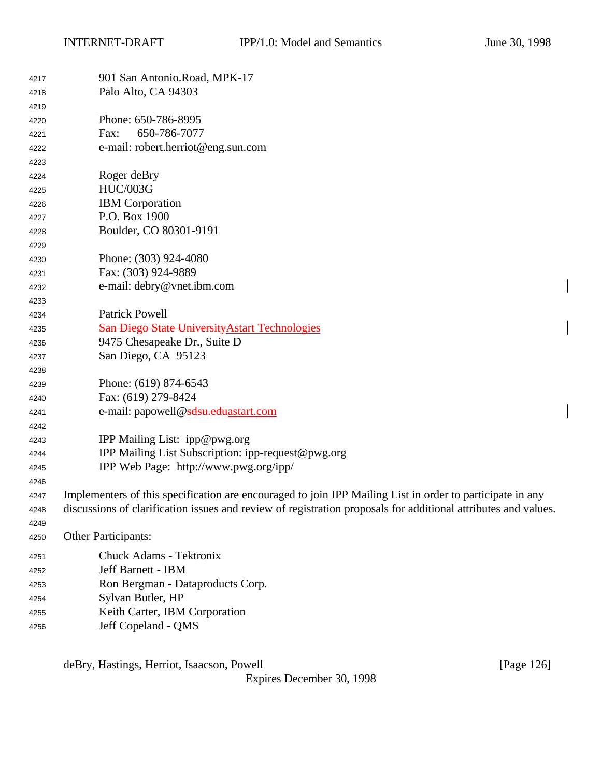$\overline{\phantom{a}}$ 

 $\overline{\phantom{a}}$ 

| 4217 | 901 San Antonio.Road, MPK-17                                                                                   |
|------|----------------------------------------------------------------------------------------------------------------|
| 4218 | Palo Alto, CA 94303                                                                                            |
| 4219 |                                                                                                                |
| 4220 | Phone: 650-786-8995                                                                                            |
| 4221 | 650-786-7077<br>Fax:                                                                                           |
| 4222 | e-mail: robert.herriot@eng.sun.com                                                                             |
| 4223 |                                                                                                                |
| 4224 | Roger deBry                                                                                                    |
| 4225 | <b>HUC/003G</b>                                                                                                |
| 4226 | <b>IBM</b> Corporation                                                                                         |
| 4227 | P.O. Box 1900                                                                                                  |
| 4228 | Boulder, CO 80301-9191                                                                                         |
| 4229 |                                                                                                                |
| 4230 | Phone: (303) 924-4080                                                                                          |
| 4231 | Fax: (303) 924-9889                                                                                            |
| 4232 | e-mail: debry@vnet.ibm.com                                                                                     |
| 4233 |                                                                                                                |
| 4234 | <b>Patrick Powell</b>                                                                                          |
| 4235 | <b>San Diego State University Astart Technologies</b>                                                          |
| 4236 | 9475 Chesapeake Dr., Suite D                                                                                   |
| 4237 | San Diego, CA 95123                                                                                            |
| 4238 |                                                                                                                |
| 4239 | Phone: (619) 874-6543                                                                                          |
| 4240 | Fax: (619) 279-8424                                                                                            |
| 4241 | e-mail: papowell@sdsu.eduastart.com                                                                            |
| 4242 |                                                                                                                |
| 4243 | IPP Mailing List: ipp@pwg.org                                                                                  |
| 4244 | IPP Mailing List Subscription: ipp-request@pwg.org                                                             |
| 4245 | IPP Web Page: http://www.pwg.org/ipp/                                                                          |
| 4246 |                                                                                                                |
| 4247 | Implementers of this specification are encouraged to join IPP Mailing List in order to participate in any      |
| 4248 | discussions of clarification issues and review of registration proposals for additional attributes and values. |
| 4249 |                                                                                                                |
| 4250 | Other Participants:                                                                                            |
| 4251 | <b>Chuck Adams - Tektronix</b>                                                                                 |
| 4252 | Jeff Barnett - IBM                                                                                             |
| 4253 | Ron Bergman - Dataproducts Corp.                                                                               |
| 4254 | Sylvan Butler, HP                                                                                              |
| 4255 | Keith Carter, IBM Corporation                                                                                  |
| 4256 | Jeff Copeland - QMS                                                                                            |

deBry, Hastings, Herriot, Isaacson, Powell [Page 126]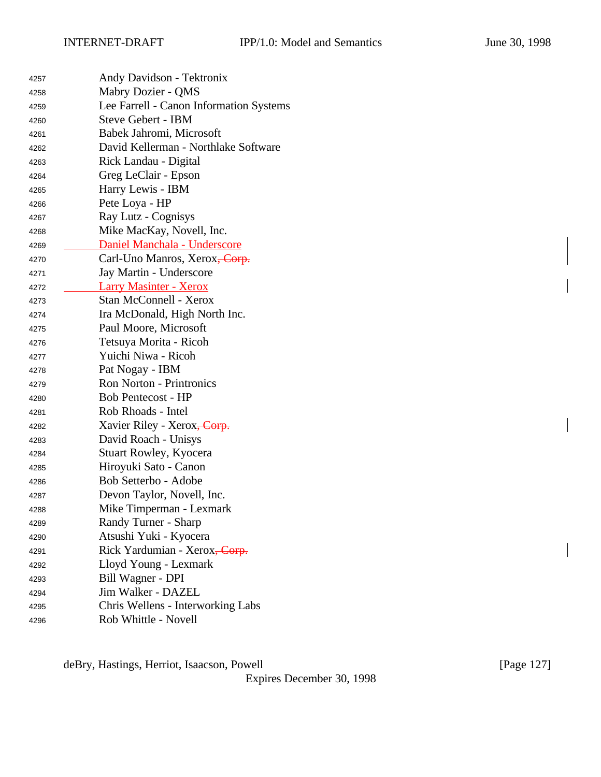| 4257 | Andy Davidson - Tektronix                 |
|------|-------------------------------------------|
| 4258 | Mabry Dozier - QMS                        |
| 4259 | Lee Farrell - Canon Information Systems   |
| 4260 | <b>Steve Gebert - IBM</b>                 |
| 4261 | Babek Jahromi, Microsoft                  |
| 4262 | David Kellerman - Northlake Software      |
| 4263 | Rick Landau - Digital                     |
| 4264 | Greg LeClair - Epson                      |
| 4265 | Harry Lewis - IBM                         |
| 4266 | Pete Loya - HP                            |
| 4267 | Ray Lutz - Cognisys                       |
| 4268 | Mike MacKay, Novell, Inc.                 |
| 4269 | Daniel Manchala - Underscore              |
| 4270 | Carl-Uno Manros, Xerox <del>, Corp.</del> |
| 4271 | Jay Martin - Underscore                   |
| 4272 | <b>Larry Masinter - Xerox</b>             |
| 4273 | <b>Stan McConnell - Xerox</b>             |
| 4274 | Ira McDonald, High North Inc.             |
| 4275 | Paul Moore, Microsoft                     |
| 4276 | Tetsuya Morita - Ricoh                    |
| 4277 | Yuichi Niwa - Ricoh                       |
| 4278 | Pat Nogay - IBM                           |
| 4279 | <b>Ron Norton - Printronics</b>           |
| 4280 | <b>Bob Pentecost - HP</b>                 |
| 4281 | Rob Rhoads - Intel                        |
| 4282 | Xavier Riley - Xerox, Corp.               |
| 4283 | David Roach - Unisys                      |
| 4284 | Stuart Rowley, Kyocera                    |
| 4285 | Hiroyuki Sato - Canon                     |
| 4286 | Bob Setterbo - Adobe                      |
| 4287 | Devon Taylor, Novell, Inc.                |
| 4288 | Mike Timperman - Lexmark                  |
| 4289 | Randy Turner - Sharp                      |
| 4290 | Atsushi Yuki - Kyocera                    |
| 4291 | Rick Yardumian - Xerox <del>, Corp.</del> |
| 4292 | Lloyd Young - Lexmark                     |
| 4293 | Bill Wagner - DPI                         |
| 4294 | Jim Walker - DAZEL                        |
| 4295 | Chris Wellens - Interworking Labs         |
| 4296 | Rob Whittle - Novell                      |

deBry, Hastings, Herriot, Isaacson, Powell [Page 127]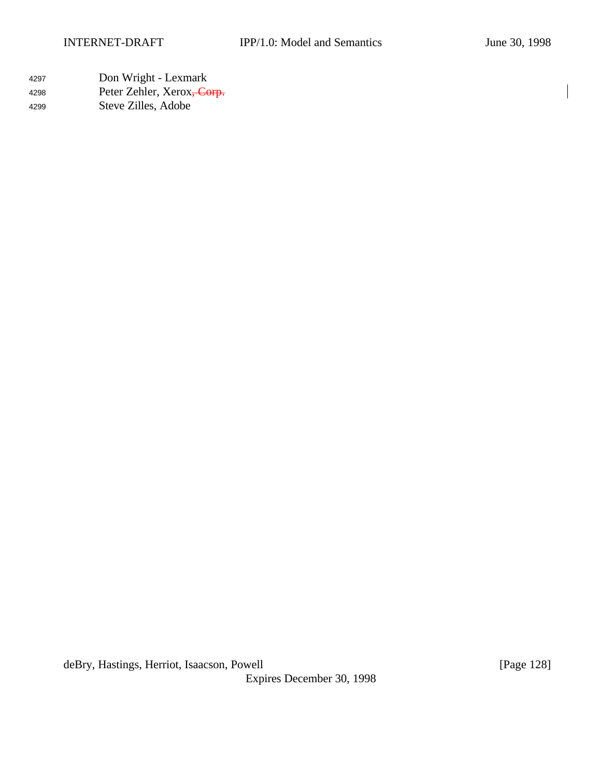| 4297 | Don Wright - Lexmark                   |
|------|----------------------------------------|
| 4298 | Peter Zehler, Xerox <del>, Corp.</del> |
| 4299 | Steve Zilles, Adobe                    |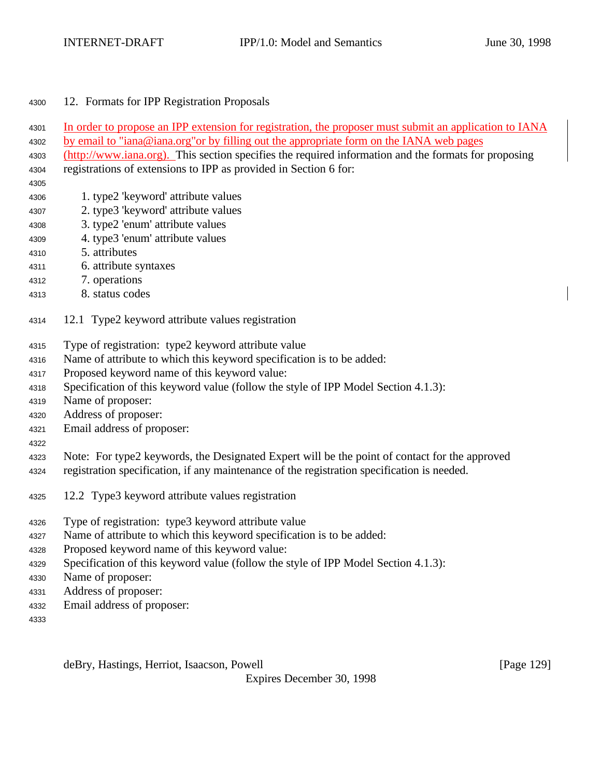| 4300 |  |  | 12. Formats for IPP Registration Proposals |  |
|------|--|--|--------------------------------------------|--|
|      |  |  |                                            |  |

4301 In order to propose an IPP extension for registration, the proposer must submit an application to IANA

- by email to "iana@iana.org"or by filling out the appropriate form on the IANA web pages
- (http://www.iana.org). This section specifies the required information and the formats for proposing registrations of extensions to IPP as provided in Section 6 for:
- 
- 1. type2 'keyword' attribute values
- 2. type3 'keyword' attribute values
- 3. type2 'enum' attribute values
- 4. type3 'enum' attribute values
- 5. attributes
- 6. attribute syntaxes
- 7. operations
- 8. status codes
- 12.1 Type2 keyword attribute values registration
- Type of registration: type2 keyword attribute value
- Name of attribute to which this keyword specification is to be added:
- Proposed keyword name of this keyword value:
- Specification of this keyword value (follow the style of IPP Model Section 4.1.3):
- Name of proposer:
- Address of proposer:
- Email address of proposer:
- 
- Note: For type2 keywords, the Designated Expert will be the point of contact for the approved
- registration specification, if any maintenance of the registration specification is needed.
- 12.2 Type3 keyword attribute values registration
- Type of registration: type3 keyword attribute value
- Name of attribute to which this keyword specification is to be added:
- Proposed keyword name of this keyword value:
- Specification of this keyword value (follow the style of IPP Model Section 4.1.3):
- Name of proposer:
- Address of proposer:
- Email address of proposer:
- 

deBry, Hastings, Herriot, Isaacson, Powell **compare 129** and the set of the set of the set of the set of the set of the set of the set of the set of the set of the set of the set of the set of the set of the set of the set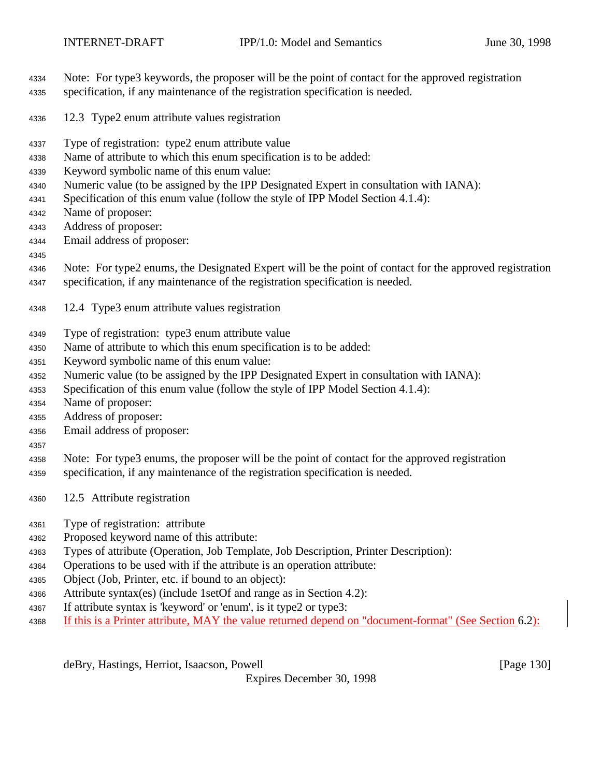- Note: For type3 keywords, the proposer will be the point of contact for the approved registration specification, if any maintenance of the registration specification is needed.
- 12.3 Type2 enum attribute values registration
- Type of registration: type2 enum attribute value
- Name of attribute to which this enum specification is to be added:
- Keyword symbolic name of this enum value:
- Numeric value (to be assigned by the IPP Designated Expert in consultation with IANA):
- Specification of this enum value (follow the style of IPP Model Section 4.1.4):
- Name of proposer:
- Address of proposer:
- Email address of proposer:
- 
- Note: For type2 enums, the Designated Expert will be the point of contact for the approved registration specification, if any maintenance of the registration specification is needed.
- 12.4 Type3 enum attribute values registration
- Type of registration: type3 enum attribute value
- Name of attribute to which this enum specification is to be added:
- Keyword symbolic name of this enum value:
- Numeric value (to be assigned by the IPP Designated Expert in consultation with IANA):
- Specification of this enum value (follow the style of IPP Model Section 4.1.4):
- Name of proposer:
- Address of proposer:
- Email address of proposer:
- 

- Note: For type3 enums, the proposer will be the point of contact for the approved registration
- specification, if any maintenance of the registration specification is needed.
- 12.5 Attribute registration
- Type of registration: attribute
- Proposed keyword name of this attribute:
- Types of attribute (Operation, Job Template, Job Description, Printer Description):
- Operations to be used with if the attribute is an operation attribute:
- Object (Job, Printer, etc. if bound to an object):
- Attribute syntax(es) (include 1setOf and range as in Section 4.2):
- If attribute syntax is 'keyword' or 'enum', is it type2 or type3:
- If this is a Printer attribute, MAY the value returned depend on "document-format" (See Section 6.2):

deBry, Hastings, Herriot, Isaacson, Powell [Page 130]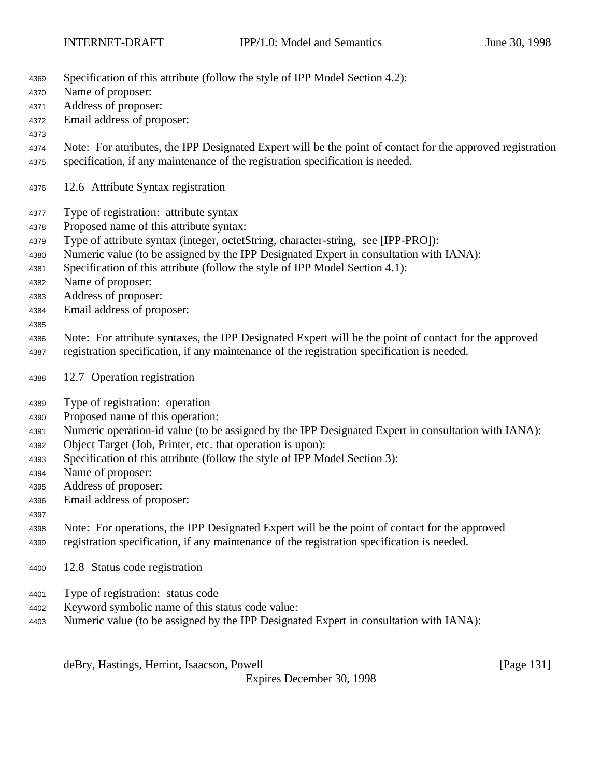- Specification of this attribute (follow the style of IPP Model Section 4.2):
- Name of proposer:
- Address of proposer:
- Email address of proposer:
- Note: For attributes, the IPP Designated Expert will be the point of contact for the approved registration specification, if any maintenance of the registration specification is needed.
- 12.6 Attribute Syntax registration
- Type of registration: attribute syntax
- Proposed name of this attribute syntax:
- Type of attribute syntax (integer, octetString, character-string, see [IPP-PRO]):
- Numeric value (to be assigned by the IPP Designated Expert in consultation with IANA):
- Specification of this attribute (follow the style of IPP Model Section 4.1):
- Name of proposer:
- Address of proposer:
- Email address of proposer:
- 

 Note: For attribute syntaxes, the IPP Designated Expert will be the point of contact for the approved registration specification, if any maintenance of the registration specification is needed.

- 12.7 Operation registration
- Type of registration: operation
- Proposed name of this operation:
- Numeric operation-id value (to be assigned by the IPP Designated Expert in consultation with IANA):
- Object Target (Job, Printer, etc. that operation is upon):
- Specification of this attribute (follow the style of IPP Model Section 3):
- Name of proposer:
- Address of proposer:
- Email address of proposer:
- Note: For operations, the IPP Designated Expert will be the point of contact for the approved registration specification, if any maintenance of the registration specification is needed.
- 12.8 Status code registration
- Type of registration: status code
- Keyword symbolic name of this status code value:
- Numeric value (to be assigned by the IPP Designated Expert in consultation with IANA):

deBry, Hastings, Herriot, Isaacson, Powell [Page 131]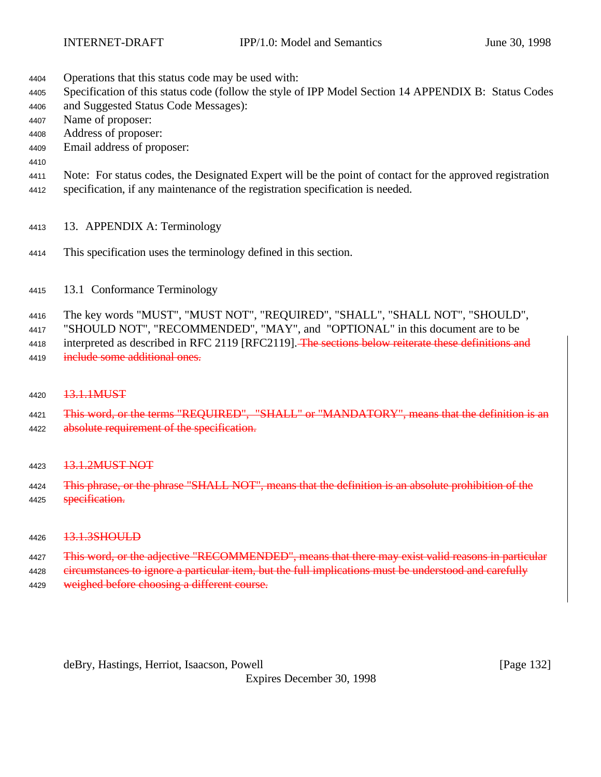- <sup>4404</sup> Operations that this status code may be used with:
- <sup>4405</sup> Specification of this status code (follow the style of IPP Model Section 14 APPENDIX B: Status Codes
- <sup>4406</sup> and Suggested Status Code Messages):
- <sup>4407</sup> Name of proposer:
- <sup>4408</sup> Address of proposer:
- <sup>4409</sup> Email address of proposer:
- 4410
- <sup>4411</sup> Note: For status codes, the Designated Expert will be the point of contact for the approved registration <sup>4412</sup> specification, if any maintenance of the registration specification is needed.
- <sup>4413</sup> 13. APPENDIX A: Terminology
- <sup>4414</sup> This specification uses the terminology defined in this section.
- <sup>4415</sup> 13.1 Conformance Terminology
- <sup>4416</sup> The key words "MUST", "MUST NOT", "REQUIRED", "SHALL", "SHALL NOT", "SHOULD",
- <sup>4417</sup> "SHOULD NOT", "RECOMMENDED", "MAY", and "OPTIONAL" in this document are to be
- 4418 interpreted as described in RFC 2119 [RFC2119]. The sections below reiterate these definitions and 4419 include some additional ones.
- 4420 13.1.1MUST
- 4421 This word, or the terms "REQUIRED", "SHALL" or "MANDATORY", means that the definition is an 4422 absolute requirement of the specification.
- 4423 13.1.2MUST NOT
- 4424 This phrase, or the phrase "SHALL NOT", means that the definition is an absolute prohibition of the 4425 **specification.**
- 4426 13.1.3SHOULD
- 4427 This word, or the adjective "RECOMMENDED", means that there may exist valid reasons in particular 4428 eircumstances to ignore a particular item, but the full implications must be understood and carefully
- 4429 weighed before choosing a different course.

deBry, Hastings, Herriot, Isaacson, Powell **compared and Containers** and Containers and Containers and Container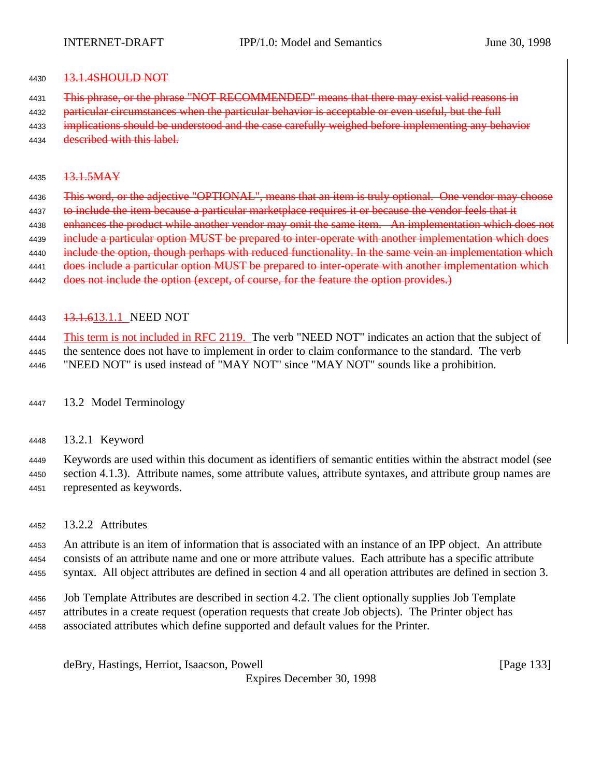#### 4430 13.1.4SHOULD NOT

- 4431 This phrase, or the phrase "NOT RECOMMENDED" means that there may exist valid reasons in
- 4432 particular circumstances when the particular behavior is acceptable or even useful, but the full
- 4433 implications should be understood and the case carefully weighed before implementing any behavior
- 4434 described with this label.

#### 4435 13.1.5MAY

<sup>4436</sup> This word, or the adjective "OPTIONAL", means that an item is truly optional. One vendor may choose 4437 to include the item because a particular marketplace requires it or because the vendor feels that it <sup>4438</sup> enhances the product while another vendor may omit the same item. An implementation which does not 4439 include a particular option MUST be prepared to inter-operate with another implementation which does 4440 include the option, though perhaps with reduced functionality. In the same vein an implementation which

- 4441 does include a particular option MUST be prepared to inter-operate with another implementation which
- 4442 does not include the option (except, of course, for the feature the option provides.)

### 4443 13.1.613.1.1 NEED NOT

<sup>4444</sup> This term is not included in RFC 2119. The verb "NEED NOT" indicates an action that the subject of <sup>4445</sup> the sentence does not have to implement in order to claim conformance to the standard. The verb <sup>4446</sup> "NEED NOT" is used instead of "MAY NOT" since "MAY NOT" sounds like a prohibition.

- <sup>4447</sup> 13.2 Model Terminology
- <sup>4448</sup> 13.2.1 Keyword

<sup>4449</sup> Keywords are used within this document as identifiers of semantic entities within the abstract model (see <sup>4450</sup> section 4.1.3). Attribute names, some attribute values, attribute syntaxes, and attribute group names are <sup>4451</sup> represented as keywords.

<sup>4452</sup> 13.2.2 Attributes

<sup>4453</sup> An attribute is an item of information that is associated with an instance of an IPP object. An attribute <sup>4454</sup> consists of an attribute name and one or more attribute values. Each attribute has a specific attribute <sup>4455</sup> syntax. All object attributes are defined in section 4 and all operation attributes are defined in section 3.

<sup>4456</sup> Job Template Attributes are described in section 4.2. The client optionally supplies Job Template <sup>4457</sup> attributes in a create request (operation requests that create Job objects). The Printer object has

<sup>4458</sup> associated attributes which define supported and default values for the Printer.

deBry, Hastings, Herriot, Isaacson, Powell **compared and Containers** and Containers and Containers and Container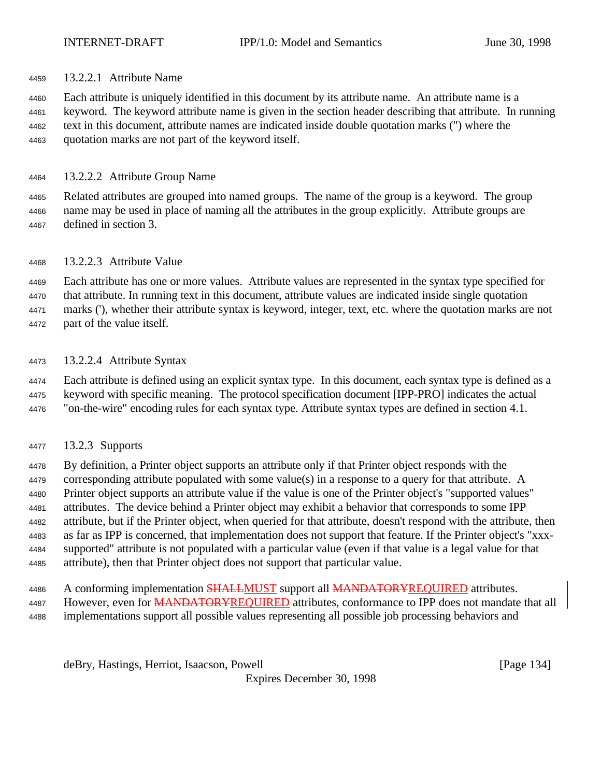13.2.2.1 Attribute Name

 Each attribute is uniquely identified in this document by its attribute name. An attribute name is a keyword. The keyword attribute name is given in the section header describing that attribute. In running text in this document, attribute names are indicated inside double quotation marks (") where the quotation marks are not part of the keyword itself.

13.2.2.2 Attribute Group Name

 Related attributes are grouped into named groups. The name of the group is a keyword. The group name may be used in place of naming all the attributes in the group explicitly. Attribute groups are defined in section 3.

13.2.2.3 Attribute Value

 Each attribute has one or more values. Attribute values are represented in the syntax type specified for that attribute. In running text in this document, attribute values are indicated inside single quotation marks ('), whether their attribute syntax is keyword, integer, text, etc. where the quotation marks are not part of the value itself.

13.2.2.4 Attribute Syntax

 Each attribute is defined using an explicit syntax type. In this document, each syntax type is defined as a keyword with specific meaning. The protocol specification document [IPP-PRO] indicates the actual "on-the-wire" encoding rules for each syntax type. Attribute syntax types are defined in section 4.1.

13.2.3 Supports

 By definition, a Printer object supports an attribute only if that Printer object responds with the corresponding attribute populated with some value(s) in a response to a query for that attribute. A Printer object supports an attribute value if the value is one of the Printer object's "supported values" attributes. The device behind a Printer object may exhibit a behavior that corresponds to some IPP attribute, but if the Printer object, when queried for that attribute, doesn't respond with the attribute, then as far as IPP is concerned, that implementation does not support that feature. If the Printer object's "xxx- supported" attribute is not populated with a particular value (even if that value is a legal value for that attribute), then that Printer object does not support that particular value.

- 4486 A conforming implementation SHALLMUST support all MANDATORYREQUIRED attributes.
- 4487 However, even for **MANDATORYREQUIRED** attributes, conformance to IPP does not mandate that all
- implementations support all possible values representing all possible job processing behaviors and

deBry, Hastings, Herriot, Isaacson, Powell **company** and the same of the same of the same of the same of the same of the same of the same of the same of the same of the same of the same of the same of the same of the same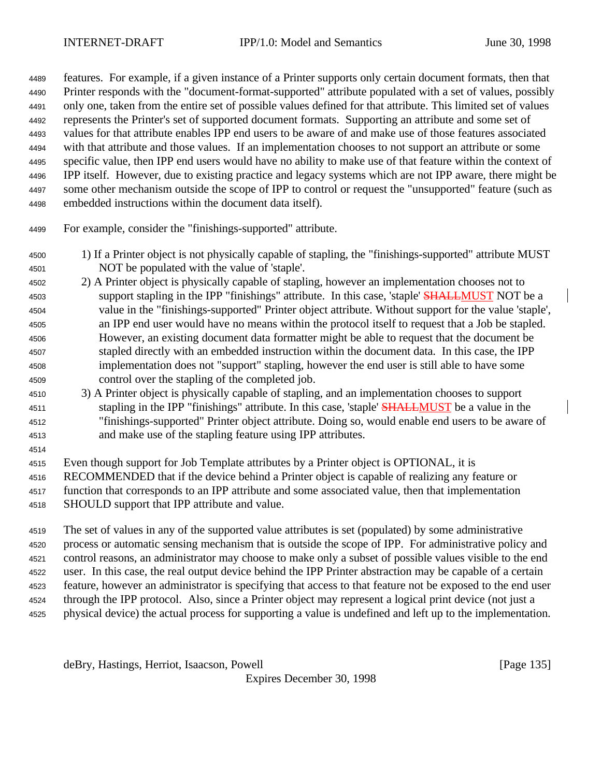features. For example, if a given instance of a Printer supports only certain document formats, then that Printer responds with the "document-format-supported" attribute populated with a set of values, possibly only one, taken from the entire set of possible values defined for that attribute. This limited set of values represents the Printer's set of supported document formats. Supporting an attribute and some set of values for that attribute enables IPP end users to be aware of and make use of those features associated with that attribute and those values. If an implementation chooses to not support an attribute or some specific value, then IPP end users would have no ability to make use of that feature within the context of IPP itself. However, due to existing practice and legacy systems which are not IPP aware, there might be some other mechanism outside the scope of IPP to control or request the "unsupported" feature (such as embedded instructions within the document data itself).

- For example, consider the "finishings-supported" attribute.
- 1) If a Printer object is not physically capable of stapling, the "finishings-supported" attribute MUST NOT be populated with the value of 'staple'.
- 2) A Printer object is physically capable of stapling, however an implementation chooses not to 4503 support stapling in the IPP "finishings" attribute. In this case, 'staple' **SHALLMUST** NOT be a value in the "finishings-supported" Printer object attribute. Without support for the value 'staple', an IPP end user would have no means within the protocol itself to request that a Job be stapled. However, an existing document data formatter might be able to request that the document be stapled directly with an embedded instruction within the document data. In this case, the IPP implementation does not "support" stapling, however the end user is still able to have some control over the stapling of the completed job.
- 3) A Printer object is physically capable of stapling, and an implementation chooses to support 4511 stapling in the IPP "finishings" attribute. In this case, 'staple' **SHALLMUST** be a value in the "finishings-supported" Printer object attribute. Doing so, would enable end users to be aware of and make use of the stapling feature using IPP attributes.
- Even though support for Job Template attributes by a Printer object is OPTIONAL, it is
- RECOMMENDED that if the device behind a Printer object is capable of realizing any feature or function that corresponds to an IPP attribute and some associated value, then that implementation SHOULD support that IPP attribute and value.
- The set of values in any of the supported value attributes is set (populated) by some administrative process or automatic sensing mechanism that is outside the scope of IPP. For administrative policy and control reasons, an administrator may choose to make only a subset of possible values visible to the end user. In this case, the real output device behind the IPP Printer abstraction may be capable of a certain feature, however an administrator is specifying that access to that feature not be exposed to the end user through the IPP protocol. Also, since a Printer object may represent a logical print device (not just a physical device) the actual process for supporting a value is undefined and left up to the implementation.

deBry, Hastings, Herriot, Isaacson, Powell [Page 135]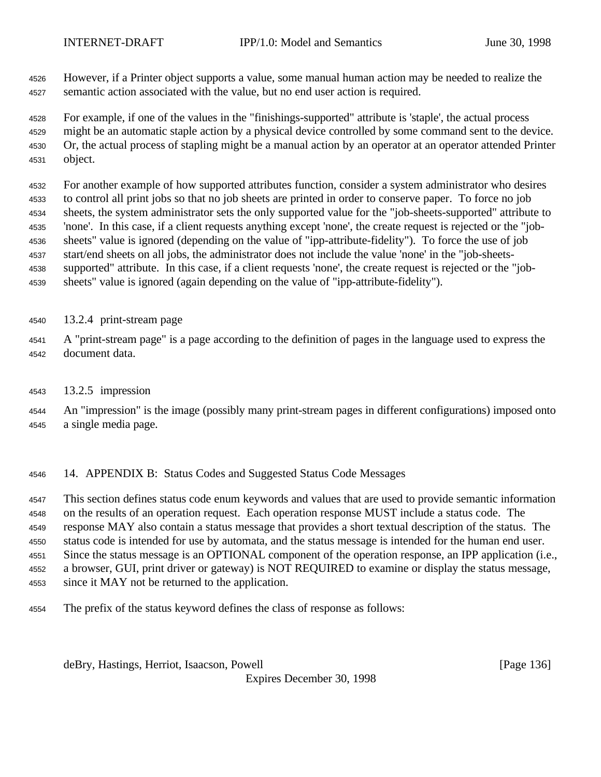However, if a Printer object supports a value, some manual human action may be needed to realize the semantic action associated with the value, but no end user action is required.

 For example, if one of the values in the "finishings-supported" attribute is 'staple', the actual process might be an automatic staple action by a physical device controlled by some command sent to the device. Or, the actual process of stapling might be a manual action by an operator at an operator attended Printer object.

 For another example of how supported attributes function, consider a system administrator who desires to control all print jobs so that no job sheets are printed in order to conserve paper. To force no job sheets, the system administrator sets the only supported value for the "job-sheets-supported" attribute to 'none'. In this case, if a client requests anything except 'none', the create request is rejected or the "job- sheets" value is ignored (depending on the value of "ipp-attribute-fidelity"). To force the use of job start/end sheets on all jobs, the administrator does not include the value 'none' in the "job-sheets- supported" attribute. In this case, if a client requests 'none', the create request is rejected or the "job-sheets" value is ignored (again depending on the value of "ipp-attribute-fidelity").

13.2.4 print-stream page

 A "print-stream page" is a page according to the definition of pages in the language used to express the document data.

13.2.5 impression

 An "impression" is the image (possibly many print-stream pages in different configurations) imposed onto a single media page.

# 14. APPENDIX B: Status Codes and Suggested Status Code Messages

 This section defines status code enum keywords and values that are used to provide semantic information on the results of an operation request. Each operation response MUST include a status code. The response MAY also contain a status message that provides a short textual description of the status. The status code is intended for use by automata, and the status message is intended for the human end user. Since the status message is an OPTIONAL component of the operation response, an IPP application (i.e., a browser, GUI, print driver or gateway) is NOT REQUIRED to examine or display the status message, since it MAY not be returned to the application.

The prefix of the status keyword defines the class of response as follows:

deBry, Hastings, Herriot, Isaacson, Powell **compared and Contract and Contract Contract (Page 136**)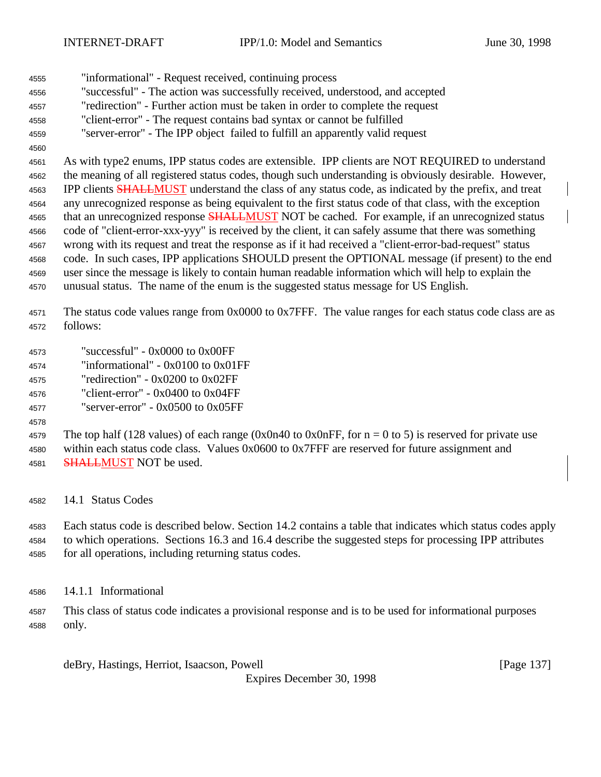"informational" - Request received, continuing process "successful" - The action was successfully received, understood, and accepted "redirection" - Further action must be taken in order to complete the request "client-error" - The request contains bad syntax or cannot be fulfilled "server-error" - The IPP object failed to fulfill an apparently valid request As with type2 enums, IPP status codes are extensible. IPP clients are NOT REQUIRED to understand the meaning of all registered status codes, though such understanding is obviously desirable. However,

4563 IPP clients **SHALLMUST** understand the class of any status code, as indicated by the prefix, and treat any unrecognized response as being equivalent to the first status code of that class, with the exception 4565 that an unrecognized response **SHALLMUST** NOT be cached. For example, if an unrecognized status code of "client-error-xxx-yyy" is received by the client, it can safely assume that there was something wrong with its request and treat the response as if it had received a "client-error-bad-request" status code. In such cases, IPP applications SHOULD present the OPTIONAL message (if present) to the end user since the message is likely to contain human readable information which will help to explain the unusual status. The name of the enum is the suggested status message for US English.

 The status code values range from 0x0000 to 0x7FFF. The value ranges for each status code class are as follows:

"successful" - 0x0000 to 0x00FF

4574 "informational" -  $0x0100$  to  $0x01FF$ 

- "redirection" 0x0200 to 0x02FF
- "client-error" 0x0400 to 0x04FF
- 4577 "server-error"  $0x0500$  to  $0x05FF$
- 

4579 The top half (128 values) of each range (0x0n40 to 0x0nFF, for  $n = 0$  to 5) is reserved for private use within each status code class. Values 0x0600 to 0x7FFF are reserved for future assignment and **SHALLMUST NOT be used.** 

14.1 Status Codes

 Each status code is described below. Section 14.2 contains a table that indicates which status codes apply to which operations. Sections 16.3 and 16.4 describe the suggested steps for processing IPP attributes for all operations, including returning status codes.

14.1.1 Informational

 This class of status code indicates a provisional response and is to be used for informational purposes only.

deBry, Hastings, Herriot, Isaacson, Powell **compared and Contract and Contract Contract (Page 137**)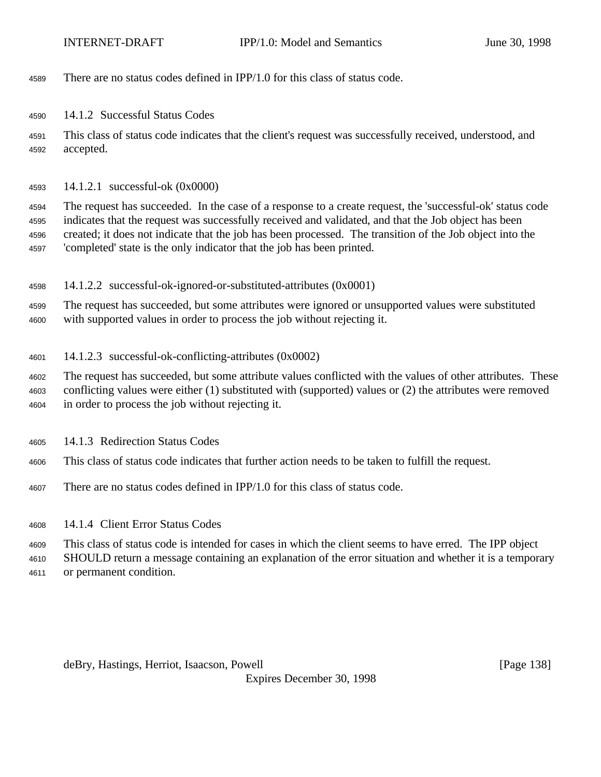- There are no status codes defined in IPP/1.0 for this class of status code.
- 14.1.2 Successful Status Codes

 This class of status code indicates that the client's request was successfully received, understood, and accepted.

14.1.2.1 successful-ok (0x0000)

 The request has succeeded. In the case of a response to a create request, the 'successful-ok' status code indicates that the request was successfully received and validated, and that the Job object has been created; it does not indicate that the job has been processed. The transition of the Job object into the 'completed' state is the only indicator that the job has been printed.

14.1.2.2 successful-ok-ignored-or-substituted-attributes (0x0001)

 The request has succeeded, but some attributes were ignored or unsupported values were substituted with supported values in order to process the job without rejecting it.

14.1.2.3 successful-ok-conflicting-attributes (0x0002)

 The request has succeeded, but some attribute values conflicted with the values of other attributes. These conflicting values were either (1) substituted with (supported) values or (2) the attributes were removed in order to process the job without rejecting it.

- 14.1.3 Redirection Status Codes
- This class of status code indicates that further action needs to be taken to fulfill the request.
- There are no status codes defined in IPP/1.0 for this class of status code.
- 14.1.4 Client Error Status Codes
- This class of status code is intended for cases in which the client seems to have erred. The IPP object

 SHOULD return a message containing an explanation of the error situation and whether it is a temporary or permanent condition.

deBry, Hastings, Herriot, Isaacson, Powell **compared and Containers** and Containers and Containers and Container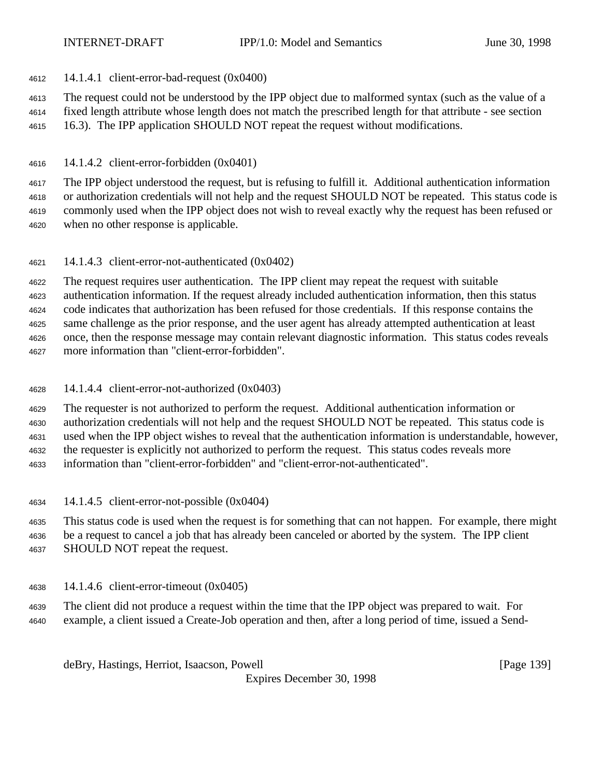14.1.4.1 client-error-bad-request (0x0400)

The request could not be understood by the IPP object due to malformed syntax (such as the value of a

fixed length attribute whose length does not match the prescribed length for that attribute - see section

16.3). The IPP application SHOULD NOT repeat the request without modifications.

14.1.4.2 client-error-forbidden (0x0401)

 The IPP object understood the request, but is refusing to fulfill it. Additional authentication information or authorization credentials will not help and the request SHOULD NOT be repeated. This status code is commonly used when the IPP object does not wish to reveal exactly why the request has been refused or when no other response is applicable.

14.1.4.3 client-error-not-authenticated (0x0402)

 The request requires user authentication. The IPP client may repeat the request with suitable authentication information. If the request already included authentication information, then this status code indicates that authorization has been refused for those credentials. If this response contains the same challenge as the prior response, and the user agent has already attempted authentication at least

once, then the response message may contain relevant diagnostic information. This status codes reveals

more information than "client-error-forbidden".

14.1.4.4 client-error-not-authorized (0x0403)

 The requester is not authorized to perform the request. Additional authentication information or authorization credentials will not help and the request SHOULD NOT be repeated. This status code is used when the IPP object wishes to reveal that the authentication information is understandable, however, the requester is explicitly not authorized to perform the request. This status codes reveals more information than "client-error-forbidden" and "client-error-not-authenticated".

14.1.4.5 client-error-not-possible (0x0404)

 This status code is used when the request is for something that can not happen. For example, there might be a request to cancel a job that has already been canceled or aborted by the system. The IPP client SHOULD NOT repeat the request.

14.1.4.6 client-error-timeout (0x0405)

 The client did not produce a request within the time that the IPP object was prepared to wait. For example, a client issued a Create-Job operation and then, after a long period of time, issued a Send-

deBry, Hastings, Herriot, Isaacson, Powell [Page 139]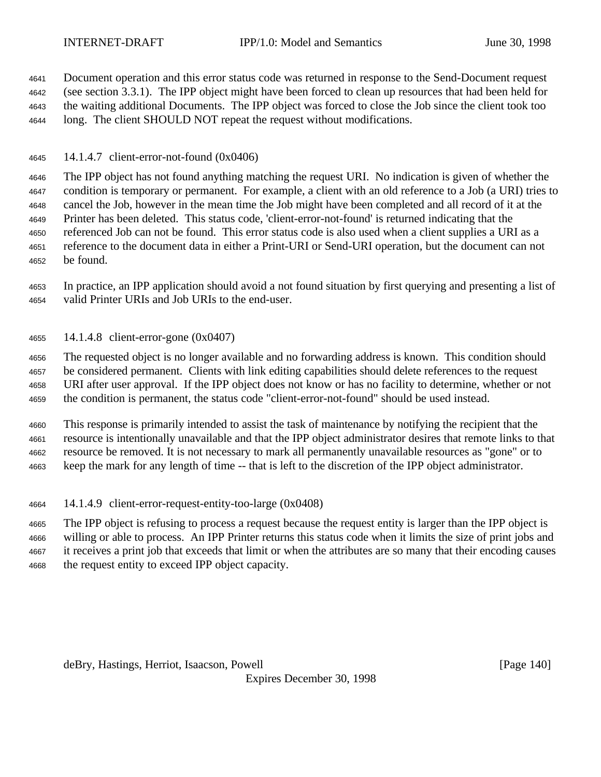Document operation and this error status code was returned in response to the Send-Document request (see section 3.3.1). The IPP object might have been forced to clean up resources that had been held for the waiting additional Documents. The IPP object was forced to close the Job since the client took too long. The client SHOULD NOT repeat the request without modifications.

## 14.1.4.7 client-error-not-found (0x0406)

 The IPP object has not found anything matching the request URI. No indication is given of whether the condition is temporary or permanent. For example, a client with an old reference to a Job (a URI) tries to cancel the Job, however in the mean time the Job might have been completed and all record of it at the Printer has been deleted. This status code, 'client-error-not-found' is returned indicating that the referenced Job can not be found. This error status code is also used when a client supplies a URI as a reference to the document data in either a Print-URI or Send-URI operation, but the document can not be found.

 In practice, an IPP application should avoid a not found situation by first querying and presenting a list of valid Printer URIs and Job URIs to the end-user.

14.1.4.8 client-error-gone (0x0407)

 The requested object is no longer available and no forwarding address is known. This condition should be considered permanent. Clients with link editing capabilities should delete references to the request URI after user approval. If the IPP object does not know or has no facility to determine, whether or not the condition is permanent, the status code "client-error-not-found" should be used instead.

 This response is primarily intended to assist the task of maintenance by notifying the recipient that the resource is intentionally unavailable and that the IPP object administrator desires that remote links to that resource be removed. It is not necessary to mark all permanently unavailable resources as "gone" or to keep the mark for any length of time -- that is left to the discretion of the IPP object administrator.

14.1.4.9 client-error-request-entity-too-large (0x0408)

 The IPP object is refusing to process a request because the request entity is larger than the IPP object is willing or able to process. An IPP Printer returns this status code when it limits the size of print jobs and it receives a print job that exceeds that limit or when the attributes are so many that their encoding causes the request entity to exceed IPP object capacity.

deBry, Hastings, Herriot, Isaacson, Powell [Page 140]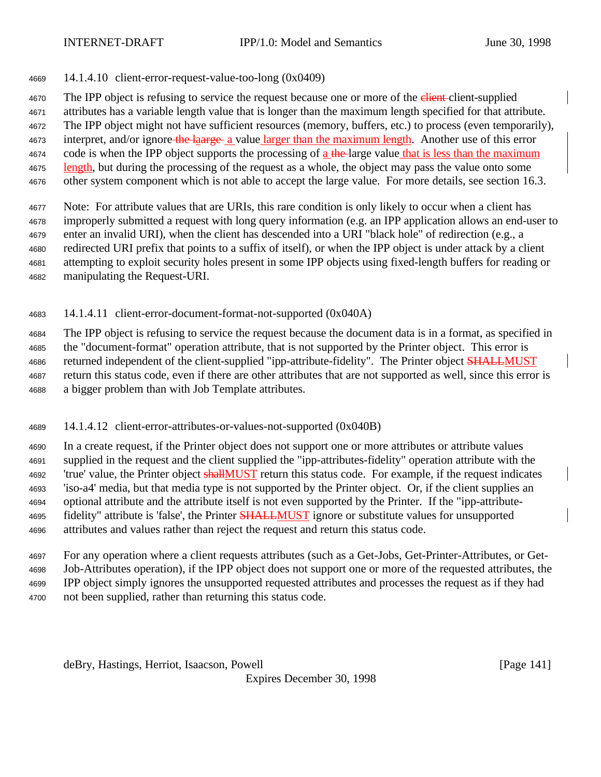14.1.4.10 client-error-request-value-too-long (0x0409)

4670 The IPP object is refusing to service the request because one or more of the elient-client-supplied

attributes has a variable length value that is longer than the maximum length specified for that attribute.

The IPP object might not have sufficient resources (memory, buffers, etc.) to process (even temporarily),

4673 interpret, and/or ignore the laarge a value larger than the maximum length. Another use of this error

- 4674 code is when the IPP object supports the processing of a the large value that is less than the maximum
- 4675 length, but during the processing of the request as a whole, the object may pass the value onto some other system component which is not able to accept the large value. For more details, see section 16.3.

 Note: For attribute values that are URIs, this rare condition is only likely to occur when a client has improperly submitted a request with long query information (e.g. an IPP application allows an end-user to enter an invalid URI), when the client has descended into a URI "black hole" of redirection (e.g., a redirected URI prefix that points to a suffix of itself), or when the IPP object is under attack by a client attempting to exploit security holes present in some IPP objects using fixed-length buffers for reading or manipulating the Request-URI.

14.1.4.11 client-error-document-format-not-supported (0x040A)

 The IPP object is refusing to service the request because the document data is in a format, as specified in the "document-format" operation attribute, that is not supported by the Printer object. This error is 4686 returned independent of the client-supplied "ipp-attribute-fidelity". The Printer object **SHALLMUST**  return this status code, even if there are other attributes that are not supported as well, since this error is a bigger problem than with Job Template attributes.

14.1.4.12 client-error-attributes-or-values-not-supported (0x040B)

 In a create request, if the Printer object does not support one or more attributes or attribute values supplied in the request and the client supplied the "ipp-attributes-fidelity" operation attribute with the <sup>4692</sup> 'true' value, the Printer object shall MUST return this status code. For example, if the request indicates 'iso-a4' media, but that media type is not supported by the Printer object. Or, if the client supplies an optional attribute and the attribute itself is not even supported by the Printer. If the "ipp-attribute-4695 fidelity" attribute is 'false', the Printer **SHALLMUST** ignore or substitute values for unsupported attributes and values rather than reject the request and return this status code.

 For any operation where a client requests attributes (such as a Get-Jobs, Get-Printer-Attributes, or Get- Job-Attributes operation), if the IPP object does not support one or more of the requested attributes, the IPP object simply ignores the unsupported requested attributes and processes the request as if they had not been supplied, rather than returning this status code.

deBry, Hastings, Herriot, Isaacson, Powell **intervalse and the Contract Contract Contract Contract Contract Contract Contract Contract Contract Contract Contract Contract Contract Contract Contract Contract Contract Contra**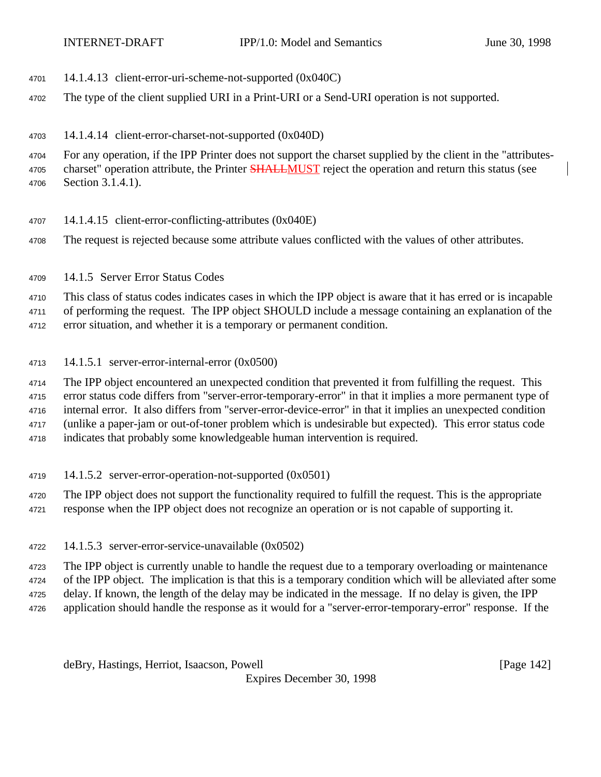- 14.1.4.13 client-error-uri-scheme-not-supported (0x040C)
- The type of the client supplied URI in a Print-URI or a Send-URI operation is not supported.
- 14.1.4.14 client-error-charset-not-supported (0x040D)

 For any operation, if the IPP Printer does not support the charset supplied by the client in the "attributes-4705 charset" operation attribute, the Printer **SHALLMUST** reject the operation and return this status (see Section 3.1.4.1).

- 14.1.4.15 client-error-conflicting-attributes (0x040E)
- The request is rejected because some attribute values conflicted with the values of other attributes.
- 14.1.5 Server Error Status Codes

This class of status codes indicates cases in which the IPP object is aware that it has erred or is incapable

of performing the request. The IPP object SHOULD include a message containing an explanation of the

error situation, and whether it is a temporary or permanent condition.

14.1.5.1 server-error-internal-error  $(0x0500)$ 

 The IPP object encountered an unexpected condition that prevented it from fulfilling the request. This error status code differs from "server-error-temporary-error" in that it implies a more permanent type of internal error. It also differs from "server-error-device-error" in that it implies an unexpected condition (unlike a paper-jam or out-of-toner problem which is undesirable but expected). This error status code

indicates that probably some knowledgeable human intervention is required.

14.1.5.2 server-error-operation-not-supported (0x0501)

The IPP object does not support the functionality required to fulfill the request. This is the appropriate

- response when the IPP object does not recognize an operation or is not capable of supporting it.
- 14.1.5.3 server-error-service-unavailable (0x0502)

The IPP object is currently unable to handle the request due to a temporary overloading or maintenance

- of the IPP object. The implication is that this is a temporary condition which will be alleviated after some
- delay. If known, the length of the delay may be indicated in the message. If no delay is given, the IPP

application should handle the response as it would for a "server-error-temporary-error" response. If the

deBry, Hastings, Herriot, Isaacson, Powell [Page 142]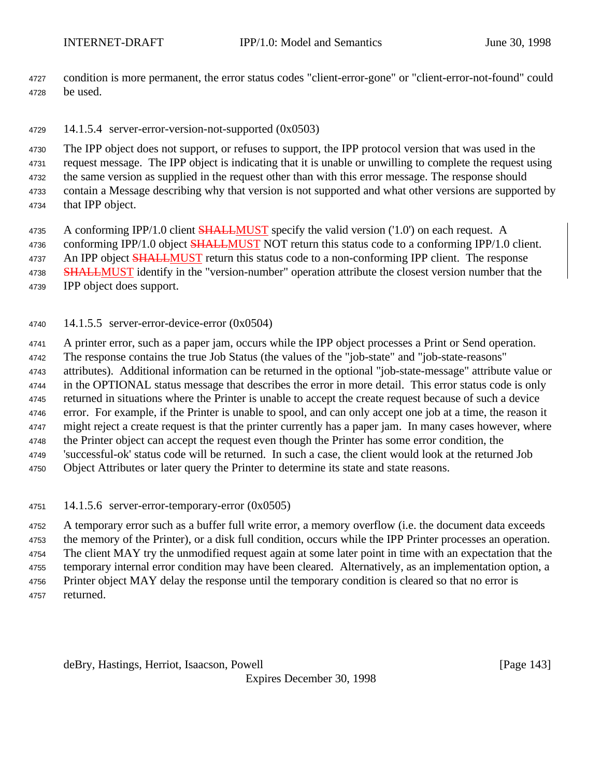condition is more permanent, the error status codes "client-error-gone" or "client-error-not-found" could be used.

14.1.5.4 server-error-version-not-supported (0x0503)

 The IPP object does not support, or refuses to support, the IPP protocol version that was used in the request message. The IPP object is indicating that it is unable or unwilling to complete the request using the same version as supplied in the request other than with this error message. The response should contain a Message describing why that version is not supported and what other versions are supported by that IPP object.

4735 A conforming IPP/1.0 client **SHALLMUST** specify the valid version ('1.0') on each request. A 4736 conforming IPP/1.0 object **SHALLMUST** NOT return this status code to a conforming IPP/1.0 client.

4737 An IPP object **SHALLMUST** return this status code to a non-conforming IPP client. The response

**SHALLMUST** identify in the "version-number" operation attribute the closest version number that the

IPP object does support.

14.1.5.5 server-error-device-error (0x0504)

A printer error, such as a paper jam, occurs while the IPP object processes a Print or Send operation.

The response contains the true Job Status (the values of the "job-state" and "job-state-reasons"

attributes). Additional information can be returned in the optional "job-state-message" attribute value or

in the OPTIONAL status message that describes the error in more detail. This error status code is only

returned in situations where the Printer is unable to accept the create request because of such a device

 error. For example, if the Printer is unable to spool, and can only accept one job at a time, the reason it 4747 might reject a create request is that the printer currently has a paper jam. In many cases however, where

the Printer object can accept the request even though the Printer has some error condition, the

'successful-ok' status code will be returned. In such a case, the client would look at the returned Job

Object Attributes or later query the Printer to determine its state and state reasons.

14.1.5.6 server-error-temporary-error (0x0505)

 A temporary error such as a buffer full write error, a memory overflow (i.e. the document data exceeds the memory of the Printer), or a disk full condition, occurs while the IPP Printer processes an operation. The client MAY try the unmodified request again at some later point in time with an expectation that the temporary internal error condition may have been cleared. Alternatively, as an implementation option, a Printer object MAY delay the response until the temporary condition is cleared so that no error is returned.

deBry, Hastings, Herriot, Isaacson, Powell [Page 143]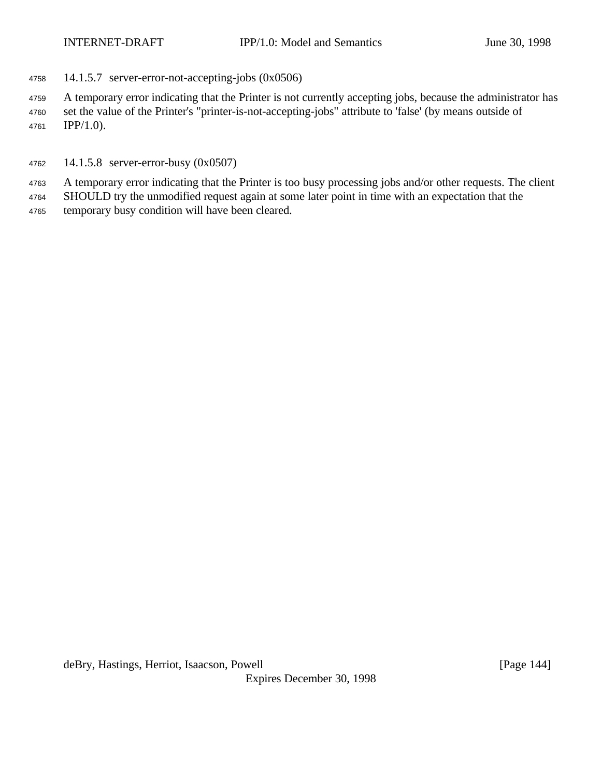- 14.1.5.7 server-error-not-accepting-jobs (0x0506)
- A temporary error indicating that the Printer is not currently accepting jobs, because the administrator has
- set the value of the Printer's "printer-is-not-accepting-jobs" attribute to 'false' (by means outside of IPP/1.0).
- 14.1.5.8 server-error-busy (0x0507)
- A temporary error indicating that the Printer is too busy processing jobs and/or other requests. The client
- SHOULD try the unmodified request again at some later point in time with an expectation that the
- temporary busy condition will have been cleared.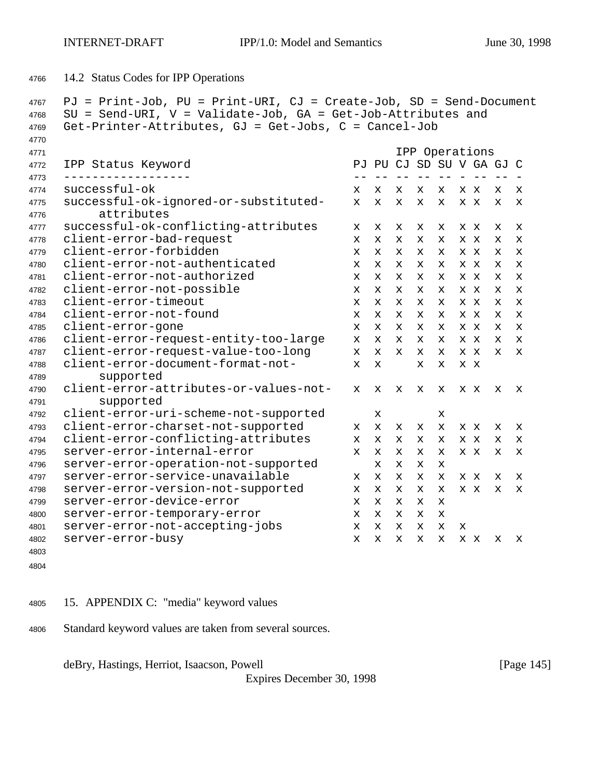14.2 Status Codes for IPP Operations

```
4767 PJ = Print-Job, PU = Print-URI, CJ = Create-Job, SD = Send-Document
4768 SU = Send-URI, V = Validate-Job, GA = Get-Job-Attributes and
4769 Get-Printer-Attributes, GJ = Get-Jobs, C = Cancel-Job
4770
4771 IPP Operations
4772 IPP Status Keyword PJ PU CJ SD SU V GA GJ C
4773 ------------------ -- -- -- -- -- - -- -- -
4774 successful-ok x x x x x x x x x
4775 successful-ok-ignored-or-substituted- x x x x x x x x x
4776 attributes
4777 successful-ok-conflicting-attributes x x x x x x x x x x
4778 client-error-bad-request x x x x x x x x x
4779 client-error-forbidden x x x x x x x x x
4780 client-error-not-authenticated x x x x x x x x x
4781 client-error-not-authorized x x x x x x x x x
4782 client-error-not-possible x x x x x x x x x
4783 client-error-timeout x x x x x x x x x x
4784 client-error-not-found x x x x x x x x x
4785 client-error-gone x x x x x x x x x
4786 client-error-request-entity-too-large x x x x x x x x x
4787 client-error-request-value-too-long x x x x x x x x x
4788 client-error-document-format-not- x x x x x x
4789 supported
4790 client-error-attributes-or-values-not- x x x x x x x x x
4791 supported
4792 client-error-uri-scheme-not-supported x x
4793 client-error-charset-not-supported x x x x x x x x x
4794 client-error-conflicting-attributes x x x x x x x x x
4795 server-error-internal-error x x x x x x x x x
4796 server-error-operation-not-supported x x x x
4797 server-error-service-unavailable x x x x x x x x x
4798 server-error-version-not-supported x x x x x x x x x
4799 server-error-device-error x x x x x
4800 server-error-temporary-error x x x x x
4801 server-error-not-accepting-jobs x x x x x x
4802 server-error-busy x x x x x x x x x
4803
```
- 15. APPENDIX C: "media" keyword values
- Standard keyword values are taken from several sources.

deBry, Hastings, Herriot, Isaacson, Powell **compared and Contract and Contract Contract (Page 145**)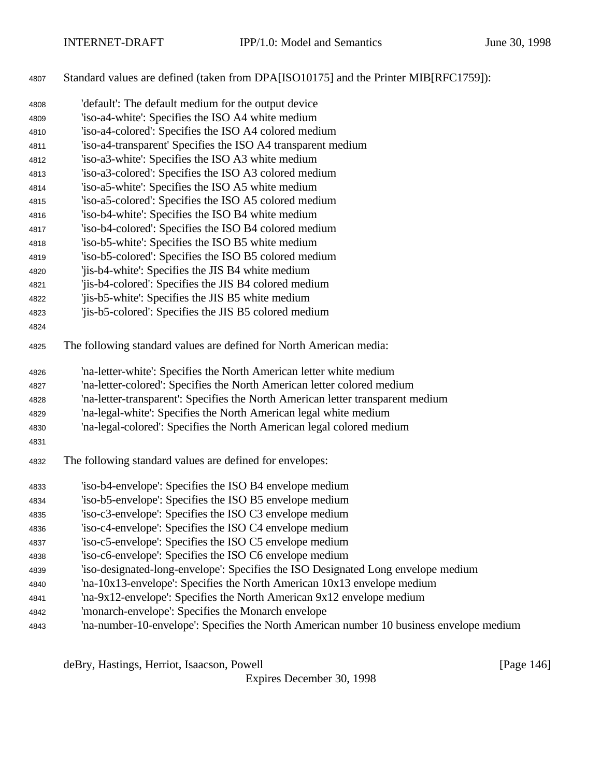Standard values are defined (taken from DPA[ISO10175] and the Printer MIB[RFC1759]):

| 4808 | 'default': The default medium for the output device                                      |
|------|------------------------------------------------------------------------------------------|
| 4809 | 'iso-a4-white': Specifies the ISO A4 white medium                                        |
| 4810 | 'iso-a4-colored': Specifies the ISO A4 colored medium                                    |
| 4811 | 'iso-a4-transparent' Specifies the ISO A4 transparent medium                             |
| 4812 | 'iso-a3-white': Specifies the ISO A3 white medium                                        |
| 4813 | 'iso-a3-colored': Specifies the ISO A3 colored medium                                    |
| 4814 | 'iso-a5-white': Specifies the ISO A5 white medium                                        |
| 4815 | 'iso-a5-colored': Specifies the ISO A5 colored medium                                    |
| 4816 | 'iso-b4-white': Specifies the ISO B4 white medium                                        |
| 4817 | 'iso-b4-colored': Specifies the ISO B4 colored medium                                    |
| 4818 | 'iso-b5-white': Specifies the ISO B5 white medium                                        |
| 4819 | 'iso-b5-colored': Specifies the ISO B5 colored medium                                    |
| 4820 | 'jis-b4-white': Specifies the JIS B4 white medium                                        |
| 4821 | 'jis-b4-colored': Specifies the JIS B4 colored medium                                    |
| 4822 | 'jis-b5-white': Specifies the JIS B5 white medium                                        |
| 4823 | 'jis-b5-colored': Specifies the JIS B5 colored medium                                    |
| 4824 |                                                                                          |
| 4825 | The following standard values are defined for North American media:                      |
| 4826 | 'na-letter-white': Specifies the North American letter white medium                      |
| 4827 | 'na-letter-colored': Specifies the North American letter colored medium                  |
| 4828 | 'na-letter-transparent': Specifies the North American letter transparent medium          |
| 4829 | 'na-legal-white': Specifies the North American legal white medium                        |
| 4830 | 'na-legal-colored': Specifies the North American legal colored medium                    |
| 4831 |                                                                                          |
| 4832 | The following standard values are defined for envelopes:                                 |
| 4833 | 'iso-b4-envelope': Specifies the ISO B4 envelope medium                                  |
| 4834 | 'iso-b5-envelope': Specifies the ISO B5 envelope medium                                  |
| 4835 | 'iso-c3-envelope': Specifies the ISO C3 envelope medium                                  |
| 4836 | 'iso-c4-envelope': Specifies the ISO C4 envelope medium                                  |
| 4837 | 'iso-c5-envelope': Specifies the ISO C5 envelope medium                                  |
| 4838 | 'iso-c6-envelope': Specifies the ISO C6 envelope medium                                  |
| 4839 | 'iso-designated-long-envelope': Specifies the ISO Designated Long envelope medium        |
| 4840 | 'na-10x13-envelope': Specifies the North American 10x13 envelope medium                  |
| 4841 | 'na-9x12-envelope': Specifies the North American 9x12 envelope medium                    |
| 4842 | 'monarch-envelope': Specifies the Monarch envelope                                       |
| 4843 | 'na-number-10-envelope': Specifies the North American number 10 business envelope medium |

deBry, Hastings, Herriot, Isaacson, Powell [Page 146]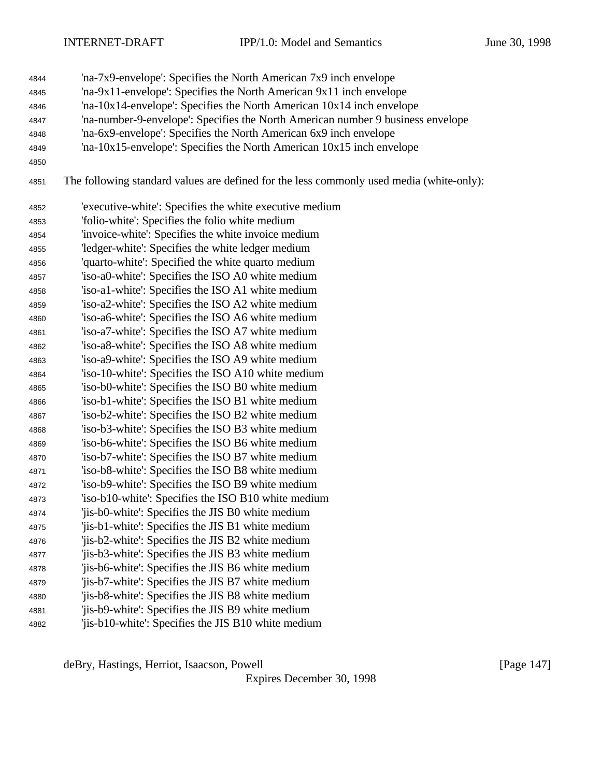- 'na-7x9-envelope': Specifies the North American 7x9 inch envelope
- 'na-9x11-envelope': Specifies the North American 9x11 inch envelope
- 'na-10x14-envelope': Specifies the North American 10x14 inch envelope
- 'na-number-9-envelope': Specifies the North American number 9 business envelope
- 'na-6x9-envelope': Specifies the North American 6x9 inch envelope
- 'na-10x15-envelope': Specifies the North American 10x15 inch envelope
- 
- The following standard values are defined for the less commonly used media (white-only):

| 4852 | 'executive-white': Specifies the white executive medium |
|------|---------------------------------------------------------|
| 4853 | 'folio-white': Specifies the folio white medium         |
| 4854 | 'invoice-white': Specifies the white invoice medium     |
| 4855 | 'ledger-white': Specifies the white ledger medium       |
| 4856 | 'quarto-white': Specified the white quarto medium       |
| 4857 | 'iso-a0-white': Specifies the ISO A0 white medium       |
| 4858 | 'iso-a1-white': Specifies the ISO A1 white medium       |
| 4859 | 'iso-a2-white': Specifies the ISO A2 white medium       |
| 4860 | 'iso-a6-white': Specifies the ISO A6 white medium       |
| 4861 | 'iso-a7-white': Specifies the ISO A7 white medium       |
| 4862 | 'iso-a8-white': Specifies the ISO A8 white medium       |
| 4863 | 'iso-a9-white': Specifies the ISO A9 white medium       |
| 4864 | 'iso-10-white': Specifies the ISO A10 white medium      |
| 4865 | 'iso-b0-white': Specifies the ISO B0 white medium       |
| 4866 | 'iso-b1-white': Specifies the ISO B1 white medium       |
| 4867 | 'iso-b2-white': Specifies the ISO B2 white medium       |
| 4868 | 'iso-b3-white': Specifies the ISO B3 white medium       |
| 4869 | 'iso-b6-white': Specifies the ISO B6 white medium       |
| 4870 | 'iso-b7-white': Specifies the ISO B7 white medium       |
| 4871 | 'iso-b8-white': Specifies the ISO B8 white medium       |
| 4872 | 'iso-b9-white': Specifies the ISO B9 white medium       |
| 4873 | 'iso-b10-white': Specifies the ISO B10 white medium     |
| 4874 | 'jis-b0-white': Specifies the JIS B0 white medium       |
| 4875 | 'jis-b1-white': Specifies the JIS B1 white medium       |
| 4876 | 'jis-b2-white': Specifies the JIS B2 white medium       |
| 4877 | 'jis-b3-white': Specifies the JIS B3 white medium       |
| 4878 | 'jis-b6-white': Specifies the JIS B6 white medium       |
| 4879 | 'jis-b7-white': Specifies the JIS B7 white medium       |
| 4880 | 'jis-b8-white': Specifies the JIS B8 white medium       |
| 4881 | 'jis-b9-white': Specifies the JIS B9 white medium       |
| 4882 | 'jis-b10-white': Specifies the JIS B10 white medium     |
|      |                                                         |

deBry, Hastings, Herriot, Isaacson, Powell [Page 147]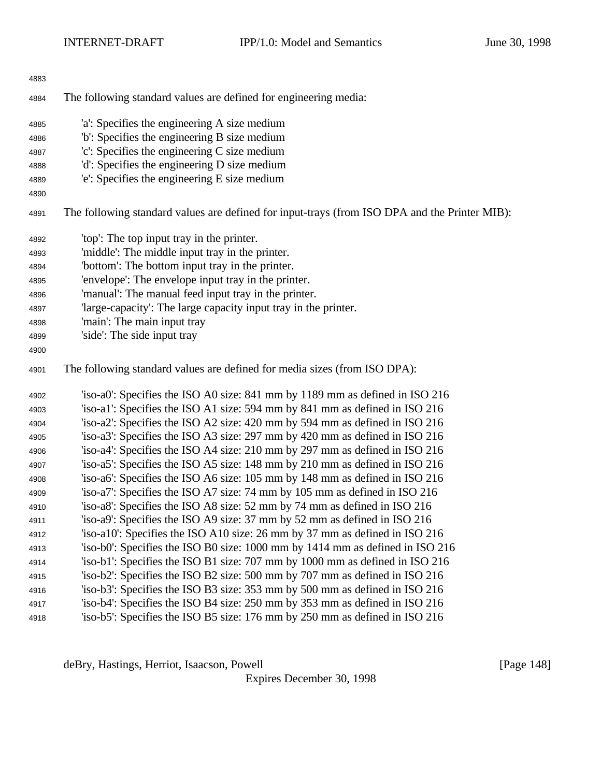| 4883 |                                                                                               |
|------|-----------------------------------------------------------------------------------------------|
| 4884 | The following standard values are defined for engineering media:                              |
| 4885 | 'a': Specifies the engineering A size medium                                                  |
| 4886 | b: Specifies the engineering B size medium                                                    |
| 4887 | 'c': Specifies the engineering C size medium                                                  |
| 4888 | 'd': Specifies the engineering D size medium                                                  |
| 4889 | 'e': Specifies the engineering E size medium                                                  |
| 4890 |                                                                                               |
| 4891 | The following standard values are defined for input-trays (from ISO DPA and the Printer MIB): |
| 4892 | 'top': The top input tray in the printer.                                                     |
| 4893 | 'middle': The middle input tray in the printer.                                               |
| 4894 | "bottom': The bottom input tray in the printer.                                               |
| 4895 | 'envelope': The envelope input tray in the printer.                                           |
| 4896 | 'manual': The manual feed input tray in the printer.                                          |
| 4897 | large-capacity: The large capacity input tray in the printer.                                 |
| 4898 | 'main': The main input tray                                                                   |
| 4899 | 'side': The side input tray                                                                   |
| 4900 |                                                                                               |
| 4901 | The following standard values are defined for media sizes (from ISO DPA):                     |
| 4902 | 'iso-a0': Specifies the ISO A0 size: 841 mm by 1189 mm as defined in ISO 216                  |
| 4903 | 'iso-a1': Specifies the ISO A1 size: 594 mm by 841 mm as defined in ISO 216                   |
| 4904 | 'iso-a2': Specifies the ISO A2 size: 420 mm by 594 mm as defined in ISO 216                   |
| 4905 | 'iso-a3': Specifies the ISO A3 size: 297 mm by 420 mm as defined in ISO 216                   |
| 4906 | 'iso-a4': Specifies the ISO A4 size: 210 mm by 297 mm as defined in ISO 216                   |
| 4907 | 'iso-a5': Specifies the ISO A5 size: 148 mm by 210 mm as defined in ISO 216                   |
| 4908 | 'iso-a6': Specifies the ISO A6 size: 105 mm by 148 mm as defined in ISO 216                   |
| 4909 | 'iso-a7': Specifies the ISO A7 size: 74 mm by 105 mm as defined in ISO 216                    |
| 4910 | 'iso-a8': Specifies the ISO A8 size: 52 mm by 74 mm as defined in ISO 216                     |
| 4911 | 'iso-a9': Specifies the ISO A9 size: 37 mm by 52 mm as defined in ISO 216                     |
| 4912 | 'iso-a10': Specifies the ISO A10 size: 26 mm by 37 mm as defined in ISO 216                   |
| 4913 | 'iso-b0': Specifies the ISO B0 size: 1000 mm by 1414 mm as defined in ISO 216                 |
| 4914 | 'iso-b1': Specifies the ISO B1 size: 707 mm by 1000 mm as defined in ISO 216                  |
| 4915 | 'iso-b2': Specifies the ISO B2 size: 500 mm by 707 mm as defined in ISO 216                   |
| 4916 | 'iso-b3': Specifies the ISO B3 size: 353 mm by 500 mm as defined in ISO 216                   |
| 4917 | 'iso-b4': Specifies the ISO B4 size: 250 mm by 353 mm as defined in ISO 216                   |
| 4918 | 'iso-b5': Specifies the ISO B5 size: 176 mm by 250 mm as defined in ISO 216                   |

deBry, Hastings, Herriot, Isaacson, Powell [Page 148]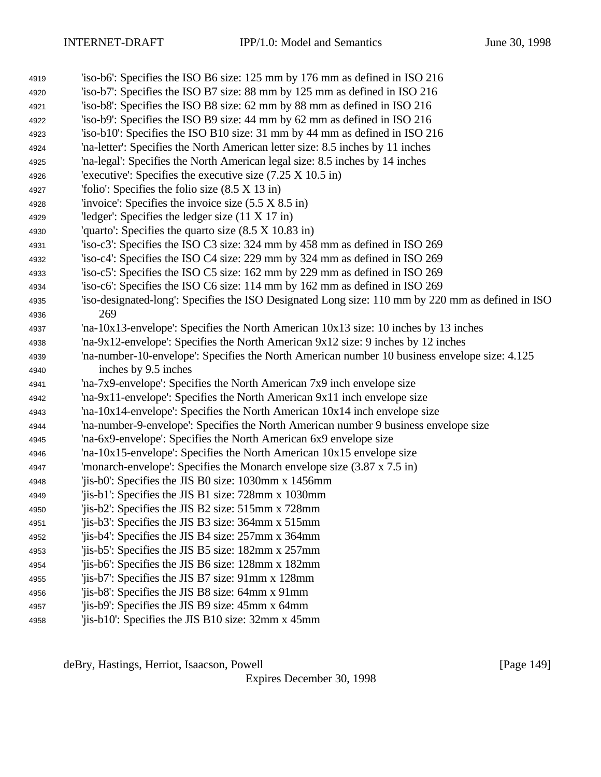- 'iso-b6': Specifies the ISO B6 size: 125 mm by 176 mm as defined in ISO 216
- 'iso-b7': Specifies the ISO B7 size: 88 mm by 125 mm as defined in ISO 216
- 'iso-b8': Specifies the ISO B8 size: 62 mm by 88 mm as defined in ISO 216
- 'iso-b9': Specifies the ISO B9 size: 44 mm by 62 mm as defined in ISO 216 'iso-b10': Specifies the ISO B10 size: 31 mm by 44 mm as defined in ISO 216
- 'na-letter': Specifies the North American letter size: 8.5 inches by 11 inches
- 'na-legal': Specifies the North American legal size: 8.5 inches by 14 inches
- 'executive': Specifies the executive size (7.25 X 10.5 in)
- 'folio': Specifies the folio size (8.5 X 13 in)
- 'invoice': Specifies the invoice size (5.5 X 8.5 in)
- 'ledger': Specifies the ledger size (11 X 17 in)
- 'quarto': Specifies the quarto size (8.5 X 10.83 in)
- 'iso-c3': Specifies the ISO C3 size: 324 mm by 458 mm as defined in ISO 269
- 'iso-c4': Specifies the ISO C4 size: 229 mm by 324 mm as defined in ISO 269
- 'iso-c5': Specifies the ISO C5 size: 162 mm by 229 mm as defined in ISO 269
- 'iso-c6': Specifies the ISO C6 size: 114 mm by 162 mm as defined in ISO 269
- 'iso-designated-long': Specifies the ISO Designated Long size: 110 mm by 220 mm as defined in ISO 269
- 'na-10x13-envelope': Specifies the North American 10x13 size: 10 inches by 13 inches
- 'na-9x12-envelope': Specifies the North American 9x12 size: 9 inches by 12 inches
- 'na-number-10-envelope': Specifies the North American number 10 business envelope size: 4.125 inches by 9.5 inches
- 'na-7x9-envelope': Specifies the North American 7x9 inch envelope size
- 'na-9x11-envelope': Specifies the North American 9x11 inch envelope size
- 'na-10x14-envelope': Specifies the North American 10x14 inch envelope size
- 'na-number-9-envelope': Specifies the North American number 9 business envelope size
- 'na-6x9-envelope': Specifies the North American 6x9 envelope size
- 'na-10x15-envelope': Specifies the North American 10x15 envelope size
- 'monarch-envelope': Specifies the Monarch envelope size (3.87 x 7.5 in)
- 'jis-b0': Specifies the JIS B0 size: 1030mm x 1456mm
- 'jis-b1': Specifies the JIS B1 size: 728mm x 1030mm
- 'jis-b2': Specifies the JIS B2 size: 515mm x 728mm
- 'jis-b3': Specifies the JIS B3 size: 364mm x 515mm
- 'jis-b4': Specifies the JIS B4 size: 257mm x 364mm
- 'jis-b5': Specifies the JIS B5 size: 182mm x 257mm
- 'jis-b6': Specifies the JIS B6 size: 128mm x 182mm
- 'jis-b7': Specifies the JIS B7 size: 91mm x 128mm
- 'jis-b8': Specifies the JIS B8 size: 64mm x 91mm
- 'jis-b9': Specifies the JIS B9 size: 45mm x 64mm
- 'jis-b10': Specifies the JIS B10 size: 32mm x 45mm

deBry, Hastings, Herriot, Isaacson, Powell **company** and the company of the company of the company of the company of the company of the company of the company of the company of the company of the company of the company of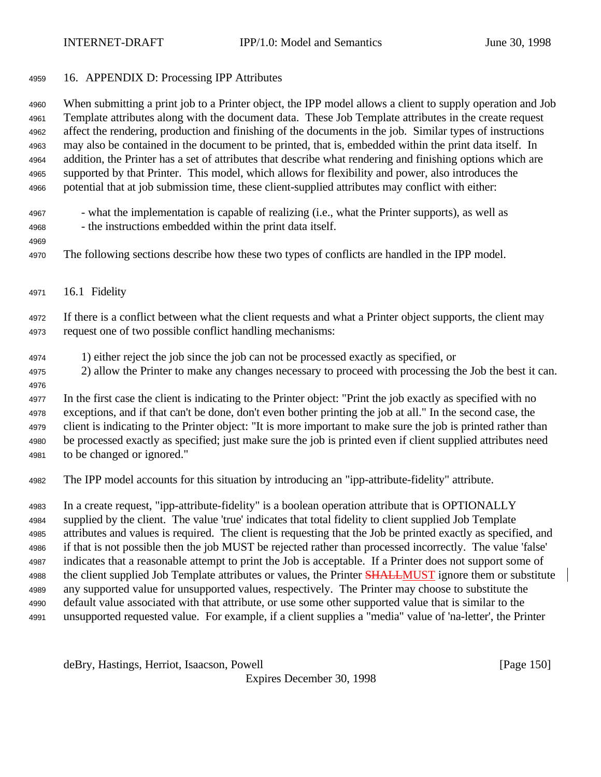16. APPENDIX D: Processing IPP Attributes

 When submitting a print job to a Printer object, the IPP model allows a client to supply operation and Job Template attributes along with the document data. These Job Template attributes in the create request affect the rendering, production and finishing of the documents in the job. Similar types of instructions may also be contained in the document to be printed, that is, embedded within the print data itself. In addition, the Printer has a set of attributes that describe what rendering and finishing options which are supported by that Printer. This model, which allows for flexibility and power, also introduces the potential that at job submission time, these client-supplied attributes may conflict with either:

- what the implementation is capable of realizing (i.e., what the Printer supports), as well as - the instructions embedded within the print data itself.
- 

- The following sections describe how these two types of conflicts are handled in the IPP model.
- 16.1 Fidelity

 If there is a conflict between what the client requests and what a Printer object supports, the client may request one of two possible conflict handling mechanisms:

- 1) either reject the job since the job can not be processed exactly as specified, or
- 2) allow the Printer to make any changes necessary to proceed with processing the Job the best it can.

 In the first case the client is indicating to the Printer object: "Print the job exactly as specified with no exceptions, and if that can't be done, don't even bother printing the job at all." In the second case, the client is indicating to the Printer object: "It is more important to make sure the job is printed rather than be processed exactly as specified; just make sure the job is printed even if client supplied attributes need to be changed or ignored."

The IPP model accounts for this situation by introducing an "ipp-attribute-fidelity" attribute.

 In a create request, "ipp-attribute-fidelity" is a boolean operation attribute that is OPTIONALLY supplied by the client. The value 'true' indicates that total fidelity to client supplied Job Template attributes and values is required. The client is requesting that the Job be printed exactly as specified, and if that is not possible then the job MUST be rejected rather than processed incorrectly. The value 'false' indicates that a reasonable attempt to print the Job is acceptable. If a Printer does not support some of 4988 the client supplied Job Template attributes or values, the Printer **SHALLMUST** ignore them or substitute any supported value for unsupported values, respectively. The Printer may choose to substitute the default value associated with that attribute, or use some other supported value that is similar to the unsupported requested value. For example, if a client supplies a "media" value of 'na-letter', the Printer

deBry, Hastings, Herriot, Isaacson, Powell [Page 150]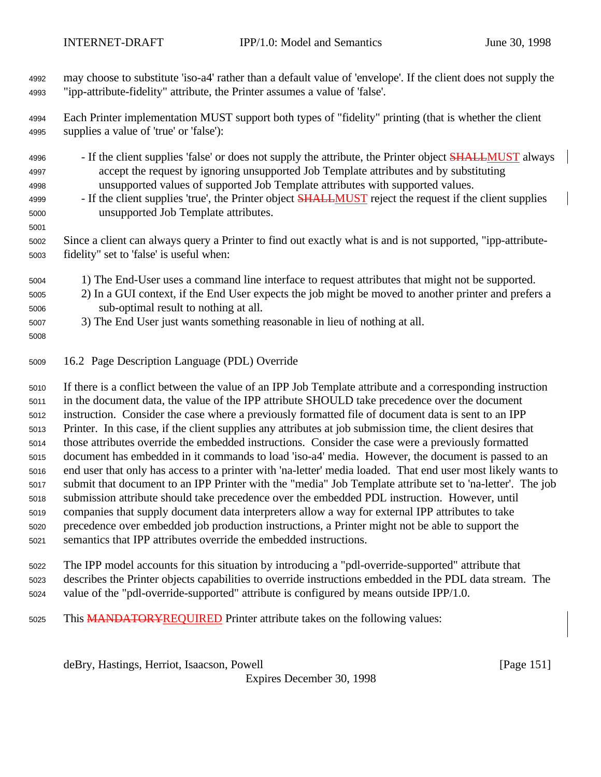| 4992                                         | may choose to substitute 'iso-a4' rather than a default value of 'envelope'. If the client does not supply the                                                                                                                                                                                                                                                                                                                                      |
|----------------------------------------------|-----------------------------------------------------------------------------------------------------------------------------------------------------------------------------------------------------------------------------------------------------------------------------------------------------------------------------------------------------------------------------------------------------------------------------------------------------|
| 4993                                         | "ipp-attribute-fidelity" attribute, the Printer assumes a value of 'false'.                                                                                                                                                                                                                                                                                                                                                                         |
| 4994                                         | Each Printer implementation MUST support both types of "fidelity" printing (that is whether the client                                                                                                                                                                                                                                                                                                                                              |
| 4995                                         | supplies a value of 'true' or 'false'):                                                                                                                                                                                                                                                                                                                                                                                                             |
| 4996<br>4997<br>4998<br>4999<br>5000<br>5001 | - If the client supplies 'false' or does not supply the attribute, the Printer object <b>SHALLMUST</b> always<br>accept the request by ignoring unsupported Job Template attributes and by substituting<br>unsupported values of supported Job Template attributes with supported values.<br>- If the client supplies 'true', the Printer object <b>SHALLMUST</b> reject the request if the client supplies<br>unsupported Job Template attributes. |
| 5002                                         | Since a client can always query a Printer to find out exactly what is and is not supported, "ipp-attribute-                                                                                                                                                                                                                                                                                                                                         |
| 5003                                         | fidelity" set to 'false' is useful when:                                                                                                                                                                                                                                                                                                                                                                                                            |
| 5004<br>5005<br>5006<br>5007<br>5008         | 1) The End-User uses a command line interface to request attributes that might not be supported.<br>2) In a GUI context, if the End User expects the job might be moved to another printer and prefers a<br>sub-optimal result to nothing at all.<br>3) The End User just wants something reasonable in lieu of nothing at all.                                                                                                                     |
| 5009                                         | 16.2 Page Description Language (PDL) Override                                                                                                                                                                                                                                                                                                                                                                                                       |
| 5010                                         | If there is a conflict between the value of an IPP Job Template attribute and a corresponding instruction                                                                                                                                                                                                                                                                                                                                           |
| 5011                                         | in the document data, the value of the IPP attribute SHOULD take precedence over the document                                                                                                                                                                                                                                                                                                                                                       |
| 5012                                         | instruction. Consider the case where a previously formatted file of document data is sent to an IPP                                                                                                                                                                                                                                                                                                                                                 |
| 5013                                         | Printer. In this case, if the client supplies any attributes at job submission time, the client desires that                                                                                                                                                                                                                                                                                                                                        |
| 5014                                         | those attributes override the embedded instructions. Consider the case were a previously formatted                                                                                                                                                                                                                                                                                                                                                  |
| 5015                                         | document has embedded in it commands to load 'iso-a4' media. However, the document is passed to an                                                                                                                                                                                                                                                                                                                                                  |
| 5016                                         | end user that only has access to a printer with 'na-letter' media loaded. That end user most likely wants to                                                                                                                                                                                                                                                                                                                                        |
| 5017                                         | submit that document to an IPP Printer with the "media" Job Template attribute set to 'na-letter'. The job                                                                                                                                                                                                                                                                                                                                          |
| 5018                                         | submission attribute should take precedence over the embedded PDL instruction. However, until                                                                                                                                                                                                                                                                                                                                                       |
| 5019                                         | companies that supply document data interpreters allow a way for external IPP attributes to take                                                                                                                                                                                                                                                                                                                                                    |
| 5020                                         | precedence over embedded job production instructions, a Printer might not be able to support the                                                                                                                                                                                                                                                                                                                                                    |
| 5021                                         | semantics that IPP attributes override the embedded instructions.                                                                                                                                                                                                                                                                                                                                                                                   |
| 5022                                         | The IPP model accounts for this situation by introducing a "pdl-override-supported" attribute that                                                                                                                                                                                                                                                                                                                                                  |

- describes the Printer objects capabilities to override instructions embedded in the PDL data stream. The value of the "pdl-override-supported" attribute is configured by means outside IPP/1.0.
- 5025 This **MANDATORYREQUIRED** Printer attribute takes on the following values:

deBry, Hastings, Herriot, Isaacson, Powell [Page 151]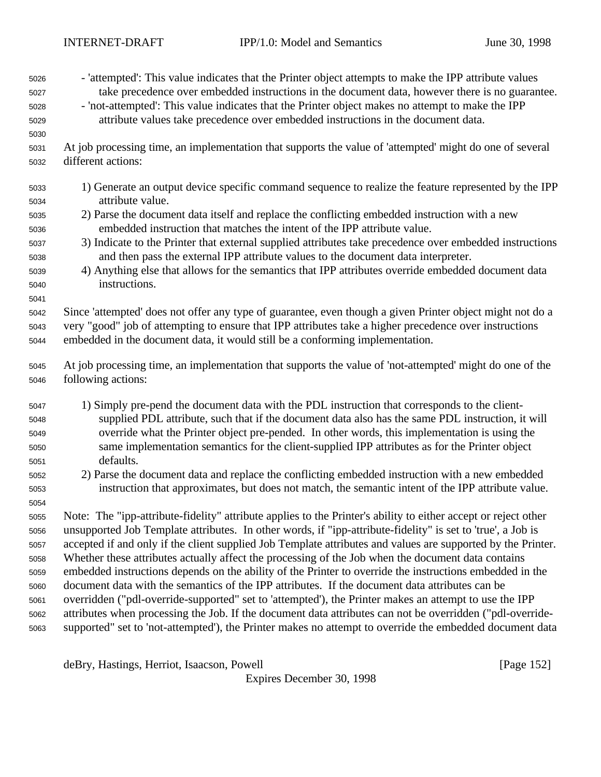- 'attempted': This value indicates that the Printer object attempts to make the IPP attribute values

deBry, Hastings, Herriot, Isaacson, Powell [Page 152] Expires December 30, 1998 take precedence over embedded instructions in the document data, however there is no guarantee. - 'not-attempted': This value indicates that the Printer object makes no attempt to make the IPP attribute values take precedence over embedded instructions in the document data. At job processing time, an implementation that supports the value of 'attempted' might do one of several different actions: 1) Generate an output device specific command sequence to realize the feature represented by the IPP attribute value. 2) Parse the document data itself and replace the conflicting embedded instruction with a new embedded instruction that matches the intent of the IPP attribute value. 3) Indicate to the Printer that external supplied attributes take precedence over embedded instructions and then pass the external IPP attribute values to the document data interpreter. 4) Anything else that allows for the semantics that IPP attributes override embedded document data instructions. Since 'attempted' does not offer any type of guarantee, even though a given Printer object might not do a very "good" job of attempting to ensure that IPP attributes take a higher precedence over instructions embedded in the document data, it would still be a conforming implementation. At job processing time, an implementation that supports the value of 'not-attempted' might do one of the following actions: 1) Simply pre-pend the document data with the PDL instruction that corresponds to the client- supplied PDL attribute, such that if the document data also has the same PDL instruction, it will override what the Printer object pre-pended. In other words, this implementation is using the same implementation semantics for the client-supplied IPP attributes as for the Printer object defaults. 2) Parse the document data and replace the conflicting embedded instruction with a new embedded instruction that approximates, but does not match, the semantic intent of the IPP attribute value. Note: The "ipp-attribute-fidelity" attribute applies to the Printer's ability to either accept or reject other unsupported Job Template attributes. In other words, if "ipp-attribute-fidelity" is set to 'true', a Job is accepted if and only if the client supplied Job Template attributes and values are supported by the Printer. Whether these attributes actually affect the processing of the Job when the document data contains embedded instructions depends on the ability of the Printer to override the instructions embedded in the document data with the semantics of the IPP attributes. If the document data attributes can be overridden ("pdl-override-supported" set to 'attempted'), the Printer makes an attempt to use the IPP attributes when processing the Job. If the document data attributes can not be overridden ("pdl-override-supported" set to 'not-attempted'), the Printer makes no attempt to override the embedded document data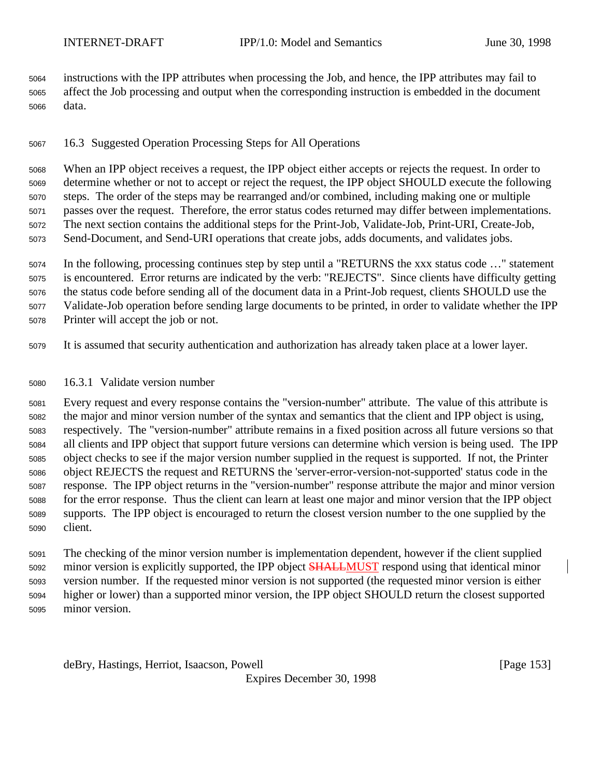instructions with the IPP attributes when processing the Job, and hence, the IPP attributes may fail to affect the Job processing and output when the corresponding instruction is embedded in the document data.

16.3 Suggested Operation Processing Steps for All Operations

 When an IPP object receives a request, the IPP object either accepts or rejects the request. In order to determine whether or not to accept or reject the request, the IPP object SHOULD execute the following steps. The order of the steps may be rearranged and/or combined, including making one or multiple passes over the request. Therefore, the error status codes returned may differ between implementations. The next section contains the additional steps for the Print-Job, Validate-Job, Print-URI, Create-Job, Send-Document, and Send-URI operations that create jobs, adds documents, and validates jobs.

 In the following, processing continues step by step until a "RETURNS the xxx status code …" statement is encountered. Error returns are indicated by the verb: "REJECTS". Since clients have difficulty getting the status code before sending all of the document data in a Print-Job request, clients SHOULD use the Validate-Job operation before sending large documents to be printed, in order to validate whether the IPP Printer will accept the job or not.

It is assumed that security authentication and authorization has already taken place at a lower layer.

## 16.3.1 Validate version number

 Every request and every response contains the "version-number" attribute. The value of this attribute is the major and minor version number of the syntax and semantics that the client and IPP object is using, respectively. The "version-number" attribute remains in a fixed position across all future versions so that all clients and IPP object that support future versions can determine which version is being used. The IPP object checks to see if the major version number supplied in the request is supported. If not, the Printer object REJECTS the request and RETURNS the 'server-error-version-not-supported' status code in the response. The IPP object returns in the "version-number" response attribute the major and minor version for the error response. Thus the client can learn at least one major and minor version that the IPP object supports. The IPP object is encouraged to return the closest version number to the one supplied by the client.

 The checking of the minor version number is implementation dependent, however if the client supplied 5092 minor version is explicitly supported, the IPP object **SHALLMUST** respond using that identical minor version number. If the requested minor version is not supported (the requested minor version is either higher or lower) than a supported minor version, the IPP object SHOULD return the closest supported minor version.

deBry, Hastings, Herriot, Isaacson, Powell [Page 153]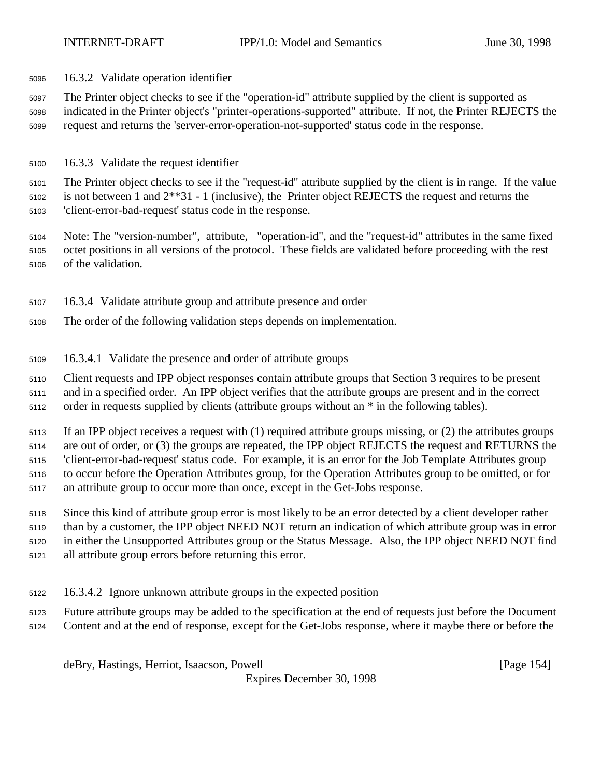16.3.2 Validate operation identifier

 The Printer object checks to see if the "operation-id" attribute supplied by the client is supported as indicated in the Printer object's "printer-operations-supported" attribute. If not, the Printer REJECTS the request and returns the 'server-error-operation-not-supported' status code in the response.

16.3.3 Validate the request identifier

 The Printer object checks to see if the "request-id" attribute supplied by the client is in range. If the value is not between 1 and 2\*\*31 - 1 (inclusive), the Printer object REJECTS the request and returns the 'client-error-bad-request' status code in the response.

 Note: The "version-number", attribute, "operation-id", and the "request-id" attributes in the same fixed octet positions in all versions of the protocol. These fields are validated before proceeding with the rest of the validation.

- 16.3.4 Validate attribute group and attribute presence and order
- The order of the following validation steps depends on implementation.
- 16.3.4.1 Validate the presence and order of attribute groups

 Client requests and IPP object responses contain attribute groups that Section 3 requires to be present and in a specified order. An IPP object verifies that the attribute groups are present and in the correct order in requests supplied by clients (attribute groups without an \* in the following tables).

 If an IPP object receives a request with (1) required attribute groups missing, or (2) the attributes groups are out of order, or (3) the groups are repeated, the IPP object REJECTS the request and RETURNS the 'client-error-bad-request' status code. For example, it is an error for the Job Template Attributes group to occur before the Operation Attributes group, for the Operation Attributes group to be omitted, or for an attribute group to occur more than once, except in the Get-Jobs response.

 Since this kind of attribute group error is most likely to be an error detected by a client developer rather than by a customer, the IPP object NEED NOT return an indication of which attribute group was in error in either the Unsupported Attributes group or the Status Message. Also, the IPP object NEED NOT find all attribute group errors before returning this error.

- 
- 16.3.4.2 Ignore unknown attribute groups in the expected position
- Future attribute groups may be added to the specification at the end of requests just before the Document Content and at the end of response, except for the Get-Jobs response, where it maybe there or before the

deBry, Hastings, Herriot, Isaacson, Powell [Page 154]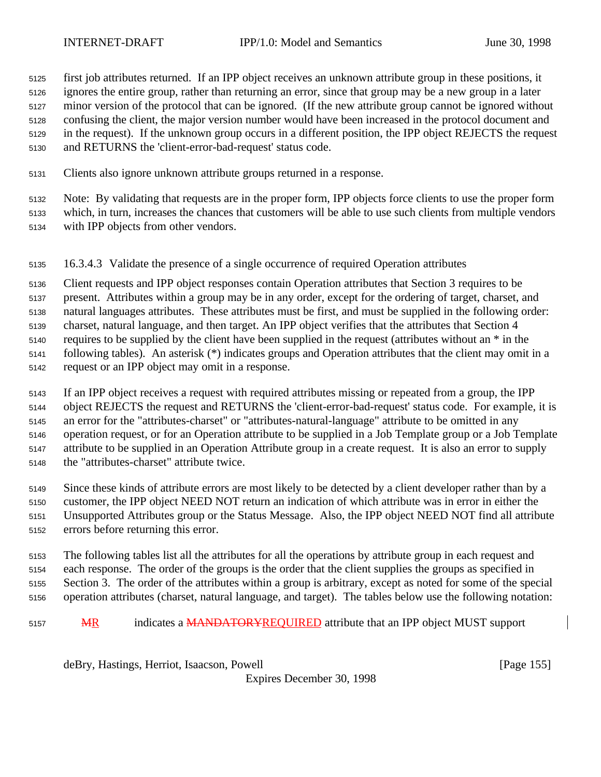first job attributes returned. If an IPP object receives an unknown attribute group in these positions, it ignores the entire group, rather than returning an error, since that group may be a new group in a later minor version of the protocol that can be ignored. (If the new attribute group cannot be ignored without confusing the client, the major version number would have been increased in the protocol document and in the request). If the unknown group occurs in a different position, the IPP object REJECTS the request and RETURNS the 'client-error-bad-request' status code.

Clients also ignore unknown attribute groups returned in a response.

 Note: By validating that requests are in the proper form, IPP objects force clients to use the proper form which, in turn, increases the chances that customers will be able to use such clients from multiple vendors with IPP objects from other vendors.

16.3.4.3 Validate the presence of a single occurrence of required Operation attributes

Client requests and IPP object responses contain Operation attributes that Section 3 requires to be

present. Attributes within a group may be in any order, except for the ordering of target, charset, and

 natural languages attributes. These attributes must be first, and must be supplied in the following order: charset, natural language, and then target. An IPP object verifies that the attributes that Section 4

requires to be supplied by the client have been supplied in the request (attributes without an \* in the

following tables). An asterisk (\*) indicates groups and Operation attributes that the client may omit in a

request or an IPP object may omit in a response.

 If an IPP object receives a request with required attributes missing or repeated from a group, the IPP object REJECTS the request and RETURNS the 'client-error-bad-request' status code. For example, it is an error for the "attributes-charset" or "attributes-natural-language" attribute to be omitted in any operation request, or for an Operation attribute to be supplied in a Job Template group or a Job Template attribute to be supplied in an Operation Attribute group in a create request. It is also an error to supply the "attributes-charset" attribute twice.

 Since these kinds of attribute errors are most likely to be detected by a client developer rather than by a customer, the IPP object NEED NOT return an indication of which attribute was in error in either the Unsupported Attributes group or the Status Message. Also, the IPP object NEED NOT find all attribute errors before returning this error.

 The following tables list all the attributes for all the operations by attribute group in each request and each response. The order of the groups is the order that the client supplies the groups as specified in Section 3. The order of the attributes within a group is arbitrary, except as noted for some of the special operation attributes (charset, natural language, and target). The tables below use the following notation:

5157 MR indicates a MANDATORYREQUIRED attribute that an IPP object MUST support

deBry, Hastings, Herriot, Isaacson, Powell [Page 155]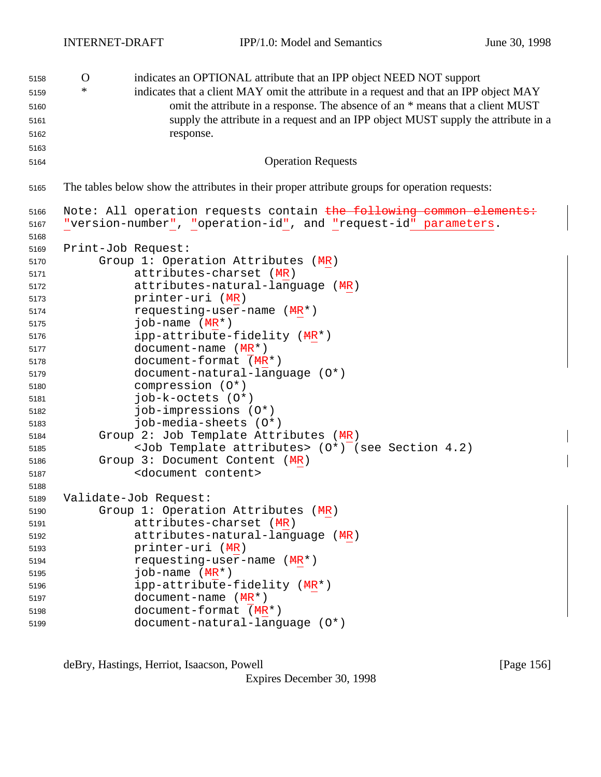O indicates an OPTIONAL attribute that an IPP object NEED NOT support \* indicates that a client MAY omit the attribute in a request and that an IPP object MAY omit the attribute in a response. The absence of an \* means that a client MUST supply the attribute in a request and an IPP object MUST supply the attribute in a response. Operation Requests The tables below show the attributes in their proper attribute groups for operation requests: 5166 Note: All operation requests contain the following common elements: "version-number", "operation-id", and "request-id" parameters. Print-Job Request: 5170 Group 1: Operation Attributes (MR) attributes-charset (MR) attributes-natural-language (MR) printer-uri (MR) 5174 requesting-user-name ( $MR*$ ) job-name  $(MR^*)$  ipp-attribute-fidelity (MR\*) 5177 document-name ( $MR*$ ) 5178 document-format  $(MR^*)$  document-natural-language (O\*) compression (O\*) job-k-octets (O\*) job-impressions (O\*) job-media-sheets (O\*) Group 2: Job Template Attributes (MR) <Job Template attributes> (O\*) (see Section 4.2) Group 3: Document Content (MR) <document content> Validate-Job Request: 5190 Group 1: Operation Attributes (MR) attributes-charset (MR) **attributes-natural-language** ( $MR$ ) printer-uri (MR) requesting-user-name (MR\*) job-name  $(MR^*)$  ipp-attribute-fidelity (MR\*) document-name (MR\*) document-format (MR\*) document-natural-language (O\*)

deBry, Hastings, Herriot, Isaacson, Powell **company** and the same of the same of the same of the same of the same of the same of the same of the same of the same of the same of the same of the same of the same of the same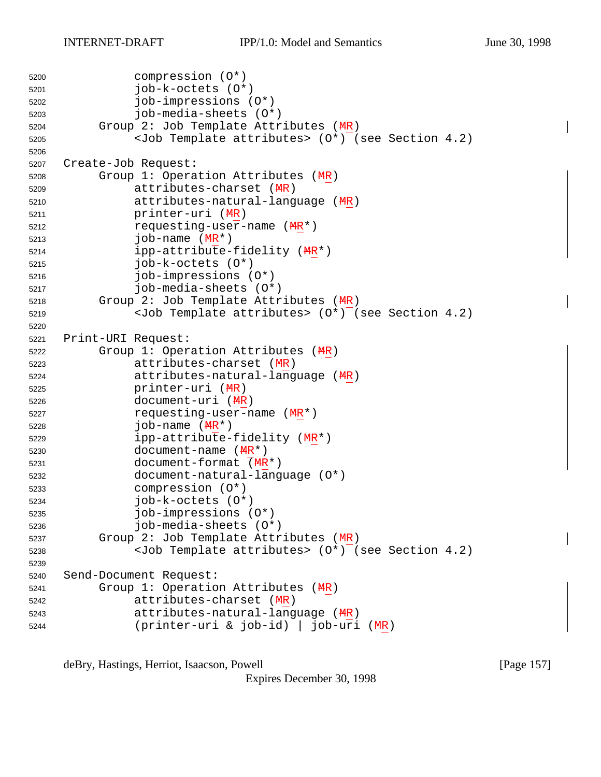```
5200 compression (O*)
5201 job-k-octets (O*)
5202 job-impressions (O*)
5203 job-media-sheets (O*)
5204 Group 2: Job Template Attributes (MR)
5205 <Job Template attributes> (O*) (see Section 4.2)
5206
5207 Create-Job Request:
5208 Group 1: Operation Attributes (MR)
5209 attributes-charset (MR)
5210 attributes-natural-language (MR)
5211 printer-uri (MR)
5212 requesting-user-name (MR*)
5213 job-name (MR^*)5214 ipp-attribute-fidelity (MR*)
5215 job-k-octets (O*)
5216 job-impressions (O*)
5217 job-media-sheets (O*)
5218 Group 2: Job Template Attributes (MR)
5219 <Job Template attributes> (O*) (see Section 4.2)
5220
5221 Print-URI Request:
5222 Group 1: Operation Attributes (MR)
5223 attributes-charset (MR)
5224 attributes-natural-language (MR)
5225 printer-uri (MR)
5226 document-uri (MR)
5227 requesting-user-name (MR*)
5228 job-name (MR^*)5229 ipp-attribute-fidelity (MR*)
5230 document-name (MR*)
5231 document-format (MR*)
5232 document-natural-language (O*)
5233 compression (O*)
5234 job-k-octets (O*)
5235 job-impressions (O*)
5236 job-media-sheets (O*)
5237 Group 2: Job Template Attributes (MR)
5238 <Job Template attributes> (O*) (see Section 4.2)
5239
5240 Send-Document Request:
5241 Group 1: Operation Attributes (MR)
5242 attributes-charset (MR)
5243 attributes-natural-language (MR)
5244 (printer-uri & job-id) | job-uri (MR)
```
deBry, Hastings, Herriot, Isaacson, Powell **company** and the company of the company in the company of the company of the company of the company of the company of the company of the company of the company of the company of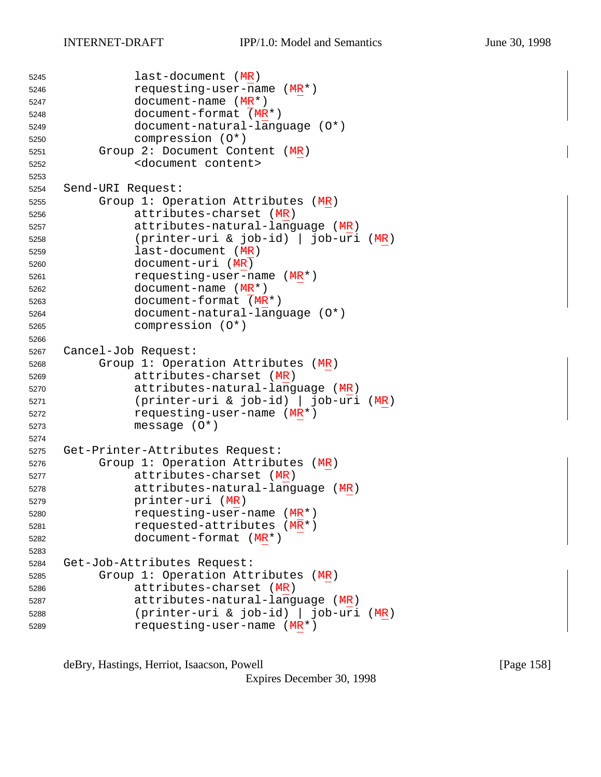```
5245 last-document (MR)
5246 requesting-user-name (MR*)
5247 document-name (MR*)
5248 document-format (MR^*)5249 document-natural-language (O*)
5250 compression (O*)
5251 Group 2: Document Content (MR)
5252 <document content>
5253
5254 Send-URI Request:
5255 Group 1: Operation Attributes (MR)
5256 attributes-charset (MR)
5257 attributes-natural-language (MR)
5258 (printer-uri & job-id) | job-uri (MR)
5259 last-document (MR)
5260 document-uri (MR)
5261 requesting-user-name (MR*)
5262 document-name (MR*)
5263 document-format (MR*)
5264 document-natural-language (O*)
5265 compression (O*)
5266
5267 Cancel-Job Request:
5268 Group 1: Operation Attributes (MR)
5269 attributes-charset (MR)
5270 attributes-natural-language (MR)
5271 (printer-uri & job-id) | job-uri (MR)
5272 requesting-user-name (MR*)
5273 message (O*)
5274
5275 Get-Printer-Attributes Request:
5276 Group 1: Operation Attributes (MR)
5277 attributes-charset (MR)
5278 attributes-natural-language (MR)
5279 printer-uri (MR)
5280 requesting-user-name (MR*)
5281 requested-attributes (MR*)
5282 document-format (MR*)
5283
5284 Get-Job-Attributes Request:
5285 Group 1: Operation Attributes (MR)
5286 attributes-charset (MR)
5287 attributes-natural-language (MR)
5288 (printer-uri & job-id) | job-uri (MR)
5289 requesting-user-name (MR*)
```
deBry, Hastings, Herriot, Isaacson, Powell **company** and the company of the company of the company of the company of the company of the company of the company of the company of the company of the company of the company of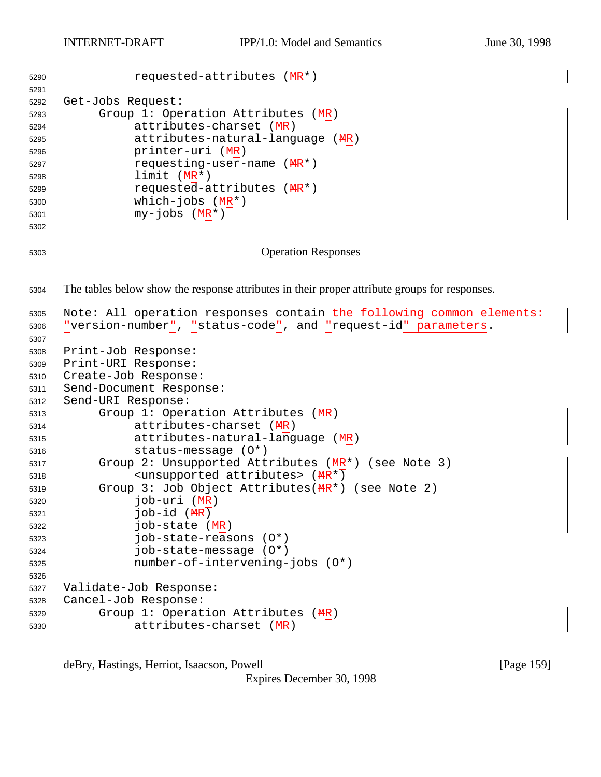```
5290 requested-attributes (MR*)
5291
5292 Get-Jobs Request:
5293 Group 1: Operation Attributes (MR)
5294 attributes-charset (MR)
5295 attributes-natural-language (MR)
5296 printer-uri (MR)
5297 requesting-user-name (MR*)
5298 limit (MR*)
5299 requested-attributes (MR*)
5300 which-jobs (MR^*)5301 my-jobs (MR^*)5302
5303 Operation Responses
5304 The tables below show the response attributes in their proper attribute groups for responses.
5305 Note: All operation responses contain the following common elements:
5306 "version-number", "status-code", and "request-id" parameters.
5307
5308 Print-Job Response:
5309 Print-URI Response:
5310 Create-Job Response:
5311 Send-Document Response:
5312 Send-URI Response:
5313 Group 1: Operation Attributes (MR)
5314 attributes-charset (MR)
5315 attributes-natural-language (MR)
5316 status-message (O*)
5317 Group 2: Unsupported Attributes (MR*) (see Note 3)
5318 <unsupported attributes> (MR^*)5319 Group 3: Job Object Attributes(MR*) (see Note 2)
5320 job-uri (MR)
5321 job-id (MR)
5322 job-state (MR)
5323 job-state-reasons (O*)
5324 job-state-message (O*)
5325 number-of-intervening-jobs (O*)
5326
5327 Validate-Job Response:
5328 Cancel-Job Response:
5329 Group 1: Operation Attributes (MR)
5330 attributes-charset (MR)
```
deBry, Hastings, Herriot, Isaacson, Powell **company** and the company of the company of the company of the company of the company of the company of the company of the company of the company of the company of the company of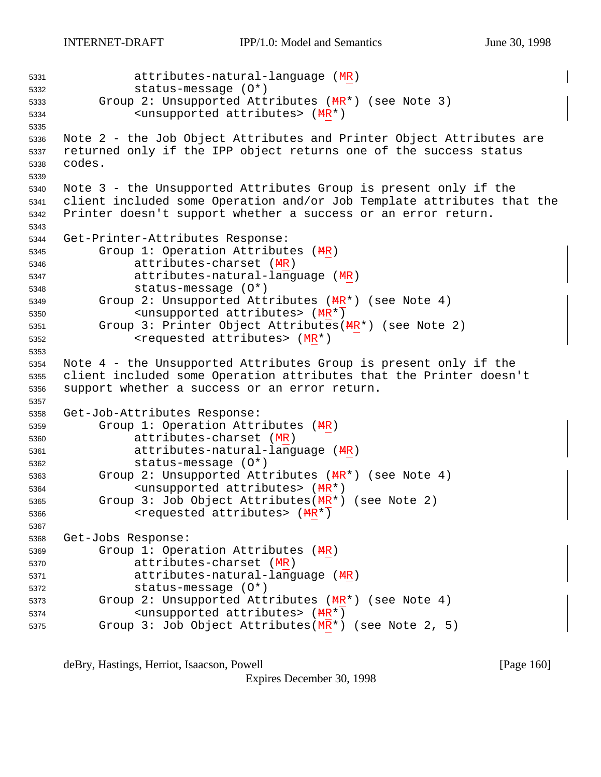attributes-natural-language (MR) status-message (O\*) Group 2: Unsupported Attributes (MR\*) (see Note 3) <unsupported attributes> (MR\*) Note 2 - the Job Object Attributes and Printer Object Attributes are returned only if the IPP object returns one of the success status codes. Note 3 - the Unsupported Attributes Group is present only if the client included some Operation and/or Job Template attributes that the Printer doesn't support whether a success or an error return. Get-Printer-Attributes Response: 5345 Group 1: Operation Attributes (MR) **attributes-charset** ( $\overline{MR}$ ) 5347 attributes-natural-language (MR) status-message (O\*) Group 2: Unsupported Attributes (MR\*) (see Note 4) 5350 <unsupported attributes> ( $MR*$ ) Group 3: Printer Object Attributes(MR\*) (see Note 2) 5352 <requested attributes> ( $MR*$ ) Note 4 - the Unsupported Attributes Group is present only if the client included some Operation attributes that the Printer doesn't support whether a success or an error return. Get-Job-Attributes Response: 5359 Group 1: Operation Attributes (MR) attributes-charset (MR) 5361 attributes-natural-language (MR) status-message (O\*) Group 2: Unsupported Attributes (MR\*) (see Note 4) <unsupported attributes> (MR\*) Group 3: Job Object Attributes(MR\*) (see Note 2) 5366 <requested attributes> ( $MR*$ ) Get-Jobs Response: 5369 Group 1: Operation Attributes (MR) attributes-charset (MR) 5371 attributes-natural-language (MR) status-message (O\*) 5373 Group 2: Unsupported Attributes ( $MR*$ ) (see Note 4) <unsupported attributes> (MR\*) Group 3: Job Object Attributes(MR\*) (see Note 2, 5)

deBry, Hastings, Herriot, Isaacson, Powell **company** and the company of the company of the company of the company of the company of the company of the company of the company of the company of the company of the company of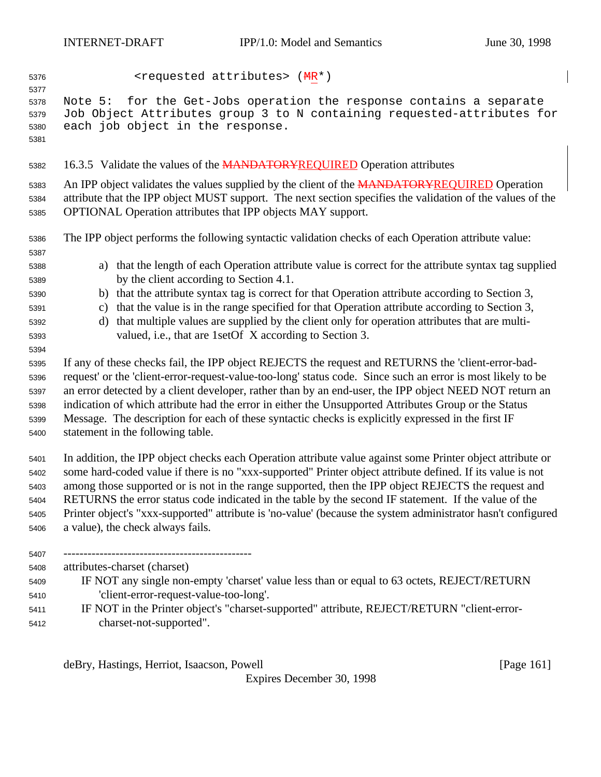| 5376<br>5377 | <requested attributes=""> (MR*)</requested>                                                                                                                                                                       |
|--------------|-------------------------------------------------------------------------------------------------------------------------------------------------------------------------------------------------------------------|
| 5378         | for the Get-Jobs operation the response contains a separate<br>Note 5:                                                                                                                                            |
| 5379         | Job Object Attributes group 3 to N containing requested-attributes for                                                                                                                                            |
| 5380         | each job object in the response.                                                                                                                                                                                  |
| 5381         |                                                                                                                                                                                                                   |
| 5382         | 16.3.5 Validate the values of the MANDATORYREQUIRED Operation attributes                                                                                                                                          |
| 5383         | An IPP object validates the values supplied by the client of the MANDATORYREQUIRED Operation                                                                                                                      |
| 5384         | attribute that the IPP object MUST support. The next section specifies the validation of the values of the                                                                                                        |
| 5385         | OPTIONAL Operation attributes that IPP objects MAY support.                                                                                                                                                       |
| 5386<br>5387 | The IPP object performs the following syntactic validation checks of each Operation attribute value:                                                                                                              |
| 5388<br>5389 | a) that the length of each Operation attribute value is correct for the attribute syntax tag supplied<br>by the client according to Section 4.1.                                                                  |
| 5390         | b) that the attribute syntax tag is correct for that Operation attribute according to Section 3,                                                                                                                  |
| 5391         | c) that the value is in the range specified for that Operation attribute according to Section 3,                                                                                                                  |
| 5392         | that multiple values are supplied by the client only for operation attributes that are multi-<br>d)                                                                                                               |
| 5393         | valued, i.e., that are 1set Of X according to Section 3.                                                                                                                                                          |
| 5394         |                                                                                                                                                                                                                   |
| 5395         | If any of these checks fail, the IPP object REJECTS the request and RETURNS the 'client-error-bad-<br>request' or the 'client-error-request-value-too-long' status code. Since such an error is most likely to be |
| 5396<br>5397 | an error detected by a client developer, rather than by an end-user, the IPP object NEED NOT return an                                                                                                            |
| 5398         | indication of which attribute had the error in either the Unsupported Attributes Group or the Status                                                                                                              |
| 5399         | Message. The description for each of these syntactic checks is explicitly expressed in the first IF                                                                                                               |
| 5400         | statement in the following table.                                                                                                                                                                                 |
| 5401         | In addition, the IPP object checks each Operation attribute value against some Printer object attribute or                                                                                                        |
| 5402         | some hard-coded value if there is no "xxx-supported" Printer object attribute defined. If its value is not                                                                                                        |
| 5403         | among those supported or is not in the range supported, then the IPP object REJECTS the request and                                                                                                               |
| 5404         | RETURNS the error status code indicated in the table by the second IF statement. If the value of the                                                                                                              |
| 5405<br>5406 | Printer object's "xxx-supported" attribute is 'no-value' (because the system administrator hasn't configured<br>a value), the check always fails.                                                                 |
|              |                                                                                                                                                                                                                   |
| 5407         | ----------------------                                                                                                                                                                                            |
| 5408         | attributes-charset (charset)                                                                                                                                                                                      |
| 5409<br>5410 | IF NOT any single non-empty 'charset' value less than or equal to 63 octets, REJECT/RETURN<br>'client-error-request-value-too-long'.                                                                              |
| 5411         | IF NOT in the Printer object's "charset-supported" attribute, REJECT/RETURN "client-error-                                                                                                                        |
| 5412         | charset-not-supported".                                                                                                                                                                                           |
|              |                                                                                                                                                                                                                   |

deBry, Hastings, Herriot, Isaacson, Powell [Page 161]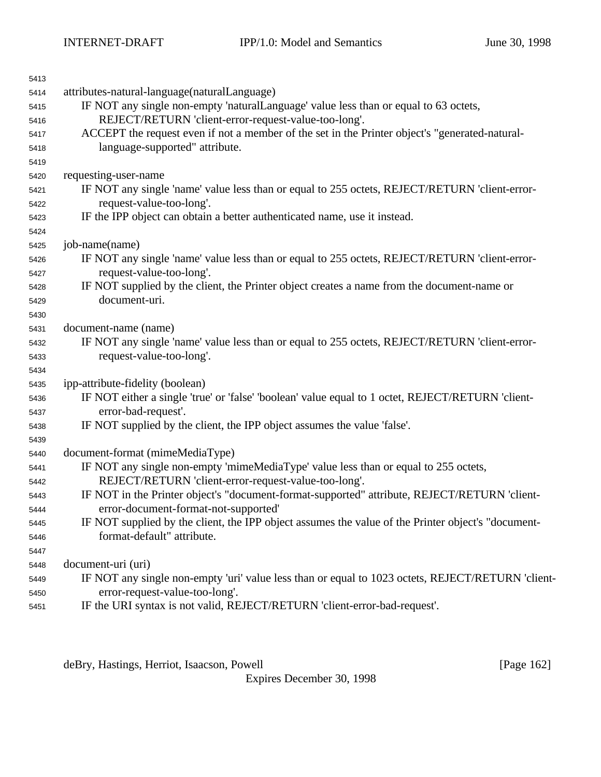| 5413 |                                                                                                                         |
|------|-------------------------------------------------------------------------------------------------------------------------|
| 5414 | attributes-natural-language(naturalLanguage)                                                                            |
| 5415 | IF NOT any single non-empty 'natural Language' value less than or equal to 63 octets,                                   |
| 5416 | REJECT/RETURN 'client-error-request-value-too-long'.                                                                    |
| 5417 | ACCEPT the request even if not a member of the set in the Printer object's "generated-natural-                          |
| 5418 | language-supported" attribute.                                                                                          |
| 5419 |                                                                                                                         |
| 5420 | requesting-user-name                                                                                                    |
| 5421 | IF NOT any single 'name' value less than or equal to 255 octets, REJECT/RETURN 'client-error-                           |
| 5422 | request-value-too-long'.                                                                                                |
| 5423 | IF the IPP object can obtain a better authenticated name, use it instead.                                               |
| 5424 |                                                                                                                         |
| 5425 | job-name(name)                                                                                                          |
| 5426 | IF NOT any single 'name' value less than or equal to 255 octets, REJECT/RETURN 'client-error-                           |
| 5427 | request-value-too-long'.                                                                                                |
| 5428 | IF NOT supplied by the client, the Printer object creates a name from the document-name or                              |
| 5429 | document-uri.                                                                                                           |
| 5430 |                                                                                                                         |
| 5431 | document-name (name)                                                                                                    |
| 5432 | IF NOT any single 'name' value less than or equal to 255 octets, REJECT/RETURN 'client-error-                           |
| 5433 | request-value-too-long'.                                                                                                |
| 5434 |                                                                                                                         |
| 5435 | ipp-attribute-fidelity (boolean)                                                                                        |
| 5436 | IF NOT either a single 'true' or 'false' 'boolean' value equal to 1 octet, REJECT/RETURN 'client-                       |
| 5437 | error-bad-request'.                                                                                                     |
| 5438 | IF NOT supplied by the client, the IPP object assumes the value 'false'.                                                |
| 5439 |                                                                                                                         |
| 5440 | document-format (mimeMediaType)                                                                                         |
| 5441 | IF NOT any single non-empty 'mimeMediaType' value less than or equal to 255 octets,                                     |
| 5442 | REJECT/RETURN 'client-error-request-value-too-long'.                                                                    |
| 5443 | IF NOT in the Printer object's "document-format-supported" attribute, REJECT/RETURN 'client-                            |
| 5444 | error-document-format-not-supported'                                                                                    |
| 5445 | IF NOT supplied by the client, the IPP object assumes the value of the Printer object's "document-                      |
| 5446 | format-default" attribute.                                                                                              |
| 5447 |                                                                                                                         |
| 5448 | document-uri (uri)<br>IF NOT any single non-empty 'uri' value less than or equal to 1023 octets, REJECT/RETURN 'client- |
| 5449 |                                                                                                                         |
| 5450 | error-request-value-too-long'.                                                                                          |
| 5451 | IF the URI syntax is not valid, REJECT/RETURN 'client-error-bad-request'.                                               |

deBry, Hastings, Herriot, Isaacson, Powell [Page 162]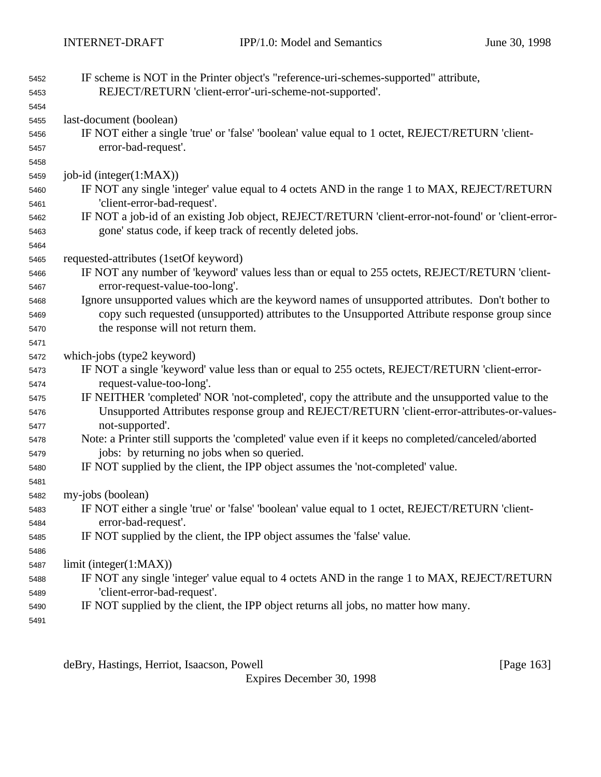| 5452 | IF scheme is NOT in the Printer object's "reference-uri-schemes-supported" attribute,               |
|------|-----------------------------------------------------------------------------------------------------|
| 5453 | REJECT/RETURN 'client-error'-uri-scheme-not-supported'.                                             |
| 5454 |                                                                                                     |
| 5455 | last-document (boolean)                                                                             |
| 5456 | IF NOT either a single 'true' or 'false' 'boolean' value equal to 1 octet, REJECT/RETURN 'client-   |
| 5457 | error-bad-request'.                                                                                 |
| 5458 |                                                                                                     |
| 5459 | job-id (integer(1:MAX))                                                                             |
| 5460 | IF NOT any single 'integer' value equal to 4 octets AND in the range 1 to MAX, REJECT/RETURN        |
| 5461 | 'client-error-bad-request'.                                                                         |
| 5462 | IF NOT a job-id of an existing Job object, REJECT/RETURN 'client-error-not-found' or 'client-error- |
| 5463 | gone' status code, if keep track of recently deleted jobs.                                          |
| 5464 |                                                                                                     |
| 5465 | requested-attributes (1setOf keyword)                                                               |
| 5466 | IF NOT any number of 'keyword' values less than or equal to 255 octets, REJECT/RETURN 'client-      |
| 5467 | error-request-value-too-long'.                                                                      |
| 5468 | Ignore unsupported values which are the keyword names of unsupported attributes. Don't bother to    |
| 5469 | copy such requested (unsupported) attributes to the Unsupported Attribute response group since      |
| 5470 | the response will not return them.                                                                  |
| 5471 |                                                                                                     |
| 5472 | which-jobs (type2 keyword)                                                                          |
| 5473 | IF NOT a single 'keyword' value less than or equal to 255 octets, REJECT/RETURN 'client-error-      |
| 5474 | request-value-too-long'.                                                                            |
| 5475 | IF NEITHER 'completed' NOR 'not-completed', copy the attribute and the unsupported value to the     |
| 5476 | Unsupported Attributes response group and REJECT/RETURN 'client-error-attributes-or-values-         |
| 5477 | not-supported'.                                                                                     |
| 5478 | Note: a Printer still supports the 'completed' value even if it keeps no completed/canceled/aborted |
| 5479 | jobs: by returning no jobs when so queried.                                                         |
| 5480 | IF NOT supplied by the client, the IPP object assumes the 'not-completed' value.                    |
| 5481 |                                                                                                     |
| 5482 | my-jobs (boolean)                                                                                   |
| 5483 | IF NOT either a single 'true' or 'false' 'boolean' value equal to 1 octet, REJECT/RETURN 'client-   |
| 5484 | error-bad-request'.                                                                                 |
| 5485 | IF NOT supplied by the client, the IPP object assumes the 'false' value.                            |
| 5486 |                                                                                                     |
| 5487 | limit (integer(1:MAX))                                                                              |
| 5488 | IF NOT any single 'integer' value equal to 4 octets AND in the range 1 to MAX, REJECT/RETURN        |
| 5489 | 'client-error-bad-request'.                                                                         |
| 5490 | IF NOT supplied by the client, the IPP object returns all jobs, no matter how many.                 |
| 5491 |                                                                                                     |

deBry, Hastings, Herriot, Isaacson, Powell [Page 163]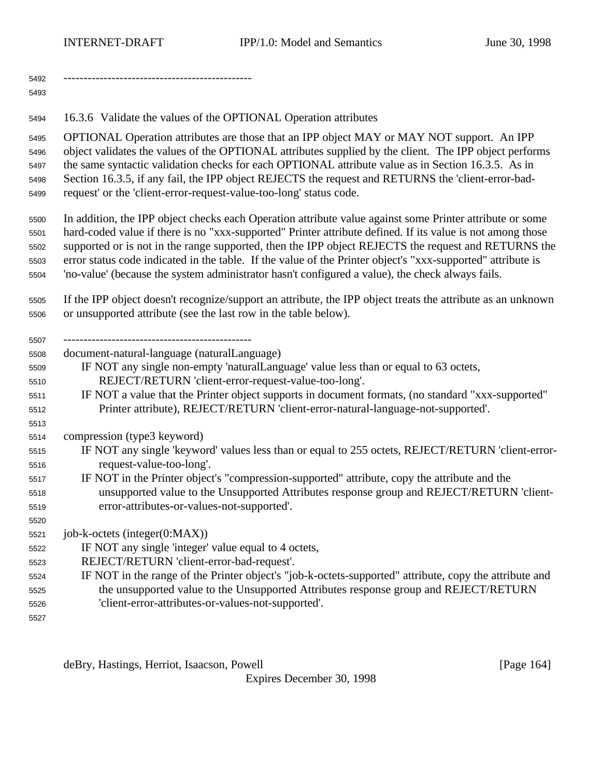-----------------------------------------------

16.3.6 Validate the values of the OPTIONAL Operation attributes

 OPTIONAL Operation attributes are those that an IPP object MAY or MAY NOT support. An IPP object validates the values of the OPTIONAL attributes supplied by the client. The IPP object performs the same syntactic validation checks for each OPTIONAL attribute value as in Section 16.3.5. As in Section 16.3.5, if any fail, the IPP object REJECTS the request and RETURNS the 'client-error-bad-request' or the 'client-error-request-value-too-long' status code.

 In addition, the IPP object checks each Operation attribute value against some Printer attribute or some hard-coded value if there is no "xxx-supported" Printer attribute defined. If its value is not among those supported or is not in the range supported, then the IPP object REJECTS the request and RETURNS the error status code indicated in the table. If the value of the Printer object's "xxx-supported" attribute is 'no-value' (because the system administrator hasn't configured a value), the check always fails.

 If the IPP object doesn't recognize/support an attribute, the IPP object treats the attribute as an unknown or unsupported attribute (see the last row in the table below).

-----------------------------------------------

document-natural-language (naturalLanguage)

- IF NOT any single non-empty 'naturalLanguage' value less than or equal to 63 octets, REJECT/RETURN 'client-error-request-value-too-long'.
- IF NOT a value that the Printer object supports in document formats, (no standard "xxx-supported" Printer attribute), REJECT/RETURN 'client-error-natural-language-not-supported'.

compression (type3 keyword)

- IF NOT any single 'keyword' values less than or equal to 255 octets, REJECT/RETURN 'client-error-request-value-too-long'.
- IF NOT in the Printer object's "compression-supported" attribute, copy the attribute and the unsupported value to the Unsupported Attributes response group and REJECT/RETURN 'client-error-attributes-or-values-not-supported'.

job-k-octets (integer(0:MAX))

IF NOT any single 'integer' value equal to 4 octets,

- REJECT/RETURN 'client-error-bad-request'.
- IF NOT in the range of the Printer object's "job-k-octets-supported" attribute, copy the attribute and the unsupported value to the Unsupported Attributes response group and REJECT/RETURN 'client-error-attributes-or-values-not-supported'.

deBry, Hastings, Herriot, Isaacson, Powell **compared and Contract and Contract Contract (Page 164**)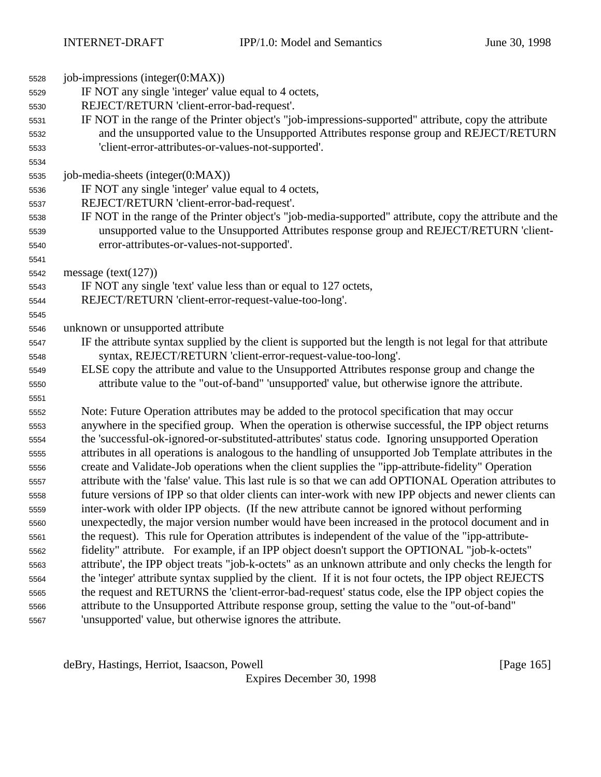| 5528         | job-impressions (integer(0:MAX))                                                                                                                                                                                  |
|--------------|-------------------------------------------------------------------------------------------------------------------------------------------------------------------------------------------------------------------|
| 5529         | IF NOT any single 'integer' value equal to 4 octets,                                                                                                                                                              |
| 5530         | REJECT/RETURN 'client-error-bad-request'.                                                                                                                                                                         |
| 5531         | IF NOT in the range of the Printer object's "job-impressions-supported" attribute, copy the attribute                                                                                                             |
| 5532         | and the unsupported value to the Unsupported Attributes response group and REJECT/RETURN                                                                                                                          |
| 5533         | 'client-error-attributes-or-values-not-supported'.                                                                                                                                                                |
| 5534         |                                                                                                                                                                                                                   |
| 5535         | job-media-sheets (integer(0:MAX))                                                                                                                                                                                 |
| 5536         | IF NOT any single 'integer' value equal to 4 octets,                                                                                                                                                              |
| 5537         | REJECT/RETURN 'client-error-bad-request'.                                                                                                                                                                         |
| 5538         | IF NOT in the range of the Printer object's "job-media-supported" attribute, copy the attribute and the                                                                                                           |
| 5539         | unsupported value to the Unsupported Attributes response group and REJECT/RETURN 'client-                                                                                                                         |
| 5540         | error-attributes-or-values-not-supported'.                                                                                                                                                                        |
| 5541         |                                                                                                                                                                                                                   |
| 5542         | message ( $text(127)$ )                                                                                                                                                                                           |
| 5543         | IF NOT any single 'text' value less than or equal to 127 octets,                                                                                                                                                  |
| 5544         | REJECT/RETURN 'client-error-request-value-too-long'.                                                                                                                                                              |
| 5545         |                                                                                                                                                                                                                   |
| 5546         | unknown or unsupported attribute                                                                                                                                                                                  |
| 5547         | IF the attribute syntax supplied by the client is supported but the length is not legal for that attribute                                                                                                        |
| 5548         | syntax, REJECT/RETURN 'client-error-request-value-too-long'.                                                                                                                                                      |
| 5549         | ELSE copy the attribute and value to the Unsupported Attributes response group and change the                                                                                                                     |
| 5550         | attribute value to the "out-of-band" 'unsupported' value, but otherwise ignore the attribute.                                                                                                                     |
| 5551         |                                                                                                                                                                                                                   |
| 5552         | Note: Future Operation attributes may be added to the protocol specification that may occur                                                                                                                       |
| 5553         | anywhere in the specified group. When the operation is otherwise successful, the IPP object returns                                                                                                               |
| 5554         | the 'successful-ok-ignored-or-substituted-attributes' status code. Ignoring unsupported Operation                                                                                                                 |
| 5555         | attributes in all operations is analogous to the handling of unsupported Job Template attributes in the                                                                                                           |
| 5556         | create and Validate-Job operations when the client supplies the "ipp-attribute-fidelity" Operation                                                                                                                |
| 5557         | attribute with the 'false' value. This last rule is so that we can add OPTIONAL Operation attributes to<br>future versions of IPP so that older clients can inter-work with new IPP objects and newer clients can |
| 5558<br>5559 | inter-work with older IPP objects. (If the new attribute cannot be ignored without performing                                                                                                                     |
| 5560         | unexpectedly, the major version number would have been increased in the protocol document and in                                                                                                                  |
| 5561         | the request). This rule for Operation attributes is independent of the value of the "ipp-attribute-                                                                                                               |
| 5562         | fidelity" attribute. For example, if an IPP object doesn't support the OPTIONAL "job-k-octets"                                                                                                                    |
| 5563         | attribute', the IPP object treats "job-k-octets" as an unknown attribute and only checks the length for                                                                                                           |
| 5564         | the 'integer' attribute syntax supplied by the client. If it is not four octets, the IPP object REJECTS                                                                                                           |
| 5565         | the request and RETURNS the 'client-error-bad-request' status code, else the IPP object copies the                                                                                                                |
| 5566         | attribute to the Unsupported Attribute response group, setting the value to the "out-of-band"                                                                                                                     |
| 5567         | 'unsupported' value, but otherwise ignores the attribute.                                                                                                                                                         |
|              |                                                                                                                                                                                                                   |

deBry, Hastings, Herriot, Isaacson, Powell [Page 165]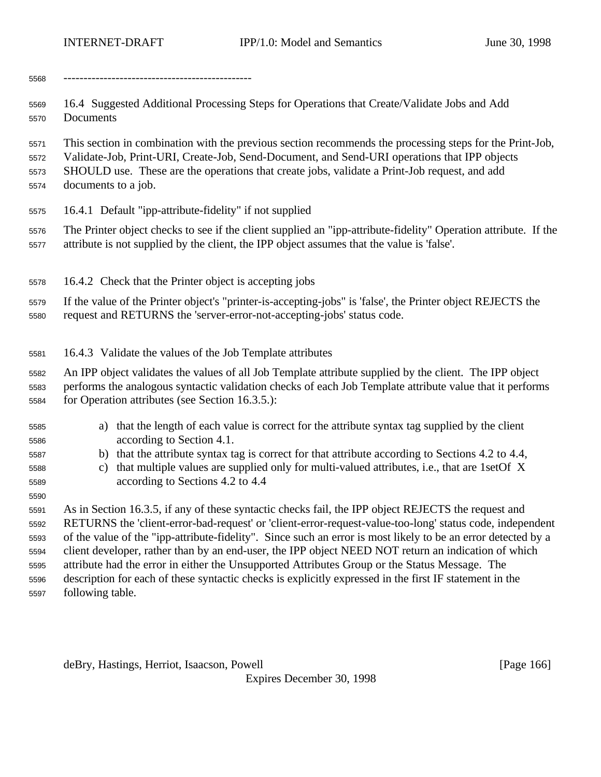-----------------------------------------------

 16.4 Suggested Additional Processing Steps for Operations that Create/Validate Jobs and Add Documents

This section in combination with the previous section recommends the processing steps for the Print-Job,

- Validate-Job, Print-URI, Create-Job, Send-Document, and Send-URI operations that IPP objects
- SHOULD use. These are the operations that create jobs, validate a Print-Job request, and add documents to a job.
- 16.4.1 Default "ipp-attribute-fidelity" if not supplied
- The Printer object checks to see if the client supplied an "ipp-attribute-fidelity" Operation attribute. If the attribute is not supplied by the client, the IPP object assumes that the value is 'false'.
- 16.4.2 Check that the Printer object is accepting jobs

 If the value of the Printer object's "printer-is-accepting-jobs" is 'false', the Printer object REJECTS the request and RETURNS the 'server-error-not-accepting-jobs' status code.

16.4.3 Validate the values of the Job Template attributes

 An IPP object validates the values of all Job Template attribute supplied by the client. The IPP object performs the analogous syntactic validation checks of each Job Template attribute value that it performs

for Operation attributes (see Section 16.3.5.):

- a) that the length of each value is correct for the attribute syntax tag supplied by the client according to Section 4.1.
- b) that the attribute syntax tag is correct for that attribute according to Sections 4.2 to 4.4,
- c) that multiple values are supplied only for multi-valued attributes, i.e., that are 1setOf X according to Sections 4.2 to 4.4

 As in Section 16.3.5, if any of these syntactic checks fail, the IPP object REJECTS the request and RETURNS the 'client-error-bad-request' or 'client-error-request-value-too-long' status code, independent of the value of the "ipp-attribute-fidelity". Since such an error is most likely to be an error detected by a client developer, rather than by an end-user, the IPP object NEED NOT return an indication of which attribute had the error in either the Unsupported Attributes Group or the Status Message. The description for each of these syntactic checks is explicitly expressed in the first IF statement in the following table.

deBry, Hastings, Herriot, Isaacson, Powell **compared and Contract and Contract Contract (Page 166**)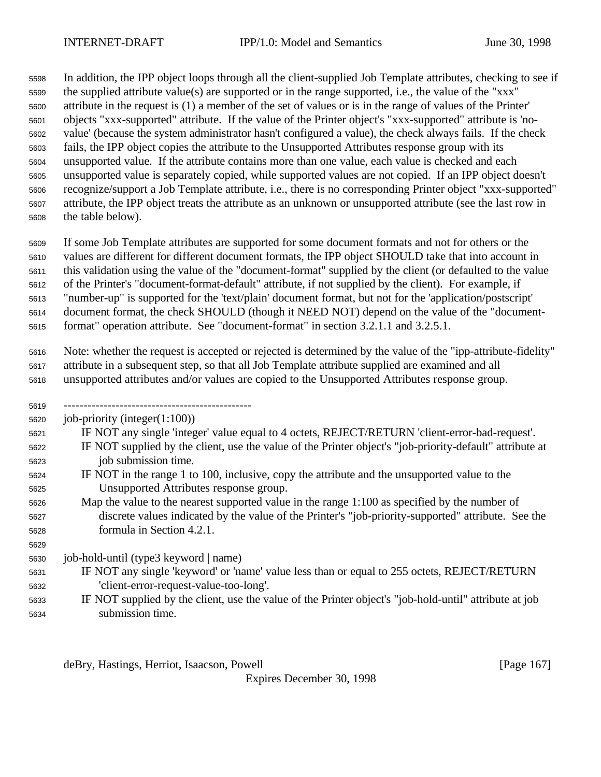In addition, the IPP object loops through all the client-supplied Job Template attributes, checking to see if the supplied attribute value(s) are supported or in the range supported, i.e., the value of the "xxx" attribute in the request is (1) a member of the set of values or is in the range of values of the Printer' objects "xxx-supported" attribute. If the value of the Printer object's "xxx-supported" attribute is 'no- value' (because the system administrator hasn't configured a value), the check always fails. If the check fails, the IPP object copies the attribute to the Unsupported Attributes response group with its unsupported value. If the attribute contains more than one value, each value is checked and each unsupported value is separately copied, while supported values are not copied. If an IPP object doesn't recognize/support a Job Template attribute, i.e., there is no corresponding Printer object "xxx-supported" attribute, the IPP object treats the attribute as an unknown or unsupported attribute (see the last row in the table below).

 If some Job Template attributes are supported for some document formats and not for others or the values are different for different document formats, the IPP object SHOULD take that into account in this validation using the value of the "document-format" supplied by the client (or defaulted to the value of the Printer's "document-format-default" attribute, if not supplied by the client). For example, if "number-up" is supported for the 'text/plain' document format, but not for the 'application/postscript' document format, the check SHOULD (though it NEED NOT) depend on the value of the "document-

format" operation attribute. See "document-format" in section 3.2.1.1 and 3.2.5.1.

 Note: whether the request is accepted or rejected is determined by the value of the "ipp-attribute-fidelity" attribute in a subsequent step, so that all Job Template attribute supplied are examined and all unsupported attributes and/or values are copied to the Unsupported Attributes response group.

-----------------------------------------------

job-priority (integer(1:100))

IF NOT any single 'integer' value equal to 4 octets, REJECT/RETURN 'client-error-bad-request'.

- IF NOT supplied by the client, use the value of the Printer object's "job-priority-default" attribute at job submission time.
- IF NOT in the range 1 to 100, inclusive, copy the attribute and the unsupported value to the Unsupported Attributes response group.
- Map the value to the nearest supported value in the range 1:100 as specified by the number of discrete values indicated by the value of the Printer's "job-priority-supported" attribute. See the formula in Section 4.2.1.

job-hold-until (type3 keyword | name)

- IF NOT any single 'keyword' or 'name' value less than or equal to 255 octets, REJECT/RETURN 'client-error-request-value-too-long'.
- IF NOT supplied by the client, use the value of the Printer object's "job-hold-until" attribute at job submission time.

deBry, Hastings, Herriot, Isaacson, Powell [Page 167]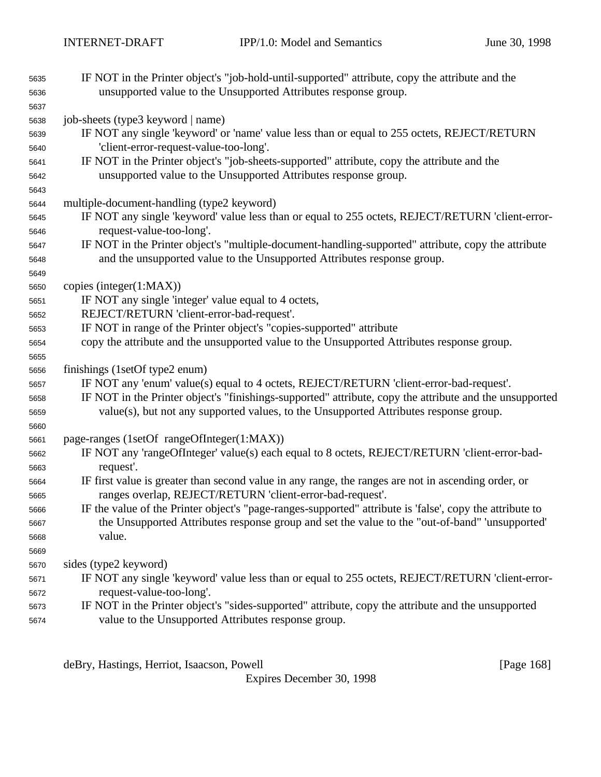| 5635         | IF NOT in the Printer object's "job-hold-until-supported" attribute, copy the attribute and the            |
|--------------|------------------------------------------------------------------------------------------------------------|
| 5636         | unsupported value to the Unsupported Attributes response group.                                            |
| 5637         |                                                                                                            |
| 5638         | job-sheets (type3 keyword   name)                                                                          |
| 5639         | IF NOT any single 'keyword' or 'name' value less than or equal to 255 octets, REJECT/RETURN                |
| 5640         | 'client-error-request-value-too-long'.                                                                     |
| 5641         | IF NOT in the Printer object's "job-sheets-supported" attribute, copy the attribute and the                |
| 5642         | unsupported value to the Unsupported Attributes response group.                                            |
| 5643         |                                                                                                            |
| 5644         | multiple-document-handling (type2 keyword)                                                                 |
| 5645         | IF NOT any single 'keyword' value less than or equal to 255 octets, REJECT/RETURN 'client-error-           |
| 5646         | request-value-too-long'.                                                                                   |
| 5647         | IF NOT in the Printer object's "multiple-document-handling-supported" attribute, copy the attribute        |
| 5648         | and the unsupported value to the Unsupported Attributes response group.                                    |
| 5649         |                                                                                                            |
| 5650         | copies (integer(1:MAX))                                                                                    |
| 5651         | IF NOT any single 'integer' value equal to 4 octets,                                                       |
| 5652         | REJECT/RETURN 'client-error-bad-request'.                                                                  |
| 5653         | IF NOT in range of the Printer object's "copies-supported" attribute                                       |
| 5654         | copy the attribute and the unsupported value to the Unsupported Attributes response group.                 |
| 5655         |                                                                                                            |
| 5656         | finishings (1setOf type2 enum)                                                                             |
| 5657         | IF NOT any 'enum' value(s) equal to 4 octets, REJECT/RETURN 'client-error-bad-request'.                    |
| 5658         | IF NOT in the Printer object's "finishings-supported" attribute, copy the attribute and the unsupported    |
| 5659         | value(s), but not any supported values, to the Unsupported Attributes response group.                      |
| 5660         |                                                                                                            |
| 5661         | page-ranges (1setOf rangeOfInteger(1:MAX))                                                                 |
| 5662<br>5663 | IF NOT any 'rangeOfInteger' value(s) each equal to 8 octets, REJECT/RETURN 'client-error-bad-<br>request'. |
| 5664         | IF first value is greater than second value in any range, the ranges are not in ascending order, or        |
| 5665         | ranges overlap, REJECT/RETURN 'client-error-bad-request'.                                                  |
| 5666         | IF the value of the Printer object's "page-ranges-supported" attribute is 'false', copy the attribute to   |
| 5667         | the Unsupported Attributes response group and set the value to the "out-of-band" 'unsupported'             |
| 5668         | value.                                                                                                     |
| 5669         |                                                                                                            |
| 5670         | sides (type2 keyword)                                                                                      |
| 5671         | IF NOT any single 'keyword' value less than or equal to 255 octets, REJECT/RETURN 'client-error-           |
| 5672         | request-value-too-long'.                                                                                   |
| 5673         | IF NOT in the Printer object's "sides-supported" attribute, copy the attribute and the unsupported         |
| 5674         | value to the Unsupported Attributes response group.                                                        |

deBry, Hastings, Herriot, Isaacson, Powell [Page 168]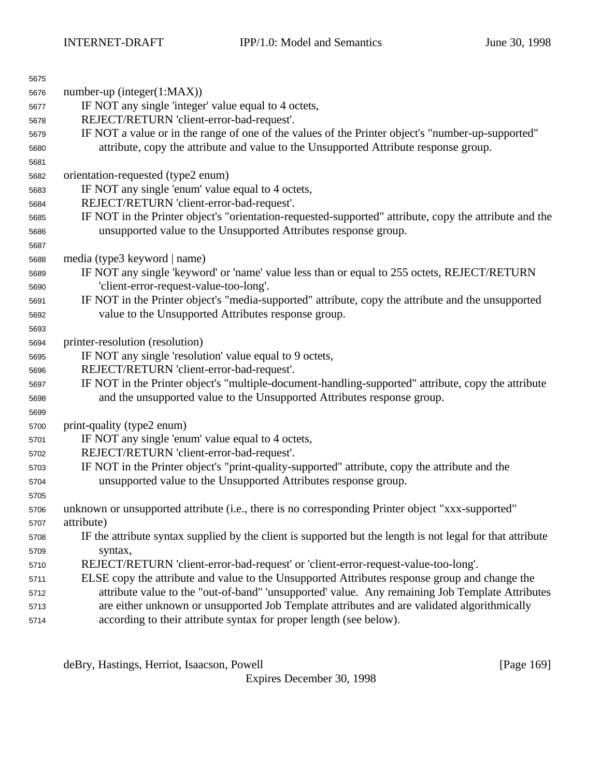| 5675 |                                                                                                            |
|------|------------------------------------------------------------------------------------------------------------|
| 5676 | $number-up (integer(1:MAX))$                                                                               |
| 5677 | IF NOT any single 'integer' value equal to 4 octets,                                                       |
| 5678 | REJECT/RETURN 'client-error-bad-request'.                                                                  |
| 5679 | IF NOT a value or in the range of one of the values of the Printer object's "number-up-supported"          |
| 5680 | attribute, copy the attribute and value to the Unsupported Attribute response group.                       |
| 5681 |                                                                                                            |
| 5682 | orientation-requested (type2 enum)                                                                         |
| 5683 | IF NOT any single 'enum' value equal to 4 octets,                                                          |
| 5684 | REJECT/RETURN 'client-error-bad-request'.                                                                  |
| 5685 | IF NOT in the Printer object's "orientation-requested-supported" attribute, copy the attribute and the     |
| 5686 | unsupported value to the Unsupported Attributes response group.                                            |
| 5687 |                                                                                                            |
| 5688 | media (type3 keyword   name)                                                                               |
| 5689 | IF NOT any single 'keyword' or 'name' value less than or equal to 255 octets, REJECT/RETURN                |
| 5690 | 'client-error-request-value-too-long'.                                                                     |
| 5691 | IF NOT in the Printer object's "media-supported" attribute, copy the attribute and the unsupported         |
| 5692 | value to the Unsupported Attributes response group.                                                        |
| 5693 |                                                                                                            |
| 5694 | printer-resolution (resolution)                                                                            |
| 5695 | IF NOT any single 'resolution' value equal to 9 octets,                                                    |
| 5696 | REJECT/RETURN 'client-error-bad-request'.                                                                  |
| 5697 | IF NOT in the Printer object's "multiple-document-handling-supported" attribute, copy the attribute        |
| 5698 | and the unsupported value to the Unsupported Attributes response group.                                    |
| 5699 |                                                                                                            |
| 5700 | print-quality (type2 enum)                                                                                 |
| 5701 | IF NOT any single 'enum' value equal to 4 octets,                                                          |
| 5702 | REJECT/RETURN 'client-error-bad-request'.                                                                  |
| 5703 | IF NOT in the Printer object's "print-quality-supported" attribute, copy the attribute and the             |
| 5704 | unsupported value to the Unsupported Attributes response group.                                            |
| 5705 |                                                                                                            |
| 5706 | unknown or unsupported attribute (i.e., there is no corresponding Printer object "xxx-supported"           |
| 5707 | attribute)                                                                                                 |
| 5708 | IF the attribute syntax supplied by the client is supported but the length is not legal for that attribute |
| 5709 | syntax,                                                                                                    |
| 5710 | REJECT/RETURN 'client-error-bad-request' or 'client-error-request-value-too-long'.                         |
| 5711 | ELSE copy the attribute and value to the Unsupported Attributes response group and change the              |
| 5712 | attribute value to the "out-of-band" 'unsupported' value. Any remaining Job Template Attributes            |
| 5713 | are either unknown or unsupported Job Template attributes and are validated algorithmically                |
| 5714 | according to their attribute syntax for proper length (see below).                                         |

deBry, Hastings, Herriot, Isaacson, Powell [Page 169]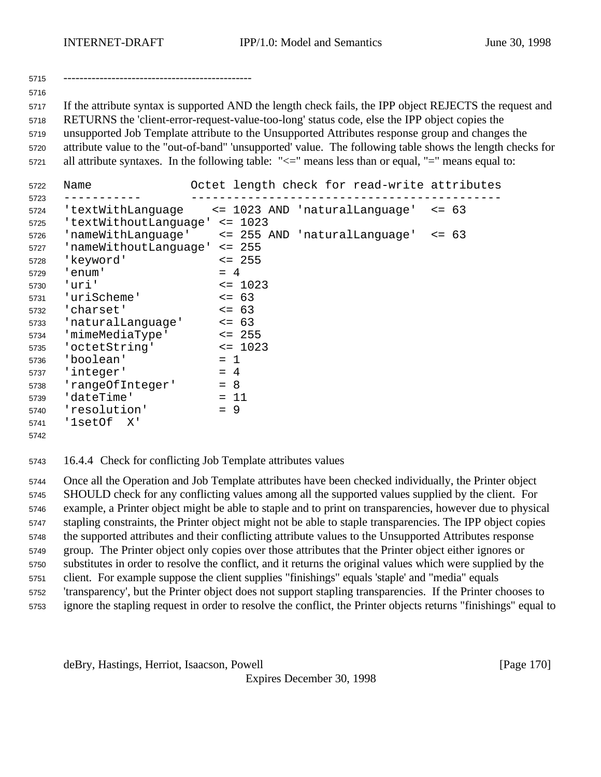-----------------------------------------------

 If the attribute syntax is supported AND the length check fails, the IPP object REJECTS the request and RETURNS the 'client-error-request-value-too-long' status code, else the IPP object copies the unsupported Job Template attribute to the Unsupported Attributes response group and changes the attribute value to the "out-of-band" 'unsupported' value. The following table shows the length checks for all attribute syntaxes. In the following table: "<=" means less than or equal, "=" means equal to:

| 5722 | Name                  | Octet length check for read-write attributes                 |
|------|-----------------------|--------------------------------------------------------------|
| 5723 |                       |                                                              |
| 5724 |                       | 'textWithLanguage <= 1023 AND 'naturalLanguage' <= 63        |
| 5725 | 'textWithoutLanguage' | $\leq$ 1023                                                  |
| 5726 |                       | 'nameWithLanguage' <= 255 AND 'naturalLanguage'<br>$\leq$ 63 |
| 5727 | 'nameWithoutLanguage' | $\leq$ 255                                                   |
| 5728 | 'keyword'             | $\leq$ 255                                                   |
| 5729 | 'enum'                | $= 4$                                                        |
| 5730 | 'uri'                 | $\leq$ 1023                                                  |
| 5731 | 'uriScheme'           | $= 63$                                                       |
| 5732 | 'charset'             | $\leq -63$                                                   |
| 5733 | 'naturalLanguage'     | $\leq$ 63                                                    |
| 5734 | 'mimeMediaType'       | $\leq$ 255                                                   |
| 5735 | 'octetString'         | $\leq 1023$                                                  |
| 5736 | 'boolean'             | $= 1$                                                        |
| 5737 | 'integer'             | $= 4$                                                        |
| 5738 | 'rangeOfInteger'      | $= 8$                                                        |
| 5739 | 'dateTime'            | $= 11$                                                       |
| 5740 | 'resolution'          | $= 9$                                                        |
| 5741 | 'lsetOf X'            |                                                              |
| 5742 |                       |                                                              |

16.4.4 Check for conflicting Job Template attributes values

 Once all the Operation and Job Template attributes have been checked individually, the Printer object SHOULD check for any conflicting values among all the supported values supplied by the client. For example, a Printer object might be able to staple and to print on transparencies, however due to physical stapling constraints, the Printer object might not be able to staple transparencies. The IPP object copies the supported attributes and their conflicting attribute values to the Unsupported Attributes response group. The Printer object only copies over those attributes that the Printer object either ignores or substitutes in order to resolve the conflict, and it returns the original values which were supplied by the client. For example suppose the client supplies "finishings" equals 'staple' and "media" equals 'transparency', but the Printer object does not support stapling transparencies. If the Printer chooses to ignore the stapling request in order to resolve the conflict, the Printer objects returns "finishings" equal to

deBry, Hastings, Herriot, Isaacson, Powell [Page 170]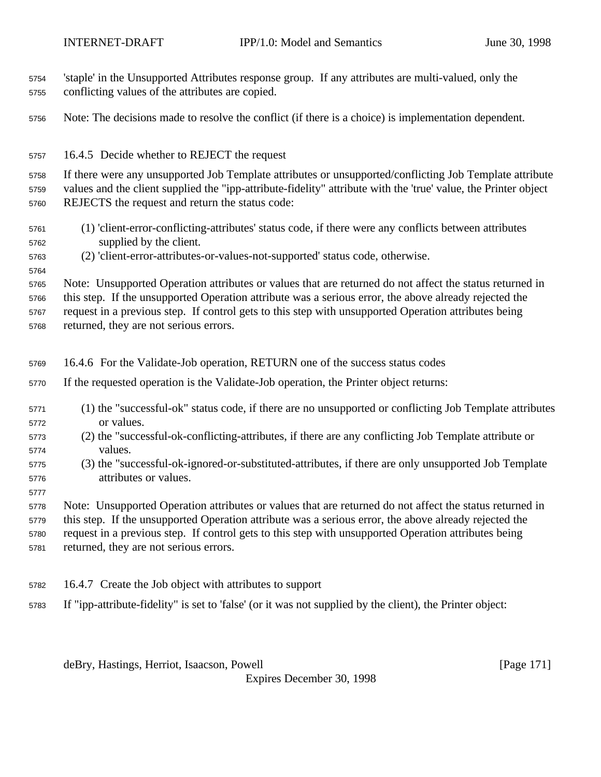| 5754<br>5755 | 'staple' in the Unsupported Attributes response group. If any attributes are multi-valued, only the<br>conflicting values of the attributes are copied. |
|--------------|---------------------------------------------------------------------------------------------------------------------------------------------------------|
| 5756         | Note: The decisions made to resolve the conflict (if there is a choice) is implementation dependent.                                                    |
| 5757         | 16.4.5 Decide whether to REJECT the request                                                                                                             |
| 5758         | If there were any unsupported Job Template attributes or unsupported/conflicting Job Template attribute                                                 |
| 5759         | values and the client supplied the "ipp-attribute-fidelity" attribute with the 'true' value, the Printer object                                         |
| 5760         | REJECTS the request and return the status code:                                                                                                         |
| 5761<br>5762 | (1) 'client-error-conflicting-attributes' status code, if there were any conflicts between attributes<br>supplied by the client.                        |
| 5763<br>5764 | (2) 'client-error-attributes-or-values-not-supported' status code, otherwise.                                                                           |
| 5765         | Note: Unsupported Operation attributes or values that are returned do not affect the status returned in                                                 |
| 5766         | this step. If the unsupported Operation attribute was a serious error, the above already rejected the                                                   |
| 5767         | request in a previous step. If control gets to this step with unsupported Operation attributes being                                                    |
| 5768         | returned, they are not serious errors.                                                                                                                  |
|              |                                                                                                                                                         |
| 5769         | 16.4.6 For the Validate-Job operation, RETURN one of the success status codes                                                                           |
| 5770         | If the requested operation is the Validate-Job operation, the Printer object returns:                                                                   |
| 5771         | (1) the "successful-ok" status code, if there are no unsupported or conflicting Job Template attributes                                                 |
| 5772         | or values.                                                                                                                                              |
| 5773         | (2) the "successful-ok-conflicting-attributes, if there are any conflicting Job Template attribute or                                                   |
| 5774         | values.                                                                                                                                                 |
| 5775         | (3) the "successful-ok-ignored-or-substituted-attributes, if there are only unsupported Job Template                                                    |
| 5776<br>5777 | attributes or values.                                                                                                                                   |
| 5778         | Note: Unsupported Operation attributes or values that are returned do not affect the status returned in                                                 |
| 5779         | this step. If the unsupported Operation attribute was a serious error, the above already rejected the                                                   |
| 5780         | request in a previous step. If control gets to this step with unsupported Operation attributes being                                                    |
| 5781         | returned, they are not serious errors.                                                                                                                  |

If "ipp-attribute-fidelity" is set to 'false' (or it was not supplied by the client), the Printer object:

deBry, Hastings, Herriot, Isaacson, Powell [Page 171]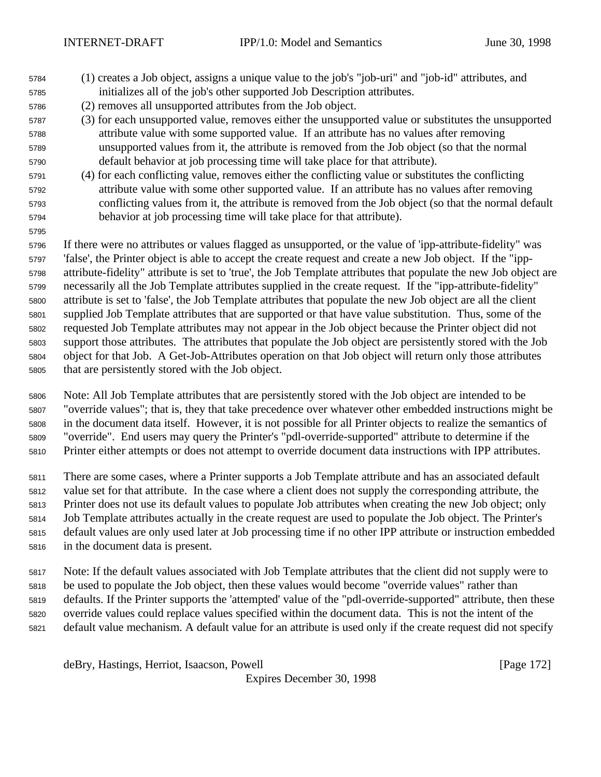- (1) creates a Job object, assigns a unique value to the job's "job-uri" and "job-id" attributes, and initializes all of the job's other supported Job Description attributes.
- (2) removes all unsupported attributes from the Job object.
- (3) for each unsupported value, removes either the unsupported value or substitutes the unsupported attribute value with some supported value. If an attribute has no values after removing unsupported values from it, the attribute is removed from the Job object (so that the normal default behavior at job processing time will take place for that attribute).
- (4) for each conflicting value, removes either the conflicting value or substitutes the conflicting attribute value with some other supported value. If an attribute has no values after removing conflicting values from it, the attribute is removed from the Job object (so that the normal default behavior at job processing time will take place for that attribute).
- If there were no attributes or values flagged as unsupported, or the value of 'ipp-attribute-fidelity" was 'false', the Printer object is able to accept the create request and create a new Job object. If the "ipp- attribute-fidelity" attribute is set to 'true', the Job Template attributes that populate the new Job object are necessarily all the Job Template attributes supplied in the create request. If the "ipp-attribute-fidelity" attribute is set to 'false', the Job Template attributes that populate the new Job object are all the client supplied Job Template attributes that are supported or that have value substitution. Thus, some of the requested Job Template attributes may not appear in the Job object because the Printer object did not support those attributes. The attributes that populate the Job object are persistently stored with the Job object for that Job. A Get-Job-Attributes operation on that Job object will return only those attributes that are persistently stored with the Job object.
- Note: All Job Template attributes that are persistently stored with the Job object are intended to be "override values"; that is, they that take precedence over whatever other embedded instructions might be in the document data itself. However, it is not possible for all Printer objects to realize the semantics of "override". End users may query the Printer's "pdl-override-supported" attribute to determine if the Printer either attempts or does not attempt to override document data instructions with IPP attributes.
- There are some cases, where a Printer supports a Job Template attribute and has an associated default value set for that attribute. In the case where a client does not supply the corresponding attribute, the Printer does not use its default values to populate Job attributes when creating the new Job object; only Job Template attributes actually in the create request are used to populate the Job object. The Printer's default values are only used later at Job processing time if no other IPP attribute or instruction embedded in the document data is present.
- Note: If the default values associated with Job Template attributes that the client did not supply were to be used to populate the Job object, then these values would become "override values" rather than defaults. If the Printer supports the 'attempted' value of the "pdl-override-supported" attribute, then these override values could replace values specified within the document data. This is not the intent of the default value mechanism. A default value for an attribute is used only if the create request did not specify

deBry, Hastings, Herriot, Isaacson, Powell [Page 172]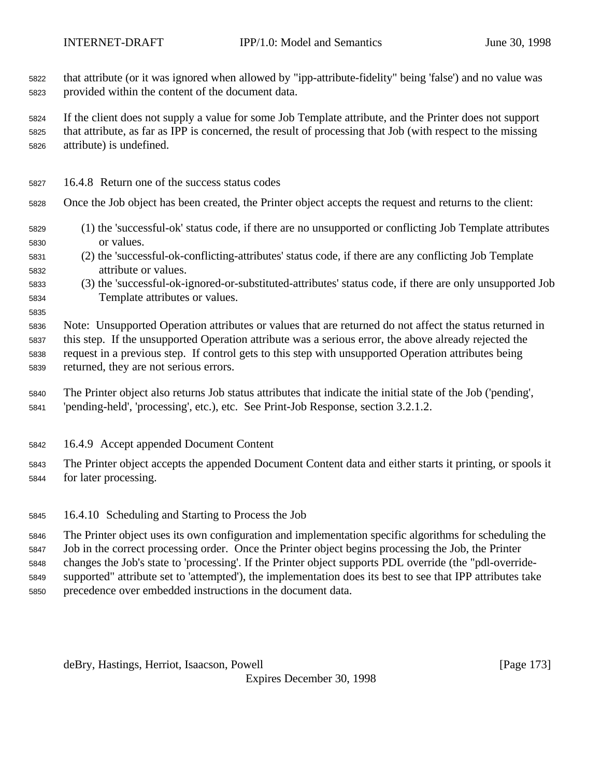that attribute (or it was ignored when allowed by "ipp-attribute-fidelity" being 'false') and no value was provided within the content of the document data.

 If the client does not supply a value for some Job Template attribute, and the Printer does not support that attribute, as far as IPP is concerned, the result of processing that Job (with respect to the missing attribute) is undefined.

16.4.8 Return one of the success status codes

Once the Job object has been created, the Printer object accepts the request and returns to the client:

- (1) the 'successful-ok' status code, if there are no unsupported or conflicting Job Template attributes or values.
- (2) the 'successful-ok-conflicting-attributes' status code, if there are any conflicting Job Template attribute or values.
- (3) the 'successful-ok-ignored-or-substituted-attributes' status code, if there are only unsupported Job Template attributes or values.
- 

 Note: Unsupported Operation attributes or values that are returned do not affect the status returned in this step. If the unsupported Operation attribute was a serious error, the above already rejected the request in a previous step. If control gets to this step with unsupported Operation attributes being returned, they are not serious errors.

 The Printer object also returns Job status attributes that indicate the initial state of the Job ('pending', 'pending-held', 'processing', etc.), etc. See Print-Job Response, section 3.2.1.2.

16.4.9 Accept appended Document Content

 The Printer object accepts the appended Document Content data and either starts it printing, or spools it for later processing.

16.4.10 Scheduling and Starting to Process the Job

 The Printer object uses its own configuration and implementation specific algorithms for scheduling the Job in the correct processing order. Once the Printer object begins processing the Job, the Printer changes the Job's state to 'processing'. If the Printer object supports PDL override (the "pdl-override- supported" attribute set to 'attempted'), the implementation does its best to see that IPP attributes take precedence over embedded instructions in the document data.

deBry, Hastings, Herriot, Isaacson, Powell [Page 173]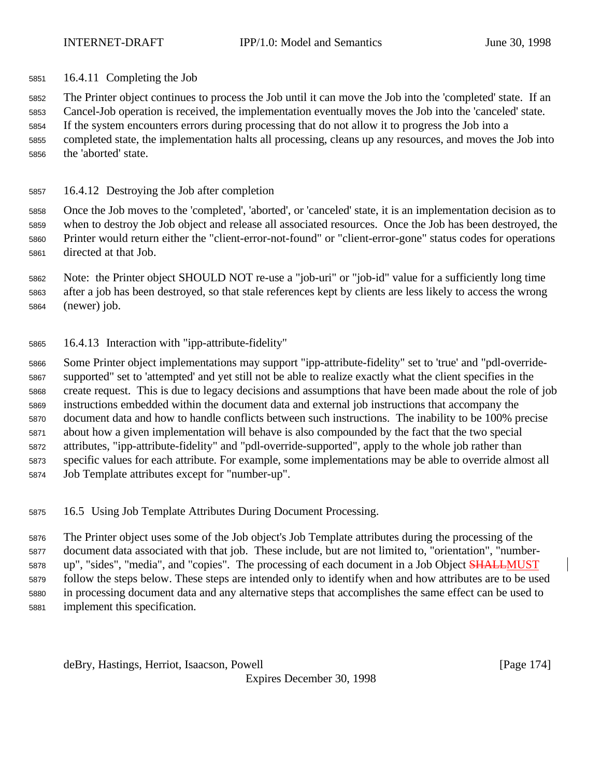16.4.11 Completing the Job

The Printer object continues to process the Job until it can move the Job into the 'completed' state. If an

 Cancel-Job operation is received, the implementation eventually moves the Job into the 'canceled' state. If the system encounters errors during processing that do not allow it to progress the Job into a

completed state, the implementation halts all processing, cleans up any resources, and moves the Job into

- the 'aborted' state.
- 16.4.12 Destroying the Job after completion

 Once the Job moves to the 'completed', 'aborted', or 'canceled' state, it is an implementation decision as to when to destroy the Job object and release all associated resources. Once the Job has been destroyed, the Printer would return either the "client-error-not-found" or "client-error-gone" status codes for operations directed at that Job.

 Note: the Printer object SHOULD NOT re-use a "job-uri" or "job-id" value for a sufficiently long time after a job has been destroyed, so that stale references kept by clients are less likely to access the wrong (newer) job.

16.4.13 Interaction with "ipp-attribute-fidelity"

 Some Printer object implementations may support "ipp-attribute-fidelity" set to 'true' and "pdl-override- supported" set to 'attempted' and yet still not be able to realize exactly what the client specifies in the create request. This is due to legacy decisions and assumptions that have been made about the role of job instructions embedded within the document data and external job instructions that accompany the document data and how to handle conflicts between such instructions. The inability to be 100% precise about how a given implementation will behave is also compounded by the fact that the two special attributes, "ipp-attribute-fidelity" and "pdl-override-supported", apply to the whole job rather than specific values for each attribute. For example, some implementations may be able to override almost all Job Template attributes except for "number-up".

16.5 Using Job Template Attributes During Document Processing.

 The Printer object uses some of the Job object's Job Template attributes during the processing of the document data associated with that job. These include, but are not limited to, "orientation", "number-5878 up", "sides", "media", and "copies". The processing of each document in a Job Object **SHALLMUST**  follow the steps below. These steps are intended only to identify when and how attributes are to be used in processing document data and any alternative steps that accomplishes the same effect can be used to implement this specification.

deBry, Hastings, Herriot, Isaacson, Powell **compare 1991** [Page 174]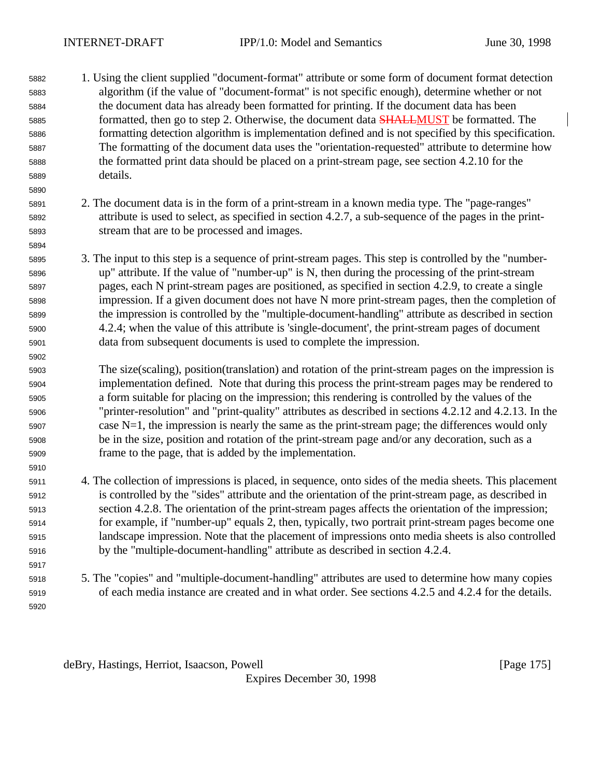- 1. Using the client supplied "document-format" attribute or some form of document format detection algorithm (if the value of "document-format" is not specific enough), determine whether or not the document data has already been formatted for printing. If the document data has been 5885 formatted, then go to step 2. Otherwise, the document data **SHALLMUST** be formatted. The formatting detection algorithm is implementation defined and is not specified by this specification. The formatting of the document data uses the "orientation-requested" attribute to determine how the formatted print data should be placed on a print-stream page, see section 4.2.10 for the details.
- 2. The document data is in the form of a print-stream in a known media type. The "page-ranges" attribute is used to select, as specified in section 4.2.7, a sub-sequence of the pages in the print-stream that are to be processed and images.
- 3. The input to this step is a sequence of print-stream pages. This step is controlled by the "number- up" attribute. If the value of "number-up" is N, then during the processing of the print-stream pages, each N print-stream pages are positioned, as specified in section 4.2.9, to create a single impression. If a given document does not have N more print-stream pages, then the completion of the impression is controlled by the "multiple-document-handling" attribute as described in section 4.2.4; when the value of this attribute is 'single-document', the print-stream pages of document data from subsequent documents is used to complete the impression.
- The size(scaling), position(translation) and rotation of the print-stream pages on the impression is implementation defined. Note that during this process the print-stream pages may be rendered to a form suitable for placing on the impression; this rendering is controlled by the values of the "printer-resolution" and "print-quality" attributes as described in sections 4.2.12 and 4.2.13. In the case N=1, the impression is nearly the same as the print-stream page; the differences would only be in the size, position and rotation of the print-stream page and/or any decoration, such as a frame to the page, that is added by the implementation.
- 4. The collection of impressions is placed, in sequence, onto sides of the media sheets. This placement is controlled by the "sides" attribute and the orientation of the print-stream page, as described in section 4.2.8. The orientation of the print-stream pages affects the orientation of the impression; for example, if "number-up" equals 2, then, typically, two portrait print-stream pages become one landscape impression. Note that the placement of impressions onto media sheets is also controlled by the "multiple-document-handling" attribute as described in section 4.2.4.
- 5. The "copies" and "multiple-document-handling" attributes are used to determine how many copies of each media instance are created and in what order. See sections 4.2.5 and 4.2.4 for the details.

deBry, Hastings, Herriot, Isaacson, Powell **company** and the company of the company in the company of the company of the company of the company of the company of the company of the company of the company of the company of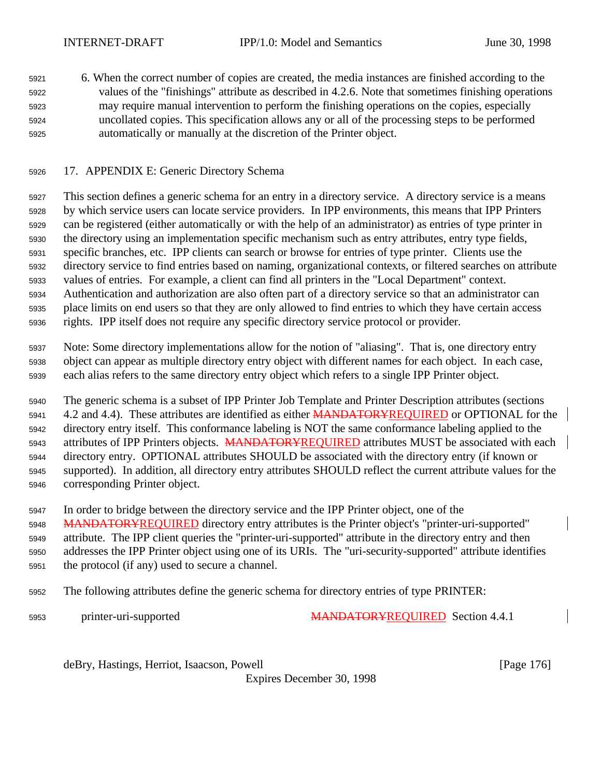6. When the correct number of copies are created, the media instances are finished according to the values of the "finishings" attribute as described in 4.2.6. Note that sometimes finishing operations may require manual intervention to perform the finishing operations on the copies, especially uncollated copies. This specification allows any or all of the processing steps to be performed automatically or manually at the discretion of the Printer object.

## 17. APPENDIX E: Generic Directory Schema

 This section defines a generic schema for an entry in a directory service. A directory service is a means by which service users can locate service providers. In IPP environments, this means that IPP Printers can be registered (either automatically or with the help of an administrator) as entries of type printer in the directory using an implementation specific mechanism such as entry attributes, entry type fields, specific branches, etc. IPP clients can search or browse for entries of type printer. Clients use the directory service to find entries based on naming, organizational contexts, or filtered searches on attribute values of entries. For example, a client can find all printers in the "Local Department" context. Authentication and authorization are also often part of a directory service so that an administrator can place limits on end users so that they are only allowed to find entries to which they have certain access rights. IPP itself does not require any specific directory service protocol or provider.

 Note: Some directory implementations allow for the notion of "aliasing". That is, one directory entry object can appear as multiple directory entry object with different names for each object. In each case, each alias refers to the same directory entry object which refers to a single IPP Printer object.

 The generic schema is a subset of IPP Printer Job Template and Printer Description attributes (sections 5941 4.2 and 4.4). These attributes are identified as either **MANDATORYREQUIRED** or OPTIONAL for the directory entry itself. This conformance labeling is NOT the same conformance labeling applied to the 5943 attributes of IPP Printers objects. MANDATORYREQUIRED attributes MUST be associated with each directory entry. OPTIONAL attributes SHOULD be associated with the directory entry (if known or supported). In addition, all directory entry attributes SHOULD reflect the current attribute values for the corresponding Printer object.

 In order to bridge between the directory service and the IPP Printer object, one of the 5948 MANDATORYREQUIRED directory entry attributes is the Printer object's "printer-uri-supported" attribute. The IPP client queries the "printer-uri-supported" attribute in the directory entry and then addresses the IPP Printer object using one of its URIs. The "uri-security-supported" attribute identifies the protocol (if any) used to secure a channel.

The following attributes define the generic schema for directory entries of type PRINTER:

5953 printer-uri-supported MANDATORYREQUIRED Section 4.4.1

deBry, Hastings, Herriot, Isaacson, Powell [Page 176]